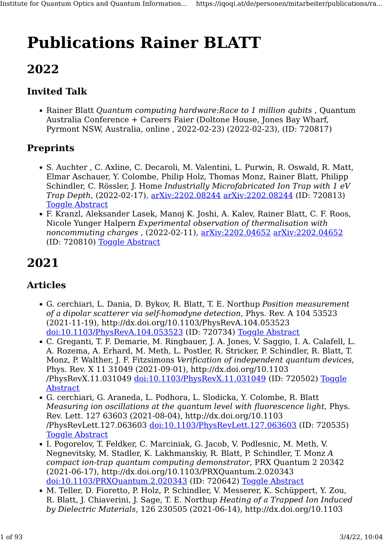# Publications Rainer BLATT

## 2022

## Invited Talk

• Rainer Blatt *Quantum computing hardware:Race to 1 million qubits*, Quantum Australia Conference + Careers Faier (Doltone House, Jones Bay Wharf, Pyrmont NSW, Australia, online , 2022-02-23) (2022-02-23), (ID: 720817)

#### **Preprints**

- S. Auchter , C. Axline, C. Decaroli, M. Valentini, L. Purwin, R. Oswald, R. Matt, Elmar Aschauer, Y. Colombe, Philip Holz, Thomas Monz, Rainer Blatt, Philipp Schindler, C. Rössler, J. Home Industrially Microfabricated Ion Trap with 1 eV Trap Depth, (2022-02-17), [arXiv:2202.08244](http://arxiv.org/abs/2202.08244) [arXiv:2202.08244](http://arxiv.org/abs/2202.08244) (ID: 720813) [Toggle Abstract](https://iqoqi.at/de/personen/mitarbeiter/publications/rainer-blatt?format=raw#)
- F. Kranzl, Aleksander Lasek, Manoj K. Joshi, A. Kalev, Rainer Blatt, C. F. Roos, Nicole Yunger Halpern Experimental observation of thermalisation with noncommuting charges , (2022-02-11), [arXiv:2202.04652](http://arxiv.org/abs/2202.04652) [arXiv:2202.04652](http://arxiv.org/abs/2202.04652) (ID: 720810) [Toggle Abstract](https://iqoqi.at/de/personen/mitarbeiter/publications/rainer-blatt?format=raw#)

## 2021

#### Articles

- G. cerchiari, L. Dania, D. Bykov, R. Blatt, T. E. Northup Position measurement of a dipolar scatterer via self-homodyne detection, Phys. Rev. A 104 53523 (2021-11-19), http://dx.doi.org/10.1103/PhysRevA.104.053523 [doi:10.1103/PhysRevA.104.053523](http://dx.doi.org/10.1103/PhysRevA.104.053523) (ID: 720734) [Toggle Abstract](https://iqoqi.at/de/personen/mitarbeiter/publications/rainer-blatt?format=raw#)
- C. Greganti, T. F. Demarie, M. Ringbauer, J. A. Jones, V. Saggio, I. A. Calafell, L. A. Rozema, A. Erhard, M. Meth, L. Postler, R. Stricker, P. Schindler, R. Blatt, T. Monz, P. Walther, J. F. Fitzsimons Verification of independent quantum devices, Phys. Rev. X 11 31049 (2021-09-01), http://dx.doi.org/10.1103 /PhysRevX.11.031049 [doi:10.1103/PhysRevX.11.031049](http://dx.doi.org/10.1103/PhysRevX.11.031049) (ID: 720502) [Toggle](https://iqoqi.at/de/personen/mitarbeiter/publications/rainer-blatt?format=raw#) [Abstract](https://iqoqi.at/de/personen/mitarbeiter/publications/rainer-blatt?format=raw#)
- G. cerchiari, G. Araneda, L. Podhora, L. Slodicka, Y. Colombe, R. Blatt Measuring ion oscillations at the quantum level with fluorescence light, Phys. Rev. Lett. 127 63603 (2021-08-04), http://dx.doi.org/10.1103 /PhysRevLett.127.063603 [doi:10.1103/PhysRevLett.127.063603](http://dx.doi.org/10.1103/PhysRevLett.127.063603) (ID: 720535) **[Toggle Abstract](https://iqoqi.at/de/personen/mitarbeiter/publications/rainer-blatt?format=raw#)**
- I. Pogorelov, T. Feldker, C. Marciniak, G. Jacob, V. Podlesnic, M. Meth, V. Negnevitsky, M. Stadler, K. Lakhmanskiy, R. Blatt, P. Schindler, T. Monz A compact ion-trap quantum computing demonstrator, PRX Quantum 2 20342 (2021-06-17), http://dx.doi.org/10.1103/PRXQuantum.2.020343 [doi:10.1103/PRXQuantum.2.020343](http://dx.doi.org/10.1103/PRXQuantum.2.020343) (ID: 720642) [Toggle Abstract](https://iqoqi.at/de/personen/mitarbeiter/publications/rainer-blatt?format=raw#)
- M. Teller, D. Fioretto, P. Holz, P. Schindler, V. Messerer, K. Schüppert, Y. Zou, R. Blatt, J. Chiaverini, J. Sage, T. E. Northup Heating of a Trapped Ion Induced by Dielectric Materials, 126 230505 (2021-06-14), http://dx.doi.org/10.1103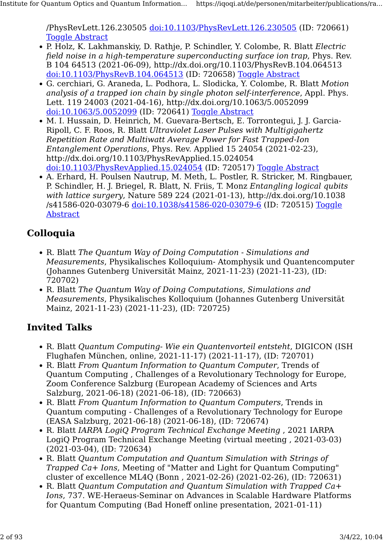/PhysRevLett.126.230505 [doi:10.1103/PhysRevLett.126.230505](http://dx.doi.org/10.1103/PhysRevLett.126.230505) (ID: 720661) [Toggle Abstract](https://iqoqi.at/de/personen/mitarbeiter/publications/rainer-blatt?format=raw#)

- P. Holz, K. Lakhmanskiy, D. Rathje, P. Schindler, Y. Colombe, R. Blatt Electric field noise in a high-temperature superconducting surface ion trap, Phys. Rev. B 104 64513 (2021-06-09), http://dx.doi.org/10.1103/PhysRevB.104.064513 [doi:10.1103/PhysRevB.104.064513](http://dx.doi.org/10.1103/PhysRevB.104.064513) (ID: 720658) [Toggle Abstract](https://iqoqi.at/de/personen/mitarbeiter/publications/rainer-blatt?format=raw#)
- G. cerchiari, G. Araneda, L. Podhora, L. Slodicka, Y. Colombe, R. Blatt Motion analysis of a trapped ion chain by single photon self-interference, Appl. Phys. Lett. 119 24003 (2021-04-16), http://dx.doi.org/10.1063/5.0052099 [doi:10.1063/5.0052099](http://dx.doi.org/10.1063/5.0052099) (ID: 720641) [Toggle Abstract](https://iqoqi.at/de/personen/mitarbeiter/publications/rainer-blatt?format=raw#)
- M. I. Hussain, D. Heinrich, M. Guevara-Bertsch, E. Torrontegui, J. J. Garcia-Ripoll, C. F. Roos, R. Blatt Ultraviolet Laser Pulses with Multigigahertz Repetition Rate and Multiwatt Average Power for Fast Trapped-Ion Entanglement Operations, Phys. Rev. Applied 15 24054 (2021-02-23), http://dx.doi.org/10.1103/PhysRevApplied.15.024054 [doi:10.1103/PhysRevApplied.15.024054](http://dx.doi.org/10.1103/PhysRevApplied.15.024054) (ID: 720517) [Toggle Abstract](https://iqoqi.at/de/personen/mitarbeiter/publications/rainer-blatt?format=raw#)
- A. Erhard, H. Poulsen Nautrup, M. Meth, L. Postler, R. Stricker, M. Ringbauer, P. Schindler, H. J. Briegel, R. Blatt, N. Friis, T. Monz Entangling logical qubits with lattice surgery, Nature 589 224 (2021-01-13), http://dx.doi.org/10.1038 /s41586-020-03079-6 [doi:10.1038/s41586-020-03079-6](http://dx.doi.org/10.1038/s41586-020-03079-6) (ID: 720515) [Toggle](https://iqoqi.at/de/personen/mitarbeiter/publications/rainer-blatt?format=raw#) [Abstract](https://iqoqi.at/de/personen/mitarbeiter/publications/rainer-blatt?format=raw#)

#### Colloquia

- R. Blatt The Quantum Way of Doing Computation Simulations and Measurements, Physikalisches Kolloquium- Atomphysik und Quantencomputer (Johannes Gutenberg Universität Mainz, 2021-11-23) (2021-11-23), (ID: 720702)
- R. Blatt The Quantum Way of Doing Computations, Simulations and Measurements, Physikalisches Kolloquium (Johannes Gutenberg Universität Mainz, 2021-11-23) (2021-11-23), (ID: 720725)

- R. Blatt Quantum Computing- Wie ein Quantenvorteil entsteht, DIGICON (ISH Flughafen München, online, 2021-11-17) (2021-11-17), (ID: 720701)
- R. Blatt From Quantum Information to Quantum Computer, Trends of Quantum Computing , Challenges of a Revolutionary Technology for Europe, Zoom Conference Salzburg (European Academy of Sciences and Arts Salzburg, 2021-06-18) (2021-06-18), (ID: 720663)
- R. Blatt From Quantum Information to Quantum Computers, Trends in Quantum computing - Challenges of a Revolutionary Technology for Europe (EASA Salzburg, 2021-06-18) (2021-06-18), (ID: 720674)
- R. Blatt IARPA LogiQ Program Technical Exchange Meeting , 2021 IARPA LogiQ Program Technical Exchange Meeting (virtual meeting , 2021-03-03) (2021-03-04), (ID: 720634)
- R. Blatt Quantum Computation and Quantum Simulation with Strings of Trapped Ca+ Ions, Meeting of "Matter and Light for Quantum Computing" cluster of excellence ML4Q (Bonn , 2021-02-26) (2021-02-26), (ID: 720631)
- R. Blatt Quantum Computation and Quantum Simulation with Trapped Ca+ Ions, 737. WE-Heraeus-Seminar on Advances in Scalable Hardware Platforms for Quantum Computing (Bad Honeff online presentation, 2021-01-11)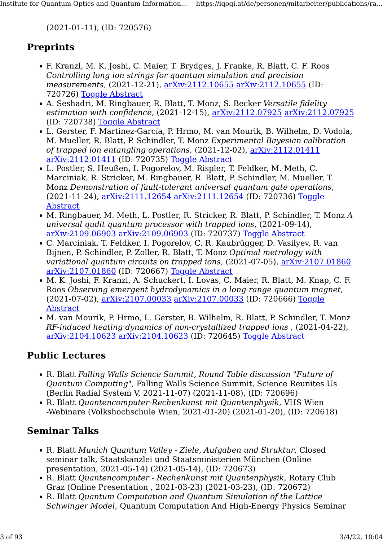(2021-01-11), (ID: 720576)

#### **Preprints**

- F. Kranzl, M. K. Joshi, C. Maier, T. Brydges, J. Franke, R. Blatt, C. F. Roos Controlling long ion strings for quantum simulation and precision measurements, (2021-12-21),  $\frac{\text{arXiv:}2112.10655}{\text{arXiv:}2112.10655}$  (ID: 720726) [Toggle Abstract](https://iqoqi.at/de/personen/mitarbeiter/publications/rainer-blatt?format=raw#)
- A. Seshadri, M. Ringbauer, R. Blatt, T. Monz, S. Becker Versatile fidelity estimation with confidence, (2021-12-15), [arXiv:2112.07925](http://arxiv.org/abs/2112.07925) [arXiv:2112.07925](http://arxiv.org/abs/2112.07925) (ID: 720738) [Toggle Abstract](https://iqoqi.at/de/personen/mitarbeiter/publications/rainer-blatt?format=raw#)
- L. Gerster, F. Martínez-García, P. Hrmo, M. van Mourik, B. Wilhelm, D. Vodola, M. Mueller, R. Blatt, P. Schindler, T. Monz Experimental Bayesian calibration of trapped ion entangling operations,  $(2021-12-02)$ ,  $\frac{\text{arXiv:}2112.01411}{\text{arXiv:}2112.01411}$ [arXiv:2112.01411](http://arxiv.org/abs/2112.01411) (ID: 720735) [Toggle Abstract](https://iqoqi.at/de/personen/mitarbeiter/publications/rainer-blatt?format=raw#)
- L. Postler, S. Heußen, I. Pogorelov, M. Rispler, T. Feldker, M. Meth, C. Marciniak, R. Stricker, M. Ringbauer, R. Blatt, P. Schindler, M. Mueller, T. Monz Demonstration of fault-tolerant universal quantum gate operations, (2021-11-24), [arXiv:2111.12654](http://arxiv.org/abs/2111.12654) [arXiv:2111.12654](http://arxiv.org/abs/2111.12654) (ID: 720736) [Toggle](https://iqoqi.at/de/personen/mitarbeiter/publications/rainer-blatt?format=raw#) [Abstract](https://iqoqi.at/de/personen/mitarbeiter/publications/rainer-blatt?format=raw#)
- M. Ringbauer, M. Meth, L. Postler, R. Stricker, R. Blatt, P. Schindler, T. Monz A universal qudit quantum processor with trapped ions, (2021-09-14), [arXiv:2109.06903](http://arxiv.org/abs/2109.06903) [arXiv:2109.06903](http://arxiv.org/abs/2109.06903) (ID: 720737) [Toggle Abstract](https://iqoqi.at/de/personen/mitarbeiter/publications/rainer-blatt?format=raw#)
- C. Marciniak, T. Feldker, I. Pogorelov, C. R. Kaubrügger, D. Vasilyev, R. van Bijnen, P. Schindler, P. Zoller, R. Blatt, T. Monz Optimal metrology with variational quantum circuits on trapped ions, (2021-07-05), [arXiv:2107.01860](http://arxiv.org/abs/2107.01860) [arXiv:2107.01860](http://arxiv.org/abs/2107.01860) (ID: 720667) [Toggle Abstract](https://iqoqi.at/de/personen/mitarbeiter/publications/rainer-blatt?format=raw#)
- M. K. Joshi, F. Kranzl, A. Schuckert, I. Lovas, C. Maier, R. Blatt, M. Knap, C. F. Roos Observing emergent hydrodynamics in a long-range quantum magnet, (2021-07-02), [arXiv:2107.00033](http://arxiv.org/abs/2107.00033) [arXiv:2107.00033](http://arxiv.org/abs/2107.00033) (ID: 720666) [Toggle](https://iqoqi.at/de/personen/mitarbeiter/publications/rainer-blatt?format=raw#) [Abstract](https://iqoqi.at/de/personen/mitarbeiter/publications/rainer-blatt?format=raw#)
- M. van Mourik, P. Hrmo, L. Gerster, B. Wilhelm, R. Blatt, P. Schindler, T. Monz RF-induced heating dynamics of non-crystallized trapped ions , (2021-04-22), [arXiv:2104.10623](http://arxiv.org/abs/2104.10623) [arXiv:2104.10623](http://arxiv.org/abs/2104.10623) (ID: 720645) [Toggle Abstract](https://iqoqi.at/de/personen/mitarbeiter/publications/rainer-blatt?format=raw#)

#### Public Lectures

- R. Blatt Falling Walls Science Summit, Round Table discussion "Future of Quantum Computing", Falling Walls Science Summit, Science Reunites Us (Berlin Radial System V, 2021-11-07) (2021-11-08), (ID: 720696)
- R. Blatt Quantencomputer-Rechenkunst mit Quantenphysik, VHS Wien -Webinare (Volkshochschule Wien, 2021-01-20) (2021-01-20), (ID: 720618)

#### Seminar Talks

- R. Blatt Munich Quantum Valley Ziele, Aufgaben und Struktur, Closed seminar talk, Staatskanzlei und Staatsministerien München (Online presentation, 2021-05-14) (2021-05-14), (ID: 720673)
- R. Blatt Quantencomputer Rechenkunst mit Quantenphysik, Rotary Club Graz (Online Presentation , 2021-03-23) (2021-03-23), (ID: 720672)
- R. Blatt Quantum Computation and Quantum Simulation of the Lattice Schwinger Model, Quantum Computation And High-Energy Physics Seminar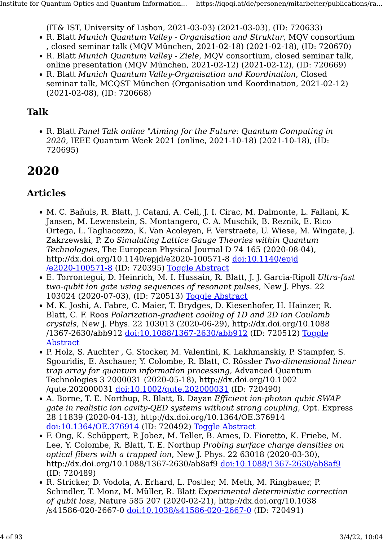(IT& IST, University of Lisbon, 2021-03-03) (2021-03-03), (ID: 720633)

- R. Blatt Munich Quantum Valley Organisation und Struktur, MQV consortium , closed seminar talk (MQV München, 2021-02-18) (2021-02-18), (ID: 720670)
- R. Blatt Munich Quantum Valley Ziele, MQV consortium, closed seminar talk, online presentation (MQV München, 2021-02-12) (2021-02-12), (ID: 720669)
- R. Blatt Munich Quantum Valley-Organisation und Koordination, Closed seminar talk, MCQST München (Organisation und Koordination, 2021-02-12) (2021-02-08), (ID: 720668)

#### Talk

• R. Blatt Panel Talk online "Aiming for the Future: Quantum Computing in 2020, IEEE Quantum Week 2021 (online, 2021-10-18) (2021-10-18), (ID: 720695)

## 2020

#### Articles

- M. C. Bañuls, R. Blatt, J. Catani, A. Celi, J. I. Cirac, M. Dalmonte, L. Fallani, K. Jansen, M. Lewenstein, S. Montangero, C. A. Muschik, B. Reznik, E. Rico Ortega, L. Tagliacozzo, K. Van Acoleyen, F. Verstraete, U. Wiese, M. Wingate, J. Zakrzewski, P. Zo Simulating Lattice Gauge Theories within Quantum Technologies, The European Physical Journal D 74 165 (2020-08-04), http://dx.doi.org/10.1140/epjd/e2020-100571-8 [doi:10.1140/epjd](http://dx.doi.org/10.1140/epjd/e2020-100571-8) [/e2020-100571-8](http://dx.doi.org/10.1140/epjd/e2020-100571-8) (ID: 720395) [Toggle Abstract](https://iqoqi.at/de/personen/mitarbeiter/publications/rainer-blatt?format=raw#)
- E. Torrontegui, D. Heinrich, M. I. Hussain, R. Blatt, J. J. Garcia-Ripoll Ultra-fast two-qubit ion gate using sequences of resonant pulses, New J. Phys. 22 103024 (2020-07-03), (ID: 720513) [Toggle Abstract](https://iqoqi.at/de/personen/mitarbeiter/publications/rainer-blatt?format=raw#)
- M. K. Joshi, A. Fabre, C. Maier, T. Brydges, D. Kiesenhofer, H. Hainzer, R. Blatt, C. F. Roos Polarization-gradient cooling of 1D and 2D ion Coulomb crystals, New J. Phys. 22 103013 (2020-06-29), http://dx.doi.org/10.1088 /1367-2630/abb912 [doi:10.1088/1367-2630/abb912](http://dx.doi.org/10.1088/1367-2630/abb912) (ID: 720512) [Toggle](https://iqoqi.at/de/personen/mitarbeiter/publications/rainer-blatt?format=raw#) [Abstract](https://iqoqi.at/de/personen/mitarbeiter/publications/rainer-blatt?format=raw#)
- P. Holz, S. Auchter , G. Stocker, M. Valentini, K. Lakhmanskiy, P. Stampfer, S. Sgouridis, E. Aschauer, Y. Colombe, R. Blatt, C. Rössler Two-dimensional linear trap array for quantum information processing, Advanced Quantum Technologies 3 2000031 (2020-05-18), http://dx.doi.org/10.1002 /qute.202000031 [doi:10.1002/qute.202000031](http://dx.doi.org/10.1002/qute.202000031) (ID: 720490)
- A. Borne, T. E. Northup, R. Blatt, B. Dayan *Efficient ion-photon qubit SWAP* gate in realistic ion cavity-QED systems without strong coupling, Opt. Express 28 11839 (2020-04-13), http://dx.doi.org/10.1364/OE.376914 [doi:10.1364/OE.376914](http://dx.doi.org/10.1364/OE.376914) (ID: 720492) [Toggle Abstract](https://iqoqi.at/de/personen/mitarbeiter/publications/rainer-blatt?format=raw#)
- F. Ong, K. Schüppert, P. Jobez, M. Teller, B. Ames, D. Fioretto, K. Friebe, M. Lee, Y. Colombe, R. Blatt, T. E. Northup Probing surface charge densities on optical fibers with a trapped ion, New J. Phys.  $2263018(2020-03-30)$ , http://dx.doi.org/10.1088/1367-2630/ab8af9 [doi:10.1088/1367-2630/ab8af9](http://dx.doi.org/10.1088/1367-2630/ab8af9) (ID: 720489)
- R. Stricker, D. Vodola, A. Erhard, L. Postler, M. Meth, M. Ringbauer, P. Schindler, T. Monz, M. Müller, R. Blatt Experimental deterministic correction of qubit loss, Nature 585 207 (2020-02-21), http://dx.doi.org/10.1038 /s41586-020-2667-0 [doi:10.1038/s41586-020-2667-0](http://dx.doi.org/10.1038/s41586-020-2667-0) (ID: 720491)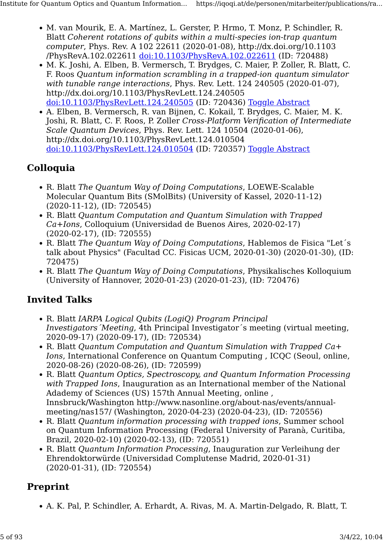- M. van Mourik, E. A. Martínez, L. Gerster, P. Hrmo, T. Monz, P. Schindler, R. Blatt Coherent rotations of qubits within a multi-species ion-trap quantum computer, Phys. Rev. A 102 22611 (2020-01-08), http://dx.doi.org/10.1103 /PhysRevA.102.022611 [doi:10.1103/PhysRevA.102.022611](http://dx.doi.org/10.1103/PhysRevA.102.022611) (ID: 720488)
- M. K. Joshi, A. Elben, B. Vermersch, T. Brydges, C. Maier, P. Zoller, R. Blatt, C. F. Roos Quantum information scrambling in a trapped-ion quantum simulator with tunable range interactions, Phys. Rev. Lett. 124 240505 (2020-01-07), http://dx.doi.org/10.1103/PhysRevLett.124.240505 [doi:10.1103/PhysRevLett.124.240505](http://dx.doi.org/10.1103/PhysRevLett.124.240505) (ID: 720436) [Toggle Abstract](https://iqoqi.at/de/personen/mitarbeiter/publications/rainer-blatt?format=raw#)
- A. Elben, B. Vermersch, R. van Bijnen, C. Kokail, T. Brydges, C. Maier, M. K. Joshi, R. Blatt, C. F. Roos, P. Zoller Cross-Platform Verification of Intermediate Scale Quantum Devices, Phys. Rev. Lett. 124 10504 (2020-01-06), http://dx.doi.org/10.1103/PhysRevLett.124.010504 [doi:10.1103/PhysRevLett.124.010504](http://dx.doi.org/10.1103/PhysRevLett.124.010504) (ID: 720357) [Toggle Abstract](https://iqoqi.at/de/personen/mitarbeiter/publications/rainer-blatt?format=raw#)

#### Colloquia

- R. Blatt The Quantum Way of Doing Computations, LOEWE-Scalable Molecular Quantum Bits (SMolBits) (University of Kassel, 2020-11-12) (2020-11-12), (ID: 720545)
- R. Blatt Quantum Computation and Quantum Simulation with Trapped Ca+Ions, Colloquium (Universidad de Buenos Aires, 2020-02-17) (2020-02-17), (ID: 720555)
- R. Blatt The Quantum Way of Doing Computations, Hablemos de Fisica "Let's talk about Physics" (Facultad CC. Fisicas UCM, 2020-01-30) (2020-01-30), (ID: 720475)
- R. Blatt The Quantum Way of Doing Computations, Physikalisches Kolloquium (University of Hannover, 2020-01-23) (2020-01-23), (ID: 720476)

#### Invited Talks

- R. Blatt IARPA Logical Qubits (LogiQ) Program Principal Investigators´Meeting, 4th Principal Investigator´s meeting (virtual meeting, 2020-09-17) (2020-09-17), (ID: 720534)
- R. Blatt Quantum Computation and Quantum Simulation with Trapped Ca+ Ions, International Conference on Quantum Computing , ICQC (Seoul, online, 2020-08-26) (2020-08-26), (ID: 720599)
- R. Blatt Quantum Optics, Spectroscopy, and Quantum Information Processing with Trapped Ions, Inauguration as an International member of the National Adademy of Sciences (US) 157th Annual Meeting, online , Innsbruck/Washington http://www.nasonline.org/about-nas/events/annualmeeting/nas157/ (Washington, 2020-04-23) (2020-04-23), (ID: 720556)
- R. Blatt Quantum information processing with trapped ions, Summer school on Quantum Information Processing (Federal University of Paranà, Curitiba, Brazil, 2020-02-10) (2020-02-13), (ID: 720551)
- R. Blatt Quantum Information Processing, Inauguration zur Verleihung der Ehrendoktorwürde (Universidad Complutense Madrid, 2020-01-31) (2020-01-31), (ID: 720554)

## Preprint

• A. K. Pal, P. Schindler, A. Erhardt, A. Rivas, M. A. Martin-Delgado, R. Blatt, T.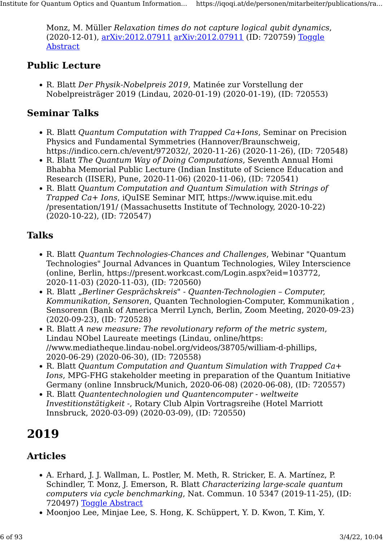Monz, M. Müller Relaxation times do not capture logical qubit dynamics, (2020-12-01), [arXiv:2012.07911](http://arxiv.org/abs/2012.07911) [arXiv:2012.07911](http://arxiv.org/abs/2012.07911) (ID: 720759) [Toggle](https://iqoqi.at/de/personen/mitarbeiter/publications/rainer-blatt?format=raw#) [Abstract](https://iqoqi.at/de/personen/mitarbeiter/publications/rainer-blatt?format=raw#)

#### Public Lecture

• R. Blatt Der Physik-Nobelpreis 2019, Matinée zur Vorstellung der Nobelpreisträger 2019 (Lindau, 2020-01-19) (2020-01-19), (ID: 720553)

#### Seminar Talks

- R. Blatt Quantum Computation with Trapped Ca+Ions, Seminar on Precision Physics and Fundamental Symmetries (Hannover/Braunschweig, https://indico.cern.ch/event/972032/, 2020-11-26) (2020-11-26), (ID: 720548)
- R. Blatt The Quantum Way of Doing Computations, Seventh Annual Homi Bhabha Memorial Public Lecture (Indian Institute of Science Education and Research (IISER), Pune, 2020-11-06) (2020-11-06), (ID: 720541)
- R. Blatt Quantum Computation and Quantum Simulation with Strings of Trapped Ca+ Ions, iQuISE Seminar MIT, https://www.iquise.mit.edu /presentation/191/ (Massachusetts Institute of Technology, 2020-10-22) (2020-10-22), (ID: 720547)

## Talks

- R. Blatt Quantum Technologies-Chances and Challenges, Webinar "Quantum Technologies" Journal Advances in Quantum Technologies, Wiley Interscience (online, Berlin, https://present.workcast.com/Login.aspx?eid=103772, 2020-11-03) (2020-11-03), (ID: 720560)
- R. Blatt "Berliner Gesprächskreis" Quanten-Technologien Computer, Kommunikation, Sensoren, Quanten Technologien-Computer, Kommunikation , Sensorenn (Bank of America Merril Lynch, Berlin, Zoom Meeting, 2020-09-23) (2020-09-23), (ID: 720528)
- R. Blatt A new measure: The revolutionary reform of the metric system, Lindau NObel Laureate meetings (Lindau, online/https: //www.mediatheque.lindau-nobel.org/videos/38705/william-d-phillips, 2020-06-29) (2020-06-30), (ID: 720558)
- R. Blatt Quantum Computation and Quantum Simulation with Trapped Ca+ Ions, MPG-FHG stakeholder meeting in preparation of the Quantum Initiative Germany (online Innsbruck/Munich, 2020-06-08) (2020-06-08), (ID: 720557)
- R. Blatt Quantentechnologien und Quantencomputer weltweite Investitionstätigkeit -, Rotary Club Alpin Vortragsreihe (Hotel Marriott Innsbruck, 2020-03-09) (2020-03-09), (ID: 720550)

## 2019

## Articles

- A. Erhard, J. J. Wallman, L. Postler, M. Meth, R. Stricker, E. A. Martínez, P. Schindler, T. Monz, J. Emerson, R. Blatt Characterizing large-scale quantum computers via cycle benchmarking, Nat. Commun. 10 5347 (2019-11-25), (ID: 720497) [Toggle Abstract](https://iqoqi.at/de/personen/mitarbeiter/publications/rainer-blatt?format=raw#)
- Moonjoo Lee, Minjae Lee, S. Hong, K. Schüppert, Y. D. Kwon, T. Kim, Y.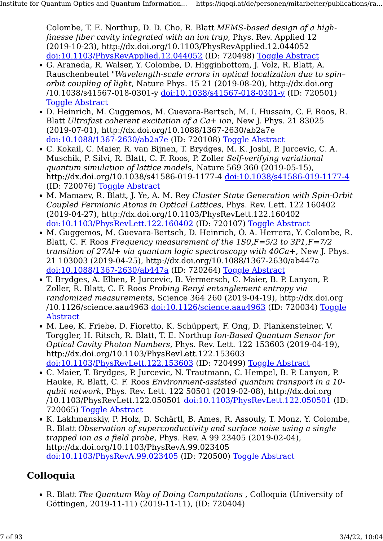Colombe, T. E. Northup, D. D. Cho, R. Blatt MEMS-based design of a highfinesse fiber cavity integrated with an ion trap, Phys. Rev. Applied 12 (2019-10-23), http://dx.doi.org/10.1103/PhysRevApplied.12.044052 [doi:10.1103/PhysRevApplied.12.044052](http://dx.doi.org/10.1103/PhysRevApplied.12.044052) (ID: 720498) [Toggle Abstract](https://iqoqi.at/de/personen/mitarbeiter/publications/rainer-blatt?format=raw#)

- G. Araneda, R. Walser, Y. Colombe, D. Higginbottom, J. Volz, R. Blatt, A. Rauschenbeutel "Wavelength-scale errors in optical localization due to spin– orbit coupling of light, Nature Phys. 15 21 (2019-08-20), http://dx.doi.org /10.1038/s41567-018-0301-y [doi:10.1038/s41567-018-0301-y](http://dx.doi.org/10.1038/s41567-018-0301-y) (ID: 720501) **[Toggle Abstract](https://iqoqi.at/de/personen/mitarbeiter/publications/rainer-blatt?format=raw#)**
- D. Heinrich, M. Guggemos, M. Guevara-Bertsch, M. I. Hussain, C. F. Roos, R. Blatt Ultrafast coherent excitation of a Ca+ ion, New J. Phys. 21 83025 (2019-07-01), http://dx.doi.org/10.1088/1367-2630/ab2a7e [doi:10.1088/1367-2630/ab2a7e](http://dx.doi.org/10.1088/1367-2630/ab2a7e) (ID: 720108) [Toggle Abstract](https://iqoqi.at/de/personen/mitarbeiter/publications/rainer-blatt?format=raw#)
- C. Kokail, C. Maier, R. van Bijnen, T. Brydges, M. K. Joshi, P. Jurcevic, C. A. Muschik, P. Silvi, R. Blatt, C. F. Roos, P. Zoller Self-verifying variational quantum simulation of lattice models, Nature 569 360 (2019-05-15), http://dx.doi.org/10.1038/s41586-019-1177-4 [doi:10.1038/s41586-019-1177-4](http://dx.doi.org/10.1038/s41586-019-1177-4) (ID: 720076) [Toggle Abstract](https://iqoqi.at/de/personen/mitarbeiter/publications/rainer-blatt?format=raw#)
- M. Mamaey, R. Blatt, J. Ye, A. M. Rey Cluster State Generation with Spin-Orbit Coupled Fermionic Atoms in Optical Lattices, Phys. Rev. Lett. 122 160402 (2019-04-27), http://dx.doi.org/10.1103/PhysRevLett.122.160402 [doi:10.1103/PhysRevLett.122.160402](http://dx.doi.org/10.1103/PhysRevLett.122.160402) (ID: 720107) [Toggle Abstract](https://iqoqi.at/de/personen/mitarbeiter/publications/rainer-blatt?format=raw#)
- M. Guggemos, M. Guevara-Bertsch, D. Heinrich, Ó. A. Herrera, Y. Colombe, R. Blatt, C. F. Roos Frequency measurement of the  $1SO,F=5/2$  to  $3P1,F=7/2$ transition of  $27Al+$  via quantum logic spectroscopy with  $40Ca+$ , New J. Phys. 21 103003 (2019-04-25), http://dx.doi.org/10.1088/1367-2630/ab447a [doi:10.1088/1367-2630/ab447a](http://dx.doi.org/10.1088/1367-2630/ab447a) (ID: 720264) [Toggle Abstract](https://iqoqi.at/de/personen/mitarbeiter/publications/rainer-blatt?format=raw#)
- T. Brydges, A. Elben, P. Jurcevic, B. Vermersch, C. Maier, B. P. Lanyon, P. Zoller, R. Blatt, C. F. Roos Probing Renyi entanglement entropy via randomized measurements, Science 364 260 (2019-04-19), http://dx.doi.org /10.1126/science.aau4963 [doi:10.1126/science.aau4963](http://dx.doi.org/10.1126/science.aau4963) (ID: 720034) [Toggle](https://iqoqi.at/de/personen/mitarbeiter/publications/rainer-blatt?format=raw#) [Abstract](https://iqoqi.at/de/personen/mitarbeiter/publications/rainer-blatt?format=raw#)
- M. Lee, K. Friebe, D. Fioretto, K. Schüppert, F. Ong, D. Plankensteiner, V. Torggler, H. Ritsch, R. Blatt, T. E. Northup Ion-Based Quantum Sensor for Optical Cavity Photon Numbers, Phys. Rev. Lett. 122 153603 (2019-04-19), http://dx.doi.org/10.1103/PhysRevLett.122.153603 [doi:10.1103/PhysRevLett.122.153603](http://dx.doi.org/10.1103/PhysRevLett.122.153603) (ID: 720499) [Toggle Abstract](https://iqoqi.at/de/personen/mitarbeiter/publications/rainer-blatt?format=raw#)
- C. Maier, T. Brydges, P. Jurcevic, N. Trautmann, C. Hempel, B. P. Lanyon, P. Hauke, R. Blatt, C. F. Roos Environment-assisted quantum transport in a 10 qubit network, Phys. Rev. Lett. 122 50501 (2019-02-08), http://dx.doi.org /10.1103/PhysRevLett.122.050501 [doi:10.1103/PhysRevLett.122.050501](http://dx.doi.org/10.1103/PhysRevLett.122.050501) (ID: 720065) [Toggle Abstract](https://iqoqi.at/de/personen/mitarbeiter/publications/rainer-blatt?format=raw#)
- K. Lakhmanskiy, P. Holz, D. Schärtl, B. Ames, R. Assouly, T. Monz, Y. Colombe, R. Blatt Observation of superconductivity and surface noise using a single trapped ion as a field probe, Phys. Rev. A 99 23405 (2019-02-04), http://dx.doi.org/10.1103/PhysRevA.99.023405 [doi:10.1103/PhysRevA.99.023405](http://dx.doi.org/10.1103/PhysRevA.99.023405) (ID: 720500) [Toggle Abstract](https://iqoqi.at/de/personen/mitarbeiter/publications/rainer-blatt?format=raw#)

#### Colloquia

• R. Blatt The Quantum Way of Doing Computations , Colloquia (University of Göttingen, 2019-11-11) (2019-11-11), (ID: 720404)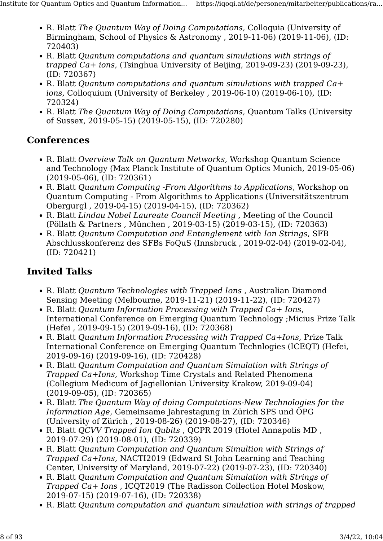- R. Blatt The Quantum Way of Doing Computations, Colloquia (University of Birmingham, School of Physics & Astronomy , 2019-11-06) (2019-11-06), (ID: 720403)
- R. Blatt Quantum computations and quantum simulations with strings of trapped Ca+ ions, (Tsinghua University of Beijing, 2019-09-23) (2019-09-23), (ID: 720367)
- R. Blatt Quantum computations and quantum simulations with trapped Ca+ ions, Colloquium (University of Berkeley , 2019-06-10) (2019-06-10), (ID: 720324)
- R. Blatt The Quantum Way of Doing Computations, Quantum Talks (University of Sussex, 2019-05-15) (2019-05-15), (ID: 720280)

#### **Conferences**

- R. Blatt Overview Talk on Quantum Networks, Workshop Quantum Science and Technology (Max Planck Institute of Quantum Optics Munich, 2019-05-06) (2019-05-06), (ID: 720361)
- R. Blatt Quantum Computing -From Algorithms to Applications, Workshop on Quantum Computing - From Algorithms to Applications (Universitätszentrum Obergurgl , 2019-04-15) (2019-04-15), (ID: 720362)
- R. Blatt Lindau Nobel Laureate Council Meeting , Meeting of the Council (Pöllath & Partners , München , 2019-03-15) (2019-03-15), (ID: 720363)
- R. Blatt Quantum Computation and Entanglement with Ion Strings, SFB Abschlusskonferenz des SFBs FoQuS (Innsbruck , 2019-02-04) (2019-02-04), (ID: 720421)

- R. Blatt Quantum Technologies with Trapped Ions , Australian Diamond Sensing Meeting (Melbourne, 2019-11-21) (2019-11-22), (ID: 720427)
- R. Blatt Quantum Information Processing with Trapped Ca+ Ions, International Conference on Emerging Quantum Technology ;Micius Prize Talk (Hefei , 2019-09-15) (2019-09-16), (ID: 720368)
- R. Blatt Quantum Information Processing with Trapped Ca+Ions, Prize Talk International Conference on Emerging Quantum Technlogies (ICEQT) (Hefei, 2019-09-16) (2019-09-16), (ID: 720428)
- R. Blatt Quantum Computation and Quantum Simulation with Strings of Trapped Ca+Ions, Workshop Time Crystals and Related Phenomena (Collegium Medicum of Jagiellonian University Krakow, 2019-09-04) (2019-09-05), (ID: 720365)
- R. Blatt The Quantum Way of doing Computations-New Technologies for the Information Age, Gemeinsame Jahrestagung in Zürich SPS und ÖPG (University of Zürich , 2019-08-26) (2019-08-27), (ID: 720346)
- R. Blatt QCVV Trapped Ion Qubits , QCPR 2019 (Hotel Annapolis MD , 2019-07-29) (2019-08-01), (ID: 720339)
- R. Blatt Quantum Computation and Quantum Simultion with Strings of Trapped Ca+Ions, NACTI2019 (Edward St John Learning and Teaching Center, University of Maryland, 2019-07-22) (2019-07-23), (ID: 720340)
- R. Blatt Quantum Computation and Quantum Simulation with Strings of Trapped Ca+ Ions , ICQT2019 (The Radisson Collection Hotel Moskow, 2019-07-15) (2019-07-16), (ID: 720338)
- R. Blatt Quantum computation and quantum simulation with strings of trapped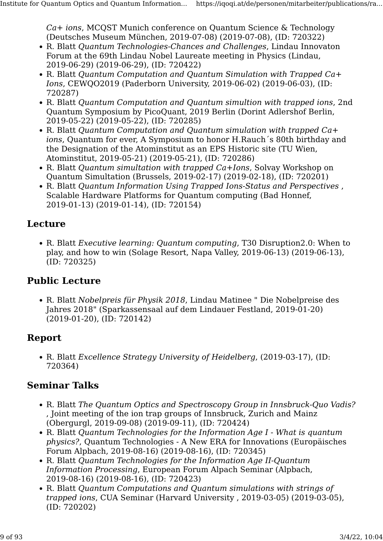Ca+ ions, MCQST Munich conference on Quantum Science & Technology (Deutsches Museum München, 2019-07-08) (2019-07-08), (ID: 720322)

- R. Blatt Quantum Technologies-Chances and Challenges, Lindau Innovaton Forum at the 69th Lindau Nobel Laureate meeting in Physics (Lindau, 2019-06-29) (2019-06-29), (ID: 720422)
- R. Blatt Quantum Computation and Quantum Simulation with Trapped Ca+ Ions, CEWQO2019 (Paderborn University, 2019-06-02) (2019-06-03), (ID: 720287)
- R. Blatt Quantum Computation and Quantum simultion with trapped ions, 2nd Quantum Symposium by PicoQuant, 2019 Berlin (Dorint Adlershof Berlin, 2019-05-22) (2019-05-22), (ID: 720285)
- R. Blatt Quantum Computation and Quantum simulation with trapped Ca+ ions, Quantum for ever, A Symposium to honor H.Rauch´s 80th birthday and the Designation of the Atominstitut as an EPS Historic site (TU Wien, Atominstitut, 2019-05-21) (2019-05-21), (ID: 720286)
- R. Blatt Quantum simultation with trapped Ca+Ions, Solvay Workshop on Quantum Simultation (Brussels, 2019-02-17) (2019-02-18), (ID: 720201)
- R. Blatt Quantum Information Using Trapped Ions-Status and Perspectives , Scalable Hardware Platforms for Quantum computing (Bad Honnef, 2019-01-13) (2019-01-14), (ID: 720154)

#### Lecture

• R. Blatt Executive learning: Quantum computing, T30 Disruption2.0: When to play, and how to win (Solage Resort, Napa Valley, 2019-06-13) (2019-06-13), (ID: 720325)

#### Public Lecture

• R. Blatt Nobelpreis für Physik 2018, Lindau Matinee " Die Nobelpreise des Jahres 2018" (Sparkassensaal auf dem Lindauer Festland, 2019-01-20) (2019-01-20), (ID: 720142)

#### Report

• R. Blatt Excellence Strategy University of Heidelberg, (2019-03-17), (ID: 720364)

#### Seminar Talks

- R. Blatt The Quantum Optics and Spectroscopy Group in Innsbruck-Quo Vadis? , Joint meeting of the ion trap groups of Innsbruck, Zurich and Mainz (Obergurgl, 2019-09-08) (2019-09-11), (ID: 720424)
- R. Blatt Quantum Technologies for the Information Age I What is quantum physics?, Quantum Technologies - A New ERA for Innovations (Europäisches Forum Alpbach, 2019-08-16) (2019-08-16), (ID: 720345)
- R. Blatt Quantum Technologies for the Information Age II-Quantum Information Processing, European Forum Alpach Seminar (Alpbach, 2019-08-16) (2019-08-16), (ID: 720423)
- R. Blatt Quantum Computations and Quantum simulations with strings of trapped ions, CUA Seminar (Harvard University , 2019-03-05) (2019-03-05), (ID: 720202)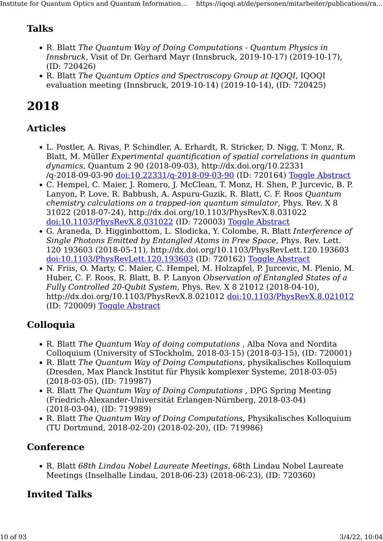### Talks

- R. Blatt The Quantum Way of Doing Computations Quantum Physics in Innsbruck, Visit of Dr. Gerhard Mayr (Innsbruck, 2019-10-17) (2019-10-17), (ID: 720426)
- R. Blatt The Quantum Optics and Spectroscopy Group at IQOOI, IQOOI evaluation meeting (Innsbruck, 2019-10-14) (2019-10-14), (ID: 720425)

## 2018

#### Articles

- L. Postler, A. Rivas, P. Schindler, A. Erhardt, R. Stricker, D. Nigg, T. Monz, R. Blatt, M. Müller Experimental quantification of spatial correlations in quantum dynamics, Quantum 2 90 (2018-09-03), http://dx.doi.org/10.22331 /q-2018-09-03-90 [doi:10.22331/q-2018-09-03-90](http://dx.doi.org/10.22331/q-2018-09-03-90) (ID: 720164) [Toggle Abstract](https://iqoqi.at/de/personen/mitarbeiter/publications/rainer-blatt?format=raw#)
- C. Hempel, C. Maier, J. Romero, J. McClean, T. Monz, H. Shen, P. Jurcevic, B. P. Lanyon, P. Love, R. Babbush, A. Aspuru-Guzik, R. Blatt, C. F. Roos Quantum chemistry calculations on a trapped-ion quantum simulator, Phys. Rev. X 8 31022 (2018-07-24), http://dx.doi.org/10.1103/PhysRevX.8.031022 [doi:10.1103/PhysRevX.8.031022](http://dx.doi.org/10.1103/PhysRevX.8.031022) (ID: 720003) [Toggle Abstract](https://iqoqi.at/de/personen/mitarbeiter/publications/rainer-blatt?format=raw#)
- G. Araneda, D. Higginbottom, L. Slodicka, Y. Colombe, R. Blatt Interference of Single Photons Emitted by Entangled Atoms in Free Space, Phys. Rev. Lett. 120 193603 (2018-05-11), http://dx.doi.org/10.1103/PhysRevLett.120.193603 [doi:10.1103/PhysRevLett.120.193603](http://dx.doi.org/10.1103/PhysRevLett.120.193603) (ID: 720162) [Toggle Abstract](https://iqoqi.at/de/personen/mitarbeiter/publications/rainer-blatt?format=raw#)
- N. Friis, O. Marty, C. Maier, C. Hempel, M. Holzapfel, P. Jurcevic, M. Plenio, M. Huber, C. F. Roos, R. Blatt, B. P. Lanyon Observation of Entangled States of a Fully Controlled 20-Qubit System, Phys. Rev. X 8 21012 (2018-04-10), http://dx.doi.org/10.1103/PhysRevX.8.021012 [doi:10.1103/PhysRevX.8.021012](http://dx.doi.org/10.1103/PhysRevX.8.021012) (ID: 720009) [Toggle Abstract](https://iqoqi.at/de/personen/mitarbeiter/publications/rainer-blatt?format=raw#)

#### Colloquia

- R. Blatt The Quantum Way of doing computations, Alba Nova and Nordita Colloquium (University of STockholm, 2018-03-15) (2018-03-15), (ID: 720001)
- R. Blatt The Quantum Way of Doing Computations, physikalisches Kolloquium (Dresden, Max Planck Institut für Physik komplexer Systeme, 2018-03-05) (2018-03-05), (ID: 719987)
- R. Blatt The Quantum Way of Doing Computations , DPG Spring Meeting (Friedrich-Alexander-Universität Erlangen-Nürnberg, 2018-03-04) (2018-03-04), (ID: 719989)
- R. Blatt The Quantum Way of Doing Computations, Physikalisches Kolloquium (TU Dortmund, 2018-02-20) (2018-02-20), (ID: 719986)

#### **Conference**

• R. Blatt 68th Lindau Nobel Laureate Meetings, 68th Lindau Nobel Laureate Meetings (Inselhalle Lindau, 2018-06-23) (2018-06-23), (ID: 720360)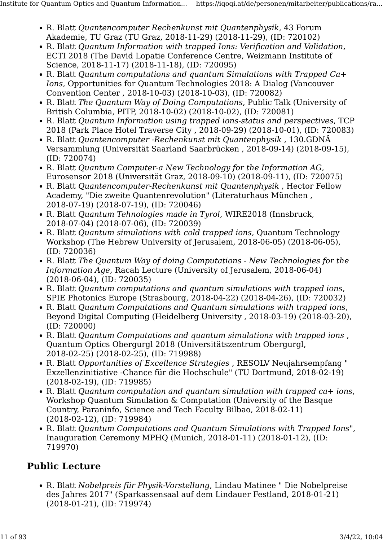- R. Blatt Quantencomputer Rechenkunst mit Quantenphysik, 43 Forum Akademie, TU Graz (TU Graz, 2018-11-29) (2018-11-29), (ID: 720102)
- R. Blatt Quantum Information with trapped Ions: Verification and Validation, ECTI 2018 (The David Lopatie Conference Centre, Weizmann Institute of Science, 2018-11-17) (2018-11-18), (ID: 720095)
- R. Blatt Quantum computations and quantum Simulations with Trapped Ca+ Ions, Opportunities for Quantum Technologies 2018: A Dialog (Vancouver Convention Center , 2018-10-03) (2018-10-03), (ID: 720082)
- R. Blatt The Quantum Way of Doing Computations, Public Talk (University of British Columbia, PITP, 2018-10-02) (2018-10-02), (ID: 720081)
- R. Blatt Quantum Information using trapped ions-status and perspectives, TCP 2018 (Park Place Hotel Traverse City , 2018-09-29) (2018-10-01), (ID: 720083)
- R. Blatt Quantencomputer -Rechenkunst mit Quantenphysik , 130.GDNÄ Versammlung (Universität Saarland Saarbrücken , 2018-09-14) (2018-09-15), (ID: 720074)
- R. Blatt Quantum Computer-a New Technology for the Information AG, Eurosensor 2018 (Universität Graz, 2018-09-10) (2018-09-11), (ID: 720075)
- R. Blatt Quantencomputer-Rechenkunst mit Quantenphysik , Hector Fellow Academy, "Die zweite Quantenrevolution" (Literaturhaus München , 2018-07-19) (2018-07-19), (ID: 720046)
- R. Blatt Quantum Tehnologies made in Tyrol, WIRE2018 (Innsbruck, 2018-07-04) (2018-07-06), (ID: 720039)
- R. Blatt Quantum simulations with cold trapped ions, Quantum Technology Workshop (The Hebrew University of Jerusalem, 2018-06-05) (2018-06-05), (ID: 720036)
- R. Blatt The Quantum Way of doing Computations New Technologies for the Information Age, Racah Lecture (University of Jerusalem, 2018-06-04) (2018-06-04), (ID: 720035)
- R. Blatt Quantum computations and quantum simulations with trapped ions, SPIE Photonics Europe (Strasbourg, 2018-04-22) (2018-04-26), (ID: 720032)
- R. Blatt Quantum Computations and Quantum simulations with trapped ions, Beyond Digital Computing (Heidelberg University , 2018-03-19) (2018-03-20), (ID: 720000)
- R. Blatt Quantum Computations and quantum simulations with trapped ions , Quantum Optics Obergurgl 2018 (Universitätszentrum Obergurgl, 2018-02-25) (2018-02-25), (ID: 719988)
- R. Blatt Opportunities of Excellence Strategies , RESOLV Neujahrsempfang " Exzellenzinitiative -Chance für die Hochschule" (TU Dortmund, 2018-02-19) (2018-02-19), (ID: 719985)
- R. Blatt *Ouantum computation and quantum simulation with trapped ca+ ions,* Workshop Quantum Simulation & Computation (University of the Basque Country, Paraninfo, Science and Tech Faculty Bilbao, 2018-02-11) (2018-02-12), (ID: 719984)
- R. Blatt Quantum Computations and Quantum Simulations with Trapped Ions", Inauguration Ceremony MPHQ (Munich, 2018-01-11) (2018-01-12), (ID: 719970)

#### Public Lecture

• R. Blatt Nobelpreis für Physik-Vorstellung, Lindau Matinee " Die Nobelpreise des Jahres 2017" (Sparkassensaal auf dem Lindauer Festland, 2018-01-21) (2018-01-21), (ID: 719974)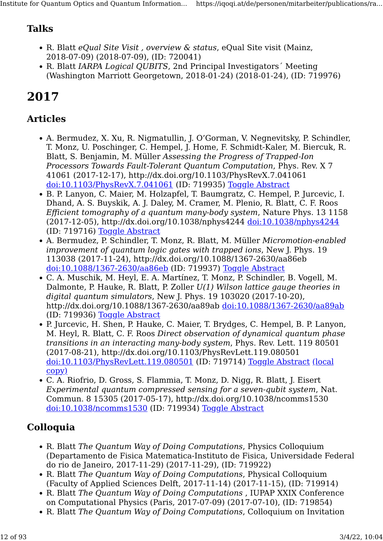## Talks

- R. Blatt eQual Site Visit , overview & status, eQual Site visit (Mainz, 2018-07-09) (2018-07-09), (ID: 720041)
- R. Blatt IARPA Logical QUBITS, 2nd Principal Investigators Meeting (Washington Marriott Georgetown, 2018-01-24) (2018-01-24), (ID: 719976)

## 2017

## Articles

- A. Bermudez, X. Xu, R. Nigmatullin, J. O'Gorman, V. Negnevitsky, P. Schindler, T. Monz, U. Poschinger, C. Hempel, J. Home, F. Schmidt-Kaler, M. Biercuk, R. Blatt, S. Benjamin, M. Müller Assessing the Progress of Trapped-Ion Processors Towards Fault-Tolerant Quantum Computation, Phys. Rev. X 7 41061 (2017-12-17), http://dx.doi.org/10.1103/PhysRevX.7.041061 [doi:10.1103/PhysRevX.7.041061](http://dx.doi.org/10.1103/PhysRevX.7.041061) (ID: 719935) [Toggle Abstract](https://iqoqi.at/de/personen/mitarbeiter/publications/rainer-blatt?format=raw#)
- B. P. Lanyon, C. Maier, M. Holzapfel, T. Baumgratz, C. Hempel, P. Jurcevic, I. Dhand, A. S. Buyskik, A. J. Daley, M. Cramer, M. Plenio, R. Blatt, C. F. Roos Efficient tomography of a quantum many-body system, Nature Phys. 13 1158 (2017-12-05), http://dx.doi.org/10.1038/nphys4244 [doi:10.1038/nphys4244](http://dx.doi.org/10.1038/nphys4244) (ID: 719716) [Toggle Abstract](https://iqoqi.at/de/personen/mitarbeiter/publications/rainer-blatt?format=raw#)
- A. Bermudez, P. Schindler, T. Monz, R. Blatt, M. Müller Micromotion-enabled improvement of quantum logic gates with trapped ions, New J. Phys. 19 113038 (2017-11-24), http://dx.doi.org/10.1088/1367-2630/aa86eb [doi:10.1088/1367-2630/aa86eb](http://dx.doi.org/10.1088/1367-2630/aa86eb) (ID: 719937) [Toggle Abstract](https://iqoqi.at/de/personen/mitarbeiter/publications/rainer-blatt?format=raw#)
- C. A. Muschik, M. Heyl, E. A. Martínez, T. Monz, P. Schindler, B. Vogell, M. Dalmonte, P. Hauke, R. Blatt, P. Zoller  $U(1)$  Wilson lattice gauge theories in digital quantum simulators, New J. Phys. 19 103020 (2017-10-20), http://dx.doi.org/10.1088/1367-2630/aa89ab [doi:10.1088/1367-2630/aa89ab](http://dx.doi.org/10.1088/1367-2630/aa89ab) (ID: 719936) [Toggle Abstract](https://iqoqi.at/de/personen/mitarbeiter/publications/rainer-blatt?format=raw#)
- P. Jurcevic, H. Shen, P. Hauke, C. Maier, T. Brydges, C. Hempel, B. P. Lanyon, M. Heyl, R. Blatt, C. F. Roos Direct observation of dynamical quantum phase transitions in an interacting many-body system, Phys. Rev. Lett. 119 80501 (2017-08-21), http://dx.doi.org/10.1103/PhysRevLett.119.080501 [doi:10.1103/PhysRevLett.119.080501](http://dx.doi.org/10.1103/PhysRevLett.119.080501) (ID: 719714) [Toggle Abstract](https://iqoqi.at/de/personen/mitarbeiter/publications/rainer-blatt?format=raw#) [\(local](https://resource.iqoqi.at/reflib/1612.06902.pdf) [copy\)](https://resource.iqoqi.at/reflib/1612.06902.pdf)
- C. A. Riofrio, D. Gross, S. Flammia, T. Monz, D. Nigg, R. Blatt, J. Eisert Experimental quantum compressed sensing for a seven-qubit system, Nat. Commun. 8 15305 (2017-05-17), http://dx.doi.org/10.1038/ncomms1530 [doi:10.1038/ncomms1530](http://dx.doi.org/10.1038/ncomms1530) (ID: 719934) [Toggle Abstract](https://iqoqi.at/de/personen/mitarbeiter/publications/rainer-blatt?format=raw#)

## Colloquia

- R. Blatt The Quantum Way of Doing Computations, Physics Colloquium (Departamento de Fisica Matematica-Instituto de Fisica, Universidade Federal do rio de Janeiro, 2017-11-29) (2017-11-29), (ID: 719922)
- R. Blatt The Quantum Way of Doing Computations, Physical Colloquium (Faculty of Applied Sciences Delft, 2017-11-14) (2017-11-15), (ID: 719914)
- R. Blatt The Quantum Way of Doing Computations , IUPAP XXIX Conference on Computational Physics (Paris, 2017-07-09) (2017-07-10), (ID: 719854)
- R. Blatt The Quantum Way of Doing Computations, Colloquium on Invitation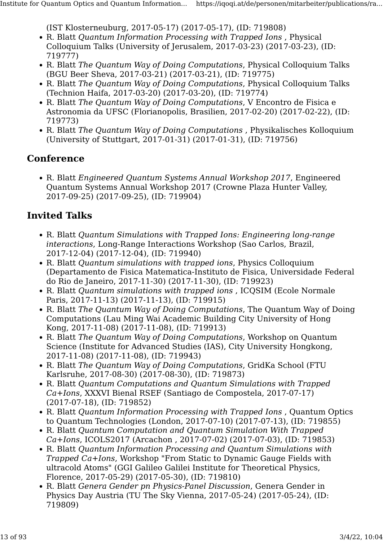(IST Klosterneuburg, 2017-05-17) (2017-05-17), (ID: 719808)

- R. Blatt Quantum Information Processing with Trapped Ions , Physical Colloquium Talks (University of Jerusalem, 2017-03-23) (2017-03-23), (ID: 719777)
- R. Blatt The Quantum Way of Doing Computations, Physical Colloquium Talks (BGU Beer Sheva, 2017-03-21) (2017-03-21), (ID: 719775)
- R. Blatt The Quantum Way of Doing Computations, Physical Colloquium Talks (Technion Haifa, 2017-03-20) (2017-03-20), (ID: 719774)
- R. Blatt The Quantum Way of Doing Computations, V Encontro de Fisica e Astronomia da UFSC (Florianopolis, Brasilien, 2017-02-20) (2017-02-22), (ID: 719773)
- R. Blatt The Quantum Way of Doing Computations , Physikalisches Kolloquium (University of Stuttgart, 2017-01-31) (2017-01-31), (ID: 719756)

#### **Conference**

• R. Blatt Engineered Quantum Systems Annual Workshop 2017, Engineered Quantum Systems Annual Workshop 2017 (Crowne Plaza Hunter Valley, 2017-09-25) (2017-09-25), (ID: 719904)

- R. Blatt Quantum Simulations with Trapped Ions: Engineering long-range interactions, Long-Range Interactions Workshop (Sao Carlos, Brazil, 2017-12-04) (2017-12-04), (ID: 719940)
- R. Blatt Quantum simulations with trapped ions, Physics Colloquium (Departamento de Fisica Matematica-Instituto de Fisica, Universidade Federal do Rio de Janeiro, 2017-11-30) (2017-11-30), (ID: 719923)
- R. Blatt Quantum simulations with trapped ions , ICQSIM (Ecole Normale Paris, 2017-11-13) (2017-11-13), (ID: 719915)
- R. Blatt The Quantum Way of Doing Computations, The Quantum Way of Doing Computations (Lau Ming Wai Academic Building City University of Hong Kong, 2017-11-08) (2017-11-08), (ID: 719913)
- R. Blatt The Quantum Way of Doing Computations, Workshop on Quantum Science (Institute for Advanced Studies (IAS), City University Hongkong, 2017-11-08) (2017-11-08), (ID: 719943)
- R. Blatt The Quantum Way of Doing Computations, GridKa School (FTU Karlsruhe, 2017-08-30) (2017-08-30), (ID: 719873)
- R. Blatt Quantum Computations and Quantum Simulations with Trapped Ca+Ions, XXXVI Bienal RSEF (Santiago de Compostela, 2017-07-17) (2017-07-18), (ID: 719852)
- R. Blatt Quantum Information Processing with Trapped Ions , Quantum Optics to Quantum Technologies (London, 2017-07-10) (2017-07-13), (ID: 719855)
- R. Blatt Quantum Computation and Quantum Simulation With Trapped Ca+Ions, ICOLS2017 (Arcachon , 2017-07-02) (2017-07-03), (ID: 719853)
- R. Blatt Quantum Information Processing and Quantum Simulations with Trapped Ca+Ions, Workshop "From Static to Dynamic Gauge Fields with ultracold Atoms" (GGI Galileo Galilei Institute for Theoretical Physics, Florence, 2017-05-29) (2017-05-30), (ID: 719810)
- R. Blatt Genera Gender pn Physics-Panel Discussion, Genera Gender in Physics Day Austria (TU The Sky Vienna, 2017-05-24) (2017-05-24), (ID: 719809)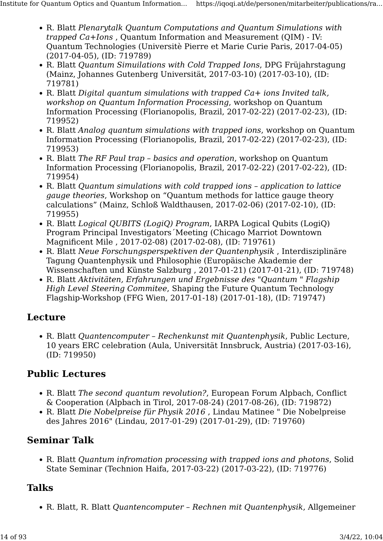- R. Blatt Plenarytalk Quantum Computations and Quantum Simulations with trapped Ca+Ions , Quantum Information and Measurement (QIM) - IV: Quantum Technologies (Universitè Pierre et Marie Curie Paris, 2017-04-05) (2017-04-05), (ID: 719789)
- R. Blatt Quantum Simuilations with Cold Trapped Ions, DPG Früjahrstagung (Mainz, Johannes Gutenberg Universität, 2017-03-10) (2017-03-10), (ID: 719781)
- R. Blatt Digital quantum simulations with trapped Ca+ ions Invited talk, workshop on Quantum Information Processing, workshop on Quantum Information Processing (Florianopolis, Brazil, 2017-02-22) (2017-02-23), (ID: 719952)
- R. Blatt Analog quantum simulations with trapped ions, workshop on Quantum Information Processing (Florianopolis, Brazil, 2017-02-22) (2017-02-23), (ID: 719953)
- R. Blatt The RF Paul trap basics and operation, workshop on Quantum Information Processing (Florianopolis, Brazil, 2017-02-22) (2017-02-22), (ID: 719954)
- R. Blatt Quantum simulations with cold trapped ions application to lattice gauge theories, Workshop on "Quantum methods for lattice gauge theory calculations" (Mainz, Schloß Waldthausen, 2017-02-06) (2017-02-10), (ID: 719955)
- R. Blatt *Logical OUBITS (LogiO) Program, IARPA Logical Oubits (LogiO)* Program Principal Investigators´Meeting (Chicago Marriot Downtown Magnificent Mile , 2017-02-08) (2017-02-08), (ID: 719761)
- R. Blatt Neue Forschungsperspektiven der Quantenphysik , Interdisziplinäre Tagung Quantenphysik und Philosophie (Europäische Akademie der Wissenschaften und Künste Salzburg , 2017-01-21) (2017-01-21), (ID: 719748)
- R. Blatt Aktivitäten, Erfahrungen und Ergebnisse des "Quantum " Flagship High Level Steering Commitee, Shaping the Future Quantum Technology Flagship-Workshop (FFG Wien, 2017-01-18) (2017-01-18), (ID: 719747)

#### Lecture

• R. Blatt Quantencomputer – Rechenkunst mit Quantenphysik, Public Lecture, 10 years ERC celebration (Aula, Universität Innsbruck, Austria) (2017-03-16), (ID: 719950)

#### Public Lectures

- R. Blatt The second quantum revolution?, European Forum Alpbach, Conflict & Cooperation (Alpbach in Tirol, 2017-08-24) (2017-08-26), (ID: 719872)
- R. Blatt Die Nobelpreise für Physik 2016 , Lindau Matinee " Die Nobelpreise des Jahres 2016" (Lindau, 2017-01-29) (2017-01-29), (ID: 719760)

## Seminar Talk

• R. Blatt Quantum infromation processing with trapped ions and photons, Solid State Seminar (Technion Haifa, 2017-03-22) (2017-03-22), (ID: 719776)

## Talks

• R. Blatt, R. Blatt Quantencomputer – Rechnen mit Quantenphysik, Allgemeiner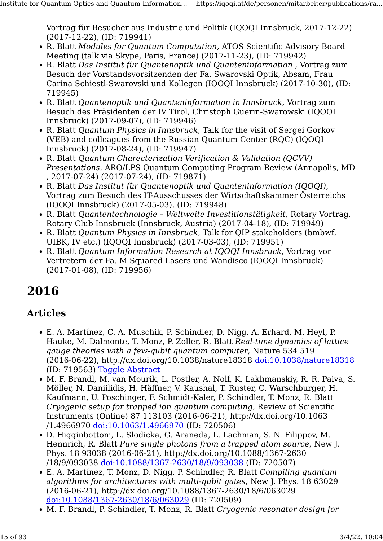Vortrag für Besucher aus Industrie und Politik (IQOQI Innsbruck, 2017-12-22) (2017-12-22), (ID: 719941)

- R. Blatt Modules for Quantum Computation, ATOS Scientific Advisory Board Meeting (talk via Skype, Paris, France) (2017-11-23), (ID: 719942)
- R. Blatt Das Institut für Quantenoptik und Quanteninformation , Vortrag zum Besuch der Vorstandsvorsitzenden der Fa. Swarovski Optik, Absam, Frau Carina Schiestl-Swarovski und Kollegen (IQOQI Innsbruck) (2017-10-30), (ID: 719945)
- R. Blatt Quantenoptik und Quanteninformation in Innsbruck, Vortrag zum Besuch des Präsidenten der IV Tirol, Christoph Guerin-Swarowski (IQOQI Innsbruck) (2017-09-07), (ID: 719946)
- R. Blatt Quantum Physics in Innsbruck, Talk for the visit of Sergei Gorkov (VEB) and colleagues from the Russian Quantum Center (RQC) (IQOQI Innsbruck) (2017-08-24), (ID: 719947)
- R. Blatt Quantum Charecterization Verification & Validation (QCVV) Presentations, ARO/LPS Quantum Computing Program Review (Annapolis, MD , 2017-07-24) (2017-07-24), (ID: 719871)
- R. Blatt Das Institut für Quantenoptik und Quanteninformation (IQOQI), Vortrag zum Besuch des IT-Ausschusses der Wirtschaftskammer Österreichs (IQOQI Innsbruck) (2017-05-03), (ID: 719948)
- R. Blatt Quantentechnologie Weltweite Investitionstätigkeit, Rotary Vortrag, Rotary Club Innsbruck (Innsbruck, Austria) (2017-04-18), (ID: 719949)
- R. Blatt Quantum Physics in Innsbruck, Talk for QIP stakeholders (bmbwf, UIBK, IV etc.) (IQOQI Innsbruck) (2017-03-03), (ID: 719951)
- R. Blatt Quantum Information Research at IQOQI Innsbruck, Vortrag vor Vertretern der Fa. M Squared Lasers und Wandisco (IQOQI Innsbruck) (2017-01-08), (ID: 719956)

## 2016

## Articles

- E. A. Martínez, C. A. Muschik, P. Schindler, D. Nigg, A. Erhard, M. Heyl, P. Hauke, M. Dalmonte, T. Monz, P. Zoller, R. Blatt Real-time dynamics of lattice gauge theories with a few-qubit quantum computer, Nature 534 519 (2016-06-22), http://dx.doi.org/10.1038/nature18318 [doi:10.1038/nature18318](http://dx.doi.org/10.1038/nature18318) (ID: 719563) [Toggle Abstract](https://iqoqi.at/de/personen/mitarbeiter/publications/rainer-blatt?format=raw#)
- M. F. Brandl, M. van Mourik, L. Postler, A. Nolf, K. Lakhmanskiy, R. R. Paiva, S. Möller, N. Daniilidis, H. Häffner, V. Kaushal, T. Ruster, C. Warschburger, H. Kaufmann, U. Poschinger, F. Schmidt-Kaler, P. Schindler, T. Monz, R. Blatt Cryogenic setup for trapped ion quantum computing, Review of Scientific Instruments (Online) 87 113103 (2016-06-21), http://dx.doi.org/10.1063 /1.4966970 [doi:10.1063/1.4966970](http://dx.doi.org/10.1063/1.4966970) (ID: 720506)
- D. Higginbottom, L. Slodicka, G. Araneda, L. Lachman, S. N. Filippov, M. Hennrich, R. Blatt Pure single photons from a trapped atom source, New J. Phys. 18 93038 (2016-06-21), http://dx.doi.org/10.1088/1367-2630 /18/9/093038 [doi:10.1088/1367-2630/18/9/093038](http://dx.doi.org/10.1088/1367-2630/18/9/093038) (ID: 720507)
- E. A. Martínez, T. Monz, D. Nigg, P. Schindler, R. Blatt Compiling quantum algorithms for architectures with multi-qubit gates, New J. Phys. 18 63029 (2016-06-21), http://dx.doi.org/10.1088/1367-2630/18/6/063029 [doi:10.1088/1367-2630/18/6/063029](http://dx.doi.org/10.1088/1367-2630/18/6/063029) (ID: 720509)
- M. F. Brandl, P. Schindler, T. Monz, R. Blatt Cryogenic resonator design for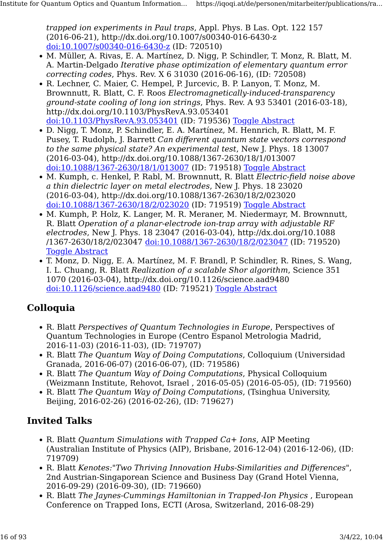trapped ion experiments in Paul traps, Appl. Phys. B Las. Opt. 122 157 (2016-06-21), http://dx.doi.org/10.1007/s00340-016-6430-z [doi:10.1007/s00340-016-6430-z](http://dx.doi.org/10.1007/s00340-016-6430-z) (ID: 720510)

- M. Müller, A. Rivas, E. A. Martínez, D. Nigg, P. Schindler, T. Monz, R. Blatt, M. A. Martin-Delgado Iterative phase optimization of elementary quantum error correcting codes, Phys. Rev. X 6 31030 (2016-06-16), (ID: 720508)
- R. Lechner, C. Maier, C. Hempel, P. Jurcevic, B. P. Lanyon, T. Monz, M. Brownnutt, R. Blatt, C. F. Roos Electromagnetically-induced-transparency ground-state cooling of long ion strings, Phys. Rev. A 93 53401 (2016-03-18), http://dx.doi.org/10.1103/PhysRevA.93.053401 [doi:10.1103/PhysRevA.93.053401](http://dx.doi.org/10.1103/PhysRevA.93.053401) (ID: 719536) [Toggle Abstract](https://iqoqi.at/de/personen/mitarbeiter/publications/rainer-blatt?format=raw#)
- D. Nigg, T. Monz, P. Schindler, E. A. Martínez, M. Hennrich, R. Blatt, M. F. Pusey, T. Rudolph, J. Barrett Can different quantum state vectors correspond to the same physical state? An experimental test, New J. Phys. 18 13007 (2016-03-04), http://dx.doi.org/10.1088/1367-2630/18/1/013007 [doi:10.1088/1367-2630/18/1/013007](http://dx.doi.org/10.1088/1367-2630/18/1/013007) (ID: 719518) [Toggle Abstract](https://iqoqi.at/de/personen/mitarbeiter/publications/rainer-blatt?format=raw#)
- M. Kumph, c. Henkel, P. Rabl, M. Brownnutt, R. Blatt Electric-field noise above a thin dielectric layer on metal electrodes, New J. Phys. 18 23020 (2016-03-04), http://dx.doi.org/10.1088/1367-2630/18/2/023020 [doi:10.1088/1367-2630/18/2/023020](http://dx.doi.org/10.1088/1367-2630/18/2/023020) (ID: 719519) [Toggle Abstract](https://iqoqi.at/de/personen/mitarbeiter/publications/rainer-blatt?format=raw#)
- M. Kumph, P. Holz, K. Langer, M. R. Meraner, M. Niedermayr, M. Brownnutt, R. Blatt Operation of a planar-electrode ion-trap array with adjustable RF electrodes, New J. Phys. 18 23047 (2016-03-04), http://dx.doi.org/10.1088 /1367-2630/18/2/023047 [doi:10.1088/1367-2630/18/2/023047](http://dx.doi.org/10.1088/1367-2630/18/2/023047) (ID: 719520) **[Toggle Abstract](https://iqoqi.at/de/personen/mitarbeiter/publications/rainer-blatt?format=raw#)**
- T. Monz, D. Nigg, E. A. Martínez, M. F. Brandl, P. Schindler, R. Rines, S. Wang, I. L. Chuang, R. Blatt Realization of a scalable Shor algorithm, Science 351 1070 (2016-03-04), http://dx.doi.org/10.1126/science.aad9480 [doi:10.1126/science.aad9480](http://dx.doi.org/10.1126/science.aad9480) (ID: 719521) [Toggle Abstract](https://iqoqi.at/de/personen/mitarbeiter/publications/rainer-blatt?format=raw#)

#### Colloquia

- R. Blatt Perspectives of Quantum Technologies in Europe, Perspectives of Quantum Technologies in Europe (Centro Espanol Metrologia Madrid, 2016-11-03) (2016-11-03), (ID: 719707)
- R. Blatt The Quantum Way of Doing Computations, Colloquium (Universidad Granada, 2016-06-07) (2016-06-07), (ID: 719586)
- R. Blatt The Quantum Way of Doing Computations, Physical Colloquium (Weizmann Institute, Rehovot, Israel , 2016-05-05) (2016-05-05), (ID: 719560)
- R. Blatt The Quantum Way of Doing Computations, (Tsinghua University, Beijing, 2016-02-26) (2016-02-26), (ID: 719627)

- R. Blatt *Ouantum Simulations with Trapped Ca+ Ions*, AIP Meeting (Australian Institute of Physics (AIP), Brisbane, 2016-12-04) (2016-12-06), (ID: 719709)
- R. Blatt Kenotes:"Two Thriving Innovation Hubs-Similarities and Differences", 2nd Austrian-Singaporean Science and Business Day (Grand Hotel Vienna, 2016-09-29) (2016-09-30), (ID: 719660)
- R. Blatt The Jaynes-Cummings Hamiltonian in Trapped-Ion Physics , European Conference on Trapped Ions, ECTI (Arosa, Switzerland, 2016-08-29)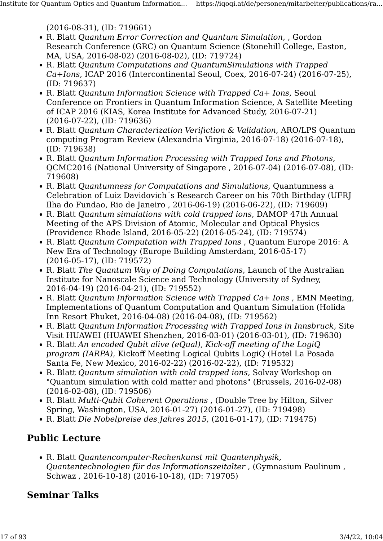(2016-08-31), (ID: 719661)

- R. Blatt Quantum Error Correction and Quantum Simulation, , Gordon Research Conference (GRC) on Quantum Science (Stonehill College, Easton, MA, USA, 2016-08-02) (2016-08-02), (ID: 719724)
- R. Blatt Quantum Computations and QuantumSimulations with Trapped Ca+Ions, ICAP 2016 (Intercontinental Seoul, Coex, 2016-07-24) (2016-07-25), (ID: 719637)
- R. Blatt Quantum Information Science with Trapped Ca+ Ions, Seoul Conference on Frontiers in Quantum Information Science, A Satellite Meeting of ICAP 2016 (KIAS, Korea Institute for Advanced Study, 2016-07-21) (2016-07-22), (ID: 719636)
- R. Blatt Quantum Characterization Verifiction & Validation, ARO/LPS Quantum computing Program Review (Alexandria Virginia, 2016-07-18) (2016-07-18), (ID: 719638)
- R. Blatt Quantum Information Processing with Trapped Ions and Photons, QCMC2016 (National University of Singapore , 2016-07-04) (2016-07-08), (ID: 719608)
- R. Blatt Quantumness for Computations and Simulations, Quantumness a Celebration of Luiz Davidovich´s Research Career on his 70th Birthday (UFRJ Ilha do Fundao, Rio de Janeiro , 2016-06-19) (2016-06-22), (ID: 719609)
- R. Blatt Quantum simulations with cold trapped ions, DAMOP 47th Annual Meeting of the APS Division of Atomic, Molecular and Optical Physics (Providence Rhode Island, 2016-05-22) (2016-05-24), (ID: 719574)
- R. Blatt Quantum Computation with Trapped Ions , Quantum Europe 2016: A New Era of Technology (Europe Building Amsterdam, 2016-05-17) (2016-05-17), (ID: 719572)
- R. Blatt The Quantum Way of Doing Computations, Launch of the Australian Institute for Nanoscale Science and Technology (University of Sydney, 2016-04-19) (2016-04-21), (ID: 719552)
- R. Blatt Quantum Information Science with Trapped Ca+ Ions , EMN Meeting, Implementations of Quantum Computation and Quantum Simulation (Holida Inn Resort Phuket, 2016-04-08) (2016-04-08), (ID: 719562)
- R. Blatt Quantum Information Processing with Trapped Ions in Innsbruck, Site Visit HUAWEI (HUAWEI Shenzhen, 2016-03-01) (2016-03-01), (ID: 719630)
- R. Blatt An encoded Qubit alive (eQual), Kick-off meeting of the LogiQ program (IARPA), Kickoff Meeting Logical Qubits LogiQ (Hotel La Posada Santa Fe, New Mexico, 2016-02-22) (2016-02-22), (ID: 719532)
- R. Blatt Quantum simulation with cold trapped ions, Solvay Workshop on "Quantum simulation with cold matter and photons" (Brussels, 2016-02-08) (2016-02-08), (ID: 719506)
- R. Blatt Multi-Qubit Coherent Operations , (Double Tree by Hilton, Silver Spring, Washington, USA, 2016-01-27) (2016-01-27), (ID: 719498)
- R. Blatt Die Nobelpreise des Jahres 2015, (2016-01-17), (ID: 719475)

## Public Lecture

• R. Blatt Quantencomputer-Rechenkunst mit Quantenphysik, Quantentechnologien für das Informationszeitalter , (Gymnasium Paulinum , Schwaz , 2016-10-18) (2016-10-18), (ID: 719705)

## Seminar Talks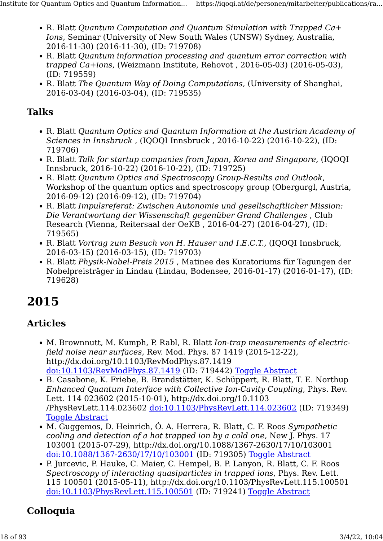- R. Blatt Quantum Computation and Quantum Simulation with Trapped Ca+ Ions, Seminar (University of New South Wales (UNSW) Sydney, Australia, 2016-11-30) (2016-11-30), (ID: 719708)
- R. Blatt Quantum information processing and quantum error correction with trapped Ca+ions, (Weizmann Institute, Rehovot , 2016-05-03) (2016-05-03), (ID: 719559)
- R. Blatt The Quantum Way of Doing Computations, (University of Shanghai, 2016-03-04) (2016-03-04), (ID: 719535)

#### Talks

- R. Blatt Quantum Optics and Quantum Information at the Austrian Academy of Sciences in Innsbruck , (IQOQI Innsbruck , 2016-10-22) (2016-10-22), (ID: 719706)
- R. Blatt Talk for startup companies from Japan, Korea and Singapore, (IQOQI Innsbruck, 2016-10-22) (2016-10-22), (ID: 719725)
- R. Blatt Quantum Optics and Spectroscopy Group-Results and Outlook, Workshop of the quantum optics and spectroscopy group (Obergurgl, Austria, 2016-09-12) (2016-09-12), (ID: 719704)
- R. Blatt Impulsreferat: Zwischen Autonomie und gesellschaftlicher Mission: Die Verantwortung der Wissenschaft gegenüber Grand Challenges , Club Research (Vienna, Reitersaal der OeKB , 2016-04-27) (2016-04-27), (ID: 719565)
- R. Blatt Vortrag zum Besuch von H. Hauser und I.E.C.T., (IQOOI Innsbruck, 2016-03-15) (2016-03-15), (ID: 719703)
- R. Blatt Physik-Nobel-Preis 2015 , Matinee des Kuratoriums für Tagungen der Nobelpreisträger in Lindau (Lindau, Bodensee, 2016-01-17) (2016-01-17), (ID: 719628)

## 2015

#### Articles

- M. Brownnutt, M. Kumph, P. Rabl, R. Blatt Ion-trap measurements of electricfield noise near surfaces, Rev. Mod. Phys. 87 1419 (2015-12-22), http://dx.doi.org/10.1103/RevModPhys.87.1419 [doi:10.1103/RevModPhys.87.1419](http://dx.doi.org/10.1103/RevModPhys.87.1419) (ID: 719442) [Toggle Abstract](https://iqoqi.at/de/personen/mitarbeiter/publications/rainer-blatt?format=raw#)
- B. Casabone, K. Friebe, B. Brandstätter, K. Schüppert, R. Blatt, T. E. Northup Enhanced Quantum Interface with Collective Ion-Cavity Coupling, Phys. Rev. Lett. 114 023602 (2015-10-01), http://dx.doi.org/10.1103 /PhysRevLett.114.023602 [doi:10.1103/PhysRevLett.114.023602](http://dx.doi.org/10.1103/PhysRevLett.114.023602) (ID: 719349) [Toggle Abstract](https://iqoqi.at/de/personen/mitarbeiter/publications/rainer-blatt?format=raw#)
- M. Guggemos, D. Heinrich, Ó. A. Herrera, R. Blatt, C. F. Roos Sympathetic cooling and detection of a hot trapped ion by a cold one, New J. Phys. 17 103001 (2015-07-29), http://dx.doi.org/10.1088/1367-2630/17/10/103001 [doi:10.1088/1367-2630/17/10/103001](http://dx.doi.org/10.1088/1367-2630/17/10/103001) (ID: 719305) [Toggle Abstract](https://iqoqi.at/de/personen/mitarbeiter/publications/rainer-blatt?format=raw#)
- P. Jurcevic, P. Hauke, C. Maier, C. Hempel, B. P. Lanyon, R. Blatt, C. F. Roos Spectroscopy of interacting quasiparticles in trapped ions, Phys. Rev. Lett. 115 100501 (2015-05-11), http://dx.doi.org/10.1103/PhysRevLett.115.100501 [doi:10.1103/PhysRevLett.115.100501](http://dx.doi.org/10.1103/PhysRevLett.115.100501) (ID: 719241) [Toggle Abstract](https://iqoqi.at/de/personen/mitarbeiter/publications/rainer-blatt?format=raw#)

#### Colloquia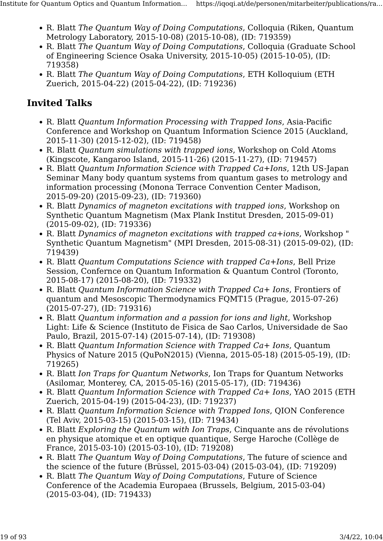- R. Blatt The Quantum Way of Doing Computations, Colloquia (Riken, Quantum Metrology Laboratory, 2015-10-08) (2015-10-08), (ID: 719359)
- R. Blatt The Quantum Way of Doing Computations, Colloquia (Graduate School of Engineering Science Osaka University, 2015-10-05) (2015-10-05), (ID: 719358)
- R. Blatt The Quantum Way of Doing Computations, ETH Kolloquium (ETH Zuerich, 2015-04-22) (2015-04-22), (ID: 719236)

- R. Blatt Quantum Information Processing with Trapped Ions, Asia-Pacific Conference and Workshop on Quantum Information Science 2015 (Auckland, 2015-11-30) (2015-12-02), (ID: 719458)
- R. Blatt Quantum simulations with trapped ions, Workshop on Cold Atoms (Kingscote, Kangaroo Island, 2015-11-26) (2015-11-27), (ID: 719457)
- R. Blatt Quantum Information Science with Trapped Ca+Ions, 12th US-Japan Seminar Many body quantum systems from quantum gases to metrology and information processing (Monona Terrace Convention Center Madison, 2015-09-20) (2015-09-23), (ID: 719360)
- R. Blatt Dynamics of magneton excitations with trapped ions, Workshop on Synthetic Quantum Magnetism (Max Plank Institut Dresden, 2015-09-01) (2015-09-02), (ID: 719336)
- R. Blatt Dynamics of magneton excitations with trapped ca+ions, Workshop " Synthetic Quantum Magnetism" (MPI Dresden, 2015-08-31) (2015-09-02), (ID: 719439)
- R. Blatt Quantum Computations Science with trapped Ca+Ions, Bell Prize Session, Confernce on Quantum Information & Quantum Control (Toronto, 2015-08-17) (2015-08-20), (ID: 719332)
- R. Blatt Quantum Information Science with Trapped Ca+ Ions, Frontiers of quantum and Mesoscopic Thermodynamics FQMT15 (Prague, 2015-07-26) (2015-07-27), (ID: 719316)
- R. Blatt Quantum information and a passion for ions and light, Workshop Light: Life & Science (Instituto de Fisica de Sao Carlos, Universidade de Sao Paulo, Brazil, 2015-07-14) (2015-07-14), (ID: 719308)
- R. Blatt Quantum Information Science with Trapped Ca+ Ions, Quantum Physics of Nature 2015 (QuPoN2015) (Vienna, 2015-05-18) (2015-05-19), (ID: 719265)
- R. Blatt Ion Traps for Quantum Networks, Ion Traps for Quantum Networks (Asilomar, Monterey, CA, 2015-05-16) (2015-05-17), (ID: 719436)
- R. Blatt Quantum Information Science with Trapped Ca+ Ions, YAO 2015 (ETH Zuerich, 2015-04-19) (2015-04-23), (ID: 719237)
- R. Blatt Quantum Information Science with Trapped Ions, QION Conference (Tel Aviv, 2015-03-15) (2015-03-15), (ID: 719434)
- R. Blatt Exploring the Quantum with Ion Traps, Cinquante ans de révolutions en physique atomique et en optique quantique, Serge Haroche (Collège de France, 2015-03-10) (2015-03-10), (ID: 719208)
- R. Blatt The Quantum Way of Doing Computations, The future of science and the science of the future (Brüssel, 2015-03-04) (2015-03-04), (ID: 719209)
- R. Blatt The Quantum Way of Doing Computations, Future of Science Conference of the Academia Europaea (Brussels, Belgium, 2015-03-04) (2015-03-04), (ID: 719433)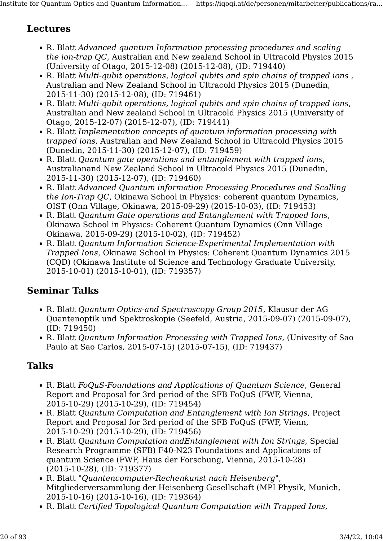#### Lectures

- R. Blatt Advanced quantum Information processing procedures and scaling the ion-trap QC, Australian and New zealand School in Ultracold Physics 2015 (University of Otago, 2015-12-08) (2015-12-08), (ID: 719440)
- R. Blatt Multi-qubit operations, logical qubits and spin chains of trapped ions , Australian and New Zealand School in Ultracold Physics 2015 (Dunedin, 2015-11-30) (2015-12-08), (ID: 719461)
- R. Blatt Multi-qubit operations, logical qubits and spin chains of trapped ions, Australian and New zealand School in Ultracold Physics 2015 (University of Otago, 2015-12-07) (2015-12-07), (ID: 719441)
- R. Blatt Implementation concepts of quantum information processing with trapped ions, Australian and New Zealand School in Ultracold Physics 2015 (Dunedin, 2015-11-30) (2015-12-07), (ID: 719459)
- R. Blatt Quantum gate operations and entanglement with trapped ions, Australianand New Zealand School in Ultracold Physics 2015 (Dunedin, 2015-11-30) (2015-12-07), (ID: 719460)
- R. Blatt Advanced Quantum information Processing Procedures and Scalling the Ion-Trap QC, Okinawa School in Physics: coherent quantum Dynamics, OIST (Onn Village, Okinawa, 2015-09-29) (2015-10-03), (ID: 719453)
- R. Blatt Quantum Gate operations and Entanglement with Trapped Ions, Okinawa School in Physics: Coherent Quantum Dynamics (Onn Village Okinawa, 2015-09-29) (2015-10-02), (ID: 719452)
- R. Blatt Quantum Information Science-Experimental Implementation with Trapped Ions, Okinawa School in Physics: Coherent Quantum Dynamics 2015 (CQD) (Okinawa Institute of Science and Technology Graduate University, 2015-10-01) (2015-10-01), (ID: 719357)

#### Seminar Talks

- R. Blatt Quantum Optics-and Spectroscopy Group 2015, Klausur der AG Quantenoptik und Spektroskopie (Seefeld, Austria, 2015-09-07) (2015-09-07), (ID: 719450)
- R. Blatt Quantum Information Processing with Trapped Ions, (Univesity of Sao Paulo at Sao Carlos, 2015-07-15) (2015-07-15), (ID: 719437)

## Talks

- R. Blatt FoQuS-Foundations and Applications of Quantum Science, General Report and Proposal for 3rd period of the SFB FoQuS (FWF, Vienna, 2015-10-29) (2015-10-29), (ID: 719454)
- R. Blatt Quantum Computation and Entanglement with Ion Strings, Project Report and Proposal for 3rd period of the SFB FoQuS (FWF, Vienn, 2015-10-29) (2015-10-29), (ID: 719456)
- R. Blatt Quantum Computation andEntanglement with Ion Strings, Special Research Programme (SFB) F40-N23 Foundations and Applications of quantum Science (FWF, Haus der Forschung, Vienna, 2015-10-28) (2015-10-28), (ID: 719377)
- R. Blatt "Quantencomputer-Rechenkunst nach Heisenberg", Mitgliederversammlung der Heisenberg Gesellschaft (MPI Physik, Munich, 2015-10-16) (2015-10-16), (ID: 719364)
- R. Blatt Certified Topological Quantum Computation with Trapped Ions,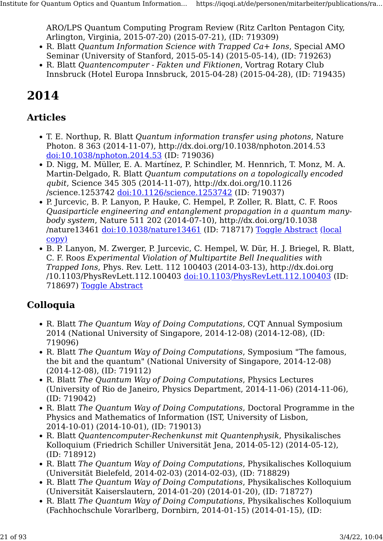ARO/LPS Quantum Computing Program Review (Ritz Carlton Pentagon City, Arlington, Virginia, 2015-07-20) (2015-07-21), (ID: 719309)

- R. Blatt Quantum Information Science with Trapped Ca+ Ions, Special AMO Seminar (University of Stanford, 2015-05-14) (2015-05-14), (ID: 719263)
- R. Blatt Quantencomputer Fakten und Fiktionen, Vortrag Rotary Club Innsbruck (Hotel Europa Innsbruck, 2015-04-28) (2015-04-28), (ID: 719435)

## 2014

#### Articles

- T. E. Northup, R. Blatt Quantum information transfer using photons, Nature Photon. 8 363 (2014-11-07), http://dx.doi.org/10.1038/nphoton.2014.53 [doi:10.1038/nphoton.2014.53](http://dx.doi.org/10.1038/nphoton.2014.53) (ID: 719036)
- D. Nigg, M. Müller, E. A. Martínez, P. Schindler, M. Hennrich, T. Monz, M. A. Martin-Delgado, R. Blatt Quantum computations on a topologically encoded qubit, Science 345 305 (2014-11-07), http://dx.doi.org/10.1126 /science.1253742 [doi:10.1126/science.1253742](http://dx.doi.org/10.1126/science.1253742) (ID: 719037)
- P. Jurcevic, B. P. Lanyon, P. Hauke, C. Hempel, P. Zoller, R. Blatt, C. F. Roos Quasiparticle engineering and entanglement propagation in a quantum manybody system, Nature 511 202 (2014-07-10), http://dx.doi.org/10.1038 /nature13461 [doi:10.1038/nature13461](http://dx.doi.org/10.1038/nature13461) (ID: 718717) [Toggle Abstract](https://iqoqi.at/de/personen/mitarbeiter/publications/rainer-blatt?format=raw#) [\(local](https://resource.iqoqi.at/reflib/nature13461.pdf) [copy\)](https://resource.iqoqi.at/reflib/nature13461.pdf)
- B. P. Lanyon, M. Zwerger, P. Jurcevic, C. Hempel, W. Dür, H. J. Briegel, R. Blatt, C. F. Roos Experimental Violation of Multipartite Bell Inequalities with Trapped Ions, Phys. Rev. Lett. 112 100403 (2014-03-13), http://dx.doi.org /10.1103/PhysRevLett.112.100403 [doi:10.1103/PhysRevLett.112.100403](http://dx.doi.org/10.1103/PhysRevLett.112.100403) (ID: 718697) [Toggle Abstract](https://iqoqi.at/de/personen/mitarbeiter/publications/rainer-blatt?format=raw#)

## Colloquia

- R. Blatt The Quantum Way of Doing Computations, CQT Annual Symposium 2014 (National University of Singapore, 2014-12-08) (2014-12-08), (ID: 719096)
- R. Blatt The Quantum Way of Doing Computations, Symposium "The famous, the bit and the quantum" (National University of Singapore, 2014-12-08) (2014-12-08), (ID: 719112)
- R. Blatt The Quantum Way of Doing Computations, Physics Lectures (University of Rio de Janeiro, Physics Department, 2014-11-06) (2014-11-06), (ID: 719042)
- R. Blatt The Quantum Way of Doing Computations, Doctoral Programme in the Physics and Mathematics of Information (IST, University of Lisbon, 2014-10-01) (2014-10-01), (ID: 719013)
- R. Blatt Quantencomputer-Rechenkunst mit Quantenphysik, Physikalisches Kolloquium (Friedrich Schiller Universität Jena, 2014-05-12) (2014-05-12), (ID: 718912)
- R. Blatt The Quantum Way of Doing Computations, Physikalisches Kolloquium (Universität Bielefeld, 2014-02-03) (2014-02-03), (ID: 718829)
- R. Blatt The Quantum Way of Doing Computations, Physikalisches Kolloquium (Universität Kaiserslautern, 2014-01-20) (2014-01-20), (ID: 718727)
- R. Blatt The Quantum Way of Doing Computations, Physikalisches Kolloquium (Fachhochschule Vorarlberg, Dornbirn, 2014-01-15) (2014-01-15), (ID: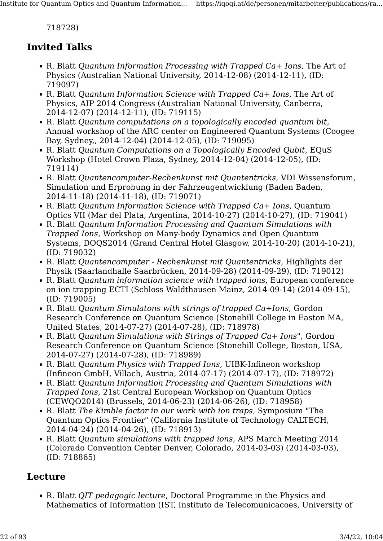718728)

#### Invited Talks

- R. Blatt Quantum Information Processing with Trapped Ca+ Ions, The Art of Physics (Australian National University, 2014-12-08) (2014-12-11), (ID: 719097)
- R. Blatt Quantum Information Science with Trapped Ca+ Ions, The Art of Physics, AIP 2014 Congress (Australian National University, Canberra, 2014-12-07) (2014-12-11), (ID: 719115)
- R. Blatt Quantum computations on a topologically encoded quantum bit, Annual workshop of the ARC center on Engineered Quantum Systems (Coogee Bay, Sydney,, 2014-12-04) (2014-12-05), (ID: 719095)
- R. Blatt Quantum Computations on a Topologically Encoded Qubit, EQuS Workshop (Hotel Crown Plaza, Sydney, 2014-12-04) (2014-12-05), (ID: 719114)
- R. Blatt Quantencomputer-Rechenkunst mit Quantentricks, VDI Wissensforum, Simulation und Erprobung in der Fahrzeugentwicklung (Baden Baden, 2014-11-18) (2014-11-18), (ID: 719071)
- R. Blatt Quantum Information Science with Trapped Ca+ Ions, Quantum Optics VII (Mar del Plata, Argentina, 2014-10-27) (2014-10-27), (ID: 719041)
- R. Blatt Quantum Information Processing and Quantum Simulations with Trapped Ions, Workshop on Many-body Dynamics and Open Quantum Systems, DOQS2014 (Grand Central Hotel Glasgow, 2014-10-20) (2014-10-21), (ID: 719032)
- R. Blatt Quantencomputer Rechenkunst mit Quantentricks, Highlights der Physik (Saarlandhalle Saarbrücken, 2014-09-28) (2014-09-29), (ID: 719012)
- R. Blatt Quantum information science with trapped ions, European conference on ion trapping ECTI (Schloss Waldthausen Mainz, 2014-09-14) (2014-09-15), (ID: 719005)
- R. Blatt Quantum Simulatons with strings of trapped Ca+Ions, Gordon Research Conference on Quantum Science (Stonehill College in Easton MA, United States, 2014-07-27) (2014-07-28), (ID: 718978)
- R. Blatt Quantum Simulations with Strings of Trapped Ca+ Ions", Gordon Research Conference on Quantum Science (Stonehill College, Boston, USA, 2014-07-27) (2014-07-28), (ID: 718989)
- R. Blatt Quantum Physics with Trapped Ions, UIBK-Infineon workshop (Infineon GmbH, Villach, Austria, 2014-07-17) (2014-07-17), (ID: 718972)
- R. Blatt Quantum Information Processing and Quantum Simulations with Trapped Ions, 21st Central European Workshop on Quantum Optics (CEWQO2014) (Brussels, 2014-06-23) (2014-06-26), (ID: 718958)
- R. Blatt The Kimble factor in our work with ion traps, Symposium "The Quantum Optics Frontier" (California Institute of Technology CALTECH, 2014-04-24) (2014-04-26), (ID: 718913)
- R. Blatt Quantum simulations with trapped ions, APS March Meeting 2014 (Colorado Convention Center Denver, Colorado, 2014-03-03) (2014-03-03), (ID: 718865)

#### Lecture

• R. Blatt QIT pedagogic lecture, Doctoral Programme in the Physics and Mathematics of Information (IST, Instituto de Telecomunicacoes, University of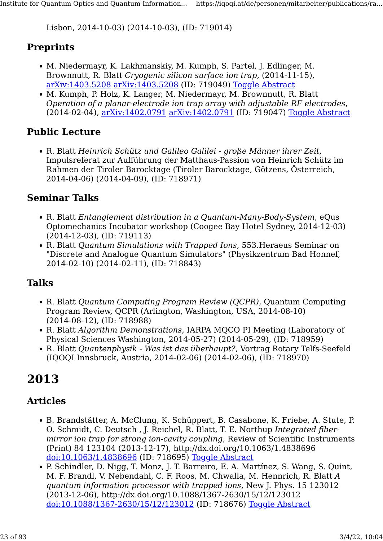Lisbon, 2014-10-03) (2014-10-03), (ID: 719014)

#### **Preprints**

- M. Niedermayr, K. Lakhmanskiy, M. Kumph, S. Partel, J. Edlinger, M. Brownnutt, R. Blatt Cryogenic silicon surface ion trap, (2014-11-15), [arXiv:1403.5208](http://arxiv.org/abs/1403.5208) [arXiv:1403.5208](http://arxiv.org/abs/1403.5208) (ID: 719049) [Toggle Abstract](https://iqoqi.at/de/personen/mitarbeiter/publications/rainer-blatt?format=raw#)
- M. Kumph, P. Holz, K. Langer, M. Niedermayr, M. Brownnutt, R. Blatt Operation of a planar-electrode ion trap array with adjustable RF electrodes, (2014-02-04), [arXiv:1402.0791](http://arxiv.org/abs/1402.0791) [arXiv:1402.0791](http://arxiv.org/abs/1402.0791) (ID: 719047) [Toggle Abstract](https://iqoqi.at/de/personen/mitarbeiter/publications/rainer-blatt?format=raw#)

#### Public Lecture

• R. Blatt Heinrich Schütz und Galileo Galilei - große Männer ihrer Zeit, Impulsreferat zur Aufführung der Matthaus-Passion von Heinrich Schütz im Rahmen der Tiroler Barocktage (Tiroler Barocktage, Götzens, Österreich, 2014-04-06) (2014-04-09), (ID: 718971)

#### Seminar Talks

- R. Blatt Entanglement distribution in a Quantum-Many-Body-System, eQus Optomechanics Incubator workshop (Coogee Bay Hotel Sydney, 2014-12-03) (2014-12-03), (ID: 719113)
- R. Blatt Quantum Simulations with Trapped Ions, 553.Heraeus Seminar on "Discrete and Analogue Quantum Simulators" (Physikzentrum Bad Honnef, 2014-02-10) (2014-02-11), (ID: 718843)

#### Talks

- R. Blatt Quantum Computing Program Review (QCPR), Quantum Computing Program Review, QCPR (Arlington, Washington, USA, 2014-08-10) (2014-08-12), (ID: 718988)
- R. Blatt Algorithm Demonstrations, IARPA MQCO PI Meeting (Laboratory of Physical Sciences Washington, 2014-05-27) (2014-05-29), (ID: 718959)
- R. Blatt Quantenphysik Was ist das überhaupt?, Vortrag Rotary Telfs-Seefeld (IQOQI Innsbruck, Austria, 2014-02-06) (2014-02-06), (ID: 718970)

## 2013

#### Articles

- B. Brandstätter, A. McClung, K. Schüppert, B. Casabone, K. Friebe, A. Stute, P. O. Schmidt, C. Deutsch , J. Reichel, R. Blatt, T. E. Northup Integrated fibermirror ion trap for strong ion-cavity coupling, Review of Scientific Instruments (Print) 84 123104 (2013-12-17), http://dx.doi.org/10.1063/1.4838696 [doi:10.1063/1.4838696](http://dx.doi.org/10.1063/1.4838696) (ID: 718695) [Toggle Abstract](https://iqoqi.at/de/personen/mitarbeiter/publications/rainer-blatt?format=raw#)
- P. Schindler, D. Nigg, T. Monz, J. T. Barreiro, E. A. Martínez, S. Wang, S. Quint, M. F. Brandl, V. Nebendahl, C. F. Roos, M. Chwalla, M. Hennrich, R. Blatt A quantum information processor with trapped ions, New J. Phys. 15 123012 (2013-12-06), http://dx.doi.org/10.1088/1367-2630/15/12/123012 [doi:10.1088/1367-2630/15/12/123012](http://dx.doi.org/10.1088/1367-2630/15/12/123012) (ID: 718676) [Toggle Abstract](https://iqoqi.at/de/personen/mitarbeiter/publications/rainer-blatt?format=raw#)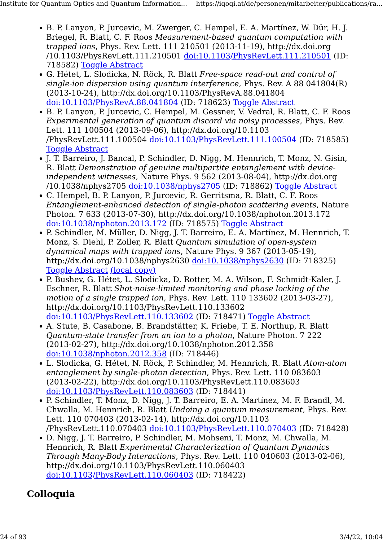- B. P. Lanyon, P. Jurcevic, M. Zwerger, C. Hempel, E. A. Martínez, W. Dür, H. J. Briegel, R. Blatt, C. F. Roos Measurement-based quantum computation with trapped ions, Phys. Rev. Lett. 111 210501 (2013-11-19), http://dx.doi.org /10.1103/PhysRevLett.111.210501 [doi:10.1103/PhysRevLett.111.210501](http://dx.doi.org/10.1103/PhysRevLett.111.210501) (ID: 718582) [Toggle Abstract](https://iqoqi.at/de/personen/mitarbeiter/publications/rainer-blatt?format=raw#)
- G. Hétet, L. Slodicka, N. Röck, R. Blatt Free-space read-out and control of single-ion dispersion using quantum interference, Phys. Rev. A 88 041804(R) (2013-10-24), http://dx.doi.org/10.1103/PhysRevA.88.041804 [doi:10.1103/PhysRevA.88.041804](http://dx.doi.org/10.1103/PhysRevA.88.041804) (ID: 718623) [Toggle Abstract](https://iqoqi.at/de/personen/mitarbeiter/publications/rainer-blatt?format=raw#)
- B. P. Lanyon, P. Jurcevic, C. Hempel, M. Gessner, V. Vedral, R. Blatt, C. F. Roos Experimental generation of quantum discord via noisy processes, Phys. Rev. Lett. 111 100504 (2013-09-06), http://dx.doi.org/10.1103 /PhysRevLett.111.100504 [doi:10.1103/PhysRevLett.111.100504](http://dx.doi.org/10.1103/PhysRevLett.111.100504) (ID: 718585) **[Toggle Abstract](https://iqoqi.at/de/personen/mitarbeiter/publications/rainer-blatt?format=raw#)**
- J. T. Barreiro, J. Bancal, P. Schindler, D. Nigg, M. Hennrich, T. Monz, N. Gisin, R. Blatt Demonstration of genuine multipartite entanglement with deviceindependent witnesses, Nature Phys. 9 562 (2013-08-04), http://dx.doi.org /10.1038/nphys2705 [doi:10.1038/nphys2705](http://dx.doi.org/10.1038/nphys2705) (ID: 718862) [Toggle Abstract](https://iqoqi.at/de/personen/mitarbeiter/publications/rainer-blatt?format=raw#)
- C. Hempel, B. P. Lanyon, P. Jurcevic, R. Gerritsma, R. Blatt, C. F. Roos Entanglement-enhanced detection of single-photon scattering events, Nature Photon. 7 633 (2013-07-30), http://dx.doi.org/10.1038/nphoton.2013.172 [doi:10.1038/nphoton.2013.172](http://dx.doi.org/10.1038/nphoton.2013.172) (ID: 718575) [Toggle Abstract](https://iqoqi.at/de/personen/mitarbeiter/publications/rainer-blatt?format=raw#)
- P. Schindler, M. Müller, D. Nigg, J. T. Barreiro, E. A. Martínez, M. Hennrich, T. Monz, S. Diehl, P. Zoller, R. Blatt Quantum simulation of open-system dynamical maps with trapped ions, Nature Phys. 9 367 (2013-05-19), http://dx.doi.org/10.1038/nphys2630 [doi:10.1038/nphys2630](http://dx.doi.org/10.1038/nphys2630) (ID: 718325) [Toggle Abstract](https://iqoqi.at/de/personen/mitarbeiter/publications/rainer-blatt?format=raw#) [\(local copy\)](https://resource.iqoqi.at/reflib/1212.2418v1.pdf)
- P. Bushev, G. Hétet, L. Slodicka, D. Rotter, M. A. Wilson, F. Schmidt-Kaler, J. Eschner, R. Blatt Shot-noise-limited monitoring and phase locking of the motion of a single trapped ion, Phys. Rev. Lett. 110 133602 (2013-03-27), http://dx.doi.org/10.1103/PhysRevLett.110.133602 [doi:10.1103/PhysRevLett.110.133602](http://dx.doi.org/10.1103/PhysRevLett.110.133602) (ID: 718471) [Toggle Abstract](https://iqoqi.at/de/personen/mitarbeiter/publications/rainer-blatt?format=raw#)
- A. Stute, B. Casabone, B. Brandstätter, K. Friebe, T. E. Northup, R. Blatt Quantum-state transfer from an ion to a photon, Nature Photon. 7 222 (2013-02-27), http://dx.doi.org/10.1038/nphoton.2012.358 [doi:10.1038/nphoton.2012.358](http://dx.doi.org/10.1038/nphoton.2012.358) (ID: 718446)
- L. Slodicka, G. Hétet, N. Röck, P. Schindler, M. Hennrich, R. Blatt Atom-atom entanglement by single-photon detection, Phys. Rev. Lett. 110 083603 (2013-02-22), http://dx.doi.org/10.1103/PhysRevLett.110.083603 [doi:10.1103/PhysRevLett.110.083603](http://dx.doi.org/10.1103/PhysRevLett.110.083603) (ID: 718441)
- P. Schindler, T. Monz, D. Nigg, J. T. Barreiro, E. A. Martínez, M. F. Brandl, M. Chwalla, M. Hennrich, R. Blatt Undoing a quantum measurement, Phys. Rev. Lett. 110 070403 (2013-02-14), http://dx.doi.org/10.1103 /PhysRevLett.110.070403 [doi:10.1103/PhysRevLett.110.070403](http://dx.doi.org/10.1103/PhysRevLett.110.070403) (ID: 718428)
- D. Nigg, J. T. Barreiro, P. Schindler, M. Mohseni, T. Monz, M. Chwalla, M. Hennrich, R. Blatt Experimental Characterization of Quantum Dynamics Through Many-Body Interactions, Phys. Rev. Lett. 110 040603 (2013-02-06), http://dx.doi.org/10.1103/PhysRevLett.110.060403 [doi:10.1103/PhysRevLett.110.060403](http://dx.doi.org/10.1103/PhysRevLett.110.060403) (ID: 718422)

## Colloquia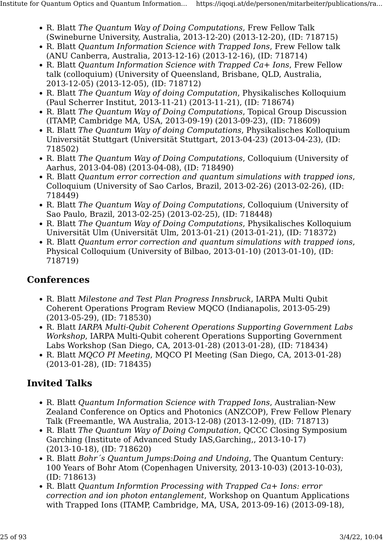- R. Blatt The Quantum Way of Doing Computations, Frew Fellow Talk (Swineburne University, Australia, 2013-12-20) (2013-12-20), (ID: 718715)
- R. Blatt Quantum Information Science with Trapped Ions, Frew Fellow talk (ANU Canberra, Australia, 2013-12-16) (2013-12-16), (ID: 718714)
- R. Blatt Quantum Information Science with Trapped Ca+ Ions, Frew Fellow talk (colloquium) (University of Queensland, Brisbane, QLD, Australia, 2013-12-05) (2013-12-05), (ID: 718712)
- R. Blatt The Quantum Way of doing Computation, Physikalisches Kolloquium (Paul Scherrer Institut, 2013-11-21) (2013-11-21), (ID: 718674)
- R. Blatt The Quantum Way of Doing Computations, Topical Group Discussion (ITAMP, Cambridge MA, USA, 2013-09-19) (2013-09-23), (ID: 718609)
- R. Blatt The Quantum Way of doing Computations, Physikalisches Kolloquium Universität Stuttgart (Universität Stuttgart, 2013-04-23) (2013-04-23), (ID: 718502)
- R. Blatt The Quantum Way of Doing Computations, Colloquium (University of Aarhus, 2013-04-08) (2013-04-08), (ID: 718490)
- R. Blatt Quantum error correction and quantum simulations with trapped ions, Colloquium (University of Sao Carlos, Brazil, 2013-02-26) (2013-02-26), (ID: 718449)
- R. Blatt The Quantum Way of Doing Computations, Colloquium (University of Sao Paulo, Brazil, 2013-02-25) (2013-02-25), (ID: 718448)
- R. Blatt The Quantum Way of Doing Computations, Physikalisches Kolloquium Universität Ulm (Universität Ulm, 2013-01-21) (2013-01-21), (ID: 718372)
- R. Blatt Quantum error correction and quantum simulations with trapped ions, Physical Colloquium (University of Bilbao, 2013-01-10) (2013-01-10), (ID: 718719)

#### **Conferences**

- R. Blatt Milestone and Test Plan Progress Innsbruck, IARPA Multi Qubit Coherent Operations Program Review MQCO (Indianapolis, 2013-05-29) (2013-05-29), (ID: 718530)
- R. Blatt IARPA Multi-Qubit Coherent Operations Supporting Government Labs Workshop, IARPA Multi-Qubit coherent Operations Supporting Government Labs Workshop (San Diego, CA, 2013-01-28) (2013-01-28), (ID: 718434)
- R. Blatt MQCO PI Meeting, MQCO PI Meeting (San Diego, CA, 2013-01-28) (2013-01-28), (ID: 718435)

- R. Blatt Quantum Information Science with Trapped Ions, Australian-New Zealand Conference on Optics and Photonics (ANZCOP), Frew Fellow Plenary Talk (Freemantle, WA Australia, 2013-12-08) (2013-12-09), (ID: 718713)
- R. Blatt The Quantum Way of Doing Computation, QCCC Closing Symposium Garching (Institute of Advanced Study IAS,Garching,, 2013-10-17) (2013-10-18), (ID: 718620)
- R. Blatt Bohr´s Quantum Jumps:Doing and Undoing, The Quantum Century: 100 Years of Bohr Atom (Copenhagen University, 2013-10-03) (2013-10-03), (ID: 718613)
- R. Blatt Quantum Informtion Processing with Trapped Ca+ Ions: error correction and ion photon entanglement, Workshop on Quantum Applications with Trapped Ions (ITAMP, Cambridge, MA, USA, 2013-09-16) (2013-09-18),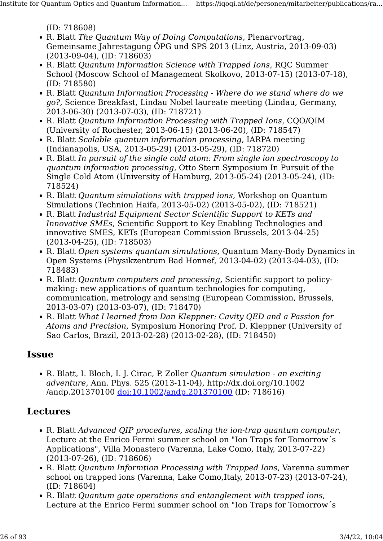(ID: 718608)

- R. Blatt The Quantum Way of Doing Computations, Plenarvortrag, Gemeinsame Jahrestagung ÖPG und SPS 2013 (Linz, Austria, 2013-09-03) (2013-09-04), (ID: 718603)
- R. Blatt Quantum Information Science with Trapped Ions, RQC Summer School (Moscow School of Management Skolkovo, 2013-07-15) (2013-07-18), (ID: 718580)
- R. Blatt Quantum Information Processing Where do we stand where do we go?, Science Breakfast, Lindau Nobel laureate meeting (Lindau, Germany, 2013-06-30) (2013-07-03), (ID: 718721)
- R. Blatt Quantum Information Processing with Trapped Ions, CQO/QIM (University of Rochester, 2013-06-15) (2013-06-20), (ID: 718547)
- R. Blatt Scalable quantum information processing, IARPA meeting (Indianapolis, USA, 2013-05-29) (2013-05-29), (ID: 718720)
- R. Blatt In pursuit of the single cold atom: From single ion spectroscopy to quantum information processing, Otto Stern Symposium In Pursuit of the Single Cold Atom (University of Hamburg, 2013-05-24) (2013-05-24), (ID: 718524)
- R. Blatt Quantum simulations with trapped ions, Workshop on Quantum Simulations (Technion Haifa, 2013-05-02) (2013-05-02), (ID: 718521)
- R. Blatt Industrial Equipment Sector Scientific Support to KETs and Innovative SMEs, Scientific Support to Key Enabling Technologies and innovative SMES, KETs (European Commission Brussels, 2013-04-25) (2013-04-25), (ID: 718503)
- R. Blatt Open systems quantum simulations, Quantum Many-Body Dynamics in Open Systems (Physikzentrum Bad Honnef, 2013-04-02) (2013-04-03), (ID: 718483)
- R. Blatt Quantum computers and processing, Scientific support to policymaking: new applications of quantum technologies for computing, communication, metrology and sensing (European Commission, Brussels, 2013-03-07) (2013-03-07), (ID: 718470)
- R. Blatt What I learned from Dan Kleppner: Cavity QED and a Passion for Atoms and Precision, Symposium Honoring Prof. D. Kleppner (University of Sao Carlos, Brazil, 2013-02-28) (2013-02-28), (ID: 718450)

#### **Issue**

• R. Blatt, I. Bloch, I. J. Cirac, P. Zoller Quantum simulation - an exciting adventure, Ann. Phys. 525 (2013-11-04), http://dx.doi.org/10.1002 /andp.201370100 [doi:10.1002/andp.201370100](http://dx.doi.org/10.1002/andp.201370100) (ID: 718616)

#### Lectures

- R. Blatt Advanced QIP procedures, scaling the ion-trap quantum computer, Lecture at the Enrico Fermi summer school on "Ion Traps for Tomorrow´s Applications", Villa Monastero (Varenna, Lake Como, Italy, 2013-07-22) (2013-07-26), (ID: 718606)
- R. Blatt *Ouantum Informtion Processing with Trapped Ions*, Varenna summer school on trapped ions (Varenna, Lake Como,Italy, 2013-07-23) (2013-07-24), (ID: 718604)
- R. Blatt Quantum gate operations and entanglement with trapped ions, Lecture at the Enrico Fermi summer school on "Ion Traps for Tomorrow´s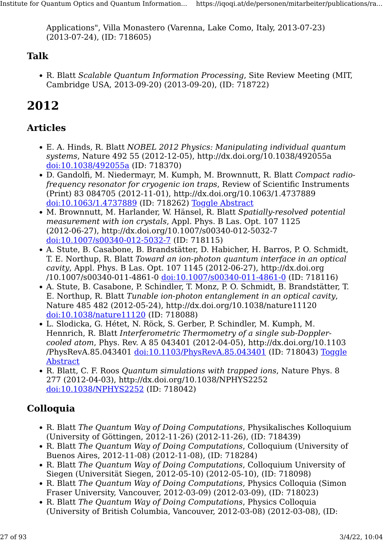Applications", Villa Monastero (Varenna, Lake Como, Italy, 2013-07-23) (2013-07-24), (ID: 718605)

#### Talk

• R. Blatt Scalable Quantum Information Processing, Site Review Meeting (MIT, Cambridge USA, 2013-09-20) (2013-09-20), (ID: 718722)

## 2012

#### Articles

- E. A. Hinds, R. Blatt NOBEL 2012 Physics: Manipulating individual quantum systems, Nature 492 55 (2012-12-05), http://dx.doi.org/10.1038/492055a [doi:10.1038/492055a](http://dx.doi.org/10.1038/492055a) (ID: 718370)
- D. Gandolfi, M. Niedermayr, M. Kumph, M. Brownnutt, R. Blatt Compact radiofrequency resonator for cryogenic ion traps, Review of Scientific Instruments (Print) 83 084705 (2012-11-01), http://dx.doi.org/10.1063/1.4737889 [doi:10.1063/1.4737889](http://dx.doi.org/10.1063/1.4737889) (ID: 718262) [Toggle Abstract](https://iqoqi.at/de/personen/mitarbeiter/publications/rainer-blatt?format=raw#)
- M. Brownnutt, M. Harlander, W. Hänsel, R. Blatt Spatially-resolved potential measurement with ion crystals, Appl. Phys. B Las. Opt. 107 1125 (2012-06-27), http://dx.doi.org/10.1007/s00340-012-5032-7 [doi:10.1007/s00340-012-5032-7](http://dx.doi.org/10.1007/s00340-012-5032-7) (ID: 718115)
- A. Stute, B. Casabone, B. Brandstätter, D. Habicher, H. Barros, P. O. Schmidt, T. E. Northup, R. Blatt Toward an ion-photon quantum interface in an optical cavity, Appl. Phys. B Las. Opt. 107 1145 (2012-06-27), http://dx.doi.org /10.1007/s00340-011-4861-0 [doi:10.1007/s00340-011-4861-0](http://dx.doi.org/10.1007/s00340-011-4861-0) (ID: 718116)
- A. Stute, B. Casabone, P. Schindler, T. Monz, P. O. Schmidt, B. Brandstätter, T. E. Northup, R. Blatt Tunable ion-photon entanglement in an optical cavity, Nature 485 482 (2012-05-24), http://dx.doi.org/10.1038/nature11120 [doi:10.1038/nature11120](http://dx.doi.org/10.1038/nature11120) (ID: 718088)
- L. Slodicka, G. Hétet, N. Röck, S. Gerber, P. Schindler, M. Kumph, M. Hennrich, R. Blatt Interferometric Thermometry of a single sub-Dopplercooled atom, Phys. Rev. A 85 043401 (2012-04-05), http://dx.doi.org/10.1103 /PhysRevA.85.043401 [doi:10.1103/PhysRevA.85.043401](http://dx.doi.org/10.1103/PhysRevA.85.043401) (ID: 718043) [Toggle](https://iqoqi.at/de/personen/mitarbeiter/publications/rainer-blatt?format=raw#) [Abstract](https://iqoqi.at/de/personen/mitarbeiter/publications/rainer-blatt?format=raw#)
- R. Blatt, C. F. Roos Quantum simulations with trapped ions, Nature Phys. 8 277 (2012-04-03), http://dx.doi.org/10.1038/NPHYS2252 [doi:10.1038/NPHYS2252](http://dx.doi.org/10.1038/NPHYS2252) (ID: 718042)

#### Colloquia

- R. Blatt The Quantum Way of Doing Computations, Physikalisches Kolloquium (University of Göttingen, 2012-11-26) (2012-11-26), (ID: 718439)
- R. Blatt The Quantum Way of Doing Computations, Colloquium (University of Buenos Aires, 2012-11-08) (2012-11-08), (ID: 718284)
- R. Blatt The Quantum Way of Doing Computations, Colloquium University of Siegen (Universität Siegen, 2012-05-10) (2012-05-10), (ID: 718098)
- R. Blatt The Quantum Way of Doing Computations, Physics Colloquia (Simon Fraser University, Vancouver, 2012-03-09) (2012-03-09), (ID: 718023)
- R. Blatt The Quantum Way of Doing Computations, Physics Colloquia (University of British Columbia, Vancouver, 2012-03-08) (2012-03-08), (ID: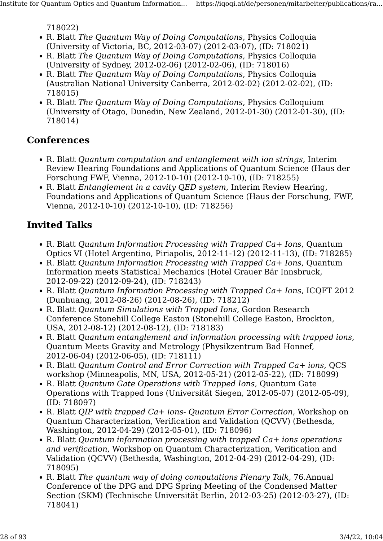718022)

- R. Blatt The Quantum Way of Doing Computations, Physics Colloquia (University of Victoria, BC, 2012-03-07) (2012-03-07), (ID: 718021)
- R. Blatt The Quantum Way of Doing Computations, Physics Colloquia (University of Sydney, 2012-02-06) (2012-02-06), (ID: 718016)
- R. Blatt The Quantum Way of Doing Computations, Physics Colloquia (Australian National University Canberra, 2012-02-02) (2012-02-02), (ID: 718015)
- R. Blatt The Quantum Way of Doing Computations, Physics Colloquium (University of Otago, Dunedin, New Zealand, 2012-01-30) (2012-01-30), (ID: 718014)

#### **Conferences**

- R. Blatt Quantum computation and entanglement with ion strings, Interim Review Hearing Foundations and Applications of Quantum Science (Haus der Forschung FWF, Vienna, 2012-10-10) (2012-10-10), (ID: 718255)
- R. Blatt Entanglement in a cavity QED system, Interim Review Hearing, Foundations and Applications of Quantum Science (Haus der Forschung, FWF, Vienna, 2012-10-10) (2012-10-10), (ID: 718256)

- R. Blatt *Ouantum Information Processing with Trapped Ca+ Ions*, Ouantum Optics VI (Hotel Argentino, Piriapolis, 2012-11-12) (2012-11-13), (ID: 718285)
- R. Blatt Quantum Information Processing with Trapped Ca+ Ions, Quantum Information meets Statistical Mechanics (Hotel Grauer Bär Innsbruck, 2012-09-22) (2012-09-24), (ID: 718243)
- R. Blatt Quantum Information Processing with Trapped Ca+ Ions, ICQFT 2012 (Dunhuang, 2012-08-26) (2012-08-26), (ID: 718212)
- R. Blatt Quantum Simulations with Trapped Ions, Gordon Research Conference Stonehill College Easton (Stonehill College Easton, Brockton, USA, 2012-08-12) (2012-08-12), (ID: 718183)
- R. Blatt Quantum entanglement and information processing with trapped ions, Quantum Meets Gravity and Metrology (Physikzentrum Bad Honnef, 2012-06-04) (2012-06-05), (ID: 718111)
- R. Blatt Quantum Control and Error Correction with Trapped Ca+ ions, QCS workshop (Minneapolis, MN, USA, 2012-05-21) (2012-05-22), (ID: 718099)
- R. Blatt Quantum Gate Operations with Trapped Ions, Quantum Gate Operations with Trapped Ions (Universität Siegen, 2012-05-07) (2012-05-09), (ID: 718097)
- R. Blatt *OIP with trapped Ca+ ions- Ouantum Error Correction*, Workshop on Quantum Characterization, Verification and Validation (QCVV) (Bethesda, Washington, 2012-04-29) (2012-05-01), (ID: 718096)
- R. Blatt *Quantum information processing with trapped Ca+ ions operations* and verification, Workshop on Quantum Characterization, Verification and Validation (QCVV) (Bethesda, Washington, 2012-04-29) (2012-04-29), (ID: 718095)
- R. Blatt The quantum way of doing computations Plenary Talk, 76.Annual Conference of the DPG and DPG Spring Meeting of the Condensed Matter Section (SKM) (Technische Universität Berlin, 2012-03-25) (2012-03-27), (ID: 718041)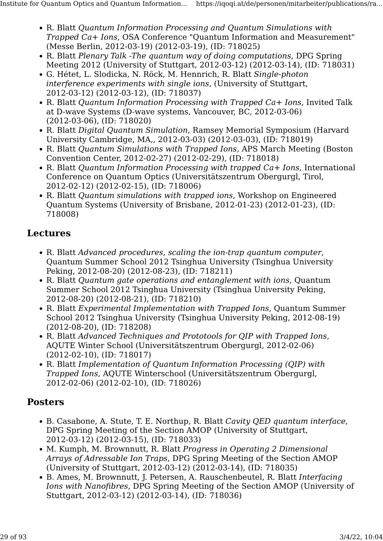- R. Blatt Quantum Information Processing and Quantum Simulations with Trapped Ca+ Ions, OSA Conference "Quantum Information and Measurement" (Messe Berlin, 2012-03-19) (2012-03-19), (ID: 718025)
- R. Blatt Plenary Talk -The quantum way of doing computations, DPG Spring Meeting 2012 (University of Stuttgart, 2012-03-12) (2012-03-14), (ID: 718031)
- G. Hétet, L. Slodicka, N. Röck, M. Hennrich, R. Blatt Single-photon interference experiments with single ions, (University of Stuttgart, 2012-03-12) (2012-03-12), (ID: 718037)
- R. Blatt Quantum Information Processing with Trapped Ca+ Ions, Invited Talk at D-wave Systems (D-wave systems, Vancouver, BC, 2012-03-06) (2012-03-06), (ID: 718020)
- R. Blatt Digital Quantum Simulation, Ramsey Memorial Symposium (Harvard University Cambridge, MA,, 2012-03-03) (2012-03-03), (ID: 718019)
- R. Blatt Quantum Simulations with Trapped Ions, APS March Meeting (Boston Convention Center, 2012-02-27) (2012-02-29), (ID: 718018)
- R. Blatt *Ouantum Information Processing with trapped Ca+ Ions*, International Conference on Quantum Optics (Universitätszentrum Obergurgl, Tirol, 2012-02-12) (2012-02-15), (ID: 718006)
- R. Blatt Quantum simulations with trapped ions, Workshop on Engineered Quantum Systems (University of Brisbane, 2012-01-23) (2012-01-23), (ID: 718008)

#### Lectures

- R. Blatt Advanced procedures, scaling the ion-trap quantum computer, Quantum Summer School 2012 Tsinghua University (Tsinghua University Peking, 2012-08-20) (2012-08-23), (ID: 718211)
- R. Blatt Quantum gate operations and entanglement with ions, Quantum Summer School 2012 Tsinghua University (Tsinghua University Peking, 2012-08-20) (2012-08-21), (ID: 718210)
- R. Blatt Experimental Implementation with Trapped Ions, Quantum Summer School 2012 Tsinghua University (Tsinghua University Peking, 2012-08-19) (2012-08-20), (ID: 718208)
- R. Blatt Advanced Techniques and Prototools for QIP with Trapped Ions, AQUTE Winter School (Universitätszentrum Obergurgl, 2012-02-06) (2012-02-10), (ID: 718017)
- R. Blatt Implementation of Quantum Information Processing (QIP) with Trapped Ions, AQUTE Winterschool (Universitätszentrum Obergurgl, 2012-02-06) (2012-02-10), (ID: 718026)

#### Posters

- B. Casabone, A. Stute, T. E. Northup, R. Blatt Cavity QED quantum interface, DPG Spring Meeting of the Section AMOP (University of Stuttgart, 2012-03-12) (2012-03-15), (ID: 718033)
- M. Kumph, M. Brownnutt, R. Blatt Progress in Operating 2 Dimensional Arrays of Adressable Ion Traps, DPG Spring Meeting of the Section AMOP (University of Stuttgart, 2012-03-12) (2012-03-14), (ID: 718035)
- B. Ames, M. Brownnutt, J. Petersen, A. Rauschenbeutel, R. Blatt Interfacing Ions with Nanofibres, DPG Spring Meeting of the Section AMOP (University of Stuttgart, 2012-03-12) (2012-03-14), (ID: 718036)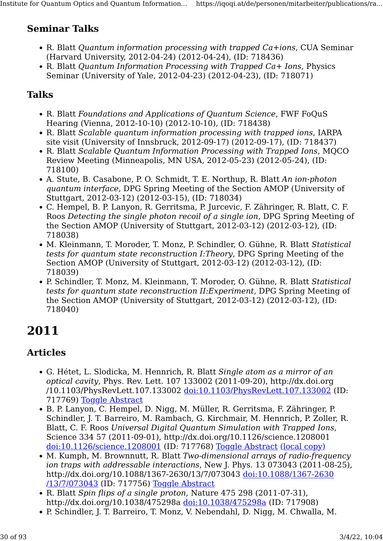#### Seminar Talks

- R. Blatt Quantum information processing with trapped Ca+ions, CUA Seminar (Harvard University, 2012-04-24) (2012-04-24), (ID: 718436)
- R. Blatt Quantum Information Processing with Trapped Ca+ Ions, Physics Seminar (University of Yale, 2012-04-23) (2012-04-23), (ID: 718071)

#### Talks

- R. Blatt Foundations and Applications of Quantum Science, FWF FoQuS Hearing (Vienna, 2012-10-10) (2012-10-10), (ID: 718438)
- R. Blatt Scalable quantum information processing with trapped ions, IARPA site visit (University of Innsbruck, 2012-09-17) (2012-09-17), (ID: 718437)
- R. Blatt Scalable Quantum Information Processing with Trapped Ions, MQCO Review Meeting (Minneapolis, MN USA, 2012-05-23) (2012-05-24), (ID: 718100)
- A. Stute, B. Casabone, P. O. Schmidt, T. E. Northup, R. Blatt An ion-photon quantum interface, DPG Spring Meeting of the Section AMOP (University of Stuttgart, 2012-03-12) (2012-03-15), (ID: 718034)
- C. Hempel, B. P. Lanyon, R. Gerritsma, P. Jurcevic, F. Zähringer, R. Blatt, C. F. Roos Detecting the single photon recoil of a single ion, DPG Spring Meeting of the Section AMOP (University of Stuttgart, 2012-03-12) (2012-03-12), (ID: 718038)
- M. Kleinmann, T. Moroder, T. Monz, P. Schindler, O. Gühne, R. Blatt Statistical tests for quantum state reconstruction I:Theory, DPG Spring Meeting of the Section AMOP (University of Stuttgart, 2012-03-12) (2012-03-12), (ID: 718039)
- P. Schindler, T. Monz, M. Kleinmann, T. Moroder, O. Gühne, R. Blatt Statistical tests for quantum state reconstruction II:Experiment, DPG Spring Meeting of the Section AMOP (University of Stuttgart, 2012-03-12) (2012-03-12), (ID: 718040)

## 2011

#### Articles

- G. Hétet, L. Slodicka, M. Hennrich, R. Blatt Single atom as a mirror of an optical cavity, Phys. Rev. Lett. 107 133002 (2011-09-20), http://dx.doi.org /10.1103/PhysRevLett.107.133002 [doi:10.1103/PhysRevLett.107.133002](http://dx.doi.org/10.1103/PhysRevLett.107.133002) (ID: 717769) [Toggle Abstract](https://iqoqi.at/de/personen/mitarbeiter/publications/rainer-blatt?format=raw#)
- B. P. Lanyon, C. Hempel, D. Nigg, M. Müller, R. Gerritsma, F. Zähringer, P. Schindler, J. T. Barreiro, M. Rambach, G. Kirchmair, M. Hennrich, P. Zoller, R. Blatt, C. F. Roos Universal Digital Quantum Simulation with Trapped Ions, Science 334 57 (2011-09-01), http://dx.doi.org/10.1126/science.1208001 [doi:10.1126/science.1208001](http://dx.doi.org/10.1126/science.1208001) (ID: 717768) [Toggle Abstract](https://iqoqi.at/de/personen/mitarbeiter/publications/rainer-blatt?format=raw#) [\(local copy\)](https://resource.iqoqi.at/reflib/lanyon_et_al._-_2011_-_universal_digital_quantum_simulation_with_trapped_ions(9).pdf)
- M. Kumph, M. Brownnutt, R. Blatt Two-dimensional arrays of radio-frequency ion traps with addressable interactions, New J. Phys. 13 073043 (2011-08-25), http://dx.doi.org/10.1088/1367-2630/13/7/073043 [doi:10.1088/1367-2630](http://dx.doi.org/10.1088/1367-2630/13/7/073043) [/13/7/073043](http://dx.doi.org/10.1088/1367-2630/13/7/073043) (ID: 717756) [Toggle Abstract](https://iqoqi.at/de/personen/mitarbeiter/publications/rainer-blatt?format=raw#)
- R. Blatt Spin flips of a single proton, Nature 475 298 (2011-07-31), http://dx.doi.org/10.1038/475298a [doi:10.1038/475298a](http://dx.doi.org/10.1038/475298a) (ID: 717908)
- P. Schindler, J. T. Barreiro, T. Monz, V. Nebendahl, D. Nigg, M. Chwalla, M.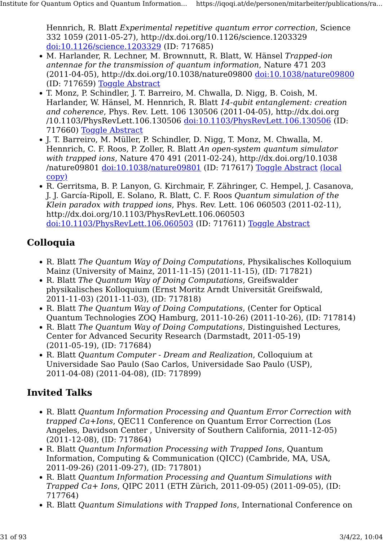Hennrich, R. Blatt Experimental repetitive quantum error correction, Science 332 1059 (2011-05-27), http://dx.doi.org/10.1126/science.1203329 [doi:10.1126/science.1203329](http://dx.doi.org/10.1126/science.1203329) (ID: 717685)

- M. Harlander, R. Lechner, M. Brownnutt, R. Blatt, W. Hänsel Trapped-ion antennae for the transmission of quantum information, Nature 471 203 (2011-04-05), http://dx.doi.org/10.1038/nature09800 [doi:10.1038/nature09800](http://dx.doi.org/10.1038/nature09800) (ID: 717659) [Toggle Abstract](https://iqoqi.at/de/personen/mitarbeiter/publications/rainer-blatt?format=raw#)
- T. Monz, P. Schindler, J. T. Barreiro, M. Chwalla, D. Nigg, B. Coish, M. Harlander, W. Hänsel, M. Hennrich, R. Blatt 14-qubit entanglement: creation and coherence, Phys. Rev. Lett. 106 130506 (2011-04-05), http://dx.doi.org /10.1103/PhysRevLett.106.130506 [doi:10.1103/PhysRevLett.106.130506](http://dx.doi.org/10.1103/PhysRevLett.106.130506) (ID: 717660) [Toggle Abstract](https://iqoqi.at/de/personen/mitarbeiter/publications/rainer-blatt?format=raw#)
- J. T. Barreiro, M. Müller, P. Schindler, D. Nigg, T. Monz, M. Chwalla, M. Hennrich, C. F. Roos, P. Zoller, R. Blatt An open-system quantum simulator with trapped ions, Nature 470 491 (2011-02-24), http://dx.doi.org/10.1038 /nature09801 [doi:10.1038/nature09801](http://dx.doi.org/10.1038/nature09801) (ID: 717617) [Toggle Abstract](https://iqoqi.at/de/personen/mitarbeiter/publications/rainer-blatt?format=raw#) [\(local](https://resource.iqoqi.at/reflib/nature09801.pdf) [copy\)](https://resource.iqoqi.at/reflib/nature09801.pdf)
- R. Gerritsma, B. P. Lanyon, G. Kirchmair, F. Zähringer, C. Hempel, J. Casanova, J. J. García-Ripoll, E. Solano, R. Blatt, C. F. Roos Quantum simulation of the Klein paradox with trapped ions, Phys. Rev. Lett. 106 060503 (2011-02-11), http://dx.doi.org/10.1103/PhysRevLett.106.060503 [doi:10.1103/PhysRevLett.106.060503](http://dx.doi.org/10.1103/PhysRevLett.106.060503) (ID: 717611) [Toggle Abstract](https://iqoqi.at/de/personen/mitarbeiter/publications/rainer-blatt?format=raw#)

### Colloquia

- R. Blatt The Quantum Way of Doing Computations, Physikalisches Kolloquium Mainz (University of Mainz, 2011-11-15) (2011-11-15), (ID: 717821)
- R. Blatt The Quantum Way of Doing Computations, Greifswalder physikalisches Kolloquium (Ernst Moritz Arndt Universität Greifswald, 2011-11-03) (2011-11-03), (ID: 717818)
- R. Blatt The Quantum Way of Doing Computations, (Center for Optical Quantum Technologies ZOQ Hamburg, 2011-10-26) (2011-10-26), (ID: 717814)
- R. Blatt The Quantum Way of Doing Computations, Distinguished Lectures, Center for Advanced Security Research (Darmstadt, 2011-05-19) (2011-05-19), (ID: 717684)
- R. Blatt Quantum Computer Dream and Realization, Colloquium at Universidade Sao Paulo (Sao Carlos, Universidade Sao Paulo (USP), 2011-04-08) (2011-04-08), (ID: 717899)

- R. Blatt Quantum Information Processing and Quantum Error Correction with trapped Ca+Ions, QEC11 Conference on Quantum Error Correction (Los Angeles, Davidson Center , University of Southern California, 2011-12-05) (2011-12-08), (ID: 717864)
- R. Blatt Quantum Information Processing with Trapped Ions, Quantum Information, Computing & Communication (QICC) (Cambride, MA, USA, 2011-09-26) (2011-09-27), (ID: 717801)
- R. Blatt Quantum Information Processing and Quantum Simulations with Trapped Ca+ Ions, QIPC 2011 (ETH Zürich, 2011-09-05) (2011-09-05), (ID: 717764)
- R. Blatt Quantum Simulations with Trapped Ions, International Conference on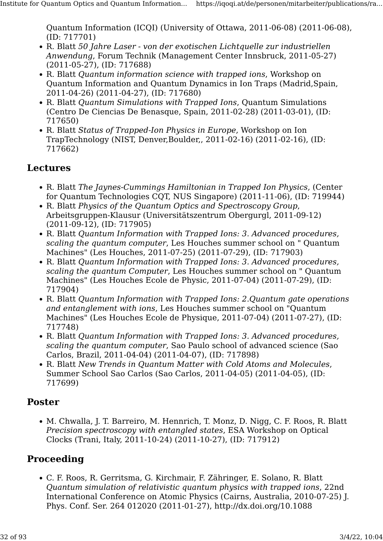Quantum Information (ICQI) (University of Ottawa, 2011-06-08) (2011-06-08), (ID: 717701)

- R. Blatt 50 Jahre Laser von der exotischen Lichtquelle zur industriellen Anwendung, Forum Technik (Management Center Innsbruck, 2011-05-27) (2011-05-27), (ID: 717688)
- R. Blatt Quantum information science with trapped ions, Workshop on Quantum Information and Quantum Dynamics in Ion Traps (Madrid,Spain, 2011-04-26) (2011-04-27), (ID: 717680)
- R. Blatt Quantum Simulations with Trapped Ions, Quantum Simulations (Centro De Ciencias De Benasque, Spain, 2011-02-28) (2011-03-01), (ID: 717650)
- R. Blatt Status of Trapped-Ion Physics in Europe, Workshop on Ion TrapTechnology (NIST, Denver,Boulder,, 2011-02-16) (2011-02-16), (ID: 717662)

#### Lectures

- R. Blatt The Jaynes-Cummings Hamiltonian in Trapped Ion Physics, (Center for Quantum Technologies CQT, NUS Singapore) (2011-11-06), (ID: 719944)
- R. Blatt Physics of the Quantum Optics and Spectroscopy Group, Arbeitsgruppen-Klausur (Universitätszentrum Obergurgl, 2011-09-12) (2011-09-12), (ID: 717905)
- R. Blatt Quantum Information with Trapped Ions: 3. Advanced procedures, scaling the quantum computer, Les Houches summer school on " Quantum Machines" (Les Houches, 2011-07-25) (2011-07-29), (ID: 717903)
- R. Blatt Quantum Information with Trapped Ions: 3. Advanced procedures, scaling the quantum Computer, Les Houches summer school on " Quantum Machines" (Les Houches Ecole de Physic, 2011-07-04) (2011-07-29), (ID: 717904)
- R. Blatt Quantum Information with Trapped Ions: 2.Quantum gate operations and entanglement with ions, Les Houches summer school on "Quantum Machines" (Les Houches Ecole de Physique, 2011-07-04) (2011-07-27), (ID: 717748)
- R. Blatt Quantum Information with Trapped Ions: 3. Advanced procedures, scaling the quantum computer, Sao Paulo school of advanced science (Sao Carlos, Brazil, 2011-04-04) (2011-04-07), (ID: 717898)
- R. Blatt New Trends in Quantum Matter with Cold Atoms and Molecules, Summer School Sao Carlos (Sao Carlos, 2011-04-05) (2011-04-05), (ID: 717699)

#### Poster

• M. Chwalla, J. T. Barreiro, M. Hennrich, T. Monz, D. Nigg, C. F. Roos, R. Blatt Precision spectroscopy with entangled states, ESA Workshop on Optical Clocks (Trani, Italy, 2011-10-24) (2011-10-27), (ID: 717912)

## Proceeding

• C. F. Roos, R. Gerritsma, G. Kirchmair, F. Zähringer, E. Solano, R. Blatt Quantum simulation of relativistic quantum physics with trapped ions, 22nd International Conference on Atomic Physics (Cairns, Australia, 2010-07-25) J. Phys. Conf. Ser. 264 012020 (2011-01-27), http://dx.doi.org/10.1088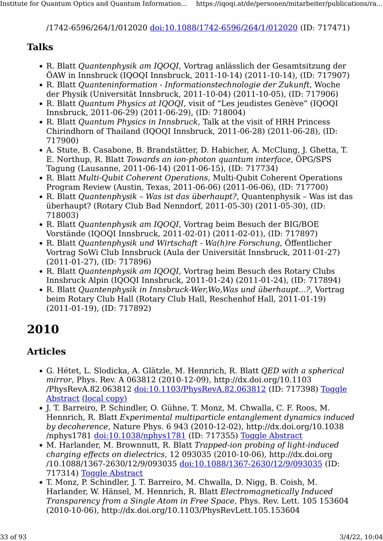/1742-6596/264/1/012020 [doi:10.1088/1742-6596/264/1/012020](http://dx.doi.org/10.1088/1742-6596/264/1/012020) (ID: 717471)

#### Talks

- R. Blatt Quantenphysik am IQOQI, Vortrag anlässlich der Gesamtsitzung der ÖAW in Innsbruck (IQOQI Innsbruck, 2011-10-14) (2011-10-14), (ID: 717907)
- R. Blatt Quanteninformation Informationstechnologie der Zukunft, Woche der Physik (Universität Innsbruck, 2011-10-04) (2011-10-05), (ID: 717906)
- R. Blatt Quantum Physics at IQOQI, visit of "Les jeudistes Genève" (IQOQI Innsbruck, 2011-06-29) (2011-06-29), (ID: 718004)
- R. Blatt Quantum Physics in Innsbruck, Talk at the visit of HRH Princess Chirindhorn of Thailand (IQOQI Innsbruck, 2011-06-28) (2011-06-28), (ID: 717900)
- A. Stute, B. Casabone, B. Brandstätter, D. Habicher, A. McClung, J. Ghetta, T. E. Northup, R. Blatt Towards an ion-photon quantum interface, ÖPG/SPS Tagung (Lausanne, 2011-06-14) (2011-06-15), (ID: 717734)
- R. Blatt Multi-Qubit Coherent Operations, Multi-Qubit Coherent Operations Program Review (Austin, Texas, 2011-06-06) (2011-06-06), (ID: 717700)
- R. Blatt Quantenphysik Was ist das überhaupt?, Quantenphysik Was ist das überhaupt? (Rotary Club Bad Nenndorf, 2011-05-30) (2011-05-30), (ID: 718003)
- R. Blatt Quantenphysik am IQOQI, Vortrag beim Besuch der BIG/BOE Vorstände (IQOQI Innsbruck, 2011-02-01) (2011-02-01), (ID: 717897)
- R. Blatt Quantenphysik und Wirtschaft Wa(h)re Forschung, Öffentlicher Vortrag SoWi Club Innsbruck (Aula der Universität Innsbruck, 2011-01-27) (2011-01-27), (ID: 717896)
- R. Blatt Quantenphysik am IQOQI, Vortrag beim Besuch des Rotary Clubs Innsbruck Alpin (IQOQI Innsbruck, 2011-01-24) (2011-01-24), (ID: 717894)
- R. Blatt Quantenphysik in Innsbruck-Wer,Wo,Was und überhaupt...?, Vortrag beim Rotary Club Hall (Rotary Club Hall, Reschenhof Hall, 2011-01-19) (2011-01-19), (ID: 717892)

## 2010

#### Articles

- G. Hétet, L. Slodicka, A. Glätzle, M. Hennrich, R. Blatt QED with a spherical mirror, Phys. Rev. A 063812 (2010-12-09), http://dx.doi.org/10.1103 /PhysRevA.82.063812 [doi:10.1103/PhysRevA.82.063812](http://dx.doi.org/10.1103/PhysRevA.82.063812) (ID: 717398) [Toggle](https://iqoqi.at/de/personen/mitarbeiter/publications/rainer-blatt?format=raw#) [Abstract](https://iqoqi.at/de/personen/mitarbeiter/publications/rainer-blatt?format=raw#) [\(local copy\)](https://resource.iqoqi.at/reflib/physreva.82.063812.pdf)
- J. T. Barreiro, P. Schindler, O. Gühne, T. Monz, M. Chwalla, C. F. Roos, M. Hennrich, R. Blatt Experimental multiparticle entanglement dynamics induced by decoherence, Nature Phys. 6 943 (2010-12-02), http://dx.doi.org/10.1038 /nphys1781 [doi:10.1038/nphys1781](http://dx.doi.org/10.1038/nphys1781) (ID: 717355) [Toggle Abstract](https://iqoqi.at/de/personen/mitarbeiter/publications/rainer-blatt?format=raw#)
- M. Harlander, M. Brownnutt, R. Blatt Trapped-ion probing of light-induced charging effects on dielectrics, 12 093035 (2010-10-06), http://dx.doi.org /10.1088/1367-2630/12/9/093035 [doi:10.1088/1367-2630/12/9/093035](http://dx.doi.org/10.1088/1367-2630/12/9/093035) (ID: 717314) [Toggle Abstract](https://iqoqi.at/de/personen/mitarbeiter/publications/rainer-blatt?format=raw#)
- T. Monz, P. Schindler, J. T. Barreiro, M. Chwalla, D. Nigg, B. Coish, M. Harlander, W. Hänsel, M. Hennrich, R. Blatt Electromagnetically Induced Transparency from a Single Atom in Free Space, Phys. Rev. Lett. 105 153604 (2010-10-06), http://dx.doi.org/10.1103/PhysRevLett.105.153604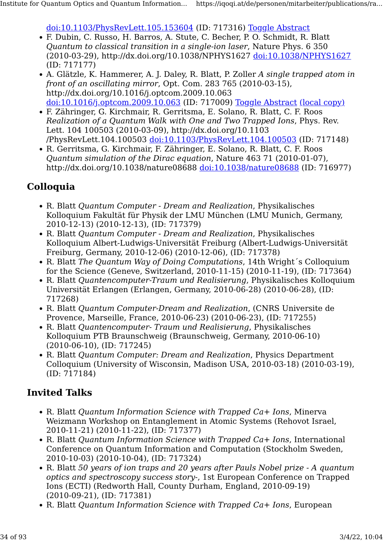[doi:10.1103/PhysRevLett.105.153604](http://dx.doi.org/10.1103/PhysRevLett.105.153604) (ID: 717316) [Toggle Abstract](https://iqoqi.at/de/personen/mitarbeiter/publications/rainer-blatt?format=raw#)

- F. Dubin, C. Russo, H. Barros, A. Stute, C. Becher, P. O. Schmidt, R. Blatt Quantum to classical transition in a single-ion laser, Nature Phys. 6 350 (2010-03-29), http://dx.doi.org/10.1038/NPHYS1627 [doi:10.1038/NPHYS1627](http://dx.doi.org/10.1038/NPHYS1627) (ID: 717177)
- A. Glätzle, K. Hammerer, A. J. Daley, R. Blatt, P. Zoller A single trapped atom in front of an oscillating mirror, Opt. Com. 283 765 (2010-03-15), http://dx.doi.org/10.1016/j.optcom.2009.10.063 [doi:10.1016/j.optcom.2009.10.063](http://dx.doi.org/10.1016/j.optcom.2009.10.063) (ID: 717009) [Toggle Abstract](https://iqoqi.at/de/personen/mitarbeiter/publications/rainer-blatt?format=raw#) [\(local copy\)](https://resource.iqoqi.at/reflib/b6d67a24906e8a8541291882f81d31ca_sdarticle.pdf)
- F. Zähringer, G. Kirchmair, R. Gerritsma, E. Solano, R. Blatt, C. F. Roos Realization of a Quantum Walk with One and Two Trapped Ions, Phys. Rev. Lett. 104 100503 (2010-03-09), http://dx.doi.org/10.1103 /PhysRevLett.104.100503 [doi:10.1103/PhysRevLett.104.100503](http://dx.doi.org/10.1103/PhysRevLett.104.100503) (ID: 717148)
- R. Gerritsma, G. Kirchmair, F. Zähringer, E. Solano, R. Blatt, C. F. Roos Quantum simulation of the Dirac equation, Nature 463 71 (2010-01-07), http://dx.doi.org/10.1038/nature08688 [doi:10.1038/nature08688](http://dx.doi.org/10.1038/nature08688) (ID: 716977)

#### Colloquia

- R. Blatt Quantum Computer Dream and Realization, Physikalisches Kolloquium Fakultät für Physik der LMU München (LMU Munich, Germany, 2010-12-13) (2010-12-13), (ID: 717379)
- R. Blatt Quantum Computer Dream and Realization, Physikalisches Kolloquium Albert-Ludwigs-Universität Freiburg (Albert-Ludwigs-Universität Freiburg, Germany, 2010-12-06) (2010-12-06), (ID: 717378)
- R. Blatt The Quantum Way of Doing Computations, 14th Wright's Colloquium for the Science (Geneve, Switzerland, 2010-11-15) (2010-11-19), (ID: 717364)
- R. Blatt Quantencomputer-Traum und Realisierung, Physikalisches Kolloquium Universität Erlangen (Erlangen, Germany, 2010-06-28) (2010-06-28), (ID: 717268)
- R. Blatt Quantum Computer-Dream and Realization, (CNRS Universite de Provence, Marseille, France, 2010-06-23) (2010-06-23), (ID: 717255)
- R. Blatt Quantencomputer- Traum und Realisierung, Physikalisches Kolloquium PTB Braunschweig (Braunschweig, Germany, 2010-06-10) (2010-06-10), (ID: 717245)
- R. Blatt Quantum Computer: Dream and Realization, Physics Department Colloquium (University of Wisconsin, Madison USA, 2010-03-18) (2010-03-19), (ID: 717184)

- R. Blatt *Ouantum Information Science with Trapped Ca+ Ions*, Minerva Weizmann Workshop on Entanglement in Atomic Systems (Rehovot Israel, 2010-11-21) (2010-11-22), (ID: 717377)
- R. Blatt *Ouantum Information Science with Trapped Ca+ Ions*, International Conference on Quantum Information and Computation (Stockholm Sweden, 2010-10-03) (2010-10-04), (ID: 717324)
- R. Blatt 50 years of ion traps and 20 years after Pauls Nobel prize A quantum optics and spectroscopy success story-, 1st European Conference on Trapped Ions (ECTI) (Redworth Hall, County Durham, England, 2010-09-19) (2010-09-21), (ID: 717381)
- R. Blatt Quantum Information Science with Trapped Ca+ Ions, European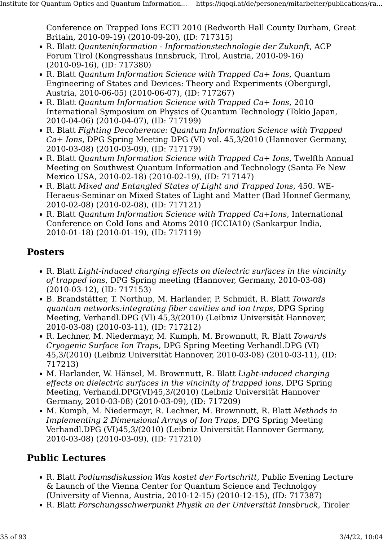Conference on Trapped Ions ECTI 2010 (Redworth Hall County Durham, Great Britain, 2010-09-19) (2010-09-20), (ID: 717315)

- R. Blatt Quanteninformation Informationstechnologie der Zukunft, ACP Forum Tirol (Kongresshaus Innsbruck, Tirol, Austria, 2010-09-16) (2010-09-16), (ID: 717380)
- R. Blatt Quantum Information Science with Trapped Ca+ Ions, Quantum Engineering of States and Devices: Theory and Experiments (Obergurgl, Austria, 2010-06-05) (2010-06-07), (ID: 717267)
- R. Blatt Quantum Information Science with Trapped Ca+ Ions, 2010 International Symposium on Physics of Quantum Technology (Tokio Japan, 2010-04-06) (2010-04-07), (ID: 717199)
- R. Blatt Fighting Decoherence: Quantum Information Science with Trapped Ca+ Ions, DPG Spring Meeting DPG (VI) vol. 45,3/2010 (Hannover Germany, 2010-03-08) (2010-03-09), (ID: 717179)
- R. Blatt Quantum Information Science with Trapped Ca+ Ions, Twelfth Annual Meeting on Southwest Quantum Information and Technology (Santa Fe New Mexico USA, 2010-02-18) (2010-02-19), (ID: 717147)
- R. Blatt Mixed and Entangled States of Light and Trapped Ions, 450. WE-Heraeus-Seminar on Mixed States of Light and Matter (Bad Honnef Germany, 2010-02-08) (2010-02-08), (ID: 717121)
- R. Blatt Quantum Information Science with Trapped Ca+Ions, International Conference on Cold Ions and Atoms 2010 (ICCIA10) (Sankarpur India, 2010-01-18) (2010-01-19), (ID: 717119)

#### Posters

- R. Blatt Light-induced charging effects on dielectric surfaces in the vincinity of trapped ions, DPG Spring meeting (Hannover, Germany, 2010-03-08) (2010-03-12), (ID: 717153)
- B. Brandstätter, T. Northup, M. Harlander, P. Schmidt, R. Blatt Towards quantum networks:integrating fiber cavities and ion traps, DPG Spring Meeting, Verhandl.DPG (VI) 45,3/(2010) (Leibniz Universität Hannover, 2010-03-08) (2010-03-11), (ID: 717212)
- R. Lechner, M. Niedermayr, M. Kumph, M. Brownnutt, R. Blatt Towards Cryogenic Surface Ion Traps, DPG Spring Meeting Verhandl.DPG (VI) 45,3/(2010) (Leibniz Universität Hannover, 2010-03-08) (2010-03-11), (ID: 717213)
- M. Harlander, W. Hänsel, M. Brownnutt, R. Blatt Light-induced charging effects on dielectric surfaces in the vincinity of trapped ions, DPG Spring Meeting, Verhandl.DPG(VI)45,3/(2010) (Leibniz Universität Hannover Germany, 2010-03-08) (2010-03-09), (ID: 717209)
- M. Kumph, M. Niedermayr, R. Lechner, M. Brownnutt, R. Blatt Methods in Implementing 2 Dimensional Arrays of Ion Traps, DPG Spring Meeting Verhandl.DPG (VI)45,3/(2010) (Leibniz Universität Hannover Germany, 2010-03-08) (2010-03-09), (ID: 717210)

## Public Lectures

- R. Blatt Podiumsdiskussion Was kostet der Fortschritt, Public Evening Lecture & Launch of the Vienna Center for Quantum Science and Technolgoy (University of Vienna, Austria, 2010-12-15) (2010-12-15), (ID: 717387)
- R. Blatt Forschungsschwerpunkt Physik an der Universität Innsbruck, Tiroler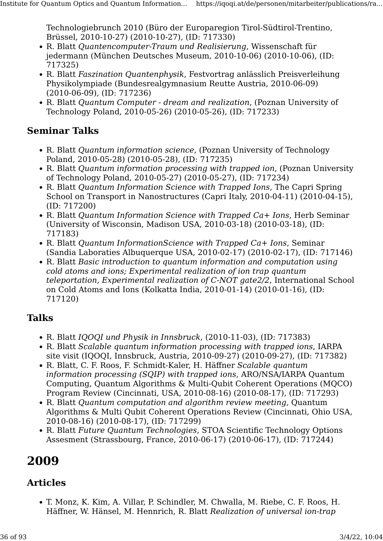Technologiebrunch 2010 (Büro der Europaregion Tirol-Südtirol-Trentino, Brüssel, 2010-10-27) (2010-10-27), (ID: 717330)

- R. Blatt Quantencomputer-Traum und Realisierung, Wissenschaft für jedermann (München Deutsches Museum, 2010-10-06) (2010-10-06), (ID: 717325)
- R. Blatt Faszination Quantenphysik, Festvortrag anlässlich Preisverleihung Physikolympiade (Bundesrealgymnasium Reutte Austria, 2010-06-09) (2010-06-09), (ID: 717236)
- R. Blatt Quantum Computer dream and realization, (Poznan University of Technology Poland, 2010-05-26) (2010-05-26), (ID: 717233)

#### Seminar Talks

- R. Blatt Quantum information science, (Poznan University of Technology Poland, 2010-05-28) (2010-05-28), (ID: 717235)
- R. Blatt Quantum information processing with trapped ion, (Poznan University of Technology Poland, 2010-05-27) (2010-05-27), (ID: 717234)
- R. Blatt Quantum Information Science with Trapped Ions, The Capri Spring School on Transport in Nanostructures (Capri Italy, 2010-04-11) (2010-04-15), (ID: 717200)
- R. Blatt Quantum Information Science with Trapped Ca+ Ions, Herb Seminar (University of Wisconsin, Madison USA, 2010-03-18) (2010-03-18), (ID: 717183)
- R. Blatt Quantum InformationScience with Trapped Ca+ Ions, Seminar (Sandia Laboraties Albuquerque USA, 2010-02-17) (2010-02-17), (ID: 717146)
- R. Blatt Basic introduction to quantum information and computation using cold atoms and ions; Experimental realization of ion trap quantum teleportation, Experimental realization of C-NOT gate2/2, International School on Cold Atoms and Ions (Kolkatta India, 2010-01-14) (2010-01-16), (ID: 717120)

#### Talks

- R. Blatt IQOQI und Physik in Innsbruck, (2010-11-03), (ID: 717383)
- R. Blatt Scalable quantum information processing with trapped ions, IARPA site visit (IQOQI, Innsbruck, Austria, 2010-09-27) (2010-09-27), (ID: 717382)
- R. Blatt, C. F. Roos, F. Schmidt-Kaler, H. Häffner Scalable quantum information processing (SQIP) with trapped ions, ARO/NSA/IARPA Quantum Computing, Quantum Algorithms & Multi-Qubit Coherent Operations (MQCO) Program Review (Cincinnati, USA, 2010-08-16) (2010-08-17), (ID: 717293)
- R. Blatt Quantum computation and algorithm review meeting, Quantum Algorithms & Multi Qubit Coherent Operations Review (Cincinnati, Ohio USA, 2010-08-16) (2010-08-17), (ID: 717299)
- R. Blatt Future Quantum Technologies, STOA Scientific Technology Options Assesment (Strassbourg, France, 2010-06-17) (2010-06-17), (ID: 717244)

## 2009

## Articles

• T. Monz, K. Kim, A. Villar, P. Schindler, M. Chwalla, M. Riebe, C. F. Roos, H. Häffner, W. Hänsel, M. Hennrich, R. Blatt Realization of universal ion-trap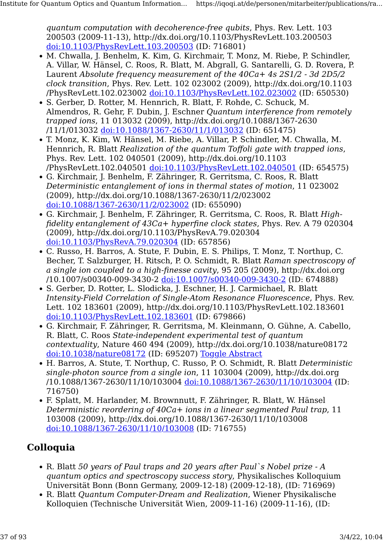quantum computation with decoherence-free qubits, Phys. Rev. Lett. 103 200503 (2009-11-13), http://dx.doi.org/10.1103/PhysRevLett.103.200503 [doi:10.1103/PhysRevLett.103.200503](http://dx.doi.org/10.1103/PhysRevLett.103.200503) (ID: 716801)

- M. Chwalla, J. Benhelm, K. Kim, G. Kirchmair, T. Monz, M. Riebe, P. Schindler, A. Villar, W. Hänsel, C. Roos, R. Blatt, M. Abgrall, G. Santarelli, G. D. Rovera, P. Laurent Absolute frequency measurement of the 40Ca+ 4s 2S1/2 - 3d 2D5/2 clock transition, Phys. Rev. Lett. 102 023002 (2009), http://dx.doi.org/10.1103 /PhysRevLett.102.023002 [doi:10.1103/PhysRevLett.102.023002](http://dx.doi.org/10.1103/PhysRevLett.102.023002) (ID: 650530)
- S. Gerber, D. Rotter, M. Hennrich, R. Blatt, F. Rohde, C. Schuck, M. Almendros, R. Gehr, F. Dubin, J. Eschner Quantum interference from remotely trapped ions, 11 013032 (2009), http://dx.doi.org/10.1088/1367-2630 /11/1/013032 [doi:10.1088/1367-2630/11/1/013032](http://dx.doi.org/10.1088/1367-2630/11/1/013032) (ID: 651475)
- T. Monz, K. Kim, W. Hänsel, M. Riebe, A. Villar, P. Schindler, M. Chwalla, M. Hennrich, R. Blatt Realization of the quantum Toffoli gate with trapped ions, Phys. Rev. Lett. 102 040501 (2009), http://dx.doi.org/10.1103 /PhysRevLett.102.040501 [doi:10.1103/PhysRevLett.102.040501](http://dx.doi.org/10.1103/PhysRevLett.102.040501) (ID: 654575)
- G. Kirchmair, J. Benhelm, F. Zähringer, R. Gerritsma, C. Roos, R. Blatt Deterministic entanglement of ions in thermal states of motion, 11 023002 (2009), http://dx.doi.org/10.1088/1367-2630/11/2/023002 [doi:10.1088/1367-2630/11/2/023002](http://dx.doi.org/10.1088/1367-2630/11/2/023002) (ID: 655090)
- G. Kirchmair, J. Benhelm, F. Zähringer, R. Gerritsma, C. Roos, R. Blatt Highfidelity entanglement of 43Ca+ hyperfine clock states, Phys. Rev. A 79 020304 (2009), http://dx.doi.org/10.1103/PhysRevA.79.020304 [doi:10.1103/PhysRevA.79.020304](http://dx.doi.org/10.1103/PhysRevA.79.020304) (ID: 657856)
- C. Russo, H. Barros, A. Stute, F. Dubin, E. S. Philips, T. Monz, T. Northup, C. Becher, T. Salzburger, H. Ritsch, P. O. Schmidt, R. Blatt Raman spectroscopy of a single ion coupled to a high-finesse cavity, 95 205 (2009), http://dx.doi.org /10.1007/s00340-009-3430-2 [doi:10.1007/s00340-009-3430-2](http://dx.doi.org/10.1007/s00340-009-3430-2) (ID: 674888)
- S. Gerber, D. Rotter, L. Slodicka, J. Eschner, H. J. Carmichael, R. Blatt Intensity-Field Correlation of Single-Atom Resonance Fluorescence, Phys. Rev. Lett. 102 183601 (2009), http://dx.doi.org/10.1103/PhysRevLett.102.183601 [doi:10.1103/PhysRevLett.102.183601](http://dx.doi.org/10.1103/PhysRevLett.102.183601) (ID: 679866)
- G. Kirchmair, F. Zähringer, R. Gerritsma, M. Kleinmann, O. Gühne, A. Cabello, R. Blatt, C. Roos State-independent experimental test of quantum contextuality, Nature 460 494 (2009), http://dx.doi.org/10.1038/nature08172 [doi:10.1038/nature08172](http://dx.doi.org/10.1038/nature08172) (ID: 695207) [Toggle Abstract](https://iqoqi.at/de/personen/mitarbeiter/publications/rainer-blatt?format=raw#)
- H. Barros, A. Stute, T. Northup, C. Russo, P. O. Schmidt, R. Blatt Deterministic single-photon source from a single ion, 11 103004 (2009), http://dx.doi.org /10.1088/1367-2630/11/10/103004 [doi:10.1088/1367-2630/11/10/103004](http://dx.doi.org/10.1088/1367-2630/11/10/103004) (ID: 716750)
- F. Splatt, M. Harlander, M. Brownnutt, F. Zähringer, R. Blatt, W. Hänsel Deterministic reordering of 40Ca+ ions in a linear segmented Paul trap, 11 103008 (2009), http://dx.doi.org/10.1088/1367-2630/11/10/103008 [doi:10.1088/1367-2630/11/10/103008](http://dx.doi.org/10.1088/1367-2630/11/10/103008) (ID: 716755)

# Colloquia

- R. Blatt 50 years of Paul traps and 20 years after Paul`s Nobel prize A quantum optics and spectroscopy success story, Physikalisches Kolloquium Universität Bonn (Bonn Germany, 2009-12-18) (2009-12-18), (ID: 716969)
- R. Blatt Quantum Computer-Dream and Realization, Wiener Physikalische Kolloquien (Technische Universität Wien, 2009-11-16) (2009-11-16), (ID: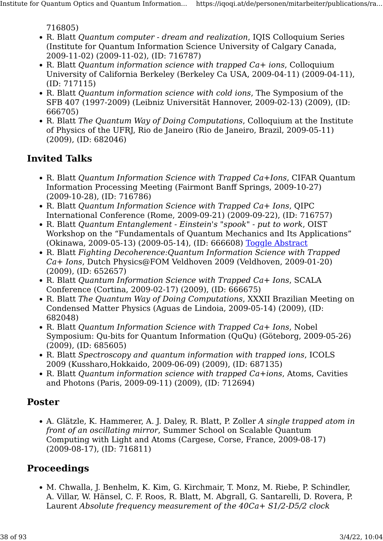716805)

- R. Blatt Quantum computer dream and realization, IQIS Colloquium Series (Institute for Quantum Information Science University of Calgary Canada, 2009-11-02) (2009-11-02), (ID: 716787)
- R. Blatt Quantum information science with trapped Ca+ ions, Colloquium University of California Berkeley (Berkeley Ca USA, 2009-04-11) (2009-04-11), (ID: 717115)
- R. Blatt Quantum information science with cold ions, The Symposium of the SFB 407 (1997-2009) (Leibniz Universität Hannover, 2009-02-13) (2009), (ID: 666705)
- R. Blatt The Quantum Way of Doing Computations, Colloquium at the Institute of Physics of the UFRJ, Rio de Janeiro (Rio de Janeiro, Brazil, 2009-05-11) (2009), (ID: 682046)

#### Invited Talks

- R. Blatt Quantum Information Science with Trapped Ca+Ions, CIFAR Quantum Information Processing Meeting (Fairmont Banff Springs, 2009-10-27) (2009-10-28), (ID: 716786)
- R. Blatt Quantum Information Science with Trapped Ca+ Ions, QIPC International Conference (Rome, 2009-09-21) (2009-09-22), (ID: 716757)
- R. Blatt Quantum Entanglement Einstein's "spook" put to work, OIST Workshop on the "Fundamentals of Quantum Mechanics and Its Applications" (Okinawa, 2009-05-13) (2009-05-14), (ID: 666608) [Toggle Abstract](https://iqoqi.at/de/personen/mitarbeiter/publications/rainer-blatt?format=raw#)
- R. Blatt Fighting Decoherence:Quantum Information Science with Trapped Ca+ Ions, Dutch Physics@FOM Veldhoven 2009 (Veldhoven, 2009-01-20) (2009), (ID: 652657)
- R. Blatt Quantum Information Science with Trapped Ca+ Ions, SCALA Conference (Cortina, 2009-02-17) (2009), (ID: 666675)
- R. Blatt The Quantum Way of Doing Computations, XXXII Brazilian Meeting on Condensed Matter Physics (Aguas de Lindoia, 2009-05-14) (2009), (ID: 682048)
- R. Blatt *Ouantum Information Science with Trapped Ca+ Ions*, Nobel Symposium: Qu-bits for Quantum Information (QuQu) (Göteborg, 2009-05-26) (2009), (ID: 685605)
- R. Blatt Spectroscopy and quantum information with trapped ions, ICOLS 2009 (Kussharo,Hokkaido, 2009-06-09) (2009), (ID: 687135)
- R. Blatt Quantum information science with trapped Ca+ions, Atoms, Cavities and Photons (Paris, 2009-09-11) (2009), (ID: 712694)

#### Poster

• A. Glätzle, K. Hammerer, A. J. Daley, R. Blatt, P. Zoller A single trapped atom in front of an oscillating mirror, Summer School on Scalable Quantum Computing with Light and Atoms (Cargese, Corse, France, 2009-08-17) (2009-08-17), (ID: 716811)

# Proceedings

• M. Chwalla, J. Benhelm, K. Kim, G. Kirchmair, T. Monz, M. Riebe, P. Schindler, A. Villar, W. Hänsel, C. F. Roos, R. Blatt, M. Abgrall, G. Santarelli, D. Rovera, P. Laurent Absolute frequency measurement of the 40Ca+ S1/2-D5/2 clock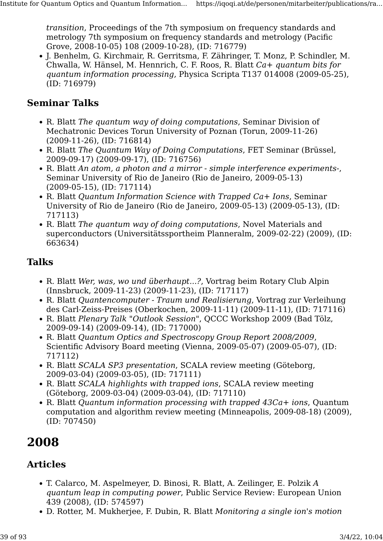transition, Proceedings of the 7th symposium on frequency standards and metrology 7th symposium on frequency standards and metrology (Pacific Grove, 2008-10-05) 108 (2009-10-28), (ID: 716779)

• J. Benhelm, G. Kirchmair, R. Gerritsma, F. Zähringer, T. Monz, P. Schindler, M. Chwalla, W. Hänsel, M. Hennrich, C. F. Roos, R. Blatt Ca+ quantum bits for quantum information processing, Physica Scripta T137 014008 (2009-05-25), (ID: 716979)

#### Seminar Talks

- R. Blatt The quantum way of doing computations, Seminar Division of Mechatronic Devices Torun University of Poznan (Torun, 2009-11-26) (2009-11-26), (ID: 716814)
- R. Blatt The Quantum Way of Doing Computations, FET Seminar (Brüssel, 2009-09-17) (2009-09-17), (ID: 716756)
- R. Blatt An atom, a photon and a mirror simple interference experiments-, Seminar University of Rio de Janeiro (Rio de Janeiro, 2009-05-13) (2009-05-15), (ID: 717114)
- R. Blatt Quantum Information Science with Trapped Ca+ Ions, Seminar University of Rio de Janeiro (Rio de Janeiro, 2009-05-13) (2009-05-13), (ID: 717113)
- R. Blatt The quantum way of doing computations, Novel Materials and superconductors (Universitätssportheim Planneralm, 2009-02-22) (2009), (ID: 663634)

### Talks

- R. Blatt Wer, was, wo und überhaupt...?, Vortrag beim Rotary Club Alpin (Innsbruck, 2009-11-23) (2009-11-23), (ID: 717117)
- R. Blatt Quantencomputer Traum und Realisierung, Vortrag zur Verleihung des Carl-Zeiss-Preises (Oberkochen, 2009-11-11) (2009-11-11), (ID: 717116)
- R. Blatt Plenary Talk "Outlook Session", QCCC Workshop 2009 (Bad Tölz, 2009-09-14) (2009-09-14), (ID: 717000)
- R. Blatt Quantum Optics and Spectroscopy Group Report 2008/2009, Scientific Advisory Board meeting (Vienna, 2009-05-07) (2009-05-07), (ID: 717112)
- R. Blatt SCALA SP3 presentation, SCALA review meeting (Göteborg, 2009-03-04) (2009-03-05), (ID: 717111)
- R. Blatt SCALA highlights with trapped ions, SCALA review meeting (Göteborg, 2009-03-04) (2009-03-04), (ID: 717110)
- R. Blatt Quantum information processing with trapped 43Ca+ ions, Quantum computation and algorithm review meeting (Minneapolis, 2009-08-18) (2009), (ID: 707450)

# 2008

## Articles

- T. Calarco, M. Aspelmeyer, D. Binosi, R. Blatt, A. Zeilinger, E. Polzik A quantum leap in computing power, Public Service Review: European Union 439 (2008), (ID: 574597)
- D. Rotter, M. Mukherjee, F. Dubin, R. Blatt Monitoring a single ion's motion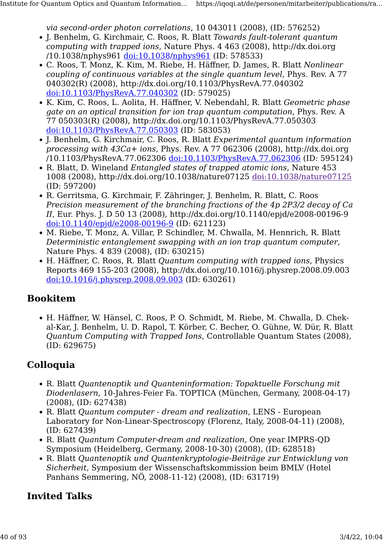via second-order photon correlations, 10 043011 (2008), (ID: 576252)

- J. Benhelm, G. Kirchmair, C. Roos, R. Blatt Towards fault-tolerant quantum computing with trapped ions, Nature Phys. 4 463 (2008), http://dx.doi.org /10.1038/nphys961 [doi:10.1038/nphys961](http://dx.doi.org/10.1038/nphys961) (ID: 578533)
- C. Roos, T. Monz, K. Kim, M. Riebe, H. Häffner, D. James, R. Blatt Nonlinear coupling of continuous variables at the single quantum level, Phys. Rev. A 77 040302(R) (2008), http://dx.doi.org/10.1103/PhysRevA.77.040302 [doi:10.1103/PhysRevA.77.040302](http://dx.doi.org/10.1103/PhysRevA.77.040302) (ID: 579025)
- K. Kim, C. Roos, L. Aolita, H. Häffner, V. Nebendahl, R. Blatt Geometric phase gate on an optical transition for ion trap quantum computation, Phys. Rev. A 77 050303(R) (2008), http://dx.doi.org/10.1103/PhysRevA.77.050303 [doi:10.1103/PhysRevA.77.050303](http://dx.doi.org/10.1103/PhysRevA.77.050303) (ID: 583053)
- J. Benhelm, G. Kirchmair, C. Roos, R. Blatt Experimental quantum information processing with 43Ca+ ions, Phys. Rev. A 77 062306 (2008), http://dx.doi.org /10.1103/PhysRevA.77.062306 [doi:10.1103/PhysRevA.77.062306](http://dx.doi.org/10.1103/PhysRevA.77.062306) (ID: 595124)
- R. Blatt, D. Wineland Entangled states of trapped atomic ions, Nature 453 1008 (2008), http://dx.doi.org/10.1038/nature07125 [doi:10.1038/nature07125](http://dx.doi.org/10.1038/nature07125) (ID: 597200)
- R. Gerritsma, G. Kirchmair, F. Zähringer, J. Benhelm, R. Blatt, C. Roos Precision measurement of the branching fractions of the 4p 2P3/2 decay of Ca II, Eur. Phys. J. D 50 13 (2008), http://dx.doi.org/10.1140/epjd/e2008-00196-9 [doi:10.1140/epjd/e2008-00196-9](http://dx.doi.org/10.1140/epjd/e2008-00196-9) (ID: 621123)
- M. Riebe, T. Monz, A. Villar, P. Schindler, M. Chwalla, M. Hennrich, R. Blatt Deterministic entanglement swapping with an ion trap quantum computer, Nature Phys. 4 839 (2008), (ID: 630215)
- H. Häffner, C. Roos, R. Blatt *Quantum computing with trapped ions*, Physics Reports 469 155-203 (2008), http://dx.doi.org/10.1016/j.physrep.2008.09.003 [doi:10.1016/j.physrep.2008.09.003](http://dx.doi.org/10.1016/j.physrep.2008.09.003) (ID: 630261)

#### Bookitem

• H. Häffner, W. Hänsel, C. Roos, P. O. Schmidt, M. Riebe, M. Chwalla, D. Chekal-Kar, J. Benhelm, U. D. Rapol, T. Körber, C. Becher, O. Gühne, W. Dür, R. Blatt Quantum Computing with Trapped Ions, Controllable Quantum States (2008), (ID: 629675)

## Colloquia

- R. Blatt Quantenoptik und Quanteninformation: Topaktuelle Forschung mit Diodenlasern, 10-Jahres-Feier Fa. TOPTICA (München, Germany, 2008-04-17) (2008), (ID: 627438)
- R. Blatt Quantum computer dream and realization, LENS European Laboratory for Non-Linear-Spectroscopy (Florenz, Italy, 2008-04-11) (2008), (ID: 627439)
- R. Blatt Quantum Computer-dream and realization, One year IMPRS-QD Symposium (Heidelberg, Germany, 2008-10-30) (2008), (ID: 628518)
- R. Blatt Quantenoptik und Quantenkryptologie-Beiträge zur Entwicklung von Sicherheit, Symposium der Wissenschaftskommission beim BMLV (Hotel Panhans Semmering, NÖ, 2008-11-12) (2008), (ID: 631719)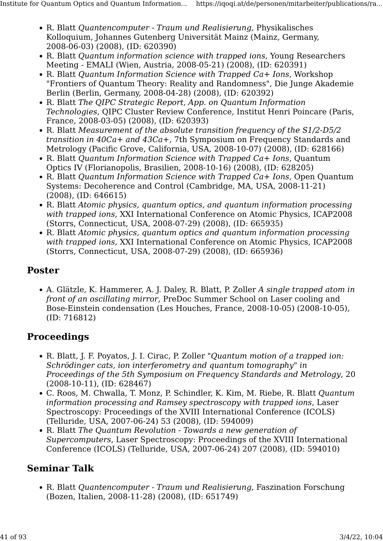- R. Blatt Quantencomputer Traum und Realisierung, Physikalisches Kolloquium, Johannes Gutenberg Universität Mainz (Mainz, Germany, 2008-06-03) (2008), (ID: 620390)
- R. Blatt Quantum information science with trapped ions, Young Researchers Meeting - EMALI (Wien, Austria, 2008-05-21) (2008), (ID: 620391)
- R. Blatt Quantum Information Science with Trapped Ca+ Ions, Workshop "Frontiers of Quantum Theory: Reality and Randomness", Die Junge Akademie Berlin (Berlin, Germany, 2008-04-28) (2008), (ID: 620392)
- R. Blatt The QIPC Strategic Report, App. on Quantum Information Technologies, QIPC Cluster Review Conference, Institut Henri Poincare (Paris, France, 2008-03-05) (2008), (ID: 620393)
- R. Blatt Measurement of the absolute transition frequency of the S1/2-D5/2 transition in 40Ca+ and 43Ca+, 7th Symposium on Frequency Standards and Metrology (Pacific Grove, California, USA, 2008-10-07) (2008), (ID: 628166)
- R. Blatt Quantum Information Science with Trapped Ca+ Ions, Quantum Optics IV (Florianopolis, Brasilien, 2008-10-16) (2008), (ID: 628205)
- R. Blatt Quantum Information Science with Trapped Ca+ Ions, Open Quantum Systems: Decoherence and Control (Cambridge, MA, USA, 2008-11-21) (2008), (ID: 646615)
- R. Blatt Atomic physics, quantum optics, and quantum information processing with trapped ions, XXI International Conference on Atomic Physics, ICAP2008 (Storrs, Connecticut, USA, 2008-07-29) (2008), (ID: 665935)
- R. Blatt Atomic physics, quantum optics and quantum information processing with trapped ions, XXI International Conference on Atomic Physics, ICAP2008 (Storrs, Connecticut, USA, 2008-07-29) (2008), (ID: 665936)

#### Poster

• A. Glätzle, K. Hammerer, A. J. Daley, R. Blatt, P. Zoller A single trapped atom in front of an oscillating mirror, PreDoc Summer School on Laser cooling and Bose-Einstein condensation (Les Houches, France, 2008-10-05) (2008-10-05), (ID: 716812)

#### Proceedings

- R. Blatt, J. F. Poyatos, J. I. Cirac, P. Zoller "Quantum motion of a trapped ion: Schrödinger cats, ion interferometry and quantum tomography" in Proceedings of the 5th Symposium on Frequency Standards and Metrology, 20 (2008-10-11), (ID: 628467)
- C. Roos, M. Chwalla, T. Monz, P. Schindler, K. Kim, M. Riebe, R. Blatt Quantum information processing and Ramsey spectroscopy with trapped ions, Laser Spectroscopy: Proceedings of the XVIII International Conference (ICOLS) (Telluride, USA, 2007-06-24) 53 (2008), (ID: 594009)
- R. Blatt The Quantum Revolution Towards a new generation of Supercomputers, Laser Spectroscopy: Proceedings of the XVIII International Conference (ICOLS) (Telluride, USA, 2007-06-24) 207 (2008), (ID: 594010)

#### Seminar Talk

• R. Blatt Quantencomputer - Traum und Realisierung, Faszination Forschung (Bozen, Italien, 2008-11-28) (2008), (ID: 651749)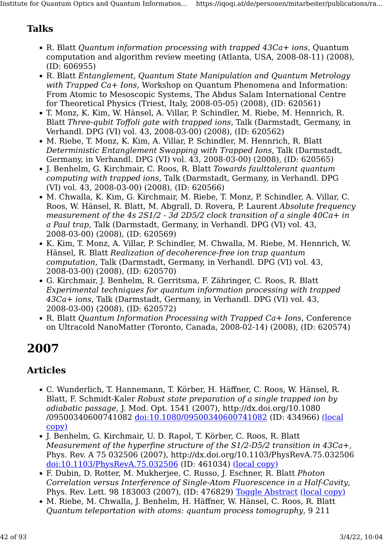# Talks

- R. Blatt Quantum information processing with trapped 43Ca+ ions, Quantum computation and algorithm review meeting (Atlanta, USA, 2008-08-11) (2008), (ID: 606955)
- R. Blatt Entanglement, Quantum State Manipulation and Quantum Metrology with Trapped Ca+ Ions, Workshop on Quantum Phenomena and Information: From Atomic to Mesoscopic Systems, The Abdus Salam International Centre for Theoretical Physics (Triest, Italy, 2008-05-05) (2008), (ID: 620561)
- T. Monz, K. Kim, W. Hänsel, A. Villar, P. Schindler, M. Riebe, M. Hennrich, R. Blatt Three-qubit Toffoli gate with trapped ions, Talk (Darmstadt, Germany, in Verhandl. DPG (VI) vol. 43, 2008-03-00) (2008), (ID: 620562)
- M. Riebe, T. Monz, K. Kim, A. Villar, P. Schindler, M. Hennrich, R. Blatt Deterministic Entanglement Swapping with Trapped Ions, Talk (Darmstadt, Germany, in Verhandl. DPG (VI) vol. 43, 2008-03-00) (2008), (ID: 620565)
- J. Benhelm, G. Kirchmair, C. Roos, R. Blatt Towards faulttolerant quantum computing with trapped ions, Talk (Darmstadt, Germany, in Verhandl. DPG (VI) vol. 43, 2008-03-00) (2008), (ID: 620566)
- M. Chwalla, K. Kim, G. Kirchmair, M. Riebe, T. Monz, P. Schindler, A. Villar, C. Roos, W. Hänsel, R. Blatt, M. Abgrall, D. Rovera, P. Laurent Absolute frequency measurement of the 4s 2S1/2 - 3d 2D5/2 clock transition of a single 40Ca+ in a Paul trap, Talk (Darmstadt, Germany, in Verhandl. DPG (VI) vol. 43, 2008-03-00) (2008), (ID: 620569)
- K. Kim, T. Monz, A. Villar, P. Schindler, M. Chwalla, M. Riebe, M. Hennrich, W. Hänsel, R. Blatt Realization of decoherence-free ion trap quantum computation, Talk (Darmstadt, Germany, in Verhandl. DPG (VI) vol. 43, 2008-03-00) (2008), (ID: 620570)
- G. Kirchmair, J. Benhelm, R. Gerritsma, F. Zähringer, C. Roos, R. Blatt Experimental techniques for quantum information processing with trapped 43Ca+ ions, Talk (Darmstadt, Germany, in Verhandl. DPG (VI) vol. 43, 2008-03-00) (2008), (ID: 620572)
- R. Blatt Quantum Information Processing with Trapped Ca+ Ions, Conference on Ultracold NanoMatter (Toronto, Canada, 2008-02-14) (2008), (ID: 620574)

# 2007

# Articles

- C. Wunderlich, T. Hannemann, T. Körber, H. Häffner, C. Roos, W. Hänsel, R. Blatt, F. Schmidt-Kaler Robust state preparation of a single trapped ion by adiabatic passage, J. Mod. Opt. 1541 (2007), http://dx.doi.org/10.1080 /09500340600741082 [doi:10.1080/09500340600741082](http://dx.doi.org/10.1080/09500340600741082) (ID: 434966) [\(local](https://resource.iqoqi.at/reflib/434966.pdf) [copy\)](https://resource.iqoqi.at/reflib/434966.pdf)
- J. Benhelm, G. Kirchmair, U. D. Rapol, T. Körber, C. Roos, R. Blatt Measurement of the hyperfine structure of the S1/2-D5/2 transition in 43Ca+, Phys. Rev. A 75 032506 (2007), http://dx.doi.org/10.1103/PhysRevA.75.032506 [doi:10.1103/PhysRevA.75.032506](http://dx.doi.org/10.1103/PhysRevA.75.032506) (ID: 461034) [\(local copy\)](https://resource.iqoqi.at/reflib/461034.pdf)
- F. Dubin, D. Rotter, M. Mukherjee, C. Russo, J. Eschner, R. Blatt Photon Correlation versus Interference of Single-Atom Fluorescence in a Half-Cavity, Phys. Rev. Lett. 98 183003 (2007), (ID: 476829) [Toggle Abstract](https://iqoqi.at/de/personen/mitarbeiter/publications/rainer-blatt?format=raw#) [\(local copy\)](https://resource.iqoqi.at/reflib/476829.pdf)
- M. Riebe, M. Chwalla, J. Benhelm, H. Häffner, W. Hänsel, C. Roos, R. Blatt Quantum teleportation with atoms: quantum process tomography, 9 211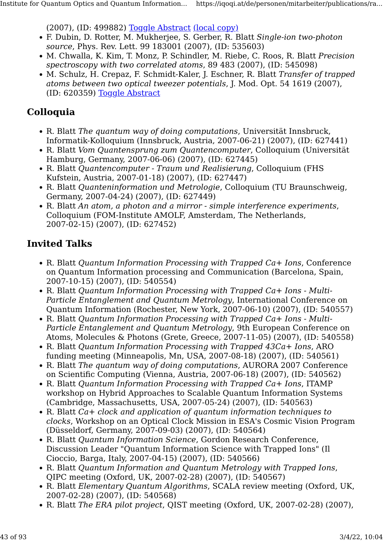(2007), (ID: 499882) [Toggle Abstract](https://iqoqi.at/de/personen/mitarbeiter/publications/rainer-blatt?format=raw#) [\(local copy\)](https://resource.iqoqi.at/reflib/499882.pdf)

- F. Dubin, D. Rotter, M. Mukherjee, S. Gerber, R. Blatt Single-ion two-photon source, Phys. Rev. Lett. 99 183001 (2007), (ID: 535603)
- M. Chwalla, K. Kim, T. Monz, P. Schindler, M. Riebe, C. Roos, R. Blatt Precision spectroscopy with two correlated atoms, 89 483 (2007), (ID: 545098)
- M. Schulz, H. Crepaz, F. Schmidt-Kaler, J. Eschner, R. Blatt Transfer of trapped atoms between two optical tweezer potentials, J. Mod. Opt. 54 1619 (2007), (ID: 620359) [Toggle Abstract](https://iqoqi.at/de/personen/mitarbeiter/publications/rainer-blatt?format=raw#)

### Colloquia

- R. Blatt The quantum way of doing computations, Universität Innsbruck, Informatik-Kolloquium (Innsbruck, Austria, 2007-06-21) (2007), (ID: 627441)
- R. Blatt Vom Quantensprung zum Quantencomputer, Colloquium (Universität Hamburg, Germany, 2007-06-06) (2007), (ID: 627445)
- R. Blatt Quantencomputer Traum und Realisierung, Colloquium (FHS Kufstein, Austria, 2007-01-18) (2007), (ID: 627447)
- R. Blatt Quanteninformation und Metrologie, Colloquium (TU Braunschweig, Germany, 2007-04-24) (2007), (ID: 627449)
- R. Blatt An atom, a photon and a mirror simple interference experiments, Colloquium (FOM-Institute AMOLF, Amsterdam, The Netherlands, 2007-02-15) (2007), (ID: 627452)

- R. Blatt Quantum Information Processing with Trapped Ca+ Ions, Conference on Quantum Information processing and Communication (Barcelona, Spain, 2007-10-15) (2007), (ID: 540554)
- R. Blatt Quantum Information Processing with Trapped Ca+ Ions Multi-Particle Entanglement and Quantum Metrology, International Conference on Quantum Information (Rochester, New York, 2007-06-10) (2007), (ID: 540557)
- R. Blatt Quantum Information Processing with Trapped Ca+ Ions Multi-Particle Entanglement and Quantum Metrology, 9th European Conference on Atoms, Molecules & Photons (Grete, Greece, 2007-11-05) (2007), (ID: 540558)
- R. Blatt Quantum Information Processing with Trapped 43Ca+ Ions, ARO funding meeting (Minneapolis, Mn, USA, 2007-08-18) (2007), (ID: 540561)
- R. Blatt The quantum way of doing computations, AURORA 2007 Conference on Scientific Computing (Vienna, Austria, 2007-06-18) (2007), (ID: 540562)
- R. Blatt Quantum Information Processing with Trapped Ca+ Ions, ITAMP workshop on Hybrid Approaches to Scalable Quantum Information Systems (Cambridge, Massachusetts, USA, 2007-05-24) (2007), (ID: 540563)
- R. Blatt Ca+ clock and application of quantum information techniques to clocks, Workshop on an Optical Clock Mission in ESA's Cosmic Vision Program (Düsseldorf, Germany, 2007-09-03) (2007), (ID: 540564)
- R. Blatt Quantum Information Science, Gordon Research Conference, Discussion Leader "Quantum Information Science with Trapped Ions" (Il Cioccio, Barga, Italy, 2007-04-15) (2007), (ID: 540566)
- R. Blatt Quantum Information and Quantum Metrology with Trapped Ions, QIPC meeting (Oxford, UK, 2007-02-28) (2007), (ID: 540567)
- R. Blatt Elementary Quantum Algorithms, SCALA review meeting (Oxford, UK, 2007-02-28) (2007), (ID: 540568)
- R. Blatt The ERA pilot project, QIST meeting (Oxford, UK, 2007-02-28) (2007),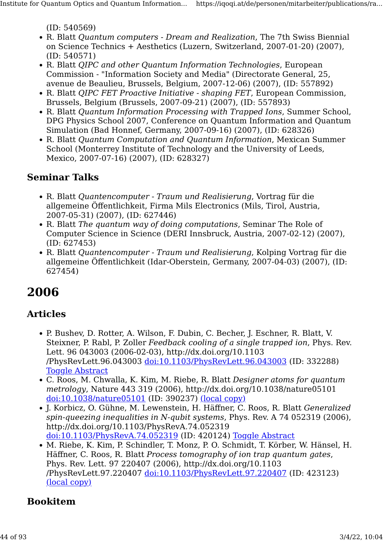(ID: 540569)

- R. Blatt Quantum computers Dream and Realization, The 7th Swiss Biennial on Science Technics + Aesthetics (Luzern, Switzerland, 2007-01-20) (2007), (ID: 540571)
- R. Blatt QIPC and other Quantum Information Technologies, European Commission - "Information Society and Media" (Directorate General, 25, avenue de Beaulieu, Brussels, Belgium, 2007-12-06) (2007), (ID: 557892)
- R. Blatt QIPC FET Proactive Initiative shaping FET, European Commission, Brussels, Belgium (Brussels, 2007-09-21) (2007), (ID: 557893)
- R. Blatt Quantum Information Processing with Trapped Ions, Summer School, DPG Physics School 2007, Conference on Quantum Information and Quantum Simulation (Bad Honnef, Germany, 2007-09-16) (2007), (ID: 628326)
- R. Blatt Quantum Computation and Quantum Information, Mexican Summer School (Monterrey Institute of Technology and the University of Leeds, Mexico, 2007-07-16) (2007), (ID: 628327)

#### Seminar Talks

- R. Blatt Quantencomputer Traum und Realisierung, Vortrag für die allgemeine Öffentlichkeit, Firma Mils Electronics (Mils, Tirol, Austria, 2007-05-31) (2007), (ID: 627446)
- R. Blatt The quantum way of doing computations, Seminar The Role of Computer Science in Science (DERI Innsbruck, Austria, 2007-02-12) (2007), (ID: 627453)
- R. Blatt Quantencomputer Traum und Realisierung, Kolping Vortrag für die allgemeine Öffentlichkeit (Idar-Oberstein, Germany, 2007-04-03) (2007), (ID: 627454)

# 2006

#### Articles

- P. Bushev, D. Rotter, A. Wilson, F. Dubin, C. Becher, J. Eschner, R. Blatt, V. Steixner, P. Rabl, P. Zoller Feedback cooling of a single trapped ion, Phys. Rev. Lett. 96 043003 (2006-02-03), http://dx.doi.org/10.1103 /PhysRevLett.96.043003 [doi:10.1103/PhysRevLett.96.043003](http://dx.doi.org/10.1103/PhysRevLett.96.043003) (ID: 332288) **[Toggle Abstract](https://iqoqi.at/de/personen/mitarbeiter/publications/rainer-blatt?format=raw#)**
- C. Roos, M. Chwalla, K. Kim, M. Riebe, R. Blatt Designer atoms for quantum metrology, Nature 443 319 (2006), http://dx.doi.org/10.1038/nature05101 [doi:10.1038/nature05101](http://dx.doi.org/10.1038/nature05101) (ID: 390237) [\(local copy\)](https://resource.iqoqi.at/reflib/390237.pdf)
- J. Korbicz, O. Gühne, M. Lewenstein, H. Häffner, C. Roos, R. Blatt Generalized spin-queezing inequalities in N-qubit systems, Phys. Rev. A 74 052319 (2006), http://dx.doi.org/10.1103/PhysRevA.74.052319 [doi:10.1103/PhysRevA.74.052319](http://dx.doi.org/10.1103/PhysRevA.74.052319) (ID: 420124) [Toggle Abstract](https://iqoqi.at/de/personen/mitarbeiter/publications/rainer-blatt?format=raw#)
- M. Riebe, K. Kim, P. Schindler, T. Monz, P. O. Schmidt, T. Körber, W. Hänsel, H. Häffner, C. Roos, R. Blatt Process tomography of ion trap quantum gates, Phys. Rev. Lett. 97 220407 (2006), http://dx.doi.org/10.1103 /PhysRevLett.97.220407 [doi:10.1103/PhysRevLett.97.220407](http://dx.doi.org/10.1103/PhysRevLett.97.220407) (ID: 423123) [\(local copy\)](https://resource.iqoqi.at/reflib/423123.pdf)

#### Bookitem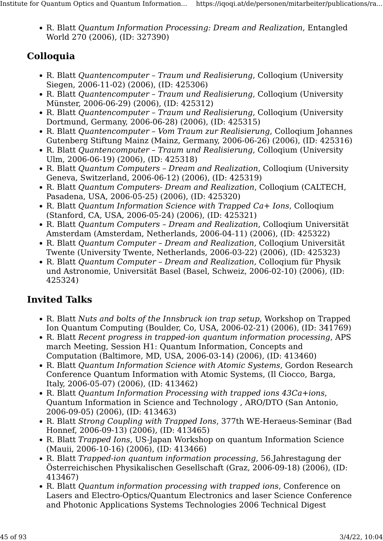• R. Blatt Quantum Information Processing: Dream and Realization, Entangled World 270 (2006), (ID: 327390)

# Colloquia

- R. Blatt Quantencomputer Traum und Realisierung, Colloqium (University Siegen, 2006-11-02) (2006), (ID: 425306)
- R. Blatt Quantencomputer Traum und Realisierung, Colloqium (University Münster, 2006-06-29) (2006), (ID: 425312)
- R. Blatt Quantencomputer Traum und Realisierung, Colloqium (University Dortmund, Germany, 2006-06-28) (2006), (ID: 425315)
- R. Blatt Quantencomputer Vom Traum zur Realisierung, Collogium Johannes Gutenberg Stiftung Mainz (Mainz, Germany, 2006-06-26) (2006), (ID: 425316)
- R. Blatt Quantencomputer Traum und Realisierung, Colloqium (University Ulm, 2006-06-19) (2006), (ID: 425318)
- R. Blatt Quantum Computers Dream and Realization, Colloqium (University Geneva, Switzerland, 2006-06-12) (2006), (ID: 425319)
- R. Blatt Quantum Computers- Dream and Realization, Colloqium (CALTECH, Pasadena, USA, 2006-05-25) (2006), (ID: 425320)
- R. Blatt Quantum Information Science with Trapped Ca+ Ions, Colloqium (Stanford, CA, USA, 2006-05-24) (2006), (ID: 425321)
- R. Blatt Quantum Computers Dream and Realization, Colloqium Universität Amsterdam (Amsterdam, Netherlands, 2006-04-11) (2006), (ID: 425322)
- R. Blatt Quantum Computer Dream and Realization, Colloqium Universität Twente (University Twente, Netherlands, 2006-03-22) (2006), (ID: 425323)
- R. Blatt Quantum Computer Dream and Realization, Colloqium für Physik und Astronomie, Universität Basel (Basel, Schweiz, 2006-02-10) (2006), (ID: 425324)

- R. Blatt Nuts and bolts of the Innsbruck ion trap setup, Workshop on Trapped Ion Quantum Computing (Boulder, Co, USA, 2006-02-21) (2006), (ID: 341769)
- R. Blatt Recent progress in trapped-ion quantum information processing, APS march Meeting, Session H1: Quantum Information, Concepts and Computation (Baltimore, MD, USA, 2006-03-14) (2006), (ID: 413460)
- R. Blatt Quantum Information Science with Atomic Systems, Gordon Research Conference Quantum Information with Atomic Systems, (Il Ciocco, Barga, Italy, 2006-05-07) (2006), (ID: 413462)
- R. Blatt Quantum Information Processing with trapped ions 43Ca+ions, Quantum Information in Science and Technology , ARO/DTO (San Antonio, 2006-09-05) (2006), (ID: 413463)
- R. Blatt Strong Coupling with Trapped Ions, 377th WE-Heraeus-Seminar (Bad Honnef, 2006-09-13) (2006), (ID: 413465)
- R. Blatt *Trapped Ions*, US-Japan Workshop on quantum Information Science (Mauii, 2006-10-16) (2006), (ID: 413466)
- R. Blatt Trapped-ion quantum information processing, 56.Jahrestagung der Österreichischen Physikalischen Gesellschaft (Graz, 2006-09-18) (2006), (ID: 413467)
- R. Blatt Quantum information processing with trapped ions, Conference on Lasers and Electro-Optics/Quantum Electronics and laser Science Conference and Photonic Applications Systems Technologies 2006 Technical Digest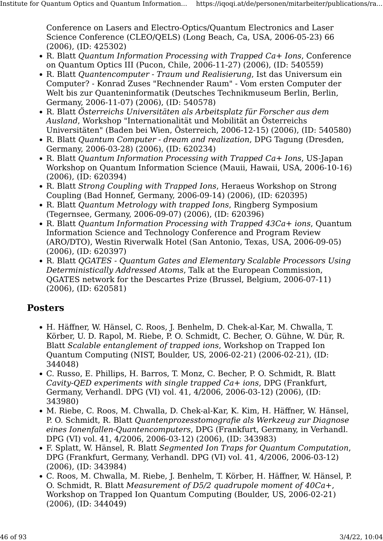Conference on Lasers and Electro-Optics/Quantum Electronics and Laser Science Conference (CLEO/QELS) (Long Beach, Ca, USA, 2006-05-23) 66 (2006), (ID: 425302)

- R. Blatt Quantum Information Processing with Trapped Ca+ Ions, Conference on Quantum Optics III (Pucon, Chile, 2006-11-27) (2006), (ID: 540559)
- R. Blatt Quantencomputer Traum und Realisierung, Ist das Universum ein Computer? - Konrad Zuses "Rechnender Raum" - Vom ersten Computer der Welt bis zur Quanteninformatik (Deutsches Technikmuseum Berlin, Berlin, Germany, 2006-11-07) (2006), (ID: 540578)
- R. Blatt Österreichs Universitäten als Arbeitsplatz für Forscher aus dem Ausland, Workshop "Internationalität und Mobilität an Österreichs Universitäten" (Baden bei Wien, Österreich, 2006-12-15) (2006), (ID: 540580)
- R. Blatt Quantum Computer dream and realization, DPG Tagung (Dresden, Germany, 2006-03-28) (2006), (ID: 620234)
- R. Blatt Quantum Information Processing with Trapped Ca+ Ions, US-Japan Workshop on Quantum Information Science (Mauii, Hawaii, USA, 2006-10-16) (2006), (ID: 620394)
- R. Blatt Strong Coupling with Trapped Ions, Heraeus Workshop on Strong Coupling (Bad Honnef, Germany, 2006-09-14) (2006), (ID: 620395)
- R. Blatt Quantum Metrology with trapped Ions, Ringberg Symposium (Tegernsee, Germany, 2006-09-07) (2006), (ID: 620396)
- R. Blatt Quantum Information Processing with Trapped 43Ca+ ions, Quantum Information Science and Technology Conference and Program Review (ARO/DTO), Westin Riverwalk Hotel (San Antonio, Texas, USA, 2006-09-05) (2006), (ID: 620397)
- R. Blatt QGATES Quantum Gates and Elementary Scalable Processors Using Deterministically Addressed Atoms, Talk at the European Commission, QGATES network for the Descartes Prize (Brussel, Belgium, 2006-07-11) (2006), (ID: 620581)

#### Posters

- H. Häffner, W. Hänsel, C. Roos, J. Benhelm, D. Chek-al-Kar, M. Chwalla, T. Körber, U. D. Rapol, M. Riebe, P. O. Schmidt, C. Becher, O. Gühne, W. Dür, R. Blatt Scalable entanglement of trapped ions, Workshop on Trapped Ion Quantum Computing (NIST, Boulder, US, 2006-02-21) (2006-02-21), (ID: 344048)
- C. Russo, E. Phillips, H. Barros, T. Monz, C. Becher, P. O. Schmidt, R. Blatt Cavity-QED experiments with single trapped Ca+ ions, DPG (Frankfurt, Germany, Verhandl. DPG (VI) vol. 41, 4/2006, 2006-03-12) (2006), (ID: 343980)
- M. Riebe, C. Roos, M. Chwalla, D. Chek-al-Kar, K. Kim, H. Häffner, W. Hänsel, P. O. Schmidt, R. Blatt Quantenprozesstomografie als Werkzeug zur Diagnose eines Ionenfallen-Quantencomputers, DPG (Frankfurt, Germany, in Verhandl. DPG (VI) vol. 41, 4/2006, 2006-03-12) (2006), (ID: 343983)
- F. Splatt, W. Hänsel, R. Blatt Segmented Ion Traps for Quantum Computation, DPG (Frankfurt, Germany, Verhandl. DPG (VI) vol. 41, 4/2006, 2006-03-12) (2006), (ID: 343984)
- C. Roos, M. Chwalla, M. Riebe, J. Benhelm, T. Körber, H. Häffner, W. Hänsel, P. O. Schmidt, R. Blatt Measurement of D5/2 quadrupole moment of 40Ca+, Workshop on Trapped Ion Quantum Computing (Boulder, US, 2006-02-21) (2006), (ID: 344049)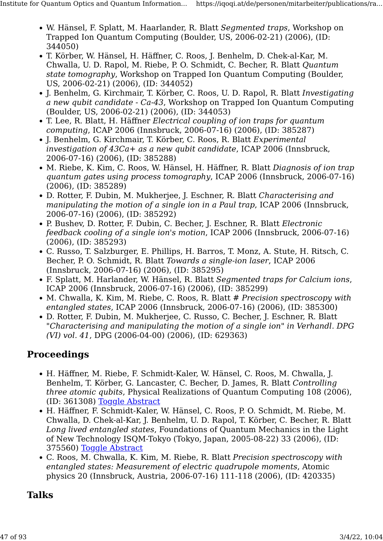- W. Hänsel, F. Splatt, M. Haarlander, R. Blatt Segmented traps, Workshop on Trapped Ion Quantum Computing (Boulder, US, 2006-02-21) (2006), (ID: 344050)
- T. Körber, W. Hänsel, H. Häffner, C. Roos, J. Benhelm, D. Chek-al-Kar, M. Chwalla, U. D. Rapol, M. Riebe, P. O. Schmidt, C. Becher, R. Blatt Quantum state tomography, Workshop on Trapped Ion Quantum Computing (Boulder, US, 2006-02-21) (2006), (ID: 344052)
- J. Benhelm, G. Kirchmair, T. Körber, C. Roos, U. D. Rapol, R. Blatt Investigating a new qubit candidate - Ca-43, Workshop on Trapped Ion Quantum Computing (Boulder, US, 2006-02-21) (2006), (ID: 344053)
- T. Lee, R. Blatt, H. Häffner Electrical coupling of ion traps for quantum computing, ICAP 2006 (Innsbruck, 2006-07-16) (2006), (ID: 385287)
- J. Benhelm, G. Kirchmair, T. Körber, C. Roos, R. Blatt Experimental investigation of 43Ca+ as a new qubit candidate, ICAP 2006 (Innsbruck, 2006-07-16) (2006), (ID: 385288)
- M. Riebe, K. Kim, C. Roos, W. Hänsel, H. Häffner, R. Blatt Diagnosis of ion trap quantum gates using process tomography, ICAP 2006 (Innsbruck, 2006-07-16) (2006), (ID: 385289)
- D. Rotter, F. Dubin, M. Mukherjee, J. Eschner, R. Blatt Characterising and manipulating the motion of a single ion in a Paul trap, ICAP 2006 (Innsbruck, 2006-07-16) (2006), (ID: 385292)
- P. Bushev, D. Rotter, F. Dubin, C. Becher, J. Eschner, R. Blatt Electronic feedback cooling of a single ion's motion, ICAP 2006 (Innsbruck, 2006-07-16) (2006), (ID: 385293)
- C. Russo, T. Salzburger, E. Phillips, H. Barros, T. Monz, A. Stute, H. Ritsch, C. Becher, P. O. Schmidt, R. Blatt Towards a single-ion laser, ICAP 2006 (Innsbruck, 2006-07-16) (2006), (ID: 385295)
- F. Splatt, M. Harlander, W. Hänsel, R. Blatt Segmented traps for Calcium ions, ICAP 2006 (Innsbruck, 2006-07-16) (2006), (ID: 385299)
- M. Chwalla, K. Kim, M. Riebe, C. Roos, R. Blatt # Precision spectroscopy with entangled states, ICAP 2006 (Innsbruck, 2006-07-16) (2006), (ID: 385300)
- D. Rotter, F. Dubin, M. Mukherjee, C. Russo, C. Becher, J. Eschner, R. Blatt "Characterising and manipulating the motion of a single ion" in Verhandl. DPG (VI) vol. 41, DPG (2006-04-00) (2006), (ID: 629363)

#### Proceedings

- H. Häffner, M. Riebe, F. Schmidt-Kaler, W. Hänsel, C. Roos, M. Chwalla, J. Benhelm, T. Körber, G. Lancaster, C. Becher, D. James, R. Blatt Controlling three atomic qubits, Physical Realizations of Quantum Computing 108 (2006), (ID: 361308) [Toggle Abstract](https://iqoqi.at/de/personen/mitarbeiter/publications/rainer-blatt?format=raw#)
- H. Häffner, F. Schmidt-Kaler, W. Hänsel, C. Roos, P. O. Schmidt, M. Riebe, M. Chwalla, D. Chek-al-Kar, J. Benhelm, U. D. Rapol, T. Körber, C. Becher, R. Blatt Long lived entangled states, Foundations of Quantum Mechanics in the Light of New Technology ISQM-Tokyo (Tokyo, Japan, 2005-08-22) 33 (2006), (ID: 375560) [Toggle Abstract](https://iqoqi.at/de/personen/mitarbeiter/publications/rainer-blatt?format=raw#)
- C. Roos, M. Chwalla, K. Kim, M. Riebe, R. Blatt Precision spectroscopy with entangled states: Measurement of electric quadrupole moments, Atomic physics 20 (Innsbruck, Austria, 2006-07-16) 111-118 (2006), (ID: 420335)

#### **Talks**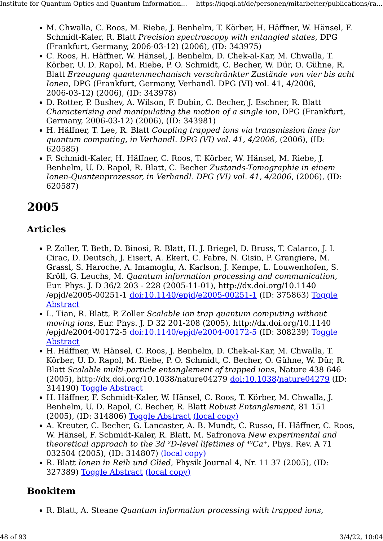- M. Chwalla, C. Roos, M. Riebe, J. Benhelm, T. Körber, H. Häffner, W. Hänsel, F. Schmidt-Kaler, R. Blatt Precision spectroscopy with entangled states, DPG (Frankfurt, Germany, 2006-03-12) (2006), (ID: 343975)
- C. Roos, H. Häffner, W. Hänsel, J. Benhelm, D. Chek-al-Kar, M. Chwalla, T. Körber, U. D. Rapol, M. Riebe, P. O. Schmidt, C. Becher, W. Dür, O. Gühne, R. Blatt Erzeugung quantenmechanisch verschränkter Zustände von vier bis acht Ionen, DPG (Frankfurt, Germany, Verhandl. DPG (VI) vol. 41, 4/2006, 2006-03-12) (2006), (ID: 343978)
- D. Rotter, P. Bushev, A. Wilson, F. Dubin, C. Becher, J. Eschner, R. Blatt Characterising and manipulating the motion of a single ion, DPG (Frankfurt, Germany, 2006-03-12) (2006), (ID: 343981)
- H. Häffner, T. Lee, R. Blatt Coupling trapped ions via transmission lines for quantum computing, in Verhandl. DPG (VI) vol. 41, 4/2006, (2006), (ID: 620585)
- F. Schmidt-Kaler, H. Häffner, C. Roos, T. Körber, W. Hänsel, M. Riebe, J. Benhelm, U. D. Rapol, R. Blatt, C. Becher Zustands-Tomographie in einem Ionen-Quantenprozessor, in Verhandl. DPG (VI) vol. 41, 4/2006, (2006), (ID: 620587)

# 2005

#### Articles

- P. Zoller, T. Beth, D. Binosi, R. Blatt, H. J. Briegel, D. Bruss, T. Calarco, J. I. Cirac, D. Deutsch, J. Eisert, A. Ekert, C. Fabre, N. Gisin, P. Grangiere, M. Grassl, S. Haroche, A. Imamoglu, A. Karlson, J. Kempe, L. Louwenhofen, S. Kröll, G. Leuchs, M. Quantum information processing and communication, Eur. Phys. J. D 36/2 203 - 228 (2005-11-01), http://dx.doi.org/10.1140 /epjd/e2005-00251-1 [doi:10.1140/epjd/e2005-00251-1](http://dx.doi.org/10.1140/epjd/e2005-00251-1) (ID: 375863) [Toggle](https://iqoqi.at/de/personen/mitarbeiter/publications/rainer-blatt?format=raw#) [Abstract](https://iqoqi.at/de/personen/mitarbeiter/publications/rainer-blatt?format=raw#)
- L. Tian, R. Blatt, P. Zoller Scalable ion trap quantum computing without moving ions, Eur. Phys. J. D 32 201-208 (2005), http://dx.doi.org/10.1140 /epjd/e2004-00172-5 [doi:10.1140/epjd/e2004-00172-5](http://dx.doi.org/10.1140/epjd/e2004-00172-5) (ID: 308239) [Toggle](https://iqoqi.at/de/personen/mitarbeiter/publications/rainer-blatt?format=raw#) [Abstract](https://iqoqi.at/de/personen/mitarbeiter/publications/rainer-blatt?format=raw#)
- H. Häffner, W. Hänsel, C. Roos, J. Benhelm, D. Chek-al-Kar, M. Chwalla, T. Körber, U. D. Rapol, M. Riebe, P. O. Schmidt, C. Becher, O. Gühne, W. Dür, R. Blatt Scalable multi-particle entanglement of trapped ions, Nature 438 646 (2005), http://dx.doi.org/10.1038/nature04279 [doi:10.1038/nature04279](http://dx.doi.org/10.1038/nature04279) (ID: 314190) [Toggle Abstract](https://iqoqi.at/de/personen/mitarbeiter/publications/rainer-blatt?format=raw#)
- H. Häffner, F. Schmidt-Kaler, W. Hänsel, C. Roos, T. Körber, M. Chwalla, J. Benhelm, U. D. Rapol, C. Becher, R. Blatt Robust Entanglement, 81 151 (2005), (ID: 314806) [Toggle Abstract](https://iqoqi.at/de/personen/mitarbeiter/publications/rainer-blatt?format=raw#) [\(local copy\)](https://resource.iqoqi.at/reflib/314806.pdf)
- A. Kreuter, C. Becher, G. Lancaster, A. B. Mundt, C. Russo, H. Häffner, C. Roos, W. Hänsel, F. Schmidt-Kaler, R. Blatt, M. Safronova New experimental and theoretical approach to the 3d <sup>2</sup>D-level lifetimes of  $40Ca<sup>+</sup>$ , Phys. Rev. A 71 032504 (2005), (ID: 314807) [\(local copy\)](https://resource.iqoqi.at/reflib/314807.pdf)
- R. Blatt Ionen in Reih und Glied, Physik Journal 4, Nr. 11 37 (2005), (ID: 327389) [Toggle Abstract](https://iqoqi.at/de/personen/mitarbeiter/publications/rainer-blatt?format=raw#) [\(local copy\)](https://resource.iqoqi.at/reflib/327389.pdf)

# Bookitem

• R. Blatt, A. Steane Quantum information processing with trapped ions,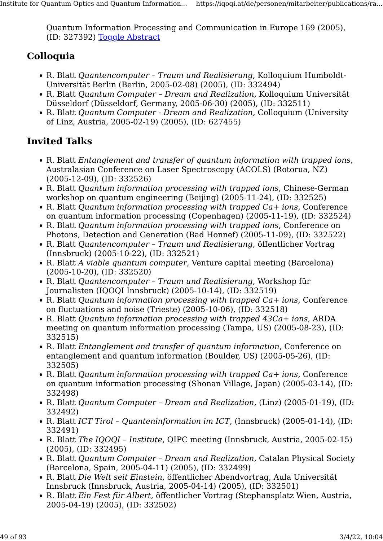Quantum Information Processing and Communication in Europe 169 (2005), (ID: 327392) [Toggle Abstract](https://iqoqi.at/de/personen/mitarbeiter/publications/rainer-blatt?format=raw#)

## Colloquia

- R. Blatt Quantencomputer Traum und Realisierung, Kolloquium Humboldt-Universität Berlin (Berlin, 2005-02-08) (2005), (ID: 332494)
- R. Blatt Quantum Computer Dream and Realization, Kolloquium Universität Düsseldorf (Düsseldorf, Germany, 2005-06-30) (2005), (ID: 332511)
- R. Blatt Quantum Computer Dream and Realization, Colloquium (University of Linz, Austria, 2005-02-19) (2005), (ID: 627455)

- R. Blatt Entanglement and transfer of quantum information with trapped ions, Australasian Conference on Laser Spectroscopy (ACOLS) (Rotorua, NZ) (2005-12-09), (ID: 332526)
- R. Blatt Quantum information processing with trapped ions, Chinese-German workshop on quantum engineering (Beijing) (2005-11-24), (ID: 332525)
- R. Blatt Quantum information processing with trapped Ca+ ions, Conference on quantum information processing (Copenhagen) (2005-11-19), (ID: 332524)
- R. Blatt Quantum information processing with trapped ions, Conference on Photons, Detection and Generation (Bad Honnef) (2005-11-09), (ID: 332522)
- R. Blatt Quantencomputer Traum und Realisierung, öffentlicher Vortrag (Innsbruck) (2005-10-22), (ID: 332521)
- R. Blatt A viable quantum computer, Venture capital meeting (Barcelona) (2005-10-20), (ID: 332520)
- R. Blatt Quantencomputer Traum und Realisierung, Workshop für Journalisten (IQOQI Innsbruck) (2005-10-14), (ID: 332519)
- R. Blatt Quantum information processing with trapped Ca+ ions, Conference on fluctuations and noise (Trieste) (2005-10-06), (ID: 332518)
- R. Blatt Quantum information processing with trapped 43Ca+ ions, ARDA meeting on quantum information processing (Tampa, US) (2005-08-23), (ID: 332515)
- R. Blatt Entanglement and transfer of quantum information, Conference on entanglement and quantum information (Boulder, US) (2005-05-26), (ID: 332505)
- R. Blatt Quantum information processing with trapped Ca+ ions, Conference on quantum information processing (Shonan Village, Japan) (2005-03-14), (ID: 332498)
- R. Blatt Quantum Computer Dream and Realization, (Linz) (2005-01-19), (ID: 332492)
- R. Blatt ICT Tirol Quanteninformation im ICT, (Innsbruck) (2005-01-14), (ID: 332491)
- R. Blatt The IQQOI Institute, OIPC meeting (Innsbruck, Austria, 2005-02-15) (2005), (ID: 332495)
- R. Blatt Quantum Computer Dream and Realization, Catalan Physical Society (Barcelona, Spain, 2005-04-11) (2005), (ID: 332499)
- R. Blatt Die Welt seit Einstein, öffentlicher Abendvortrag, Aula Universität Innsbruck (Innsbruck, Austria, 2005-04-14) (2005), (ID: 332501)
- R. Blatt Ein Fest für Albert, öffentlicher Vortrag (Stephansplatz Wien, Austria, 2005-04-19) (2005), (ID: 332502)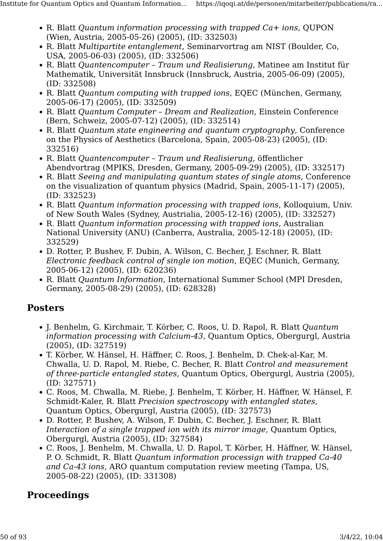- R. Blatt Quantum information processing with trapped Ca+ ions, QUPON (Wien, Austria, 2005-05-26) (2005), (ID: 332503)
- R. Blatt Multipartite entanglement, Seminarvortrag am NIST (Boulder, Co, USA, 2005-06-03) (2005), (ID: 332506)
- R. Blatt Quantencomputer Traum und Realisierung, Matinee am Institut für Mathematik, Universität Innsbruck (Innsbruck, Austria, 2005-06-09) (2005), (ID: 332508)
- R. Blatt Quantum computing with trapped ions, EQEC (München, Germany, 2005-06-17) (2005), (ID: 332509)
- R. Blatt Quantum Computer Dream and Realization, Einstein Conference (Bern, Schweiz, 2005-07-12) (2005), (ID: 332514)
- R. Blatt Quantum state engineering and quantum cryptography, Conference on the Physics of Aesthetics (Barcelona, Spain, 2005-08-23) (2005), (ID: 332516)
- R. Blatt Quantencomputer Traum und Realisierung, öffentlicher Abendvortrag (MPIKS, Dresden, Germany, 2005-09-29) (2005), (ID: 332517)
- R. Blatt Seeing and manipulating quantum states of single atoms, Conference on the visualization of quantum physics (Madrid, Spain, 2005-11-17) (2005), (ID: 332523)
- R. Blatt Quantum information processing with trapped ions, Kolloquium, Univ. of New South Wales (Sydney, Austrialia, 2005-12-16) (2005), (ID: 332527)
- R. Blatt Quantum information processing with trapped ions, Australian National University (ANU) (Canberra, Australia, 2005-12-18) (2005), (ID: 332529)
- D. Rotter, P. Bushev, F. Dubin, A. Wilson, C. Becher, J. Eschner, R. Blatt Electronic feedback control of single ion motion, EQEC (Munich, Germany, 2005-06-12) (2005), (ID: 620236)
- R. Blatt Quantum Information, International Summer School (MPI Dresden, Germany, 2005-08-29) (2005), (ID: 628328)

#### Posters

- J. Benhelm, G. Kirchmair, T. Körber, C. Roos, U. D. Rapol, R. Blatt Quantum information processing with Calcium-43, Quantum Optics, Obergurgl, Austria (2005), (ID: 327519)
- T. Körber, W. Hänsel, H. Häffner, C. Roos, J. Benhelm, D. Chek-al-Kar, M. Chwalla, U. D. Rapol, M. Riebe, C. Becher, R. Blatt Control and measurement of three-particle entangled states, Quantum Optics, Obergurgl, Austria (2005), (ID: 327571)
- C. Roos, M. Chwalla, M. Riebe, J. Benhelm, T. Körber, H. Häffner, W. Hänsel, F. Schmidt-Kaler, R. Blatt Precision spectroscopy with entangled states, Quantum Optics, Obergurgl, Austria (2005), (ID: 327573)
- D. Rotter, P. Bushev, A. Wilson, F. Dubin, C. Becher, J. Eschner, R. Blatt Interaction of a single trapped ion with its mirror image, Quantum Optics, Obergurgl, Austria (2005), (ID: 327584)
- C. Roos, J. Benhelm, M. Chwalla, U. D. Rapol, T. Körber, H. Häffner, W. Hänsel, P. O. Schmidt, R. Blatt Quantum information processign with trapped Ca-40 and Ca-43 ions, ARO quantum computation review meeting (Tampa, US, 2005-08-22) (2005), (ID: 331308)

## Proceedings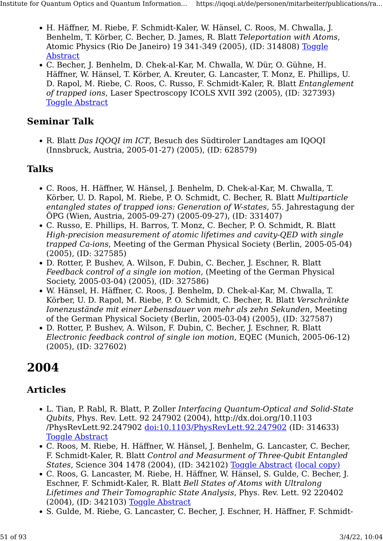- H. Häffner, M. Riebe, F. Schmidt-Kaler, W. Hänsel, C. Roos, M. Chwalla, J. Benhelm, T. Körber, C. Becher, D. James, R. Blatt Teleportation with Atoms, Atomic Physics (Rio De Janeiro) 19 341-349 (2005), (ID: 314808) [Toggle](https://iqoqi.at/de/personen/mitarbeiter/publications/rainer-blatt?format=raw#) [Abstract](https://iqoqi.at/de/personen/mitarbeiter/publications/rainer-blatt?format=raw#)
- C. Becher, J. Benhelm, D. Chek-al-Kar, M. Chwalla, W. Dür, O. Gühne, H. Häffner, W. Hänsel, T. Körber, A. Kreuter, G. Lancaster, T. Monz, E. Phillips, U. D. Rapol, M. Riebe, C. Roos, C. Russo, F. Schmidt-Kaler, R. Blatt Entanglement of trapped ions, Laser Spectroscopy ICOLS XVII 392 (2005), (ID: 327393) [Toggle Abstract](https://iqoqi.at/de/personen/mitarbeiter/publications/rainer-blatt?format=raw#)

#### Seminar Talk

• R. Blatt Das IQOQI im ICT, Besuch des Südtiroler Landtages am IQOQI (Innsbruck, Austria, 2005-01-27) (2005), (ID: 628579)

#### Talks

- C. Roos, H. Häffner, W. Hänsel, J. Benhelm, D. Chek-al-Kar, M. Chwalla, T. Körber, U. D. Rapol, M. Riebe, P. O. Schmidt, C. Becher, R. Blatt Multiparticle entangled states of trapped ions: Generation of W-states, 55. Jahrestagung der ÖPG (Wien, Austria, 2005-09-27) (2005-09-27), (ID: 331407)
- C. Russo, E. Phillips, H. Barros, T. Monz, C. Becher, P. O. Schmidt, R. Blatt High-precision measurement of atomic lifetimes and cavity-QED with single trapped Ca-ions, Meeting of the German Physical Society (Berlin, 2005-05-04) (2005), (ID: 327585)
- D. Rotter, P. Bushev, A. Wilson, F. Dubin, C. Becher, J. Eschner, R. Blatt Feedback control of a single ion motion, (Meeting of the German Physical Society, 2005-03-04) (2005), (ID: 327586)
- W. Hänsel, H. Häffner, C. Roos, J. Benhelm, D. Chek-al-Kar, M. Chwalla, T. Körber, U. D. Rapol, M. Riebe, P. O. Schmidt, C. Becher, R. Blatt Verschränkte Ionenzustände mit einer Lebensdauer von mehr als zehn Sekunden, Meeting of the German Physical Society (Berlin, 2005-03-04) (2005), (ID: 327587)
- D. Rotter, P. Bushev, A. Wilson, F. Dubin, C. Becher, J. Eschner, R. Blatt Electronic feedback control of single ion motion, EQEC (Munich, 2005-06-12) (2005), (ID: 327602)

# 2004

#### Articles

- L. Tian, P. Rabl, R. Blatt, P. Zoller Interfacing Quantum-Optical and Solid-State Qubits, Phys. Rev. Lett. 92 247902 (2004), http://dx.doi.org/10.1103 /PhysRevLett.92.247902 [doi:10.1103/PhysRevLett.92.247902](http://dx.doi.org/10.1103/PhysRevLett.92.247902) (ID: 314633) [Toggle Abstract](https://iqoqi.at/de/personen/mitarbeiter/publications/rainer-blatt?format=raw#)
- C. Roos, M. Riebe, H. Häffner, W. Hänsel, J. Benhelm, G. Lancaster, C. Becher, F. Schmidt-Kaler, R. Blatt Control and Measurment of Three-Qubit Entangled States, Science 304 1478 (2004), (ID: 342102) [Toggle Abstract](https://iqoqi.at/de/personen/mitarbeiter/publications/rainer-blatt?format=raw#) [\(local copy\)](https://resource.iqoqi.at/reflib/342102.pdf)
- C. Roos, G. Lancaster, M. Riebe, H. Häffner, W. Hänsel, S. Gulde, C. Becher, J. Eschner, F. Schmidt-Kaler, R. Blatt Bell States of Atoms with Ultralong Lifetimes and Their Tomographic State Analysis, Phys. Rev. Lett. 92 220402 (2004), (ID: 342103) [Toggle Abstract](https://iqoqi.at/de/personen/mitarbeiter/publications/rainer-blatt?format=raw#)
- S. Gulde, M. Riebe, G. Lancaster, C. Becher, J. Eschner, H. Häffner, F. Schmidt-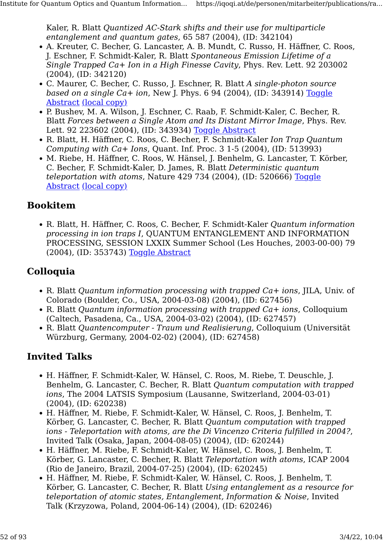Kaler, R. Blatt Quantized AC-Stark shifts and their use for multiparticle entanglement and quantum gates, 65 587 (2004), (ID: 342104)

- A. Kreuter, C. Becher, G. Lancaster, A. B. Mundt, C. Russo, H. Häffner, C. Roos, J. Eschner, F. Schmidt-Kaler, R. Blatt Spontaneous Emission Lifetime of a Single Trapped Ca+ Ion in a High Finesse Cavity, Phys. Rev. Lett. 92 203002 (2004), (ID: 342120)
- C. Maurer, C. Becher, C. Russo, J. Eschner, R. Blatt A single-photon source based on a single  $Ca+$  ion, New J. Phys. 6 94 (2004), (ID: 343914) [Toggle](https://iqoqi.at/de/personen/mitarbeiter/publications/rainer-blatt?format=raw#) [Abstract](https://iqoqi.at/de/personen/mitarbeiter/publications/rainer-blatt?format=raw#) [\(local copy\)](https://resource.iqoqi.at/reflib/343914.pdf)
- P. Bushev, M. A. Wilson, J. Eschner, C. Raab, F. Schmidt-Kaler, C. Becher, R. Blatt Forces between a Single Atom and Its Distant Mirror Image, Phys. Rev. Lett. 92 223602 (2004), (ID: 343934) [Toggle Abstract](https://iqoqi.at/de/personen/mitarbeiter/publications/rainer-blatt?format=raw#)
- R. Blatt, H. Häffner, C. Roos, C. Becher, F. Schmidt-Kaler Ion Trap Quantum Computing with Ca+ Ions, Quant. Inf. Proc. 3 1-5 (2004), (ID: 513993)
- M. Riebe, H. Häffner, C. Roos, W. Hänsel, J. Benhelm, G. Lancaster, T. Körber, C. Becher, F. Schmidt-Kaler, D. James, R. Blatt Deterministic quantum teleportation with atoms, Nature 429 734 (2004), (ID: 520666) [Toggle](https://iqoqi.at/de/personen/mitarbeiter/publications/rainer-blatt?format=raw#) [Abstract](https://iqoqi.at/de/personen/mitarbeiter/publications/rainer-blatt?format=raw#) [\(local copy\)](https://resource.iqoqi.at/reflib/520666.pdf)

#### Bookitem

• R. Blatt, H. Häffner, C. Roos, C. Becher, F. Schmidt-Kaler Quantum information processing in ion traps I, QUANTUM ENTANGLEMENT AND INFORMATION PROCESSING, SESSION LXXIX Summer School (Les Houches, 2003-00-00) 79 (2004), (ID: 353743) [Toggle Abstract](https://iqoqi.at/de/personen/mitarbeiter/publications/rainer-blatt?format=raw#)

#### **Colloquia**

- R. Blatt Quantum information processing with trapped Ca+ ions, JILA, Univ. of Colorado (Boulder, Co., USA, 2004-03-08) (2004), (ID: 627456)
- R. Blatt Quantum information processing with trapped Ca+ ions, Colloquium (Caltech, Pasadena, Ca., USA, 2004-03-02) (2004), (ID: 627457)
- R. Blatt Quantencomputer Traum und Realisierung, Colloquium (Universität Würzburg, Germany, 2004-02-02) (2004), (ID: 627458)

- H. Häffner, F. Schmidt-Kaler, W. Hänsel, C. Roos, M. Riebe, T. Deuschle, J. Benhelm, G. Lancaster, C. Becher, R. Blatt Quantum computation with trapped ions, The 2004 LATSIS Symposium (Lausanne, Switzerland, 2004-03-01) (2004), (ID: 620238)
- H. Häffner, M. Riebe, F. Schmidt-Kaler, W. Hänsel, C. Roos, J. Benhelm, T. Körber, G. Lancaster, C. Becher, R. Blatt Quantum computation with trapped ions - Teleportation with atoms, are the Di Vincenzo Criteria fulfilled in 2004?, Invited Talk (Osaka, Japan, 2004-08-05) (2004), (ID: 620244)
- H. Häffner, M. Riebe, F. Schmidt-Kaler, W. Hänsel, C. Roos, J. Benhelm, T. Körber, G. Lancaster, C. Becher, R. Blatt Teleportation with atoms, ICAP 2004 (Rio de Janeiro, Brazil, 2004-07-25) (2004), (ID: 620245)
- H. Häffner, M. Riebe, F. Schmidt-Kaler, W. Hänsel, C. Roos, J. Benhelm, T. Körber, G. Lancaster, C. Becher, R. Blatt Using entanglement as a resource for teleportation of atomic states, Entanglement, Information & Noise, Invited Talk (Krzyzowa, Poland, 2004-06-14) (2004), (ID: 620246)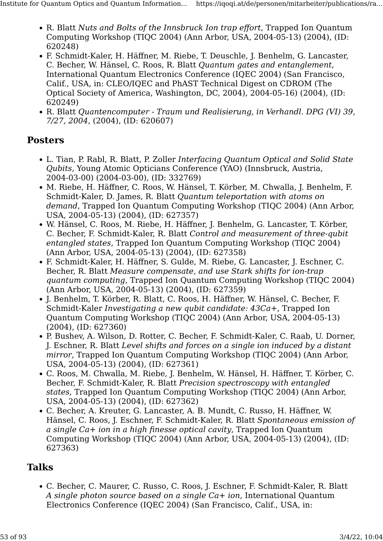- R. Blatt Nuts and Bolts of the Innsbruck Ion trap effort, Trapped Ion Quantum Computing Workshop (TIQC 2004) (Ann Arbor, USA, 2004-05-13) (2004), (ID: 620248)
- F. Schmidt-Kaler, H. Häffner, M. Riebe, T. Deuschle, J. Benhelm, G. Lancaster, C. Becher, W. Hänsel, C. Roos, R. Blatt Quantum gates and entanglement, International Quantum Electronics Conference (IQEC 2004) (San Francisco, Calif., USA, in: CLEO/IQEC and PhAST Technical Digest on CDROM (The Optical Society of America, Washington, DC, 2004), 2004-05-16) (2004), (ID: 620249)
- R. Blatt Quantencomputer Traum und Realisierung, in Verhandl. DPG (VI) 39, 7/27, 2004, (2004), (ID: 620607)

#### Posters

- L. Tian, P. Rabl, R. Blatt, P. Zoller Interfacing Quantum Optical and Solid State Qubits, Young Atomic Opticians Conference (YAO) (Innsbruck, Austria, 2004-03-00) (2004-03-00), (ID: 332769)
- M. Riebe, H. Häffner, C. Roos, W. Hänsel, T. Körber, M. Chwalla, J. Benhelm, F. Schmidt-Kaler, D. James, R. Blatt Quantum teleportation with atoms on demand, Trapped Ion Quantum Computing Workshop (TIQC 2004) (Ann Arbor, USA, 2004-05-13) (2004), (ID: 627357)
- W. Hänsel, C. Roos, M. Riebe, H. Häffner, J. Benhelm, G. Lancaster, T. Körber, C. Becher, F. Schmidt-Kaler, R. Blatt Control and measurement of three-qubit entangled states, Trapped Ion Quantum Computing Workshop (TIQC 2004) (Ann Arbor, USA, 2004-05-13) (2004), (ID: 627358)
- F. Schmidt-Kaler, H. Häffner, S. Gulde, M. Riebe, G. Lancaster, J. Eschner, C. Becher, R. Blatt Measure compensate, and use Stark shifts for ion-trap quantum computing, Trapped Ion Quantum Computing Workshop (TIQC 2004) (Ann Arbor, USA, 2004-05-13) (2004), (ID: 627359)
- J. Benhelm, T. Körber, R. Blatt, C. Roos, H. Häffner, W. Hänsel, C. Becher, F. Schmidt-Kaler Investigating a new qubit candidate: 43Ca+, Trapped Ion Quantum Computing Workshop (TIQC 2004) (Ann Arbor, USA, 2004-05-13) (2004), (ID: 627360)
- P. Bushev, A. Wilson, D. Rotter, C. Becher, F. Schmidt-Kaler, C. Raab, U. Dorner, J. Eschner, R. Blatt Level shifts and forces on a single ion induced by a distant mirror, Trapped Ion Quantum Computing Workshop (TIQC 2004) (Ann Arbor, USA, 2004-05-13) (2004), (ID: 627361)
- C. Roos, M. Chwalla, M. Riebe, J. Benhelm, W. Hänsel, H. Häffner, T. Körber, C. Becher, F. Schmidt-Kaler, R. Blatt Precision spectroscopy with entangled states, Trapped Ion Quantum Computing Workshop (TIQC 2004) (Ann Arbor, USA, 2004-05-13) (2004), (ID: 627362)
- C. Becher, A. Kreuter, G. Lancaster, A. B. Mundt, C. Russo, H. Häffner, W. Hänsel, C. Roos, J. Eschner, F. Schmidt-Kaler, R. Blatt Spontaneous emission of a single Ca+ ion in a high finesse optical cavity, Trapped Ion Quantum Computing Workshop (TIQC 2004) (Ann Arbor, USA, 2004-05-13) (2004), (ID: 627363)

#### Talks

• C. Becher, C. Maurer, C. Russo, C. Roos, J. Eschner, F. Schmidt-Kaler, R. Blatt A single photon source based on a single Ca+ ion, International Quantum Electronics Conference (IQEC 2004) (San Francisco, Calif., USA, in: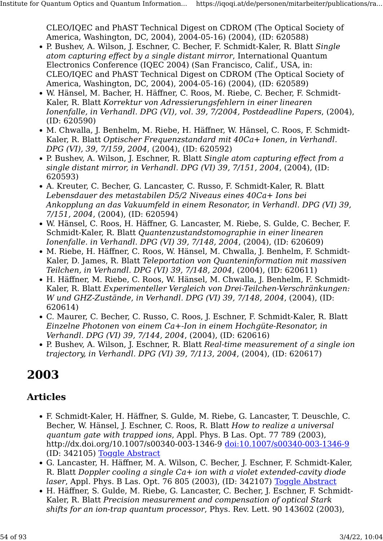CLEO/IQEC and PhAST Technical Digest on CDROM (The Optical Society of America, Washington, DC, 2004), 2004-05-16) (2004), (ID: 620588)

- P. Bushev, A. Wilson, J. Eschner, C. Becher, F. Schmidt-Kaler, R. Blatt Single atom capturing effect by a single distant mirror, International Quantum Electronics Conference (IQEC 2004) (San Francisco, Calif., USA, in: CLEO/IQEC and PhAST Technical Digest on CDROM (The Optical Society of America, Washington, DC, 2004), 2004-05-16) (2004), (ID: 620589)
- W. Hänsel, M. Bacher, H. Häffner, C. Roos, M. Riebe, C. Becher, F. Schmidt-Kaler, R. Blatt Korrektur von Adressierungsfehlern in einer linearen Ionenfalle, in Verhandl. DPG (VI), vol. 39, 7/2004, Postdeadline Papers, (2004), (ID: 620590)
- M. Chwalla, J. Benhelm, M. Riebe, H. Häffner, W. Hänsel, C. Roos, F. Schmidt-Kaler, R. Blatt Optischer Frequenzstandard mit 40Ca+ Ionen, in Verhandl. DPG (VI), 39, 7/159, 2004, (2004), (ID: 620592)
- P. Bushev, A. Wilson, J. Eschner, R. Blatt Single atom capturing effect from a single distant mirror, in Verhandl. DPG (VI) 39, 7/151, 2004, (2004), (ID: 620593)
- A. Kreuter, C. Becher, G. Lancaster, C. Russo, F. Schmidt-Kaler, R. Blatt Lebensdauer des metastabilen D5/2 Niveaus eines 40Ca+ Ions bei Ankopplung an das Vakuumfeld in einem Resonator, in Verhandl. DPG (VI) 39, 7/151, 2004, (2004), (ID: 620594)
- W. Hänsel, C. Roos, H. Häffner, G. Lancaster, M. Riebe, S. Gulde, C. Becher, F. Schmidt-Kaler, R. Blatt Quantenzustandstomographie in einer linearen Ionenfalle. in Verhandl. DPG (VI) 39, 7/148, 2004, (2004), (ID: 620609)
- M. Riebe, H. Häffner, C. Roos, W. Hänsel, M. Chwalla, J. Benhelm, F. Schmidt-Kaler, D. James, R. Blatt Teleportation von Quanteninformation mit massiven Teilchen, in Verhandl. DPG (VI) 39, 7/148, 2004, (2004), (ID: 620611)
- H. Häffner, M. Riebe, C. Roos, W. Hänsel, M. Chwalla, J. Benhelm, F. Schmidt-Kaler, R. Blatt Experimenteller Vergleich von Drei-Teilchen-Verschränkungen: W und GHZ-Zustände, in Verhandl. DPG (VI) 39, 7/148, 2004, (2004), (ID: 620614)
- C. Maurer, C. Becher, C. Russo, C. Roos, J. Eschner, F. Schmidt-Kaler, R. Blatt Einzelne Photonen von einem Ca+-Ion in einem Hochgüte-Resonator, in Verhandl. DPG (VI) 39, 7/144, 2004, (2004), (ID: 620616)
- P. Bushev, A. Wilson, J. Eschner, R. Blatt Real-time measurement of a single ion trajectory, in Verhandl. DPG (VI) 39, 7/113, 2004, (2004), (ID: 620617)

# 2003

#### Articles

- F. Schmidt-Kaler, H. Häffner, S. Gulde, M. Riebe, G. Lancaster, T. Deuschle, C. Becher, W. Hänsel, J. Eschner, C. Roos, R. Blatt How to realize a universal quantum gate with trapped ions, Appl. Phys. B Las. Opt. 77 789 (2003), http://dx.doi.org/10.1007/s00340-003-1346-9 [doi:10.1007/s00340-003-1346-9](http://dx.doi.org/10.1007/s00340-003-1346-9) (ID: 342105) [Toggle Abstract](https://iqoqi.at/de/personen/mitarbeiter/publications/rainer-blatt?format=raw#)
- G. Lancaster, H. Häffner, M. A. Wilson, C. Becher, J. Eschner, F. Schmidt-Kaler, R. Blatt Doppler cooling a single Ca+ ion with a violet extended-cavity diode laser, Appl. Phys. B Las. Opt. 76 805 (2003), (ID: 342107) [Toggle Abstract](https://iqoqi.at/de/personen/mitarbeiter/publications/rainer-blatt?format=raw#)
- H. Häffner, S. Gulde, M. Riebe, G. Lancaster, C. Becher, J. Eschner, F. Schmidt-Kaler, R. Blatt Precision measurement and compensation of optical Stark shifts for an ion-trap quantum processor, Phys. Rev. Lett. 90 143602 (2003),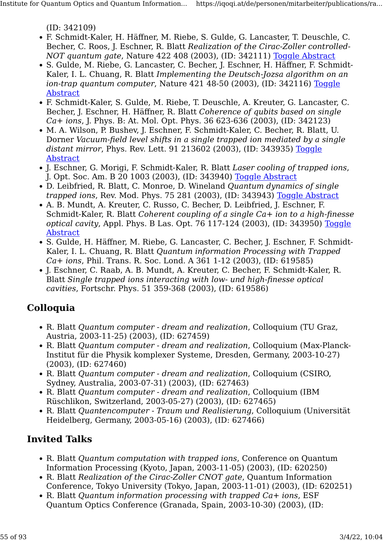(ID: 342109)

- F. Schmidt-Kaler, H. Häffner, M. Riebe, S. Gulde, G. Lancaster, T. Deuschle, C. Becher, C. Roos, J. Eschner, R. Blatt Realization of the Cirac-Zoller controlled-NOT quantum gate, Nature 422 408 (2003), (ID: 342111) [Toggle Abstract](https://iqoqi.at/de/personen/mitarbeiter/publications/rainer-blatt?format=raw#)
- S. Gulde, M. Riebe, G. Lancaster, C. Becher, J. Eschner, H. Häffner, F. Schmidt-Kaler, I. L. Chuang, R. Blatt Implementing the Deutsch-Jozsa algorithm on an ion-trap quantum computer, Nature 421 48-50 (2003), (ID: 342116) [Toggle](https://iqoqi.at/de/personen/mitarbeiter/publications/rainer-blatt?format=raw#) [Abstract](https://iqoqi.at/de/personen/mitarbeiter/publications/rainer-blatt?format=raw#)
- F. Schmidt-Kaler, S. Gulde, M. Riebe, T. Deuschle, A. Kreuter, G. Lancaster, C. Becher, J. Eschner, H. Häffner, R. Blatt Coherence of qubits based on single Ca+ ions, J. Phys. B: At. Mol. Opt. Phys. 36 623-636 (2003), (ID: 342123)
- M. A. Wilson, P. Bushev, J. Eschner, F. Schmidt-Kaler, C. Becher, R. Blatt, U. Dorner Vacuum-field level shifts in a single trapped ion mediated by a single distant mirror, Phys. Rev. Lett. 91 213602 (2003), (ID: 343935) [Toggle](https://iqoqi.at/de/personen/mitarbeiter/publications/rainer-blatt?format=raw#) [Abstract](https://iqoqi.at/de/personen/mitarbeiter/publications/rainer-blatt?format=raw#)
- J. Eschner, G. Morigi, F. Schmidt-Kaler, R. Blatt Laser cooling of trapped ions, J. Opt. Soc. Am. B 20 1003 (2003), (ID: 343940) [Toggle Abstract](https://iqoqi.at/de/personen/mitarbeiter/publications/rainer-blatt?format=raw#)
- D. Leibfried, R. Blatt, C. Monroe, D. Wineland Quantum dynamics of single trapped ions, Rev. Mod. Phys. 75 281 (2003), (ID: 343943) [Toggle Abstract](https://iqoqi.at/de/personen/mitarbeiter/publications/rainer-blatt?format=raw#)
- A. B. Mundt, A. Kreuter, C. Russo, C. Becher, D. Leibfried, J. Eschner, F. Schmidt-Kaler, R. Blatt Coherent coupling of a single Ca+ ion to a high-finesse optical cavity, Appl. Phys. B Las. Opt. 76 117-124 (2003), (ID: 343950) [Toggle](https://iqoqi.at/de/personen/mitarbeiter/publications/rainer-blatt?format=raw#) **[Abstract](https://iqoqi.at/de/personen/mitarbeiter/publications/rainer-blatt?format=raw#)**
- S. Gulde, H. Häffner, M. Riebe, G. Lancaster, C. Becher, J. Eschner, F. Schmidt-Kaler, I. L. Chuang, R. Blatt Quantum information Processing with Trapped Ca+ ions, Phil. Trans. R. Soc. Lond. A 361 1-12 (2003), (ID: 619585)
- J. Eschner, C. Raab, A. B. Mundt, A. Kreuter, C. Becher, F. Schmidt-Kaler, R. Blatt Single trapped ions interacting with low- und high-finesse optical cavities, Fortschr. Phys. 51 359-368 (2003), (ID: 619586)

#### Colloquia

- R. Blatt Quantum computer dream and realization, Colloquium (TU Graz, Austria, 2003-11-25) (2003), (ID: 627459)
- R. Blatt Quantum computer dream and realization, Colloquium (Max-Planck-Institut für die Physik komplexer Systeme, Dresden, Germany, 2003-10-27) (2003), (ID: 627460)
- R. Blatt Quantum computer dream and realization, Colloquium (CSIRO, Sydney, Australia, 2003-07-31) (2003), (ID: 627463)
- R. Blatt Quantum computer dream and realization, Colloquium (IBM Rüschlikon, Switzerland, 2003-05-27) (2003), (ID: 627465)
- R. Blatt Quantencomputer Traum und Realisierung, Colloquium (Universität Heidelberg, Germany, 2003-05-16) (2003), (ID: 627466)

- R. Blatt Quantum computation with trapped ions, Conference on Quantum Information Processing (Kyoto, Japan, 2003-11-05) (2003), (ID: 620250)
- R. Blatt Realization of the Cirac-Zoller CNOT gate, Quantum Information Conference, Tokyo University (Tokyo, Japan, 2003-11-01) (2003), (ID: 620251)
- R. Blatt Quantum information processing with trapped Ca+ ions, ESF Quantum Optics Conference (Granada, Spain, 2003-10-30) (2003), (ID: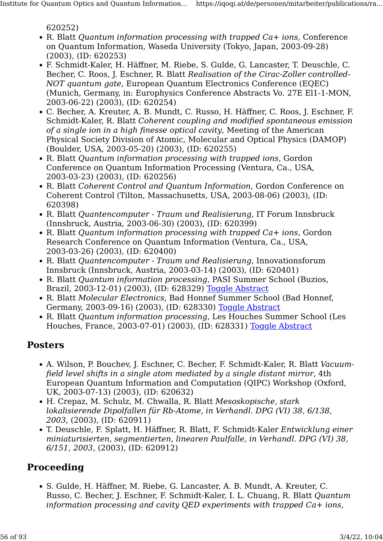620252)

- R. Blatt Quantum information processing with trapped Ca+ ions, Conference on Quantum Information, Waseda University (Tokyo, Japan, 2003-09-28) (2003), (ID: 620253)
- F. Schmidt-Kaler, H. Häffner, M. Riebe, S. Gulde, G. Lancaster, T. Deuschle, C. Becher, C. Roos, J. Eschner, R. Blatt Realisation of the Cirac-Zoller controlled-NOT quantum gate, European Quantum Electronics Conference (EQEC) (Munich, Germany, in: Europhysics Conference Abstracts Vo. 27E El1-1-MON, 2003-06-22) (2003), (ID: 620254)
- C. Becher, A. Kreuter, A. B. Mundt, C. Russo, H. Häffner, C. Roos, J. Eschner, F. Schmidt-Kaler, R. Blatt Coherent coupling and modified spontaneous emission of a single ion in a high finesse optical cavity, Meeting of the American Physical Society Division of Atomic, Molecular and Optical Physics (DAMOP) (Boulder, USA, 2003-05-20) (2003), (ID: 620255)
- R. Blatt Quantum information processing with trapped ions, Gordon Conference on Quantum Information Processing (Ventura, Ca., USA, 2003-03-23) (2003), (ID: 620256)
- R. Blatt Coherent Control and Quantum Information, Gordon Conference on Coherent Control (Tilton, Massachusetts, USA, 2003-08-06) (2003), (ID: 620398)
- R. Blatt Quantencomputer Traum und Realisierung, IT Forum Innsbruck (Innsbruck, Austria, 2003-06-30) (2003), (ID: 620399)
- R. Blatt Quantum information processing with trapped Ca+ ions, Gordon Research Conference on Quantum Information (Ventura, Ca., USA, 2003-03-26) (2003), (ID: 620400)
- R. Blatt Quantencomputer Traum und Realisierung, Innovationsforum Innsbruck (Innsbruck, Austria, 2003-03-14) (2003), (ID: 620401)
- R. Blatt Quantum information processing, PASI Summer School (Buzios, Brazil, 2003-12-01) (2003), (ID: 628329) [Toggle Abstract](https://iqoqi.at/de/personen/mitarbeiter/publications/rainer-blatt?format=raw#)
- R. Blatt Molecular Electronics, Bad Honnef Summer School (Bad Honnef, Germany, 2003-09-16) (2003), (ID: 628330) [Toggle Abstract](https://iqoqi.at/de/personen/mitarbeiter/publications/rainer-blatt?format=raw#)
- R. Blatt Quantum information processing, Les Houches Summer School (Les Houches, France, 2003-07-01) (2003), (ID: 628331) [Toggle Abstract](https://iqoqi.at/de/personen/mitarbeiter/publications/rainer-blatt?format=raw#)

#### Posters

- A. Wilson, P. Bouchev, J. Eschner, C. Becher, F. Schmidt-Kaler, R. Blatt Vacuumfield level shifts in a single atom mediated by a single distant mirror, 4th European Quantum Information and Computation (QIPC) Workshop (Oxford, UK, 2003-07-13) (2003), (ID: 620632)
- H. Crepaz, M. Schulz, M. Chwalla, R. Blatt Mesoskopische, stark lokalisierende Dipolfallen für Rb-Atome, in Verhandl. DPG (VI) 38, 6/138, 2003, (2003), (ID: 620911)
- T. Deuschle, F. Splatt, H. Häffner, R. Blatt, F. Schmidt-Kaler Entwicklung einer miniaturisierten, segmentierten, linearen Paulfalle, in Verhandl. DPG (VI) 38, 6/151, 2003, (2003), (ID: 620912)

#### Proceeding

• S. Gulde, H. Häffner, M. Riebe, G. Lancaster, A. B. Mundt, A. Kreuter, C. Russo, C. Becher, J. Eschner, F. Schmidt-Kaler, I. L. Chuang, R. Blatt Quantum information processing and cavity QED experiments with trapped  $Ca+$  ions,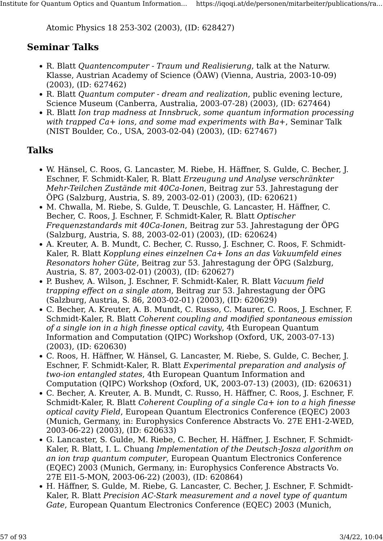Atomic Physics 18 253-302 (2003), (ID: 628427)

#### Seminar Talks

- R. Blatt Quantencomputer Traum und Realisierung, talk at the Naturw. Klasse, Austrian Academy of Science (ÖAW) (Vienna, Austria, 2003-10-09) (2003), (ID: 627462)
- R. Blatt Quantum computer dream and realization, public evening lecture, Science Museum (Canberra, Australia, 2003-07-28) (2003), (ID: 627464)
- R. Blatt Ion trap madness at Innsbruck, some quantum information processing with trapped  $Ca+$  ions, and some mad experiments with  $Ba+$ , Seminar Talk (NIST Boulder, Co., USA, 2003-02-04) (2003), (ID: 627467)

#### Talks

- W. Hänsel, C. Roos, G. Lancaster, M. Riebe, H. Häffner, S. Gulde, C. Becher, J. Eschner, F. Schmidt-Kaler, R. Blatt Erzeugung und Analyse verschränkter Mehr-Teilchen Zustände mit 40Ca-Ionen, Beitrag zur 53. Jahrestagung der ÖPG (Salzburg, Austria, S. 89, 2003-02-01) (2003), (ID: 620621)
- M. Chwalla, M. Riebe, S. Gulde, T. Deuschle, G. Lancaster, H. Häffner, C. Becher, C. Roos, J. Eschner, F. Schmidt-Kaler, R. Blatt Optischer Frequenzstandards mit 40Ca-Ionen, Beitrag zur 53. Jahrestagung der ÖPG (Salzburg, Austria, S. 88, 2003-02-01) (2003), (ID: 620624)
- A. Kreuter, A. B. Mundt, C. Becher, C. Russo, J. Eschner, C. Roos, F. Schmidt-Kaler, R. Blatt Kopplung eines einzelnen Ca+ Ions an das Vakuumfeld eines Resonators hoher Güte, Beitrag zur 53. Jahrestagung der ÖPG (Salzburg, Austria, S. 87, 2003-02-01) (2003), (ID: 620627)
- P. Bushev, A. Wilson, J. Eschner, F. Schmidt-Kaler, R. Blatt Vacuum field trapping effect on a single atom, Beitrag zur 53. Jahrestagung der ÖPG (Salzburg, Austria, S. 86, 2003-02-01) (2003), (ID: 620629)
- C. Becher, A. Kreuter, A. B. Mundt, C. Russo, C. Maurer, C. Roos, J. Eschner, F. Schmidt-Kaler, R. Blatt Coherent coupling and modified spontaneous emission of a single ion in a high finesse optical cavity, 4th European Quantum Information and Computation (QIPC) Workshop (Oxford, UK, 2003-07-13) (2003), (ID: 620630)
- C. Roos, H. Häffner, W. Hänsel, G. Lancaster, M. Riebe, S. Gulde, C. Becher, J. Eschner, F. Schmidt-Kaler, R. Blatt Experimental preparation and analysis of two-ion entangled states, 4th European Quantum Information and Computation (QIPC) Workshop (Oxford, UK, 2003-07-13) (2003), (ID: 620631)
- C. Becher, A. Kreuter, A. B. Mundt, C. Russo, H. Häffner, C. Roos, J. Eschner, F. Schmidt-Kaler, R. Blatt Coherent Coupling of a single Ca+ ion to a high finesse optical cavity Field, European Quantum Electronics Conference (EQEC) 2003 (Munich, Germany, in: Europhysics Conference Abstracts Vo. 27E EH1-2-WED, 2003-06-22) (2003), (ID: 620633)
- G. Lancaster, S. Gulde, M. Riebe, C. Becher, H. Häffner, J. Eschner, F. Schmidt-Kaler, R. Blatt, I. L. Chuang Implementation of the Deutsch-Josza algorithm on an ion trap quantum computer, European Quantum Electronics Conference (EQEC) 2003 (Munich, Germany, in: Europhysics Conference Abstracts Vo. 27E El1-5-MON, 2003-06-22) (2003), (ID: 620864)
- H. Häffner, S. Gulde, M. Riebe, G. Lancaster, C. Becher, J. Eschner, F. Schmidt-Kaler, R. Blatt Precision AC-Stark measurement and a novel type of quantum Gate, European Quantum Electronics Conference (EQEC) 2003 (Munich,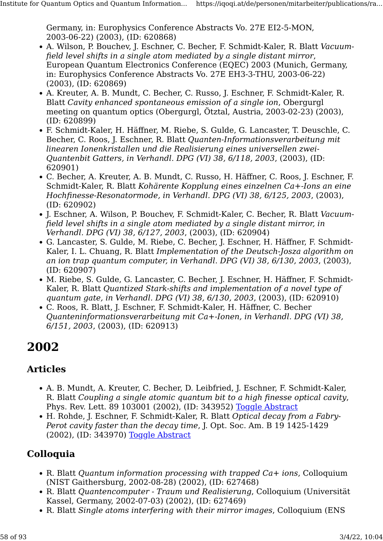Germany, in: Europhysics Conference Abstracts Vo. 27E EI2-5-MON, 2003-06-22) (2003), (ID: 620868)

- A. Wilson, P. Bouchev, J. Eschner, C. Becher, F. Schmidt-Kaler, R. Blatt Vacuumfield level shifts in a single atom mediated by a single distant mirror, European Quantum Electronics Conference (EQEC) 2003 (Munich, Germany, in: Europhysics Conference Abstracts Vo. 27E EH3-3-THU, 2003-06-22) (2003), (ID: 620869)
- A. Kreuter, A. B. Mundt, C. Becher, C. Russo, J. Eschner, F. Schmidt-Kaler, R. Blatt Cavity enhanced spontaneous emission of a single ion, Obergurgl meeting on quantum optics (Obergurgl, Ötztal, Austria, 2003-02-23) (2003), (ID: 620899)
- F. Schmidt-Kaler, H. Häffner, M. Riebe, S. Gulde, G. Lancaster, T. Deuschle, C. Becher, C. Roos, J. Eschner, R. Blatt Quanten-Informationsverarbeitung mit linearen Ionenkristallen und die Realisierung eines universellen zwei-Quantenbit Gatters, in Verhandl. DPG (VI) 38, 6/118, 2003, (2003), (ID: 620901)
- C. Becher, A. Kreuter, A. B. Mundt, C. Russo, H. Häffner, C. Roos, J. Eschner, F. Schmidt-Kaler, R. Blatt Kohärente Kopplung eines einzelnen Ca+-Ions an eine Hochfinesse-Resonatormode, in Verhandl. DPG (VI) 38, 6/125, 2003, (2003), (ID: 620902)
- J. Eschner, A. Wilson, P. Bouchev, F. Schmidt-Kaler, C. Becher, R. Blatt Vacuumfield level shifts in a single atom mediated by a single distant mirror, in Verhandl. DPG (VI) 38, 6/127, 2003, (2003), (ID: 620904)
- G. Lancaster, S. Gulde, M. Riebe, C. Becher, J. Eschner, H. Häffner, F. Schmidt-Kaler, I. L. Chuang, R. Blatt Implementation of the Deutsch-Josza algorithm on an ion trap quantum computer, in Verhandl. DPG (VI) 38, 6/130, 2003, (2003), (ID: 620907)
- M. Riebe, S. Gulde, G. Lancaster, C. Becher, J. Eschner, H. Häffner, F. Schmidt-Kaler, R. Blatt Quantized Stark-shifts and implementation of a novel type of quantum gate, in Verhandl. DPG (VI) 38, 6/130, 2003, (2003), (ID: 620910)
- C. Roos, R. Blatt, J. Eschner, F. Schmidt-Kaler, H. Häffner, C. Becher Quanteninformationsverarbeitung mit Ca+-Ionen, in Verhandl. DPG (VI) 38, 6/151, 2003, (2003), (ID: 620913)

# 2002

## Articles

- A. B. Mundt, A. Kreuter, C. Becher, D. Leibfried, J. Eschner, F. Schmidt-Kaler, R. Blatt Coupling a single atomic quantum bit to a high finesse optical cavity, Phys. Rev. Lett. 89 103001 (2002), (ID: 343952) [Toggle Abstract](https://iqoqi.at/de/personen/mitarbeiter/publications/rainer-blatt?format=raw#)
- H. Rohde, J. Eschner, F. Schmidt-Kaler, R. Blatt Optical decay from a Fabry-Perot cavity faster than the decay time, J. Opt. Soc. Am. B 19 1425-1429 (2002), (ID: 343970) [Toggle Abstract](https://iqoqi.at/de/personen/mitarbeiter/publications/rainer-blatt?format=raw#)

# Colloquia

- R. Blatt Quantum information processing with trapped Ca+ ions, Colloquium (NIST Gaithersburg, 2002-08-28) (2002), (ID: 627468)
- R. Blatt Quantencomputer Traum und Realisierung, Colloquium (Universität Kassel, Germany, 2002-07-03) (2002), (ID: 627469)
- R. Blatt Single atoms interfering with their mirror images, Colloquium (ENS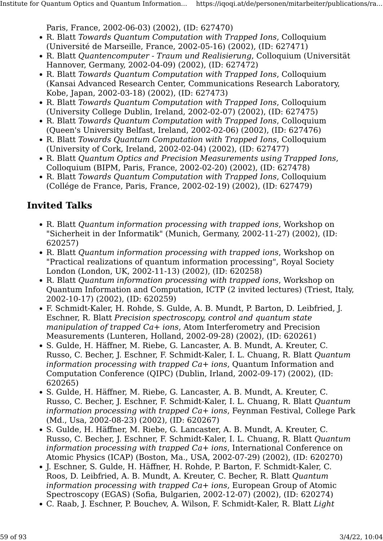Paris, France, 2002-06-03) (2002), (ID: 627470)

- R. Blatt Towards Quantum Computation with Trapped Ions, Colloquium (Université de Marseille, France, 2002-05-16) (2002), (ID: 627471)
- R. Blatt Quantencomputer Traum und Realisierung, Colloquium (Universität Hannover, Germany, 2002-04-09) (2002), (ID: 627472)
- R. Blatt Towards Quantum Computation with Trapped Ions, Colloquium (Kansai Advanced Research Center, Communications Research Laboratory, Kobe, Japan, 2002-03-18) (2002), (ID: 627473)
- R. Blatt Towards Quantum Computation with Trapped Ions, Colloquium (University College Dublin, Ireland, 2002-02-07) (2002), (ID: 627475)
- R. Blatt Towards Quantum Computation with Trapped Ions, Colloquium (Queen's University Belfast, Ireland, 2002-02-06) (2002), (ID: 627476)
- R. Blatt Towards Quantum Computation with Trapped Ions, Colloquium (University of Cork, Ireland, 2002-02-04) (2002), (ID: 627477)
- R. Blatt Quantum Optics and Precision Measurements using Trapped Ions, Colloquium (BIPM, Paris, France, 2002-02-20) (2002), (ID: 627478)
- R. Blatt Towards Quantum Computation with Trapped Ions, Colloquium (Collége de France, Paris, France, 2002-02-19) (2002), (ID: 627479)

- R. Blatt Quantum information processing with trapped ions, Workshop on "Sicherheit in der Informatik" (Munich, Germany, 2002-11-27) (2002), (ID: 620257)
- R. Blatt Quantum information processing with trapped ions, Workshop on "Practical realizations of quantum information processing", Royal Society London (London, UK, 2002-11-13) (2002), (ID: 620258)
- R. Blatt Quantum information processing with trapped ions, Workshop on Quantum Information and Computation, ICTP (2 invited lectures) (Triest, Italy, 2002-10-17) (2002), (ID: 620259)
- F. Schmidt-Kaler, H. Rohde, S. Gulde, A. B. Mundt, P. Barton, D. Leibfried, J. Eschner, R. Blatt Precision spectroscopy, control and quantum state manipulation of trapped Ca+ ions, Atom Interferometry and Precision Measurements (Lunteren, Holland, 2002-09-28) (2002), (ID: 620261)
- S. Gulde, H. Häffner, M. Riebe, G. Lancaster, A. B. Mundt, A. Kreuter, C. Russo, C. Becher, J. Eschner, F. Schmidt-Kaler, I. L. Chuang, R. Blatt Quantum information processing with trapped  $Ca+$  ions, Quantum Information and Computation Conference (QIPC) (Dublin, Irland, 2002-09-17) (2002), (ID: 620265)
- S. Gulde, H. Häffner, M. Riebe, G. Lancaster, A. B. Mundt, A. Kreuter, C. Russo, C. Becher, J. Eschner, F. Schmidt-Kaler, I. L. Chuang, R. Blatt Quantum information processing with trapped  $Ca+$  ions, Feynman Festival, College Park (Md., Usa, 2002-08-23) (2002), (ID: 620267)
- S. Gulde, H. Häffner, M. Riebe, G. Lancaster, A. B. Mundt, A. Kreuter, C. Russo, C. Becher, J. Eschner, F. Schmidt-Kaler, I. L. Chuang, R. Blatt Quantum information processing with trapped  $Ca+$  ions, International Conference on Atomic Physics (ICAP) (Boston, Ma., USA, 2002-07-29) (2002), (ID: 620270)
- J. Eschner, S. Gulde, H. Häffner, H. Rohde, P. Barton, F. Schmidt-Kaler, C. Roos, D. Leibfried, A. B. Mundt, A. Kreuter, C. Becher, R. Blatt Quantum information processing with trapped  $Ca+$  ions, European Group of Atomic Spectroscopy (EGAS) (Sofia, Bulgarien, 2002-12-07) (2002), (ID: 620274)
- C. Raab, J. Eschner, P. Bouchev, A. Wilson, F. Schmidt-Kaler, R. Blatt Light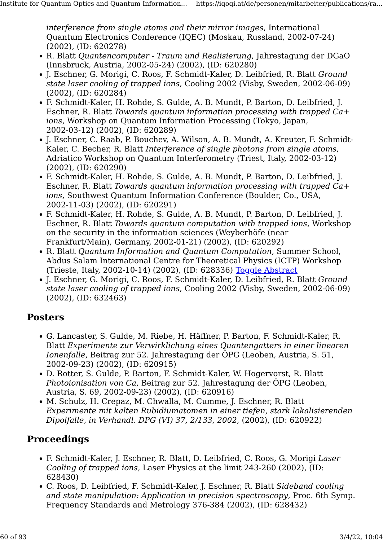interference from single atoms and their mirror images, International Quantum Electronics Conference (IQEC) (Moskau, Russland, 2002-07-24) (2002), (ID: 620278)

- R. Blatt Quantencomputer Traum und Realisierung, Jahrestagung der DGaO (Innsbruck, Austria, 2002-05-24) (2002), (ID: 620280)
- J. Eschner, G. Morigi, C. Roos, F. Schmidt-Kaler, D. Leibfried, R. Blatt Ground state laser cooling of trapped ions, Cooling 2002 (Visby, Sweden, 2002-06-09) (2002), (ID: 620284)
- F. Schmidt-Kaler, H. Rohde, S. Gulde, A. B. Mundt, P. Barton, D. Leibfried, J. Eschner, R. Blatt Towards quantum information processing with trapped Ca+ ions, Workshop on Quantum Information Processing (Tokyo, Japan, 2002-03-12) (2002), (ID: 620289)
- J. Eschner, C. Raab, P. Bouchev, A. Wilson, A. B. Mundt, A. Kreuter, F. Schmidt-Kaler, C. Becher, R. Blatt Interference of single photons from single atoms, Adriatico Workshop on Quantum Interferometry (Triest, Italy, 2002-03-12) (2002), (ID: 620290)
- F. Schmidt-Kaler, H. Rohde, S. Gulde, A. B. Mundt, P. Barton, D. Leibfried, J. Eschner, R. Blatt Towards quantum information processing with trapped Ca+ ions, Southwest Quantum Information Conference (Boulder, Co., USA, 2002-11-03) (2002), (ID: 620291)
- F. Schmidt-Kaler, H. Rohde, S. Gulde, A. B. Mundt, P. Barton, D. Leibfried, J. Eschner, R. Blatt Towards quantum computation with trapped ions, Workshop on the security in the information sciences (Weyberhöfe (near Frankfurt/Main), Germany, 2002-01-21) (2002), (ID: 620292)
- R. Blatt Quantum Information and Quantum Computation, Summer School, Abdus Salam International Centre for Theoretical Physics (ICTP) Workshop (Trieste, Italy, 2002-10-14) (2002), (ID: 628336) [Toggle Abstract](https://iqoqi.at/de/personen/mitarbeiter/publications/rainer-blatt?format=raw#)
- J. Eschner, G. Morigi, C. Roos, F. Schmidt-Kaler, D. Leibfried, R. Blatt Ground state laser cooling of trapped ions, Cooling 2002 (Visby, Sweden, 2002-06-09) (2002), (ID: 632463)

#### Posters

- G. Lancaster, S. Gulde, M. Riebe, H. Häffner, P. Barton, F. Schmidt-Kaler, R. Blatt Experimente zur Verwirklichung eines Quantengatters in einer linearen Ionenfalle, Beitrag zur 52. Jahrestagung der ÖPG (Leoben, Austria, S. 51, 2002-09-23) (2002), (ID: 620915)
- D. Rotter, S. Gulde, P. Barton, F. Schmidt-Kaler, W. Hogervorst, R. Blatt Photoionisation von Ca, Beitrag zur 52. Jahrestagung der ÖPG (Leoben, Austria, S. 69, 2002-09-23) (2002), (ID: 620916)
- M. Schulz, H. Crepaz, M. Chwalla, M. Cumme, J. Eschner, R. Blatt Experimente mit kalten Rubidiumatomen in einer tiefen, stark lokalisierenden Dipolfalle, in Verhandl. DPG (VI) 37, 2/133, 2002, (2002), (ID: 620922)

## Proceedings

- F. Schmidt-Kaler, J. Eschner, R. Blatt, D. Leibfried, C. Roos, G. Morigi Laser Cooling of trapped ions, Laser Physics at the limit 243-260 (2002), (ID: 628430)
- C. Roos, D. Leibfried, F. Schmidt-Kaler, J. Eschner, R. Blatt Sideband cooling and state manipulation: Application in precision spectroscopy, Proc. 6th Symp. Frequency Standards and Metrology 376-384 (2002), (ID: 628432)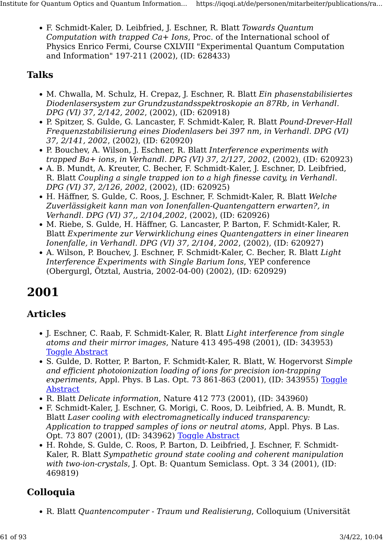• F. Schmidt-Kaler, D. Leibfried, J. Eschner, R. Blatt Towards Quantum Computation with trapped  $Ca+ I$ ons, Proc. of the International school of Physics Enrico Fermi, Course CXLVIII "Experimental Quantum Computation and Information" 197-211 (2002), (ID: 628433)

# Talks

- M. Chwalla, M. Schulz, H. Crepaz, J. Eschner, R. Blatt Ein phasenstabilisiertes Diodenlasersystem zur Grundzustandsspektroskopie an 87Rb, in Verhandl. DPG (VI) 37, 2/142, 2002, (2002), (ID: 620918)
- P. Spitzer, S. Gulde, G. Lancaster, F. Schmidt-Kaler, R. Blatt Pound-Drever-Hall Frequenzstabilisierung eines Diodenlasers bei 397 nm, in Verhandl. DPG (VI) 37, 2/141, 2002, (2002), (ID: 620920)
- P. Bouchev, A. Wilson, J. Eschner, R. Blatt Interference experiments with trapped Ba+ ions, in Verhandl. DPG (VI) 37, 2/127, 2002, (2002), (ID: 620923)
- A. B. Mundt, A. Kreuter, C. Becher, F. Schmidt-Kaler, J. Eschner, D. Leibfried, R. Blatt Coupling a single trapped ion to a high finesse cavity, in Verhandl. DPG (VI) 37, 2/126, 2002, (2002), (ID: 620925)
- H. Häffner, S. Gulde, C. Roos, J. Eschner, F. Schmidt-Kaler, R. Blatt Welche Zuverlässigkeit kann man von Ionenfallen-Quantengattern erwarten?, in Verhandl. DPG (VI) 37,, 2/104,2002, (2002), (ID: 620926)
- M. Riebe, S. Gulde, H. Häffner, G. Lancaster, P. Barton, F. Schmidt-Kaler, R. Blatt Experimente zur Verwirklichung eines Quantengatters in einer linearen Ionenfalle, in Verhandl. DPG (VI) 37, 2/104, 2002, (2002), (ID: 620927)
- A. Wilson, P. Bouchev, J. Eschner, F. Schmidt-Kaler, C. Becher, R. Blatt Light Interference Experiments with Single Barium Ions, YEP conference (Obergurgl, Ötztal, Austria, 2002-04-00) (2002), (ID: 620929)

# 2001

## Articles

- J. Eschner, C. Raab, F. Schmidt-Kaler, R. Blatt Light interference from single atoms and their mirror images, Nature 413 495-498 (2001), (ID: 343953) [Toggle Abstract](https://iqoqi.at/de/personen/mitarbeiter/publications/rainer-blatt?format=raw#)
- S. Gulde, D. Rotter, P. Barton, F. Schmidt-Kaler, R. Blatt, W. Hogervorst Simple and efficient photoionization loading of ions for precision ion-trapping experiments, Appl. Phys. B Las. Opt. 73 861-863 (2001), (ID: 343955) [Toggle](https://iqoqi.at/de/personen/mitarbeiter/publications/rainer-blatt?format=raw#) [Abstract](https://iqoqi.at/de/personen/mitarbeiter/publications/rainer-blatt?format=raw#)
- R. Blatt Delicate information, Nature 412 773 (2001), (ID: 343960)
- F. Schmidt-Kaler, J. Eschner, G. Morigi, C. Roos, D. Leibfried, A. B. Mundt, R. Blatt Laser cooling with electromagnetically induced transparency: Application to trapped samples of ions or neutral atoms, Appl. Phys. B Las. Opt. 73 807 (2001), (ID: 343962) [Toggle Abstract](https://iqoqi.at/de/personen/mitarbeiter/publications/rainer-blatt?format=raw#)
- H. Rohde, S. Gulde, C. Roos, P. Barton, D. Leibfried, J. Eschner, F. Schmidt-Kaler, R. Blatt Sympathetic ground state cooling and coherent manipulation with two-ion-crystals, J. Opt. B: Quantum Semiclass. Opt. 3 34 (2001), (ID: 469819)

# Colloquia

• R. Blatt Quantencomputer - Traum und Realisierung, Colloquium (Universität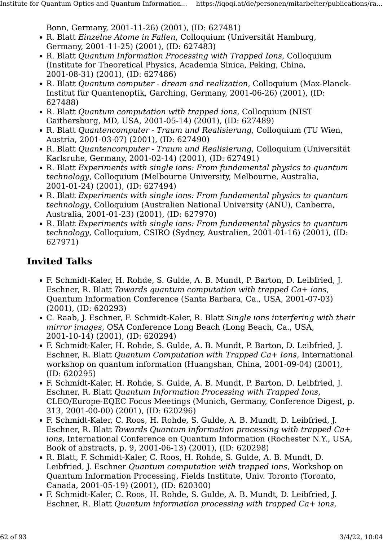Bonn, Germany, 2001-11-26) (2001), (ID: 627481)

- R. Blatt Einzelne Atome in Fallen, Colloquium (Universität Hamburg, Germany, 2001-11-25) (2001), (ID: 627483)
- R. Blatt Quantum Information Processing with Trapped Ions, Colloquium (Institute for Theoretical Physics, Academia Sinica, Peking, China, 2001-08-31) (2001), (ID: 627486)
- R. Blatt Quantum computer dream and realization, Colloquium (Max-Planck-Institut für Quantenoptik, Garching, Germany, 2001-06-26) (2001), (ID: 627488)
- R. Blatt *Ouantum computation with trapped ions*, Colloquium (NIST) Gaithersburg, MD, USA, 2001-05-14) (2001), (ID: 627489)
- R. Blatt Quantencomputer Traum und Realisierung, Colloquium (TU Wien, Austria, 2001-03-07) (2001), (ID: 627490)
- R. Blatt Quantencomputer Traum und Realisierung, Colloquium (Universität Karlsruhe, Germany, 2001-02-14) (2001), (ID: 627491)
- R. Blatt Experiments with single ions: From fundamental physics to quantum technology, Colloquium (Melbourne University, Melbourne, Australia, 2001-01-24) (2001), (ID: 627494)
- R. Blatt Experiments with single ions: From fundamental physics to quantum technology, Colloquium (Australien National University (ANU), Canberra, Australia, 2001-01-23) (2001), (ID: 627970)
- R. Blatt Experiments with single ions: From fundamental physics to quantum technology, Colloquium, CSIRO (Sydney, Australien, 2001-01-16) (2001), (ID: 627971)

- F. Schmidt-Kaler, H. Rohde, S. Gulde, A. B. Mundt, P. Barton, D. Leibfried, J. Eschner, R. Blatt Towards quantum computation with trapped Ca+ ions, Quantum Information Conference (Santa Barbara, Ca., USA, 2001-07-03) (2001), (ID: 620293)
- C. Raab, J. Eschner, F. Schmidt-Kaler, R. Blatt Single ions interfering with their mirror images, OSA Conference Long Beach (Long Beach, Ca., USA, 2001-10-14) (2001), (ID: 620294)
- F. Schmidt-Kaler, H. Rohde, S. Gulde, A. B. Mundt, P. Barton, D. Leibfried, J. Eschner, R. Blatt Quantum Computation with Trapped Ca+ Ions, International workshop on quantum information (Huangshan, China, 2001-09-04) (2001), (ID: 620295)
- F. Schmidt-Kaler, H. Rohde, S. Gulde, A. B. Mundt, P. Barton, D. Leibfried, J. Eschner, R. Blatt Quantum Information Processing with Trapped Ions, CLEO/Europe-EQEC Focus Meetings (Munich, Germany, Conference Digest, p. 313, 2001-00-00) (2001), (ID: 620296)
- F. Schmidt-Kaler, C. Roos, H. Rohde, S. Gulde, A. B. Mundt, D. Leibfried, J. Eschner, R. Blatt Towards Quantum information processing with trapped Ca+ ions, International Conference on Quantum Information (Rochester N.Y., USA, Book of abstracts, p. 9, 2001-06-13) (2001), (ID: 620298)
- R. Blatt, F. Schmidt-Kaler, C. Roos, H. Rohde, S. Gulde, A. B. Mundt, D. Leibfried, J. Eschner Quantum computation with trapped ions, Workshop on Quantum Information Processing, Fields Institute, Univ. Toronto (Toronto, Canada, 2001-05-19) (2001), (ID: 620300)
- F. Schmidt-Kaler, C. Roos, H. Rohde, S. Gulde, A. B. Mundt, D. Leibfried, J. Eschner, R. Blatt Quantum information processing with trapped Ca+ ions,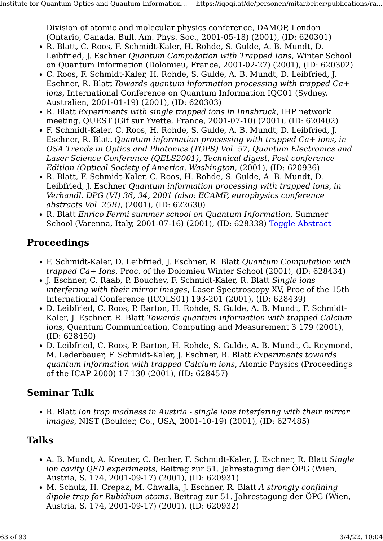Division of atomic and molecular physics conference, DAMOP, London (Ontario, Canada, Bull. Am. Phys. Soc., 2001-05-18) (2001), (ID: 620301)

- R. Blatt, C. Roos, F. Schmidt-Kaler, H. Rohde, S. Gulde, A. B. Mundt, D. Leibfried, J. Eschner Quantum Computation with Trapped Ions, Winter School on Quantum Information (Dolomieu, France, 2001-02-27) (2001), (ID: 620302)
- C. Roos, F. Schmidt-Kaler, H. Rohde, S. Gulde, A. B. Mundt, D. Leibfried, J. Eschner, R. Blatt Towards quantum information processing with trapped Ca+ ions, International Conference on Quantum Information IQC01 (Sydney, Australien, 2001-01-19) (2001), (ID: 620303)
- R. Blatt Experiments with single trapped ions in Innsbruck, IHP network meeting, QUEST (Gif sur Yvette, France, 2001-07-10) (2001), (ID: 620402)
- F. Schmidt-Kaler, C. Roos, H. Rohde, S. Gulde, A. B. Mundt, D. Leibfried, J. Eschner, R. Blatt Quantum information processing with trapped Ca+ ions, in OSA Trends in Optics and Photonics (TOPS) Vol. 57, Quantum Electronics and Laser Science Conference (QELS2001), Technical digest, Post conference Edition (Optical Society of America, Washington, (2001), (ID: 620936)
- R. Blatt, F. Schmidt-Kaler, C. Roos, H. Rohde, S. Gulde, A. B. Mundt, D. Leibfried, J. Eschner *Ouantum information processing with trapped ions, in* Verhandl. DPG (VI) 36, 34, 2001 (also: ECAMP, europhysics conference abstracts Vol. 25B), (2001), (ID: 622630)
- R. Blatt Enrico Fermi summer school on Quantum Information, Summer School (Varenna, Italy, 2001-07-16) (2001), (ID: 628338) [Toggle Abstract](https://iqoqi.at/de/personen/mitarbeiter/publications/rainer-blatt?format=raw#)

#### Proceedings

- F. Schmidt-Kaler, D. Leibfried, J. Eschner, R. Blatt Quantum Computation with trapped Ca+ Ions, Proc. of the Dolomieu Winter School (2001), (ID: 628434)
- J. Eschner, C. Raab, P. Bouchev, F. Schmidt-Kaler, R. Blatt Single ions interfering with their mirror images, Laser Spectroscopy XV, Proc of the 15th International Conference (ICOLS01) 193-201 (2001), (ID: 628439)
- D. Leibfried, C. Roos, P. Barton, H. Rohde, S. Gulde, A. B. Mundt, F. Schmidt-Kaler, J. Eschner, R. Blatt Towards quantum information with trapped Calcium ions, Quantum Communication, Computing and Measurement 3 179 (2001), (ID: 628450)
- D. Leibfried, C. Roos, P. Barton, H. Rohde, S. Gulde, A. B. Mundt, G. Reymond, M. Lederbauer, F. Schmidt-Kaler, J. Eschner, R. Blatt Experiments towards quantum information with trapped Calcium ions, Atomic Physics (Proceedings of the ICAP 2000) 17 130 (2001), (ID: 628457)

#### Seminar Talk

• R. Blatt Ion trap madness in Austria - single ions interfering with their mirror images, NIST (Boulder, Co., USA, 2001-10-19) (2001), (ID: 627485)

#### Talks

- A. B. Mundt, A. Kreuter, C. Becher, F. Schmidt-Kaler, J. Eschner, R. Blatt Single ion cavity QED experiments, Beitrag zur 51. Jahrestagung der ÖPG (Wien, Austria, S. 174, 2001-09-17) (2001), (ID: 620931)
- M. Schulz, H. Crepaz, M. Chwalla, J. Eschner, R. Blatt A strongly confining dipole trap for Rubidium atoms, Beitrag zur 51. Jahrestagung der ÖPG (Wien, Austria, S. 174, 2001-09-17) (2001), (ID: 620932)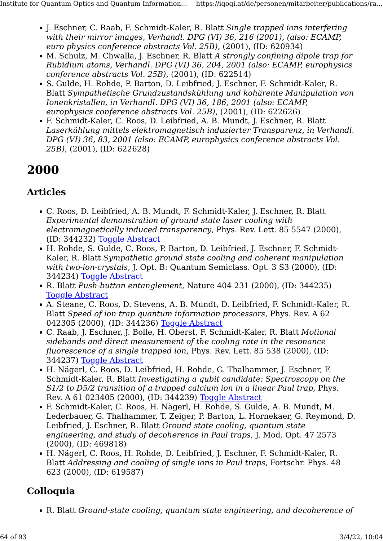- J. Eschner, C. Raab, F. Schmidt-Kaler, R. Blatt Single trapped ions interfering with their mirror images, Verhandl. DPG (VI) 36, 216 (2001), (also: ECAMP, euro physics conference abstracts Vol. 25B), (2001), (ID: 620934)
- M. Schulz, M. Chwalla, J. Eschner, R. Blatt A strongly confining dipole trap for Rubidium atoms, Verhandl. DPG (VI) 36, 204, 2001 (also: ECAMP, europhysics conference abstracts Vol. 25B), (2001), (ID: 622514)
- S. Gulde, H. Rohde, P. Barton, D. Leibfried, J. Eschner, F. Schmidt-Kaler, R. Blatt Sympathetische Grundzustandskühlung und kohärente Manipulation von Ionenkristallen, in Verhandl. DPG (VI) 36, 186, 2001 (also: ECAMP, europhysics conference abstracts Vol. 25B), (2001), (ID: 622626)
- F. Schmidt-Kaler, C. Roos, D. Leibfried, A. B. Mundt, J. Eschner, R. Blatt Laserkühlung mittels elektromagnetisch induzierter Transparenz, in Verhandl. DPG (VI) 36, 83, 2001 (also: ECAMP, europhysics conference abstracts Vol. 25B), (2001), (ID: 622628)

# 2000

## Articles

- C. Roos, D. Leibfried, A. B. Mundt, F. Schmidt-Kaler, J. Eschner, R. Blatt Experimental demonstration of ground state laser cooling with electromagnetically induced transparency, Phys. Rev. Lett. 85 5547 (2000), (ID: 344232) [Toggle Abstract](https://iqoqi.at/de/personen/mitarbeiter/publications/rainer-blatt?format=raw#)
- H. Rohde, S. Gulde, C. Roos, P. Barton, D. Leibfried, J. Eschner, F. Schmidt-Kaler, R. Blatt Sympathetic ground state cooling and coherent manipulation with two-ion-crystals, J. Opt. B: Quantum Semiclass. Opt. 3 S3 (2000), (ID: 344234) [Toggle Abstract](https://iqoqi.at/de/personen/mitarbeiter/publications/rainer-blatt?format=raw#)
- R. Blatt Push-button entanglement, Nature 404 231 (2000), (ID: 344235) **[Toggle Abstract](https://iqoqi.at/de/personen/mitarbeiter/publications/rainer-blatt?format=raw#)**
- A. Steane, C. Roos, D. Stevens, A. B. Mundt, D. Leibfried, F. Schmidt-Kaler, R. Blatt Speed of ion trap quantum information processors, Phys. Rev. A 62 042305 (2000), (ID: 344236) [Toggle Abstract](https://iqoqi.at/de/personen/mitarbeiter/publications/rainer-blatt?format=raw#)
- C. Raab, J. Eschner, J. Bolle, H. Oberst, F. Schmidt-Kaler, R. Blatt Motional sidebands and direct measurement of the cooling rate in the resonance fluorescence of a single trapped ion, Phys. Rev. Lett. 85 538 (2000), (ID: 344237) [Toggle Abstract](https://iqoqi.at/de/personen/mitarbeiter/publications/rainer-blatt?format=raw#)
- H. Nägerl, C. Roos, D. Leibfried, H. Rohde, G. Thalhammer, J. Eschner, F. Schmidt-Kaler, R. Blatt Investigating a qubit candidate: Spectroscopy on the S1/2 to D5/2 transition of a trapped calcium ion in a linear Paul trap, Phys. Rev. A 61 023405 (2000), (ID: 344239) [Toggle Abstract](https://iqoqi.at/de/personen/mitarbeiter/publications/rainer-blatt?format=raw#)
- F. Schmidt-Kaler, C. Roos, H. Nägerl, H. Rohde, S. Gulde, A. B. Mundt, M. Lederbauer, G. Thalhammer, T. Zeiger, P. Barton, L. Hornekaer, G. Reymond, D. Leibfried, J. Eschner, R. Blatt Ground state cooling, quantum state engineering, and study of decoherence in Paul traps, J. Mod. Opt. 47 2573 (2000), (ID: 469818)
- H. Nägerl, C. Roos, H. Rohde, D. Leibfried, J. Eschner, F. Schmidt-Kaler, R. Blatt Addressing and cooling of single ions in Paul traps, Fortschr. Phys. 48 623 (2000), (ID: 619587)

# Colloquia

• R. Blatt Ground-state cooling, quantum state engineering, and decoherence of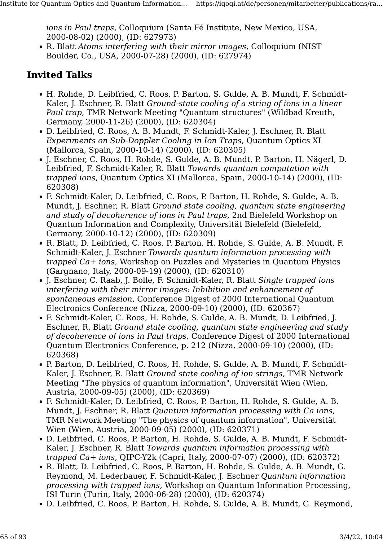ions in Paul traps, Colloquium (Santa Fé Institute, New Mexico, USA, 2000-08-02) (2000), (ID: 627973)

• R. Blatt Atoms interfering with their mirror images, Colloquium (NIST Boulder, Co., USA, 2000-07-28) (2000), (ID: 627974)

- H. Rohde, D. Leibfried, C. Roos, P. Barton, S. Gulde, A. B. Mundt, F. Schmidt-Kaler, J. Eschner, R. Blatt Ground-state cooling of a string of ions in a linear Paul trap, TMR Network Meeting "Quantum structures" (Wildbad Kreuth, Germany, 2000-11-26) (2000), (ID: 620304)
- D. Leibfried, C. Roos, A. B. Mundt, F. Schmidt-Kaler, J. Eschner, R. Blatt Experiments on Sub-Doppler Cooling in Ion Traps, Quantum Optics XI (Mallorca, Spain, 2000-10-14) (2000), (ID: 620305)
- J. Eschner, C. Roos, H. Rohde, S. Gulde, A. B. Mundt, P. Barton, H. Nägerl, D. Leibfried, F. Schmidt-Kaler, R. Blatt Towards quantum computation with trapped ions, Quantum Optics XI (Mallorca, Spain, 2000-10-14) (2000), (ID: 620308)
- F. Schmidt-Kaler, D. Leibfried, C. Roos, P. Barton, H. Rohde, S. Gulde, A. B. Mundt, J. Eschner, R. Blatt Ground state cooling, quantum state engineering and study of decoherence of ions in Paul traps, 2nd Bielefeld Workshop on Quantum Information and Complexity, Universität Bielefeld (Bielefeld, Germany, 2000-10-12) (2000), (ID: 620309)
- R. Blatt, D. Leibfried, C. Roos, P. Barton, H. Rohde, S. Gulde, A. B. Mundt, F. Schmidt-Kaler, J. Eschner Towards quantum information processing with trapped Ca+ ions, Workshop on Puzzles and Mysteries in Quantum Physics (Gargnano, Italy, 2000-09-19) (2000), (ID: 620310)
- J. Eschner, C. Raab, J. Bolle, F. Schmidt-Kaler, R. Blatt Single trapped ions interfering with their mirror images: Inhibition and enhancement of spontaneous emission, Conference Digest of 2000 International Ouantum Electronics Conference (Nizza, 2000-09-10) (2000), (ID: 620367)
- F. Schmidt-Kaler, C. Roos, H. Rohde, S. Gulde, A. B. Mundt, D. Leibfried, J. Eschner, R. Blatt Ground state cooling, quantum state engineering and study of decoherence of ions in Paul traps, Conference Digest of 2000 International Quantum Electronics Conference, p. 212 (Nizza, 2000-09-10) (2000), (ID: 620368)
- P. Barton, D. Leibfried, C. Roos, H. Rohde, S. Gulde, A. B. Mundt, F. Schmidt-Kaler, J. Eschner, R. Blatt Ground state cooling of ion strings, TMR Network Meeting "The physics of quantum information", Universität Wien (Wien, Austria, 2000-09-05) (2000), (ID: 620369)
- F. Schmidt-Kaler, D. Leibfried, C. Roos, P. Barton, H. Rohde, S. Gulde, A. B. Mundt, J. Eschner, R. Blatt Quantum information processing with Ca ions, TMR Network Meeting "The physics of quantum information", Universität Wien (Wien, Austria, 2000-09-05) (2000), (ID: 620371)
- D. Leibfried, C. Roos, P. Barton, H. Rohde, S. Gulde, A. B. Mundt, F. Schmidt-Kaler, J. Eschner, R. Blatt Towards quantum information processing with trapped Ca+ ions, QIPC-Y2k (Capri, Italy, 2000-07-07) (2000), (ID: 620372)
- R. Blatt, D. Leibfried, C. Roos, P. Barton, H. Rohde, S. Gulde, A. B. Mundt, G. Reymond, M. Lederbauer, F. Schmidt-Kaler, J. Eschner Quantum information processing with trapped ions, Workshop on Quantum Information Processing, ISI Turin (Turin, Italy, 2000-06-28) (2000), (ID: 620374)
- D. Leibfried, C. Roos, P. Barton, H. Rohde, S. Gulde, A. B. Mundt, G. Reymond,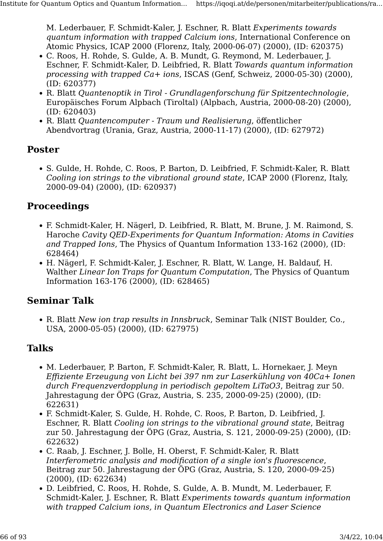M. Lederbauer, F. Schmidt-Kaler, J. Eschner, R. Blatt Experiments towards quantum information with trapped Calcium ions, International Conference on Atomic Physics, ICAP 2000 (Florenz, Italy, 2000-06-07) (2000), (ID: 620375)

- C. Roos, H. Rohde, S. Gulde, A. B. Mundt, G. Reymond, M. Lederbauer, J. Eschner, F. Schmidt-Kaler, D. Leibfried, R. Blatt Towards quantum information processing with trapped Ca+ ions, ISCAS (Genf, Schweiz, 2000-05-30) (2000), (ID: 620377)
- R. Blatt Quantenoptik in Tirol Grundlagenforschung für Spitzentechnologie, Europäisches Forum Alpbach (Tiroltal) (Alpbach, Austria, 2000-08-20) (2000), (ID: 620403)
- R. Blatt Quantencomputer Traum und Realisierung, öffentlicher Abendvortrag (Urania, Graz, Austria, 2000-11-17) (2000), (ID: 627972)

#### Poster

• S. Gulde, H. Rohde, C. Roos, P. Barton, D. Leibfried, F. Schmidt-Kaler, R. Blatt Cooling ion strings to the vibrational ground state, ICAP 2000 (Florenz, Italy, 2000-09-04) (2000), (ID: 620937)

#### **Proceedings**

- F. Schmidt-Kaler, H. Nägerl, D. Leibfried, R. Blatt, M. Brune, J. M. Raimond, S. Haroche Cavity QED-Experiments for Quantum Information: Atoms in Cavities and Trapped Ions, The Physics of Quantum Information 133-162 (2000), (ID: 628464)
- H. Nägerl, F. Schmidt-Kaler, J. Eschner, R. Blatt, W. Lange, H. Baldauf, H. Walther Linear Ion Traps for Ouantum Computation. The Physics of Ouantum Information 163-176 (2000), (ID: 628465)

#### Seminar Talk

• R. Blatt New ion trap results in Innsbruck, Seminar Talk (NIST Boulder, Co., USA, 2000-05-05) (2000), (ID: 627975)

#### Talks

- M. Lederbauer, P. Barton, F. Schmidt-Kaler, R. Blatt, L. Hornekaer, J. Meyn Effiziente Erzeugung von Licht bei 397 nm zur Laserkühlung von 40Ca+ Ionen durch Frequenzverdopplung in periodisch gepoltem LiTaO3, Beitrag zur 50. Jahrestagung der ÖPG (Graz, Austria, S. 235, 2000-09-25) (2000), (ID: 622631)
- F. Schmidt-Kaler, S. Gulde, H. Rohde, C. Roos, P. Barton, D. Leibfried, J. Eschner, R. Blatt Cooling ion strings to the vibrational ground state, Beitrag zur 50. Jahrestagung der ÖPG (Graz, Austria, S. 121, 2000-09-25) (2000), (ID: 622632)
- C. Raab, J. Eschner, J. Bolle, H. Oberst, F. Schmidt-Kaler, R. Blatt Interferometric analysis and modification of a single ion's fluorescence, Beitrag zur 50. Jahrestagung der ÖPG (Graz, Austria, S. 120, 2000-09-25) (2000), (ID: 622634)
- D. Leibfried, C. Roos, H. Rohde, S. Gulde, A. B. Mundt, M. Lederbauer, F. Schmidt-Kaler, J. Eschner, R. Blatt Experiments towards quantum information with trapped Calcium ions, in Quantum Electronics and Laser Science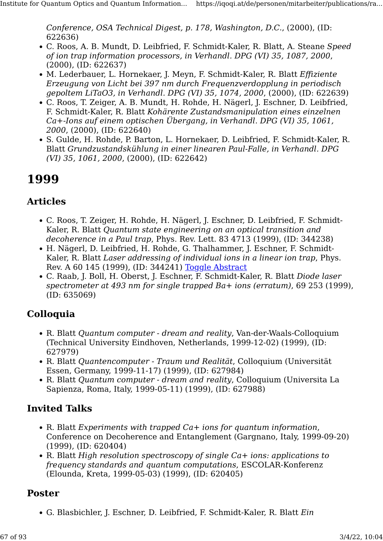Conference, OSA Technical Digest, p. 178, Washington, D.C., (2000), (ID: 622636)

- C. Roos, A. B. Mundt, D. Leibfried, F. Schmidt-Kaler, R. Blatt, A. Steane Speed of ion trap information processors, in Verhandl. DPG (VI) 35, 1087, 2000, (2000), (ID: 622637)
- M. Lederbauer, L. Hornekaer, J. Meyn, F. Schmidt-Kaler, R. Blatt Effiziente Erzeugung von Licht bei 397 nm durch Frequenzverdopplung in periodisch gepoltem LiTaO3, in Verhandl. DPG (VI) 35, 1074, 2000, (2000), (ID: 622639)
- C. Roos, T. Zeiger, A. B. Mundt, H. Rohde, H. Nägerl, J. Eschner, D. Leibfried, F. Schmidt-Kaler, R. Blatt Kohärente Zustandsmanipulation eines einzelnen Ca+-Ions auf einem optischen Übergang, in Verhandl. DPG (VI) 35, 1061, 2000, (2000), (ID: 622640)
- S. Gulde, H. Rohde, P. Barton, L. Hornekaer, D. Leibfried, F. Schmidt-Kaler, R. Blatt Grundzustandskühlung in einer linearen Paul-Falle, in Verhandl. DPG (VI) 35, 1061, 2000, (2000), (ID: 622642)

# 1999

#### Articles

- C. Roos, T. Zeiger, H. Rohde, H. Nägerl, J. Eschner, D. Leibfried, F. Schmidt-Kaler, R. Blatt Quantum state engineering on an optical transition and decoherence in a Paul trap, Phys. Rev. Lett. 83 4713 (1999), (ID: 344238)
- H. Nägerl, D. Leibfried, H. Rohde, G. Thalhammer, J. Eschner, F. Schmidt-Kaler, R. Blatt Laser addressing of individual ions in a linear ion trap, Phys. Rev. A 60 145 (1999), (ID: 344241) [Toggle Abstract](https://iqoqi.at/de/personen/mitarbeiter/publications/rainer-blatt?format=raw#)
- C. Raab, J. Boll, H. Oberst, J. Eschner, F. Schmidt-Kaler, R. Blatt Diode laser spectrometer at 493 nm for single trapped Ba+ ions (erratum), 69 253 (1999), (ID: 635069)

#### Colloquia

- R. Blatt Quantum computer dream and reality, Van-der-Waals-Colloquium (Technical University Eindhoven, Netherlands, 1999-12-02) (1999), (ID: 627979)
- R. Blatt Quantencomputer Traum und Realität, Colloquium (Universität Essen, Germany, 1999-11-17) (1999), (ID: 627984)
- R. Blatt Quantum computer dream and reality, Colloquium (Universita La Sapienza, Roma, Italy, 1999-05-11) (1999), (ID: 627988)

#### Invited Talks

- R. Blatt Experiments with trapped Ca+ ions for quantum information, Conference on Decoherence and Entanglement (Gargnano, Italy, 1999-09-20) (1999), (ID: 620404)
- R. Blatt High resolution spectroscopy of single Ca+ ions: applications to frequency standards and quantum computations, ESCOLAR-Konferenz (Elounda, Kreta, 1999-05-03) (1999), (ID: 620405)

#### Poster

• G. Blasbichler, J. Eschner, D. Leibfried, F. Schmidt-Kaler, R. Blatt Ein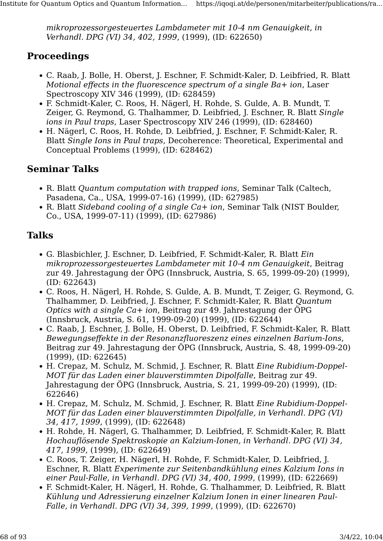mikroprozessorgesteuertes Lambdameter mit 10-4 nm Genauigkeit, in Verhandl. DPG (VI) 34, 402, 1999, (1999), (ID: 622650)

#### Proceedings

- C. Raab, J. Bolle, H. Oberst, J. Eschner, F. Schmidt-Kaler, D. Leibfried, R. Blatt Motional effects in the fluorescence spectrum of a single Ba+ ion, Laser Spectroscopy XIV 346 (1999), (ID: 628459)
- F. Schmidt-Kaler, C. Roos, H. Nägerl, H. Rohde, S. Gulde, A. B. Mundt, T. Zeiger, G. Reymond, G. Thalhammer, D. Leibfried, J. Eschner, R. Blatt Single ions in Paul traps, Laser Spectroscopy XIV 246 (1999), (ID: 628460)
- H. Nägerl, C. Roos, H. Rohde, D. Leibfried, J. Eschner, F. Schmidt-Kaler, R. Blatt Single Ions in Paul traps, Decoherence: Theoretical, Experimental and Conceptual Problems (1999), (ID: 628462)

#### Seminar Talks

- R. Blatt Quantum computation with trapped ions, Seminar Talk (Caltech, Pasadena, Ca., USA, 1999-07-16) (1999), (ID: 627985)
- R. Blatt Sideband cooling of a single Ca+ ion, Seminar Talk (NIST Boulder, Co., USA, 1999-07-11) (1999), (ID: 627986)

### Talks

- G. Blasbichler, J. Eschner, D. Leibfried, F. Schmidt-Kaler, R. Blatt Ein mikroprozessorgesteuertes Lambdameter mit 10-4 nm Genauigkeit, Beitrag zur 49. Jahrestagung der ÖPG (Innsbruck, Austria, S. 65, 1999-09-20) (1999), (ID: 622643)
- C. Roos, H. Nägerl, H. Rohde, S. Gulde, A. B. Mundt, T. Zeiger, G. Reymond, G. Thalhammer, D. Leibfried, J. Eschner, F. Schmidt-Kaler, R. Blatt Quantum Optics with a single Ca+ ion, Beitrag zur 49. Jahrestagung der ÖPG (Innsbruck, Austria, S. 61, 1999-09-20) (1999), (ID: 622644)
- C. Raab, J. Eschner, J. Bolle, H. Oberst, D. Leibfried, F. Schmidt-Kaler, R. Blatt Bewegungseffekte in der Resonanzfluoreszenz eines einzelnen Barium-Ions, Beitrag zur 49. Jahrestagung der ÖPG (Innsbruck, Austria, S. 48, 1999-09-20) (1999), (ID: 622645)
- H. Crepaz, M. Schulz, M. Schmid, J. Eschner, R. Blatt Eine Rubidium-Doppel-MOT für das Laden einer blauverstimmten Dipolfalle, Beitrag zur 49. Jahrestagung der ÖPG (Innsbruck, Austria, S. 21, 1999-09-20) (1999), (ID: 622646)
- H. Crepaz, M. Schulz, M. Schmid, J. Eschner, R. Blatt Eine Rubidium-Doppel-MOT für das Laden einer blauverstimmten Dipolfalle, in Verhandl. DPG (VI) 34, 417, 1999, (1999), (ID: 622648)
- H. Rohde, H. Nägerl, G. Thalhammer, D. Leibfried, F. Schmidt-Kaler, R. Blatt Hochauflösende Spektroskopie an Kalzium-Ionen, in Verhandl. DPG (VI) 34, 417, 1999, (1999), (ID: 622649)
- C. Roos, T. Zeiger, H. Nägerl, H. Rohde, F. Schmidt-Kaler, D. Leibfried, J. Eschner, R. Blatt Experimente zur Seitenbandkühlung eines Kalzium Ions in einer Paul-Falle, in Verhandl. DPG (VI) 34, 400, 1999, (1999), (ID: 622669)
- F. Schmidt-Kaler, H. Nägerl, H. Rohde, G. Thalhammer, D. Leibfried, R. Blatt Kühlung und Adressierung einzelner Kalzium Ionen in einer linearen Paul-Falle, in Verhandl. DPG (VI) 34, 399, 1999, (1999), (ID: 622670)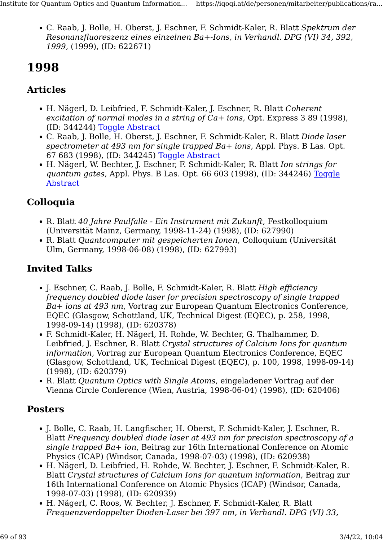• C. Raab, J. Bolle, H. Oberst, J. Eschner, F. Schmidt-Kaler, R. Blatt Spektrum der Resonanzfluoreszenz eines einzelnen Ba+-Ions, in Verhandl. DPG (VI) 34, 392, 1999, (1999), (ID: 622671)

# 1998

## Articles

- H. Nägerl, D. Leibfried, F. Schmidt-Kaler, J. Eschner, R. Blatt Coherent excitation of normal modes in a string of Ca+ ions, Opt. Express 3 89 (1998), (ID: 344244) [Toggle Abstract](https://iqoqi.at/de/personen/mitarbeiter/publications/rainer-blatt?format=raw#)
- C. Raab, J. Bolle, H. Oberst, J. Eschner, F. Schmidt-Kaler, R. Blatt Diode laser spectrometer at 493 nm for single trapped Ba+ ions, Appl. Phys. B Las. Opt. 67 683 (1998), (ID: 344245) [Toggle Abstract](https://iqoqi.at/de/personen/mitarbeiter/publications/rainer-blatt?format=raw#)
- H. Nägerl, W. Bechter, J. Eschner, F. Schmidt-Kaler, R. Blatt Ion strings for quantum gates, Appl. Phys. B Las. Opt. 66 603 (1998), (ID: 344246) [Toggle](https://iqoqi.at/de/personen/mitarbeiter/publications/rainer-blatt?format=raw#) **[Abstract](https://iqoqi.at/de/personen/mitarbeiter/publications/rainer-blatt?format=raw#)**

# Colloquia

- R. Blatt 40 Jahre Paulfalle Ein Instrument mit Zukunft, Festkolloquium (Universität Mainz, Germany, 1998-11-24) (1998), (ID: 627990)
- R. Blatt Quantcomputer mit gespeicherten Ionen, Colloquium (Universität Ulm, Germany, 1998-06-08) (1998), (ID: 627993)

# Invited Talks

- J. Eschner, C. Raab, J. Bolle, F. Schmidt-Kaler, R. Blatt High efficiency frequency doubled diode laser for precision spectroscopy of single trapped Ba+ ions at 493 nm, Vortrag zur European Quantum Electronics Conference, EQEC (Glasgow, Schottland, UK, Technical Digest (EQEC), p. 258, 1998, 1998-09-14) (1998), (ID: 620378)
- F. Schmidt-Kaler, H. Nägerl, H. Rohde, W. Bechter, G. Thalhammer, D. Leibfried, J. Eschner, R. Blatt Crystal structures of Calcium Ions for quantum information, Vortrag zur European Quantum Electronics Conference, EQEC (Glasgow, Schottland, UK, Technical Digest (EQEC), p. 100, 1998, 1998-09-14) (1998), (ID: 620379)
- R. Blatt Quantum Optics with Single Atoms, eingeladener Vortrag auf der Vienna Circle Conference (Wien, Austria, 1998-06-04) (1998), (ID: 620406)

#### **Posters**

- J. Bolle, C. Raab, H. Langfischer, H. Oberst, F. Schmidt-Kaler, J. Eschner, R. Blatt Frequency doubled diode laser at 493 nm for precision spectroscopy of a single trapped Ba+ ion, Beitrag zur 16th International Conference on Atomic Physics (ICAP) (Windsor, Canada, 1998-07-03) (1998), (ID: 620938)
- H. Nägerl, D. Leibfried, H. Rohde, W. Bechter, J. Eschner, F. Schmidt-Kaler, R. Blatt Crystal structures of Calcium Ions for quantum information, Beitrag zur 16th International Conference on Atomic Physics (ICAP) (Windsor, Canada, 1998-07-03) (1998), (ID: 620939)
- H. Nägerl, C. Roos, W. Bechter, J. Eschner, F. Schmidt-Kaler, R. Blatt Frequenzverdoppelter Dioden-Laser bei 397 nm, in Verhandl. DPG (VI) 33,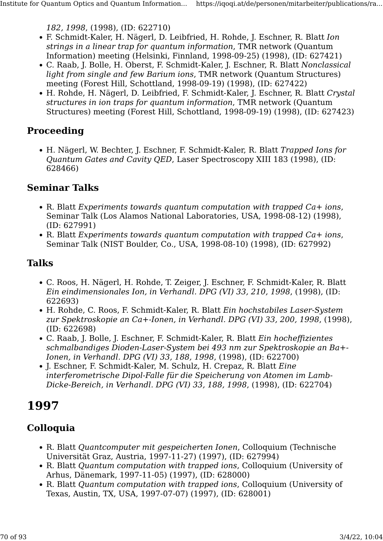182, 1998, (1998), (ID: 622710)

- F. Schmidt-Kaler, H. Nägerl, D. Leibfried, H. Rohde, J. Eschner, R. Blatt Ion strings in a linear trap for quantum information, TMR network (Quantum Information) meeting (Helsinki, Finnland, 1998-09-25) (1998), (ID: 627421)
- C. Raab, J. Bolle, H. Oberst, F. Schmidt-Kaler, J. Eschner, R. Blatt Nonclassical light from single and few Barium ions, TMR network (Quantum Structures) meeting (Forest Hill, Schottland, 1998-09-19) (1998), (ID: 627422)
- H. Rohde, H. Nägerl, D. Leibfried, F. Schmidt-Kaler, J. Eschner, R. Blatt Crystal structures in ion traps for quantum information, TMR network (Quantum Structures) meeting (Forest Hill, Schottland, 1998-09-19) (1998), (ID: 627423)

#### Proceeding

• H. Nägerl, W. Bechter, J. Eschner, F. Schmidt-Kaler, R. Blatt Trapped Ions for Quantum Gates and Cavity QED, Laser Spectroscopy XIII 183 (1998), (ID: 628466)

#### Seminar Talks

- R. Blatt Experiments towards quantum computation with trapped Ca+ ions, Seminar Talk (Los Alamos National Laboratories, USA, 1998-08-12) (1998), (ID: 627991)
- R. Blatt Experiments towards quantum computation with trapped Ca+ ions, Seminar Talk (NIST Boulder, Co., USA, 1998-08-10) (1998), (ID: 627992)

#### Talks

- C. Roos, H. Nägerl, H. Rohde, T. Zeiger, J. Eschner, F. Schmidt-Kaler, R. Blatt Ein eindimensionales Ion, in Verhandl. DPG (VI) 33, 210, 1998, (1998), (ID: 622693)
- H. Rohde, C. Roos, F. Schmidt-Kaler, R. Blatt Ein hochstabiles Laser-System zur Spektroskopie an Ca+-Ionen, in Verhandl. DPG (VI) 33, 200, 1998, (1998), (ID: 622698)
- C. Raab, J. Bolle, J. Eschner, F. Schmidt-Kaler, R. Blatt Ein hocheffizientes schmalbandiges Dioden-Laser-System bei 493 nm zur Spektroskopie an Ba+- Ionen, in Verhandl. DPG (VI) 33, 188, 1998, (1998), (ID: 622700)
- J. Eschner, F. Schmidt-Kaler, M. Schulz, H. Crepaz, R. Blatt Eine interferometrische Dipol-Falle für die Speicherung von Atomen im Lamb-Dicke-Bereich, in Verhandl. DPG (VI) 33, 188, 1998, (1998), (ID: 622704)

# 1997

## Colloquia

- R. Blatt Quantcomputer mit gespeicherten Ionen, Colloquium (Technische Universität Graz, Austria, 1997-11-27) (1997), (ID: 627994)
- R. Blatt Quantum computation with trapped ions, Colloquium (University of Arhus, Dänemark, 1997-11-05) (1997), (ID: 628000)
- R. Blatt Quantum computation with trapped ions, Colloquium (University of Texas, Austin, TX, USA, 1997-07-07) (1997), (ID: 628001)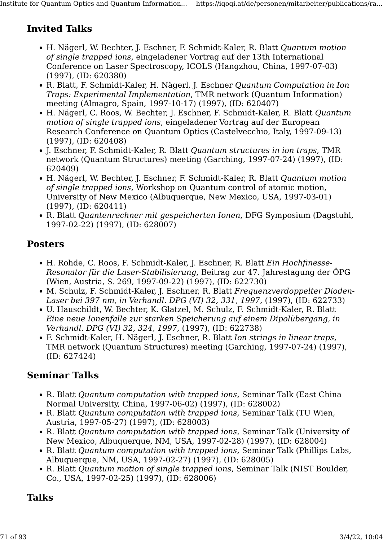### Invited Talks

- H. Nägerl, W. Bechter, J. Eschner, F. Schmidt-Kaler, R. Blatt Quantum motion of single trapped ions, eingeladener Vortrag auf der 13th International Conference on Laser Spectroscopy, ICOLS (Hangzhou, China, 1997-07-03) (1997), (ID: 620380)
- R. Blatt, F. Schmidt-Kaler, H. Nägerl, J. Eschner Quantum Computation in Ion Traps: Experimental Implementation, TMR network (Quantum Information) meeting (Almagro, Spain, 1997-10-17) (1997), (ID: 620407)
- H. Nägerl, C. Roos, W. Bechter, J. Eschner, F. Schmidt-Kaler, R. Blatt Quantum motion of single trapped ions, eingeladener Vortrag auf der European Research Conference on Quantum Optics (Castelvecchio, Italy, 1997-09-13) (1997), (ID: 620408)
- J. Eschner, F. Schmidt-Kaler, R. Blatt Quantum structures in ion traps, TMR network (Quantum Structures) meeting (Garching, 1997-07-24) (1997), (ID: 620409)
- H. Nägerl, W. Bechter, J. Eschner, F. Schmidt-Kaler, R. Blatt Quantum motion of single trapped ions, Workshop on Quantum control of atomic motion, University of New Mexico (Albuquerque, New Mexico, USA, 1997-03-01) (1997), (ID: 620411)
- R. Blatt Quantenrechner mit gespeicherten Ionen, DFG Symposium (Dagstuhl, 1997-02-22) (1997), (ID: 628007)

#### Posters

- H. Rohde, C. Roos, F. Schmidt-Kaler, J. Eschner, R. Blatt Ein Hochfinesse-Resonator für die Laser-Stabilisierung, Beitrag zur 47. Jahrestagung der ÖPG (Wien, Austria, S. 269, 1997-09-22) (1997), (ID: 622730)
- M. Schulz, F. Schmidt-Kaler, J. Eschner, R. Blatt Frequenzverdoppelter Dioden-Laser bei 397 nm, in Verhandl. DPG (VI) 32, 331, 1997, (1997), (ID: 622733)
- U. Hauschildt, W. Bechter, K. Glatzel, M. Schulz, F. Schmidt-Kaler, R. Blatt Eine neue Ionenfalle zur starken Speicherung auf einem Dipolübergang, in Verhandl. DPG (VI) 32, 324, 1997, (1997), (ID: 622738)
- F. Schmidt-Kaler, H. Nägerl, J. Eschner, R. Blatt Ion strings in linear traps, TMR network (Quantum Structures) meeting (Garching, 1997-07-24) (1997), (ID: 627424)

#### Seminar Talks

- R. Blatt Quantum computation with trapped ions, Seminar Talk (East China Normal University, China, 1997-06-02) (1997), (ID: 628002)
- R. Blatt Quantum computation with trapped ions, Seminar Talk (TU Wien, Austria, 1997-05-27) (1997), (ID: 628003)
- R. Blatt Quantum computation with trapped ions, Seminar Talk (University of New Mexico, Albuquerque, NM, USA, 1997-02-28) (1997), (ID: 628004)
- R. Blatt Quantum computation with trapped ions, Seminar Talk (Phillips Labs, Albuquerque, NM, USA, 1997-02-27) (1997), (ID: 628005)
- R. Blatt Quantum motion of single trapped ions, Seminar Talk (NIST Boulder, Co., USA, 1997-02-25) (1997), (ID: 628006)

#### Talks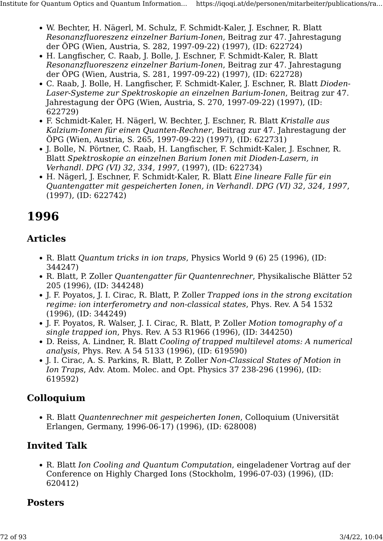- W. Bechter, H. Nägerl, M. Schulz, F. Schmidt-Kaler, J. Eschner, R. Blatt Resonanzfluoreszenz einzelner Barium-Ionen, Beitrag zur 47. Jahrestagung der ÖPG (Wien, Austria, S. 282, 1997-09-22) (1997), (ID: 622724)
- H. Langfischer, C. Raab, J. Bolle, J. Eschner, F. Schmidt-Kaler, R. Blatt Resonanzfluoreszenz einzelner Barium-Ionen, Beitrag zur 47. Jahrestagung der ÖPG (Wien, Austria, S. 281, 1997-09-22) (1997), (ID: 622728)
- C. Raab, J. Bolle, H. Langfischer, F. Schmidt-Kaler, J. Eschner, R. Blatt Dioden-Laser-Systeme zur Spektroskopie an einzelnen Barium-Ionen, Beitrag zur 47. Jahrestagung der ÖPG (Wien, Austria, S. 270, 1997-09-22) (1997), (ID: 622729)
- F. Schmidt-Kaler, H. Nägerl, W. Bechter, J. Eschner, R. Blatt Kristalle aus Kalzium-Ionen für einen Quanten-Rechner, Beitrag zur 47. Jahrestagung der ÖPG (Wien, Austria, S. 265, 1997-09-22) (1997), (ID: 622731)
- J. Bolle, N. Pörtner, C. Raab, H. Langfischer, F. Schmidt-Kaler, J. Eschner, R. Blatt Spektroskopie an einzelnen Barium Ionen mit Dioden-Lasern, in Verhandl. DPG (VI) 32, 334, 1997, (1997), (ID: 622734)
- H. Nägerl, J. Eschner, F. Schmidt-Kaler, R. Blatt Eine lineare Falle für ein Quantengatter mit gespeicherten Ionen, in Verhandl. DPG (VI) 32, 324, 1997, (1997), (ID: 622742)

# 1996

#### Articles

- R. Blatt Quantum tricks in ion traps, Physics World 9 (6) 25 (1996), (ID: 344247)
- R. Blatt, P. Zoller Quantengatter für Quantenrechner, Physikalische Blätter 52 205 (1996), (ID: 344248)
- J. F. Poyatos, J. I. Cirac, R. Blatt, P. Zoller Trapped ions in the strong excitation regime: ion interferometry and non-classical states, Phys. Rev. A 54 1532 (1996), (ID: 344249)
- J. F. Poyatos, R. Walser, J. I. Cirac, R. Blatt, P. Zoller Motion tomography of a single trapped ion, Phys. Rev. A 53 R1966 (1996), (ID: 344250)
- D. Reiss, A. Lindner, R. Blatt Cooling of trapped multilevel atoms: A numerical analysis, Phys. Rev. A 54 5133 (1996), (ID: 619590)
- J. I. Cirac, A. S. Parkins, R. Blatt, P. Zoller Non-Classical States of Motion in Ion Traps, Adv. Atom. Molec. and Opt. Physics 37 238-296 (1996), (ID: 619592)

## Colloquium

• R. Blatt Quantenrechner mit gespeicherten Ionen, Colloquium (Universität Erlangen, Germany, 1996-06-17) (1996), (ID: 628008)

## Invited Talk

• R. Blatt Ion Cooling and Quantum Computation, eingeladener Vortrag auf der Conference on Highly Charged Ions (Stockholm, 1996-07-03) (1996), (ID: 620412)

## **Posters**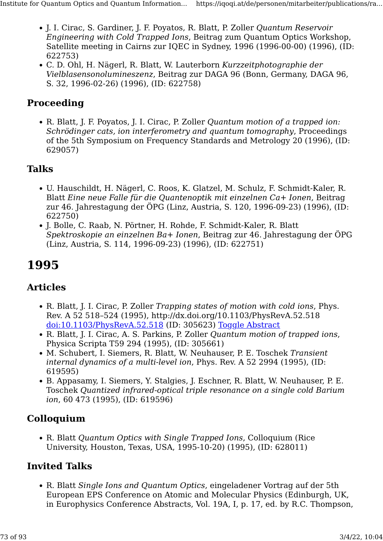- J. I. Cirac, S. Gardiner, J. F. Poyatos, R. Blatt, P. Zoller Quantum Reservoir Engineering with Cold Trapped Ions, Beitrag zum Quantum Optics Workshop, Satellite meeting in Cairns zur IQEC in Sydney, 1996 (1996-00-00) (1996), (ID: 622753)
- C. D. Ohl, H. Nägerl, R. Blatt, W. Lauterborn Kurzzeitphotographie der Vielblasensonolumineszenz, Beitrag zur DAGA 96 (Bonn, Germany, DAGA 96, S. 32, 1996-02-26) (1996), (ID: 622758)

### Proceeding

• R. Blatt, J. F. Poyatos, J. I. Cirac, P. Zoller Quantum motion of a trapped ion: Schrödinger cats, ion interferometry and quantum tomography, Proceedings of the 5th Symposium on Frequency Standards and Metrology 20 (1996), (ID: 629057)

# Talks

- U. Hauschildt, H. Nägerl, C. Roos, K. Glatzel, M. Schulz, F. Schmidt-Kaler, R. Blatt Eine neue Falle für die Quantenoptik mit einzelnen Ca+ Ionen, Beitrag zur 46. Jahrestagung der ÖPG (Linz, Austria, S. 120, 1996-09-23) (1996), (ID: 622750)
- J. Bolle, C. Raab, N. Pörtner, H. Rohde, F. Schmidt-Kaler, R. Blatt Spektroskopie an einzelnen Ba+ Ionen, Beitrag zur 46. Jahrestagung der ÖPG (Linz, Austria, S. 114, 1996-09-23) (1996), (ID: 622751)

# 1995

#### Articles

- R. Blatt, J. I. Cirac, P. Zoller Trapping states of motion with cold ions, Phys. Rev. A 52 518–524 (1995), http://dx.doi.org/10.1103/PhysRevA.52.518 [doi:10.1103/PhysRevA.52.518](http://dx.doi.org/10.1103/PhysRevA.52.518) (ID: 305623) [Toggle Abstract](https://iqoqi.at/de/personen/mitarbeiter/publications/rainer-blatt?format=raw#)
- R. Blatt, J. I. Cirac, A. S. Parkins, P. Zoller Quantum motion of trapped ions, Physica Scripta T59 294 (1995), (ID: 305661)
- M. Schubert, I. Siemers, R. Blatt, W. Neuhauser, P. E. Toschek Transient internal dynamics of a multi-level ion, Phys. Rev. A 52 2994 (1995), (ID: 619595)
- B. Appasamy, I. Siemers, Y. Stalgies, J. Eschner, R. Blatt, W. Neuhauser, P. E. Toschek Quantized infrared-optical triple resonance on a single cold Barium ion, 60 473 (1995), (ID: 619596)

## Colloquium

• R. Blatt Quantum Optics with Single Trapped Ions, Colloquium (Rice University, Houston, Texas, USA, 1995-10-20) (1995), (ID: 628011)

# Invited Talks

• R. Blatt Single Ions and Quantum Optics, eingeladener Vortrag auf der 5th European EPS Conference on Atomic and Molecular Physics (Edinburgh, UK, in Europhysics Conference Abstracts, Vol. 19A, I, p. 17, ed. by R.C. Thompson,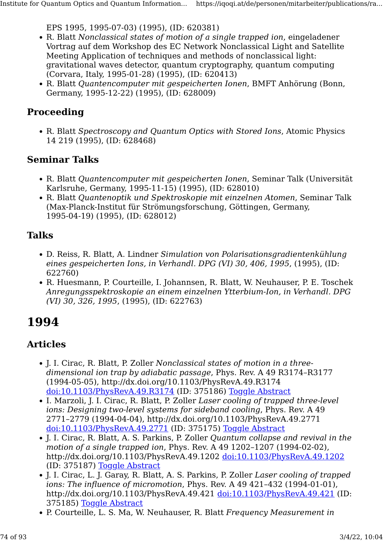EPS 1995, 1995-07-03) (1995), (ID: 620381)

- R. Blatt Nonclassical states of motion of a single trapped ion, eingeladener Vortrag auf dem Workshop des EC Network Nonclassical Light and Satellite Meeting Application of techniques and methods of nonclassical light: gravitational waves detector, quantum cryptography, quantum computing (Corvara, Italy, 1995-01-28) (1995), (ID: 620413)
- R. Blatt Quantencomputer mit gespeicherten Ionen, BMFT Anhörung (Bonn, Germany, 1995-12-22) (1995), (ID: 628009)

### Proceeding

• R. Blatt Spectroscopy and Quantum Optics with Stored Ions, Atomic Physics 14 219 (1995), (ID: 628468)

#### Seminar Talks

- R. Blatt Quantencomputer mit gespeicherten Ionen, Seminar Talk (Universität Karlsruhe, Germany, 1995-11-15) (1995), (ID: 628010)
- R. Blatt Quantenoptik und Spektroskopie mit einzelnen Atomen, Seminar Talk (Max-Planck-Institut für Strömungsforschung, Göttingen, Germany, 1995-04-19) (1995), (ID: 628012)

## Talks

- D. Reiss, R. Blatt, A. Lindner Simulation von Polarisationsgradientenkühlung eines gespeicherten Ions, in Verhandl. DPG (VI) 30, 406, 1995, (1995), (ID: 622760)
- R. Huesmann, P. Courteille, I. Johannsen, R. Blatt, W. Neuhauser, P. E. Toschek Anregungsspektroskopie an einem einzelnen Ytterbium-Ion, in Verhandl. DPG (VI) 30, 326, 1995, (1995), (ID: 622763)

# 1994

- J. I. Cirac, R. Blatt, P. Zoller Nonclassical states of motion in a threedimensional ion trap by adiabatic passage, Phys. Rev. A 49 R3174–R3177 (1994-05-05), http://dx.doi.org/10.1103/PhysRevA.49.R3174 [doi:10.1103/PhysRevA.49.R3174](http://dx.doi.org/10.1103/PhysRevA.49.R3174) (ID: 375186) [Toggle Abstract](https://iqoqi.at/de/personen/mitarbeiter/publications/rainer-blatt?format=raw#)
- I. Marzoli, J. I. Cirac, R. Blatt, P. Zoller Laser cooling of trapped three-level ions: Designing two-level systems for sideband cooling, Phys. Rev. A 49 2771–2779 (1994-04-04), http://dx.doi.org/10.1103/PhysRevA.49.2771 [doi:10.1103/PhysRevA.49.2771](http://dx.doi.org/10.1103/PhysRevA.49.2771) (ID: 375175) [Toggle Abstract](https://iqoqi.at/de/personen/mitarbeiter/publications/rainer-blatt?format=raw#)
- J. I. Cirac, R. Blatt, A. S. Parkins, P. Zoller Quantum collapse and revival in the motion of a single trapped ion, Phys. Rev. A 49 1202–1207 (1994-02-02), http://dx.doi.org/10.1103/PhysRevA.49.1202 [doi:10.1103/PhysRevA.49.1202](http://dx.doi.org/10.1103/PhysRevA.49.1202) (ID: 375187) [Toggle Abstract](https://iqoqi.at/de/personen/mitarbeiter/publications/rainer-blatt?format=raw#)
- J. I. Cirac, L. J. Garay, R. Blatt, A. S. Parkins, P. Zoller Laser cooling of trapped ions: The influence of micromotion, Phys. Rev. A 49 421–432 (1994-01-01), http://dx.doi.org/10.1103/PhysRevA.49.421 [doi:10.1103/PhysRevA.49.421](http://dx.doi.org/10.1103/PhysRevA.49.421) (ID: 375185) [Toggle Abstract](https://iqoqi.at/de/personen/mitarbeiter/publications/rainer-blatt?format=raw#)
- P. Courteille, L. S. Ma, W. Neuhauser, R. Blatt Frequency Measurement in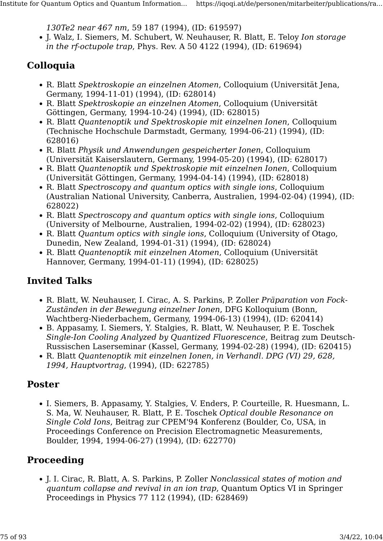130Te2 near 467 nm, 59 187 (1994), (ID: 619597)

• J. Walz, I. Siemers, M. Schubert, W. Neuhauser, R. Blatt, E. Teloy Ion storage in the rf-octupole trap, Phys. Rev. A 50 4122 (1994), (ID: 619694)

# Colloquia

- R. Blatt Spektroskopie an einzelnen Atomen, Colloquium (Universität Jena, Germany, 1994-11-01) (1994), (ID: 628014)
- R. Blatt Spektroskopie an einzelnen Atomen, Colloquium (Universität Göttingen, Germany, 1994-10-24) (1994), (ID: 628015)
- R. Blatt Quantenoptik und Spektroskopie mit einzelnen Ionen, Colloquium (Technische Hochschule Darmstadt, Germany, 1994-06-21) (1994), (ID: 628016)
- R. Blatt Physik und Anwendungen gespeicherter Ionen, Colloquium (Universität Kaiserslautern, Germany, 1994-05-20) (1994), (ID: 628017)
- R. Blatt Quantenoptik und Spektroskopie mit einzelnen Ionen, Colloquium (Universität Göttingen, Germany, 1994-04-14) (1994), (ID: 628018)
- R. Blatt Spectroscopy and quantum optics with single ions, Colloquium (Australian National University, Canberra, Australien, 1994-02-04) (1994), (ID: 628022)
- R. Blatt Spectroscopy and quantum optics with single ions, Colloquium (University of Melbourne, Australien, 1994-02-02) (1994), (ID: 628023)
- R. Blatt Quantum optics with single ions, Colloquium (University of Otago, Dunedin, New Zealand, 1994-01-31) (1994), (ID: 628024)
- R. Blatt Quantenoptik mit einzelnen Atomen, Colloquium (Universität Hannover, Germany, 1994-01-11) (1994), (ID: 628025)

# Invited Talks

- R. Blatt, W. Neuhauser, I. Cirac, A. S. Parkins, P. Zoller Präparation von Fock-Zuständen in der Bewegung einzelner Ionen, DFG Kolloquium (Bonn, Wachtberg-Niederbachem, Germany, 1994-06-13) (1994), (ID: 620414)
- B. Appasamy, I. Siemers, Y. Stalgies, R. Blatt, W. Neuhauser, P. E. Toschek Single-Ion Cooling Analyzed by Quantized Fluorescence, Beitrag zum Deutsch-Russischen Laserseminar (Kassel, Germany, 1994-02-28) (1994), (ID: 620415)
- R. Blatt Quantenoptik mit einzelnen Ionen, in Verhandl. DPG (VI) 29, 628, 1994, Hauptvortrag, (1994), (ID: 622785)

## Poster

• I. Siemers, B. Appasamy, Y. Stalgies, V. Enders, P. Courteille, R. Huesmann, L. S. Ma, W. Neuhauser, R. Blatt, P. E. Toschek Optical double Resonance on Single Cold Ions, Beitrag zur CPEM'94 Konferenz (Boulder, Co, USA, in Proceedings Conference on Precision Electromagnetic Measurements, Boulder, 1994, 1994-06-27) (1994), (ID: 622770)

# Proceeding

• J. I. Cirac, R. Blatt, A. S. Parkins, P. Zoller Nonclassical states of motion and quantum collapse and revival in an ion trap, Quantum Optics VI in Springer Proceedings in Physics 77 112 (1994), (ID: 628469)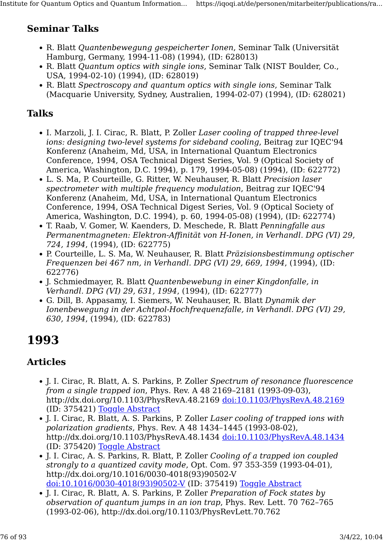# Seminar Talks

- R. Blatt Quantenbewegung gespeicherter Ionen, Seminar Talk (Universität Hamburg, Germany, 1994-11-08) (1994), (ID: 628013)
- R. Blatt Quantum optics with single ions, Seminar Talk (NIST Boulder, Co., USA, 1994-02-10) (1994), (ID: 628019)
- R. Blatt Spectroscopy and quantum optics with single ions, Seminar Talk (Macquarie University, Sydney, Australien, 1994-02-07) (1994), (ID: 628021)

# Talks

- I. Marzoli, J. I. Cirac, R. Blatt, P. Zoller Laser cooling of trapped three-level ions: designing two-level systems for sideband cooling, Beitrag zur IQEC'94 Konferenz (Anaheim, Md, USA, in International Quantum Electronics Conference, 1994, OSA Technical Digest Series, Vol. 9 (Optical Society of America, Washington, D.C. 1994), p. 179, 1994-05-08) (1994), (ID: 622772)
- L. S. Ma, P. Courteille, G. Ritter, W. Neuhauser, R. Blatt Precision laser spectrometer with multiple frequency modulation, Beitrag zur IQEC'94 Konferenz (Anaheim, Md, USA, in International Quantum Electronics Conference, 1994, OSA Technical Digest Series, Vol. 9 (Optical Society of America, Washington, D.C. 1994), p. 60, 1994-05-08) (1994), (ID: 622774)
- T. Raab, V. Gomer, W. Kaenders, D. Meschede, R. Blatt Penningfalle aus Permanentmagneten: Elektron-Affinität von H-Ionen, in Verhandl. DPG (VI) 29, 724, 1994, (1994), (ID: 622775)
- P. Courteille, L. S. Ma, W. Neuhauser, R. Blatt Präzisionsbestimmung optischer Frequenzen bei 467 nm, in Verhandl. DPG (VI) 29, 669, 1994, (1994), (ID: 622776)
- J. Schmiedmayer, R. Blatt Quantenbewebung in einer Kingdonfalle, in Verhandl. DPG (VI) 29, 631, 1994, (1994), (ID: 622777)
- G. Dill, B. Appasamy, I. Siemers, W. Neuhauser, R. Blatt Dynamik der Ionenbewegung in der Achtpol-Hochfrequenzfalle, in Verhandl. DPG (VI) 29, 630, 1994, (1994), (ID: 622783)

# 1993

- J. I. Cirac, R. Blatt, A. S. Parkins, P. Zoller Spectrum of resonance fluorescence from a single trapped ion, Phys. Rev. A 48 2169–2181 (1993-09-03), http://dx.doi.org/10.1103/PhysRevA.48.2169 [doi:10.1103/PhysRevA.48.2169](http://dx.doi.org/10.1103/PhysRevA.48.2169) (ID: 375421) [Toggle Abstract](https://iqoqi.at/de/personen/mitarbeiter/publications/rainer-blatt?format=raw#)
- J. I. Cirac, R. Blatt, A. S. Parkins, P. Zoller Laser cooling of trapped ions with polarization gradients, Phys. Rev. A 48 1434–1445 (1993-08-02), http://dx.doi.org/10.1103/PhysRevA.48.1434 [doi:10.1103/PhysRevA.48.1434](http://dx.doi.org/10.1103/PhysRevA.48.1434) (ID: 375420) [Toggle Abstract](https://iqoqi.at/de/personen/mitarbeiter/publications/rainer-blatt?format=raw#)
- J. I. Cirac, A. S. Parkins, R. Blatt, P. Zoller Cooling of a trapped ion coupled strongly to a quantized cavity mode, Opt. Com. 97 353-359 (1993-04-01), http://dx.doi.org/10.1016/0030-4018(93)90502-V [doi:10.1016/0030-4018\(93\)90502-V](http://dx.doi.org/10.1016/0030-4018(93)90502-V) (ID: 375419) [Toggle Abstract](https://iqoqi.at/de/personen/mitarbeiter/publications/rainer-blatt?format=raw#)
- J. I. Cirac, R. Blatt, A. S. Parkins, P. Zoller Preparation of Fock states by observation of quantum jumps in an ion trap, Phys. Rev. Lett. 70 762–765 (1993-02-06), http://dx.doi.org/10.1103/PhysRevLett.70.762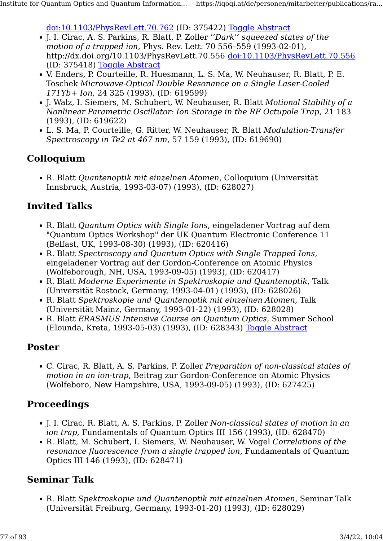[doi:10.1103/PhysRevLett.70.762](http://dx.doi.org/10.1103/PhysRevLett.70.762) (ID: 375422) [Toggle Abstract](https://iqoqi.at/de/personen/mitarbeiter/publications/rainer-blatt?format=raw#)

- J. I. Cirac, A. S. Parkins, R. Blatt, P. Zoller ''Dark'' squeezed states of the motion of a trapped ion, Phys. Rev. Lett. 70 556–559 (1993-02-01), http://dx.doi.org/10.1103/PhysRevLett.70.556 [doi:10.1103/PhysRevLett.70.556](http://dx.doi.org/10.1103/PhysRevLett.70.556) (ID: 375418) [Toggle Abstract](https://iqoqi.at/de/personen/mitarbeiter/publications/rainer-blatt?format=raw#)
- V. Enders, P. Courteille, R. Huesmann, L. S. Ma, W. Neuhauser, R. Blatt, P. E. Toschek Microwave-Optical Double Resonance on a Single Laser-Cooled 171Yb+ Ion, 24 325 (1993), (ID: 619599)
- J. Walz, I. Siemers, M. Schubert, W. Neuhauser, R. Blatt Motional Stability of a Nonlinear Parametric Oscillator: Ion Storage in the RF Octupole Trap, 21 183 (1993), (ID: 619622)
- L. S. Ma, P. Courteille, G. Ritter, W. Neuhauser, R. Blatt Modulation-Transfer Spectroscopy in Te2 at 467 nm, 57 159 (1993), (ID: 619690)

#### Colloquium

• R. Blatt Quantenoptik mit einzelnen Atomen, Colloquium (Universität Innsbruck, Austria, 1993-03-07) (1993), (ID: 628027)

#### Invited Talks

- R. Blatt Quantum Optics with Single Ions, eingeladener Vortrag auf dem "Quantum Optics Workshop" der UK Quantum Electronic Conference 11 (Belfast, UK, 1993-08-30) (1993), (ID: 620416)
- R. Blatt Spectroscopy and Quantum Optics with Single Trapped Ions, eingeladener Vortrag auf der Gordon-Conference on Atomic Physics (Wolfeborough, NH, USA, 1993-09-05) (1993), (ID: 620417)
- R. Blatt Moderne Experimente in Spektroskopie und Quantenoptik, Talk (Universität Rostock, Germany, 1993-04-01) (1993), (ID: 628026)
- R. Blatt Spektroskopie und Quantenoptik mit einzelnen Atomen, Talk (Universität Mainz, Germany, 1993-01-22) (1993), (ID: 628028)
- R. Blatt ERASMUS Intensive Course on Quantum Optics, Summer School (Elounda, Kreta, 1993-05-03) (1993), (ID: 628343) [Toggle Abstract](https://iqoqi.at/de/personen/mitarbeiter/publications/rainer-blatt?format=raw#)

#### Poster

• C. Cirac, R. Blatt, A. S. Parkins, P. Zoller Preparation of non-classical states of motion in an ion-trap, Beitrag zur Gordon-Conference on Atomic Physics (Wolfeboro, New Hampshire, USA, 1993-09-05) (1993), (ID: 627425)

#### Proceedings

- J. I. Cirac, R. Blatt, A. S. Parkins, P. Zoller Non-classical states of motion in an ion trap, Fundamentals of Quantum Optics III 156 (1993), (ID: 628470)
- R. Blatt, M. Schubert, I. Siemers, W. Neuhauser, W. Vogel Correlations of the resonance fluorescence from a single trapped ion, Fundamentals of Quantum Optics III 146 (1993), (ID: 628471)

#### Seminar Talk

• R. Blatt Spektroskopie und Quantenoptik mit einzelnen Atomen, Seminar Talk (Universität Freiburg, Germany, 1993-01-20) (1993), (ID: 628029)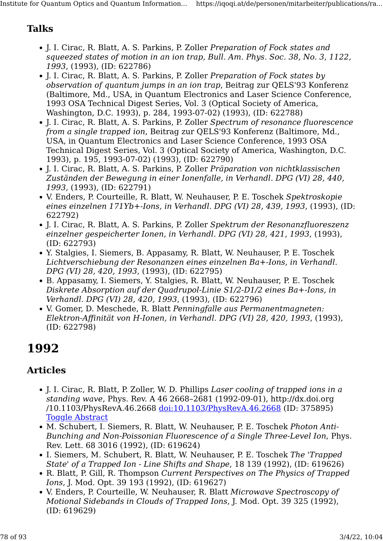# Talks

- J. I. Cirac, R. Blatt, A. S. Parkins, P. Zoller Preparation of Fock states and squeezed states of motion in an ion trap, Bull. Am. Phys. Soc. 38, No. 3, 1122, 1993, (1993), (ID: 622786)
- J. I. Cirac, R. Blatt, A. S. Parkins, P. Zoller Preparation of Fock states by observation of quantum jumps in an ion trap, Beitrag zur QELS'93 Konferenz (Baltimore, Md., USA, in Quantum Electronics and Laser Science Conference, 1993 OSA Technical Digest Series, Vol. 3 (Optical Society of America, Washington, D.C. 1993), p. 284, 1993-07-02) (1993), (ID: 622788)
- J. I. Cirac, R. Blatt, A. S. Parkins, P. Zoller Spectrum of resonance fluorescence from a single trapped ion, Beitrag zur QELS'93 Konferenz (Baltimore, Md., USA, in Quantum Electronics and Laser Science Conference, 1993 OSA Technical Digest Series, Vol. 3 (Optical Society of America, Washington, D.C. 1993), p. 195, 1993-07-02) (1993), (ID: 622790)
- J. I. Cirac, R. Blatt, A. S. Parkins, P. Zoller Präparation von nichtklassischen Zuständen der Bewegung in einer Ionenfalle, in Verhandl. DPG (VI) 28, 440, 1993, (1993), (ID: 622791)
- V. Enders, P. Courteille, R. Blatt, W. Neuhauser, P. E. Toschek Spektroskopie eines einzelnen 171Yb+-Ions, in Verhandl. DPG (VI) 28, 439, 1993, (1993), (ID: 622792)
- J. I. Cirac, R. Blatt, A. S. Parkins, P. Zoller Spektrum der Resonanzfluoreszenz einzelner gespeicherter Ionen, in Verhandl. DPG (VI) 28, 421, 1993, (1993), (ID: 622793)
- Y. Stalgies, I. Siemers, B. Appasamy, R. Blatt, W. Neuhauser, P. E. Toschek Lichtverschiebung der Resonanzen eines einzelnen Ba+-Ions, in Verhandl. DPG (VI) 28, 420, 1993, (1993), (ID: 622795)
- B. Appasamy, I. Siemers, Y. Stalgies, R. Blatt, W. Neuhauser, P. E. Toschek Diskrete Absorption auf der Quadrupol-Linie S1/2-D1/2 eines Ba+-Ions, in Verhandl. DPG (VI) 28, 420, 1993, (1993), (ID: 622796)
- V. Gomer, D. Meschede, R. Blatt Penningfalle aus Permanentmagneten: Elektron-Affinität von H-Ionen, in Verhandl. DPG (VI) 28, 420, 1993, (1993), (ID: 622798)

# 1992

- J. I. Cirac, R. Blatt, P. Zoller, W. D. Phillips Laser cooling of trapped ions in a standing wave, Phys. Rev. A 46 2668–2681 (1992-09-01), http://dx.doi.org /10.1103/PhysRevA.46.2668 [doi:10.1103/PhysRevA.46.2668](http://dx.doi.org/10.1103/PhysRevA.46.2668) (ID: 375895) [Toggle Abstract](https://iqoqi.at/de/personen/mitarbeiter/publications/rainer-blatt?format=raw#)
- M. Schubert, I. Siemers, R. Blatt, W. Neuhauser, P. E. Toschek Photon Anti-Bunching and Non-Poissonian Fluorescence of a Single Three-Level Ion, Phys. Rev. Lett. 68 3016 (1992), (ID: 619624)
- I. Siemers, M. Schubert, R. Blatt, W. Neuhauser, P. E. Toschek The 'Trapped State' of a Trapped Ion - Line Shifts and Shape, 18 139 (1992), (ID: 619626)
- R. Blatt, P. Gill, R. Thompson Current Perspectives on The Physics of Trapped Ions, J. Mod. Opt. 39 193 (1992), (ID: 619627)
- V. Enders, P. Courteille, W. Neuhauser, R. Blatt Microwave Spectroscopy of Motional Sidebands in Clouds of Trapped Ions, J. Mod. Opt. 39 325 (1992), (ID: 619629)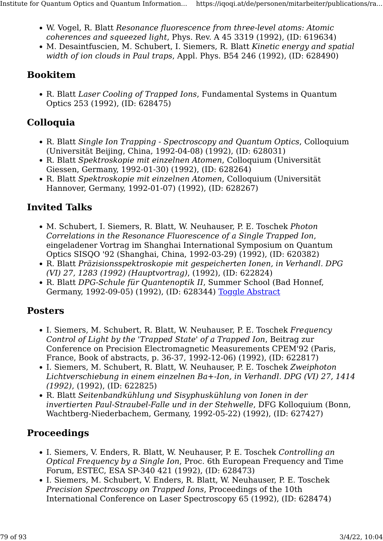- W. Vogel, R. Blatt Resonance fluorescence from three-level atoms: Atomic coherences and squeezed light, Phys. Rev. A 45 3319 (1992), (ID: 619634)
- M. Desaintfuscien, M. Schubert, I. Siemers, R. Blatt Kinetic energy and spatial width of ion clouds in Paul traps, Appl. Phys. B54 246 (1992), (ID: 628490)

# Bookitem

• R. Blatt Laser Cooling of Trapped Ions, Fundamental Systems in Quantum Optics 253 (1992), (ID: 628475)

# Colloquia

- R. Blatt Single Ion Trapping Spectroscopy and Quantum Optics, Colloquium (Universität Beijing, China, 1992-04-08) (1992), (ID: 628031)
- R. Blatt Spektroskopie mit einzelnen Atomen, Colloquium (Universität Giessen, Germany, 1992-01-30) (1992), (ID: 628264)
- R. Blatt Spektroskopie mit einzelnen Atomen, Colloquium (Universität Hannover, Germany, 1992-01-07) (1992), (ID: 628267)

# Invited Talks

- M. Schubert, I. Siemers, R. Blatt, W. Neuhauser, P. E. Toschek Photon Correlations in the Resonance Fluorescence of a Single Trapped Ion, eingeladener Vortrag im Shanghai International Symposium on Quantum Optics SISQO '92 (Shanghai, China, 1992-03-29) (1992), (ID: 620382)
- R. Blatt Präzisionsspektroskopie mit gespeicherten Ionen, in Verhandl. DPG (VI) 27, 1283 (1992) (Hauptvortrag), (1992), (ID: 622824)
- R. Blatt DPG-Schule für Quantenoptik II, Summer School (Bad Honnef, Germany, 1992-09-05) (1992), (ID: 628344) [Toggle Abstract](https://iqoqi.at/de/personen/mitarbeiter/publications/rainer-blatt?format=raw#)

# **Posters**

- I. Siemers, M. Schubert, R. Blatt, W. Neuhauser, P. E. Toschek Frequency Control of Light by the 'Trapped State' of a Trapped Ion, Beitrag zur Conference on Precision Electromagnetic Measurements CPEM'92 (Paris, France, Book of abstracts, p. 36-37, 1992-12-06) (1992), (ID: 622817)
- I. Siemers, M. Schubert, R. Blatt, W. Neuhauser, P. E. Toschek Zweiphoton Lichtverschiebung in einem einzelnen Ba+-Ion, in Verhandl. DPG (VI) 27, 1414 (1992), (1992), (ID: 622825)
- R. Blatt Seitenbandkühlung und Sisyphuskühlung von Ionen in der invertierten Paul-Straubel-Falle und in der Stehwelle, DFG Kolloquium (Bonn, Wachtberg-Niederbachem, Germany, 1992-05-22) (1992), (ID: 627427)

# Proceedings

- I. Siemers, V. Enders, R. Blatt, W. Neuhauser, P. E. Toschek Controlling an Optical Frequency by a Single Ion, Proc. 6th European Frequency and Time Forum, ESTEC, ESA SP-340 421 (1992), (ID: 628473)
- I. Siemers, M. Schubert, V. Enders, R. Blatt, W. Neuhauser, P. E. Toschek Precision Spectroscopy on Trapped Ions, Proceedings of the 10th International Conference on Laser Spectroscopy 65 (1992), (ID: 628474)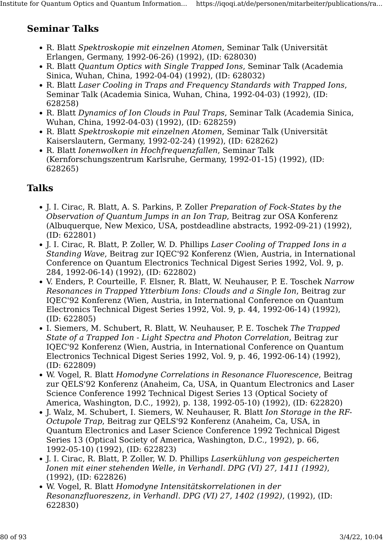# Seminar Talks

- R. Blatt Spektroskopie mit einzelnen Atomen, Seminar Talk (Universität Erlangen, Germany, 1992-06-26) (1992), (ID: 628030)
- R. Blatt Quantum Optics with Single Trapped Ions, Seminar Talk (Academia Sinica, Wuhan, China, 1992-04-04) (1992), (ID: 628032)
- R. Blatt Laser Cooling in Traps and Frequency Standards with Trapped Ions, Seminar Talk (Academia Sinica, Wuhan, China, 1992-04-03) (1992), (ID: 628258)
- R. Blatt Dynamics of Ion Clouds in Paul Traps, Seminar Talk (Academia Sinica, Wuhan, China, 1992-04-03) (1992), (ID: 628259)
- R. Blatt Spektroskopie mit einzelnen Atomen, Seminar Talk (Universität Kaiserslautern, Germany, 1992-02-24) (1992), (ID: 628262)
- R. Blatt Ionenwolken in Hochfrequenzfallen, Seminar Talk (Kernforschungszentrum Karlsruhe, Germany, 1992-01-15) (1992), (ID: 628265)

# Talks

- J. I. Cirac, R. Blatt, A. S. Parkins, P. Zoller Preparation of Fock-States by the Observation of Quantum Jumps in an Ion Trap, Beitrag zur OSA Konferenz (Albuquerque, New Mexico, USA, postdeadline abstracts, 1992-09-21) (1992), (ID: 622801)
- J. I. Cirac, R. Blatt, P. Zoller, W. D. Phillips Laser Cooling of Trapped Ions in a Standing Wave, Beitrag zur IQEC'92 Konferenz (Wien, Austria, in International Conference on Quantum Electronics Technical Digest Series 1992, Vol. 9, p. 284, 1992-06-14) (1992), (ID: 622802)
- V. Enders, P. Courteille, F. Elsner, R. Blatt, W. Neuhauser, P. E. Toschek Narrow Resonances in Trapped Ytterbium Ions: Clouds and a Single Ion, Beitrag zur IQEC'92 Konferenz (Wien, Austria, in International Conference on Quantum Electronics Technical Digest Series 1992, Vol. 9, p. 44, 1992-06-14) (1992), (ID: 622805)
- I. Siemers, M. Schubert, R. Blatt, W. Neuhauser, P. E. Toschek The Trapped State of a Trapped Ion - Light Spectra and Photon Correlation, Beitrag zur IQEC'92 Konferenz (Wien, Austria, in International Conference on Quantum Electronics Technical Digest Series 1992, Vol. 9, p. 46, 1992-06-14) (1992), (ID: 622809)
- W. Vogel, R. Blatt Homodyne Correlations in Resonance Fluorescence, Beitrag zur QELS'92 Konferenz (Anaheim, Ca, USA, in Quantum Electronics and Laser Science Conference 1992 Technical Digest Series 13 (Optical Society of America, Washington, D.C., 1992), p. 138, 1992-05-10) (1992), (ID: 622820)
- J. Walz, M. Schubert, I. Siemers, W. Neuhauser, R. Blatt Ion Storage in the RF-Octupole Trap, Beitrag zur QELS'92 Konferenz (Anaheim, Ca, USA, in Quantum Electronics and Laser Science Conference 1992 Technical Digest Series 13 (Optical Society of America, Washington, D.C., 1992), p. 66, 1992-05-10) (1992), (ID: 622823)
- J. I. Cirac, R. Blatt, P. Zoller, W. D. Phillips Laserkühlung von gespeicherten Ionen mit einer stehenden Welle, in Verhandl. DPG (VI) 27, 1411 (1992), (1992), (ID: 622826)
- W. Vogel, R. Blatt Homodyne Intensitätskorrelationen in der Resonanzfluoreszenz, in Verhandl. DPG (VI) 27, 1402 (1992), (1992), (ID: 622830)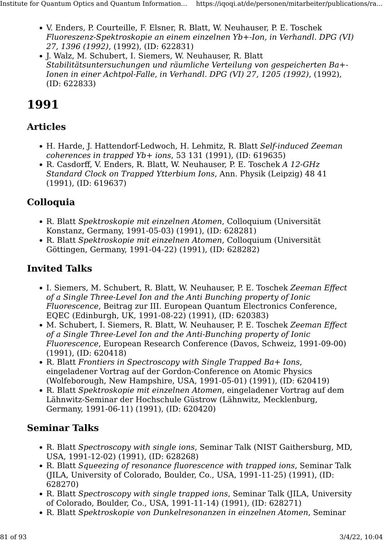- V. Enders, P. Courteille, F. Elsner, R. Blatt, W. Neuhauser, P. E. Toschek Fluoreszenz-Spektroskopie an einem einzelnen Yb+-Ion, in Verhandl. DPG (VI) 27, 1396 (1992), (1992), (ID: 622831)
- J. Walz, M. Schubert, I. Siemers, W. Neuhauser, R. Blatt Stabilitätsuntersuchungen und räumliche Verteilung von gespeicherten Ba+- Ionen in einer Achtpol-Falle, in Verhandl. DPG (VI) 27, 1205 (1992), (1992), (ID: 622833)

# 1991

# Articles

- H. Harde, J. Hattendorf-Ledwoch, H. Lehmitz, R. Blatt Self-induced Zeeman coherences in trapped  $Yb$ + ions, 53 131 (1991), (ID: 619635)
- R. Casdorff, V. Enders, R. Blatt, W. Neuhauser, P. E. Toschek A 12-GHz Standard Clock on Trapped Ytterbium Ions, Ann. Physik (Leipzig) 48 41 (1991), (ID: 619637)

# Colloquia

- R. Blatt Spektroskopie mit einzelnen Atomen, Colloquium (Universität Konstanz, Germany, 1991-05-03) (1991), (ID: 628281)
- R. Blatt Spektroskopie mit einzelnen Atomen, Colloquium (Universität Göttingen, Germany, 1991-04-22) (1991), (ID: 628282)

# Invited Talks

- I. Siemers, M. Schubert, R. Blatt, W. Neuhauser, P. E. Toschek Zeeman Effect of a Single Three-Level Ion and the Anti Bunching property of Ionic Fluorescence, Beitrag zur III. European Quantum Electronics Conference, EQEC (Edinburgh, UK, 1991-08-22) (1991), (ID: 620383)
- M. Schubert, I. Siemers, R. Blatt, W. Neuhauser, P. E. Toschek Zeeman Effect of a Single Three-Level Ion and the Anti-Bunching property of Ionic Fluorescence, European Research Conference (Davos, Schweiz, 1991-09-00) (1991), (ID: 620418)
- R. Blatt Frontiers in Spectroscopy with Single Trapped Ba+ Ions, eingeladener Vortrag auf der Gordon-Conference on Atomic Physics (Wolfeborough, New Hampshire, USA, 1991-05-01) (1991), (ID: 620419)
- R. Blatt Spektroskopie mit einzelnen Atomen, eingeladener Vortrag auf dem Lähnwitz-Seminar der Hochschule Güstrow (Lähnwitz, Mecklenburg, Germany, 1991-06-11) (1991), (ID: 620420)

# Seminar Talks

- R. Blatt Spectroscopy with single ions, Seminar Talk (NIST Gaithersburg, MD, USA, 1991-12-02) (1991), (ID: 628268)
- R. Blatt Squeezing of resonance fluorescence with trapped ions, Seminar Talk (JILA, University of Colorado, Boulder, Co., USA, 1991-11-25) (1991), (ID: 628270)
- R. Blatt Spectroscopy with single trapped ions, Seminar Talk (JILA, University of Colorado, Boulder, Co., USA, 1991-11-14) (1991), (ID: 628271)
- R. Blatt Spektroskopie von Dunkelresonanzen in einzelnen Atomen, Seminar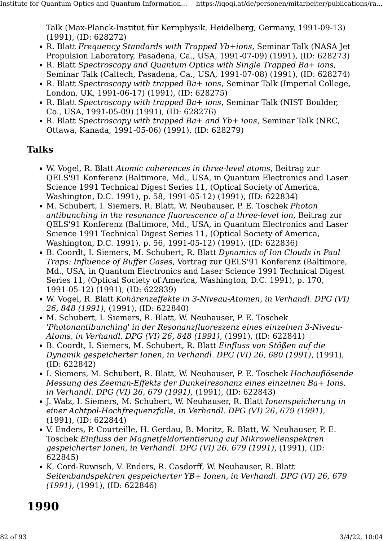Talk (Max-Planck-Institut für Kernphysik, Heidelberg, Germany, 1991-09-13) (1991), (ID: 628272)

- R. Blatt Frequency Standards with Trapped Yb+ions, Seminar Talk (NASA Jet Propulsion Laboratory, Pasadena, Ca., USA, 1991-07-09) (1991), (ID: 628273)
- R. Blatt Spectroscopy and Quantum Optics with Single Trapped Ba+ ions, Seminar Talk (Caltech, Pasadena, Ca., USA, 1991-07-08) (1991), (ID: 628274)
- R. Blatt Spectroscopy with trapped Ba+ ions, Seminar Talk (Imperial College, London, UK, 1991-06-17) (1991), (ID: 628275)
- R. Blatt Spectroscopy with trapped Ba+ ions, Seminar Talk (NIST Boulder, Co., USA, 1991-05-09) (1991), (ID: 628276)
- R. Blatt Spectroscopy with trapped Ba+ and Yb+ ions, Seminar Talk (NRC, Ottawa, Kanada, 1991-05-06) (1991), (ID: 628279)

### Talks

- W. Vogel, R. Blatt Atomic coherences in three-level atoms, Beitrag zur QELS'91 Konferenz (Baltimore, Md., USA, in Quantum Electronics and Laser Science 1991 Technical Digest Series 11, (Optical Society of America, Washington, D.C. 1991), p. 58, 1991-05-12) (1991), (ID: 622834)
- M. Schubert, I. Siemers, R. Blatt, W. Neuhauser, P. E. Toschek Photon antibunching in the resonance fluorescence of a three-level ion, Beitrag zur QELS'91 Konferenz (Baltimore, Md., USA, in Quantum Electronics and Laser Science 1991 Technical Digest Series 11, (Optical Society of America, Washington, D.C. 1991), p. 56, 1991-05-12) (1991), (ID: 622836)
- B. Coordt, I. Siemers, M. Schubert, R. Blatt Dynamics of Ion Clouds in Paul Traps: Influence of Buffer Gases, Vortrag zur QELS'91 Konferenz (Baltimore, Md., USA, in Quantum Electronics and Laser Science 1991 Technical Digest Series 11, (Optical Society of America, Washington, D.C. 1991), p. 170, 1991-05-12) (1991), (ID: 622839)
- W. Vogel, R. Blatt Kohärenzeffekte in 3-Niveau-Atomen, in Verhandl. DPG (VI) 26, 848 (1991), (1991), (ID: 622840)
- M. Schubert, I. Siemers, R. Blatt, W. Neuhauser, P. E. Toschek 'Photonantibunching' in der Resonanzfluoreszenz eines einzelnen 3-Niveau-Atoms, in Verhandl. DPG (VI) 26, 848 (1991), (1991), (ID: 622841)
- B. Coordt, I. Siemers, M. Schubert, R. Blatt Einfluss von Stößen auf die Dynamik gespeicherter Ionen, in Verhandl. DPG (VI) 26, 680 (1991), (1991), (ID: 622842)
- I. Siemers, M. Schubert, R. Blatt, W. Neuhauser, P. E. Toschek Hochauflösende Messung des Zeeman-Effekts der Dunkelresonanz eines einzelnen Ba+ Ions, in Verhandl. DPG (VI) 26, 679 (1991), (1991), (ID: 622843)
- J. Walz, I. Siemers, M. Schubert, W. Neuhauser, R. Blatt Ionenspeicherung in einer Achtpol-Hochfrequenzfalle, in Verhandl. DPG (VI) 26, 679 (1991), (1991), (ID: 622844)
- V. Enders, P. Courteille, H. Gerdau, B. Moritz, R. Blatt, W. Neuhauser, P. E. Toschek Einfluss der Magnetfeldorientierung auf Mikrowellenspektren gespeicherter Ionen, in Verhandl. DPG (VI) 26, 679 (1991), (1991), (ID: 622845)
- K. Cord-Ruwisch, V. Enders, R. Casdorff, W. Neuhauser, R. Blatt Seitenbandspektren gespeicherter YB+ Ionen, in Verhandl. DPG (VI) 26, 679 (1991), (1991), (ID: 622846)

# 1990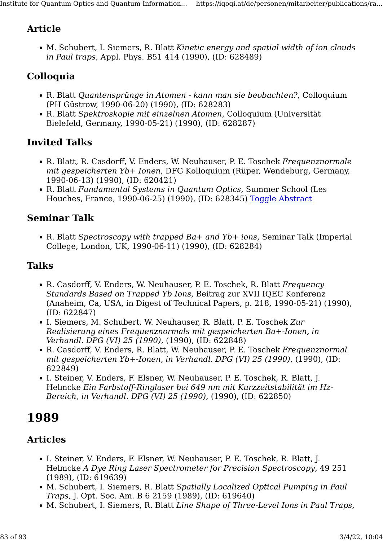# Article

• M. Schubert, I. Siemers, R. Blatt Kinetic energy and spatial width of ion clouds in Paul traps, Appl. Phys. B51 414 (1990), (ID: 628489)

# Colloquia

- R. Blatt Quantensprünge in Atomen kann man sie beobachten?, Colloquium (PH Güstrow, 1990-06-20) (1990), (ID: 628283)
- R. Blatt Spektroskopie mit einzelnen Atomen, Colloquium (Universität Bielefeld, Germany, 1990-05-21) (1990), (ID: 628287)

# Invited Talks

- R. Blatt, R. Casdorff, V. Enders, W. Neuhauser, P. E. Toschek Frequenznormale mit gespeicherten Yb+ Ionen, DFG Kolloquium (Rüper, Wendeburg, Germany, 1990-06-13) (1990), (ID: 620421)
- R. Blatt Fundamental Systems in Quantum Optics, Summer School (Les Houches, France, 1990-06-25) (1990), (ID: 628345) [Toggle Abstract](https://iqoqi.at/de/personen/mitarbeiter/publications/rainer-blatt?format=raw#)

## Seminar Talk

• R. Blatt Spectroscopy with trapped Ba+ and Yb+ ions, Seminar Talk (Imperial College, London, UK, 1990-06-11) (1990), (ID: 628284)

# Talks

- R. Casdorff, V. Enders, W. Neuhauser, P. E. Toschek, R. Blatt Frequency Standards Based on Trapped Yb Ions, Beitrag zur XVII IQEC Konferenz (Anaheim, Ca, USA, in Digest of Technical Papers, p. 218, 1990-05-21) (1990), (ID: 622847)
- I. Siemers, M. Schubert, W. Neuhauser, R. Blatt, P. E. Toschek Zur Realisierung eines Frequenznormals mit gespeicherten Ba+-Ionen, in Verhandl. DPG (VI) 25 (1990), (1990), (ID: 622848)
- R. Casdorff, V. Enders, R. Blatt, W. Neuhauser, P. E. Toschek Frequenznormal mit gespeicherten Yb+-Ionen, in Verhandl. DPG (VI) 25 (1990), (1990), (ID: 622849)
- I. Steiner, V. Enders, F. Elsner, W. Neuhauser, P. E. Toschek, R. Blatt, J. Helmcke Ein Farbstoff-Ringlaser bei 649 nm mit Kurzzeitstabilität im Hz-Bereich, in Verhandl. DPG (VI) 25 (1990), (1990), (ID: 622850)

# 1989

- I. Steiner, V. Enders, F. Elsner, W. Neuhauser, P. E. Toschek, R. Blatt, J. Helmcke A Dye Ring Laser Spectrometer for Precision Spectroscopy, 49 251 (1989), (ID: 619639)
- M. Schubert, I. Siemers, R. Blatt Spatially Localized Optical Pumping in Paul Traps, J. Opt. Soc. Am. B 6 2159 (1989), (ID: 619640)
- M. Schubert, I. Siemers, R. Blatt Line Shape of Three-Level Ions in Paul Traps,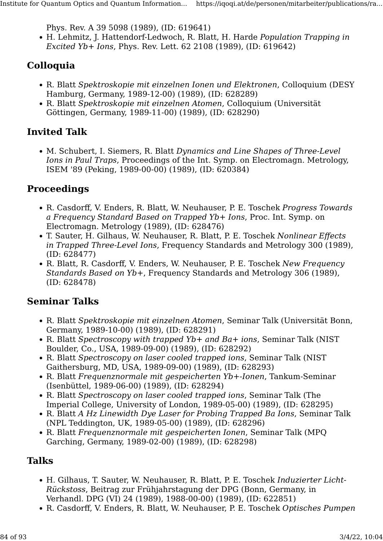Phys. Rev. A 39 5098 (1989), (ID: 619641)

• H. Lehmitz, J. Hattendorf-Ledwoch, R. Blatt, H. Harde Population Trapping in Excited Yb+ Ions, Phys. Rev. Lett. 62 2108 (1989), (ID: 619642)

# Colloquia

- R. Blatt Spektroskopie mit einzelnen Ionen und Elektronen, Colloquium (DESY Hamburg, Germany, 1989-12-00) (1989), (ID: 628289)
- R. Blatt Spektroskopie mit einzelnen Atomen, Colloquium (Universität Göttingen, Germany, 1989-11-00) (1989), (ID: 628290)

# Invited Talk

• M. Schubert, I. Siemers, R. Blatt Dynamics and Line Shapes of Three-Level Ions in Paul Traps, Proceedings of the Int. Symp. on Electromagn. Metrology, ISEM '89 (Peking, 1989-00-00) (1989), (ID: 620384)

## Proceedings

- R. Casdorff, V. Enders, R. Blatt, W. Neuhauser, P. E. Toschek Progress Towards a Frequency Standard Based on Trapped Yb+ Ions, Proc. Int. Symp. on Electromagn. Metrology (1989), (ID: 628476)
- T. Sauter, H. Gilhaus, W. Neuhauser, R. Blatt, P. E. Toschek Nonlinear Effects in Trapped Three-Level Ions, Frequency Standards and Metrology 300 (1989), (ID: 628477)
- R. Blatt, R. Casdorff, V. Enders, W. Neuhauser, P. E. Toschek New Frequency Standards Based on Yb+, Frequency Standards and Metrology 306 (1989), (ID: 628478)

## Seminar Talks

- R. Blatt Spektroskopie mit einzelnen Atomen, Seminar Talk (Universität Bonn, Germany, 1989-10-00) (1989), (ID: 628291)
- R. Blatt Spectroscopy with trapped Yb+ and Ba+ ions, Seminar Talk (NIST Boulder, Co., USA, 1989-09-00) (1989), (ID: 628292)
- R. Blatt Spectroscopy on laser cooled trapped ions, Seminar Talk (NIST Gaithersburg, MD, USA, 1989-09-00) (1989), (ID: 628293)
- R. Blatt Frequenznormale mit gespeicherten Yb+-Ionen, Tankum-Seminar (Isenbüttel, 1989-06-00) (1989), (ID: 628294)
- R. Blatt Spectroscopy on laser cooled trapped ions, Seminar Talk (The Imperial College, University of London, 1989-05-00) (1989), (ID: 628295)
- R. Blatt A Hz Linewidth Dye Laser for Probing Trapped Ba Ions, Seminar Talk (NPL Teddington, UK, 1989-05-00) (1989), (ID: 628296)
- R. Blatt Frequenznormale mit gespeicherten Ionen, Seminar Talk (MPO) Garching, Germany, 1989-02-00) (1989), (ID: 628298)

# Talks

- H. Gilhaus, T. Sauter, W. Neuhauser, R. Blatt, P. E. Toschek Induzierter Licht-Rückstoss, Beitrag zur Frühjahrstagung der DPG (Bonn, Germany, in Verhandl. DPG (VI) 24 (1989), 1988-00-00) (1989), (ID: 622851)
- R. Casdorff, V. Enders, R. Blatt, W. Neuhauser, P. E. Toschek Optisches Pumpen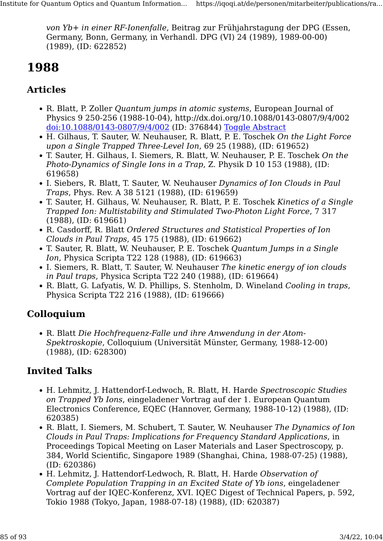von Yb+ in einer RF-Ionenfalle, Beitrag zur Frühjahrstagung der DPG (Essen, Germany, Bonn, Germany, in Verhandl. DPG (VI) 24 (1989), 1989-00-00) (1989), (ID: 622852)

# 1988

# Articles

- R. Blatt, P. Zoller Quantum jumps in atomic systems, European Journal of Physics 9 250-256 (1988-10-04), http://dx.doi.org/10.1088/0143-0807/9/4/002 [doi:10.1088/0143-0807/9/4/002](http://dx.doi.org/10.1088/0143-0807/9/4/002) (ID: 376844) [Toggle Abstract](https://iqoqi.at/de/personen/mitarbeiter/publications/rainer-blatt?format=raw#)
- H. Gilhaus, T. Sauter, W. Neuhauser, R. Blatt, P. E. Toschek On the Light Force upon a Single Trapped Three-Level Ion, 69 25 (1988), (ID: 619652)
- T. Sauter, H. Gilhaus, I. Siemers, R. Blatt, W. Neuhauser, P. E. Toschek On the Photo-Dynamics of Single Ions in a Trap, Z. Physik D 10 153 (1988), (ID: 619658)
- I. Siebers, R. Blatt, T. Sauter, W. Neuhauser Dynamics of Ion Clouds in Paul Traps, Phys. Rev. A 38 5121 (1988), (ID: 619659)
- T. Sauter, H. Gilhaus, W. Neuhauser, R. Blatt, P. E. Toschek Kinetics of a Single Trapped Ion: Multistability and Stimulated Two-Photon Light Force, 7 317 (1988), (ID: 619661)
- R. Casdorff, R. Blatt Ordered Structures and Statistical Properties of Ion Clouds in Paul Traps, 45 175 (1988), (ID: 619662)
- T. Sauter, R. Blatt, W. Neuhauser, P. E. Toschek Quantum Jumps in a Single Ion, Physica Scripta T22 128 (1988), (ID: 619663)
- I. Siemers, R. Blatt, T. Sauter, W. Neuhauser The kinetic energy of ion clouds in Paul traps, Physica Scripta T22 240 (1988), (ID: 619664)
- R. Blatt, G. Lafyatis, W. D. Phillips, S. Stenholm, D. Wineland Cooling in traps, Physica Scripta T22 216 (1988), (ID: 619666)

# Colloquium

• R. Blatt Die Hochfrequenz-Falle und ihre Anwendung in der Atom-Spektroskopie, Colloquium (Universität Münster, Germany, 1988-12-00) (1988), (ID: 628300)

# Invited Talks

- H. Lehmitz, J. Hattendorf-Ledwoch, R. Blatt, H. Harde Spectroscopic Studies on Trapped Yb Ions, eingeladener Vortrag auf der 1. European Quantum Electronics Conference, EQEC (Hannover, Germany, 1988-10-12) (1988), (ID: 620385)
- R. Blatt, I. Siemers, M. Schubert, T. Sauter, W. Neuhauser The Dynamics of Ion Clouds in Paul Traps: Implications for Frequency Standard Applications, in Proceedings Topical Meeting on Laser Materials and Laser Spectroscopy, p. 384, World Scientific, Singapore 1989 (Shanghai, China, 1988-07-25) (1988), (ID: 620386)
- H. Lehmitz, J. Hattendorf-Ledwoch, R. Blatt, H. Harde Observation of Complete Population Trapping in an Excited State of Yb ions, eingeladener Vortrag auf der IQEC-Konferenz, XVI. IQEC Digest of Technical Papers, p. 592, Tokio 1988 (Tokyo, Japan, 1988-07-18) (1988), (ID: 620387)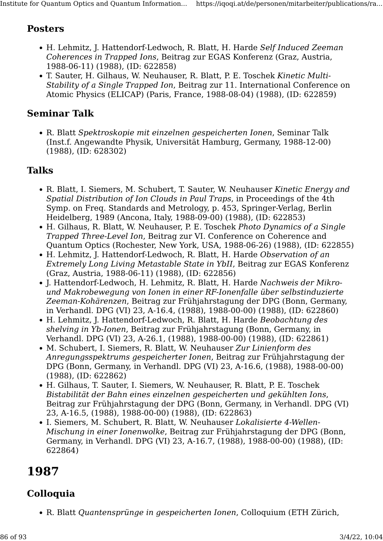### Posters

- H. Lehmitz, J. Hattendorf-Ledwoch, R. Blatt, H. Harde Self Induced Zeeman Coherences in Trapped Ions, Beitrag zur EGAS Konferenz (Graz, Austria, 1988-06-11) (1988), (ID: 622858)
- T. Sauter, H. Gilhaus, W. Neuhauser, R. Blatt, P. E. Toschek Kinetic Multi-Stability of a Single Trapped Ion, Beitrag zur 11. International Conference on Atomic Physics (ELICAP) (Paris, France, 1988-08-04) (1988), (ID: 622859)

### Seminar Talk

• R. Blatt Spektroskopie mit einzelnen gespeicherten Ionen, Seminar Talk (Inst.f. Angewandte Physik, Universität Hamburg, Germany, 1988-12-00) (1988), (ID: 628302)

### Talks

- R. Blatt, I. Siemers, M. Schubert, T. Sauter, W. Neuhauser Kinetic Energy and Spatial Distribution of Ion Clouds in Paul Traps, in Proceedings of the 4th Symp. on Freq. Standards and Metrology, p. 453, Springer-Verlag, Berlin Heidelberg, 1989 (Ancona, Italy, 1988-09-00) (1988), (ID: 622853)
- H. Gilhaus, R. Blatt, W. Neuhauser, P. E. Toschek Photo Dynamics of a Single Trapped Three-Level Ion, Beitrag zur VI. Conference on Coherence and Quantum Optics (Rochester, New York, USA, 1988-06-26) (1988), (ID: 622855)
- H. Lehmitz, J. Hattendorf-Ledwoch, R. Blatt, H. Harde Observation of an Extremely Long Living Metastable State in YbII, Beitrag zur EGAS Konferenz (Graz, Austria, 1988-06-11) (1988), (ID: 622856)
- J. Hattendorf-Ledwoch, H. Lehmitz, R. Blatt, H. Harde Nachweis der Mikround Makrobewegung von Ionen in einer RF-Ionenfalle über selbstinduzierte Zeeman-Kohärenzen, Beitrag zur Frühjahrstagung der DPG (Bonn, Germany, in Verhandl. DPG (VI) 23, A-16.4, (1988), 1988-00-00) (1988), (ID: 622860)
- H. Lehmitz, J. Hattendorf-Ledwoch, R. Blatt, H. Harde Beobachtung des shelving in Yb-Ionen, Beitrag zur Frühjahrstagung (Bonn, Germany, in Verhandl. DPG (VI) 23, A-26.1, (1988), 1988-00-00) (1988), (ID: 622861)
- M. Schubert, I. Siemers, R. Blatt, W. Neuhauser Zur Linienform des Anregungsspektrums gespeicherter Ionen, Beitrag zur Frühjahrstagung der DPG (Bonn, Germany, in Verhandl. DPG (VI) 23, A-16.6, (1988), 1988-00-00) (1988), (ID: 622862)
- H. Gilhaus, T. Sauter, I. Siemers, W. Neuhauser, R. Blatt, P. E. Toschek Bistabilität der Bahn eines einzelnen gespeicherten und gekühlten Ions, Beitrag zur Frühjahrstagung der DPG (Bonn, Germany, in Verhandl. DPG (VI) 23, A-16.5, (1988), 1988-00-00) (1988), (ID: 622863)
- I. Siemers, M. Schubert, R. Blatt, W. Neuhauser Lokalisierte 4-Wellen-Mischung in einer Ionenwolke, Beitrag zur Frühjahrstagung der DPG (Bonn, Germany, in Verhandl. DPG (VI) 23, A-16.7, (1988), 1988-00-00) (1988), (ID: 622864)

# 1987

# Colloquia

• R. Blatt Quantensprünge in gespeicherten Ionen, Colloquium (ETH Zürich,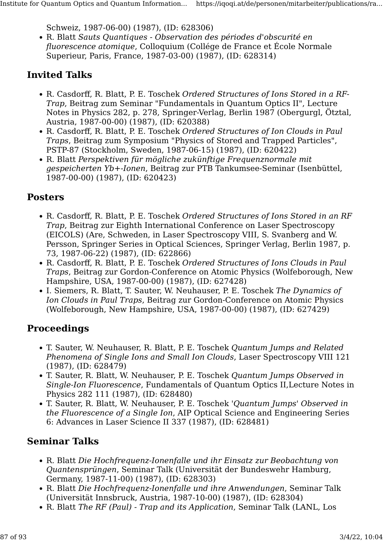Schweiz, 1987-06-00) (1987), (ID: 628306)

• R. Blatt Sauts Quantiques - Observation des périodes d'obscurité en fluorescence atomique, Colloquium (Collége de France et École Normale Superieur, Paris, France, 1987-03-00) (1987), (ID: 628314)

# Invited Talks

- R. Casdorff, R. Blatt, P. E. Toschek Ordered Structures of Ions Stored in a RF-Trap, Beitrag zum Seminar "Fundamentals in Quantum Optics II", Lecture Notes in Physics 282, p. 278, Springer-Verlag, Berlin 1987 (Obergurgl, Ötztal, Austria, 1987-00-00) (1987), (ID: 620388)
- R. Casdorff, R. Blatt, P. E. Toschek Ordered Structures of Ion Clouds in Paul Traps, Beitrag zum Symposium "Physics of Stored and Trapped Particles", PSTP-87 (Stockholm, Sweden, 1987-06-15) (1987), (ID: 620422)
- R. Blatt Perspektiven für mögliche zukünftige Frequenznormale mit gespeicherten Yb+-Ionen, Beitrag zur PTB Tankumsee-Seminar (Isenbüttel, 1987-00-00) (1987), (ID: 620423)

### Posters

- R. Casdorff, R. Blatt, P. E. Toschek Ordered Structures of Ions Stored in an RF Trap, Beitrag zur Eighth International Conference on Laser Spectroscopy (EICOLS) (Are, Schweden, in Laser Spectroscopy VIII, S. Svanberg and W. Persson, Springer Series in Optical Sciences, Springer Verlag, Berlin 1987, p. 73, 1987-06-22) (1987), (ID: 622866)
- R. Casdorff, R. Blatt, P. E. Toschek Ordered Structures of Ions Clouds in Paul Traps, Beitrag zur Gordon-Conference on Atomic Physics (Wolfeborough, New Hampshire, USA, 1987-00-00) (1987), (ID: 627428)
- I. Siemers, R. Blatt, T. Sauter, W. Neuhauser, P. E. Toschek The Dynamics of Ion Clouds in Paul Traps, Beitrag zur Gordon-Conference on Atomic Physics (Wolfeborough, New Hampshire, USA, 1987-00-00) (1987), (ID: 627429)

## Proceedings

- T. Sauter, W. Neuhauser, R. Blatt, P. E. Toschek Quantum Jumps and Related Phenomena of Single Ions and Small Ion Clouds, Laser Spectroscopy VIII 121 (1987), (ID: 628479)
- T. Sauter, R. Blatt, W. Neuhauser, P. E. Toschek Quantum Jumps Observed in Single-Ion Fluorescence, Fundamentals of Quantum Optics II,Lecture Notes in Physics 282 111 (1987), (ID: 628480)
- T. Sauter, R. Blatt, W. Neuhauser, P. E. Toschek 'Quantum Jumps' Observed in the Fluorescence of a Single Ion, AIP Optical Science and Engineering Series 6: Advances in Laser Science II 337 (1987), (ID: 628481)

# Seminar Talks

- R. Blatt Die Hochfrequenz-Ionenfalle und ihr Einsatz zur Beobachtung von Quantensprüngen, Seminar Talk (Universität der Bundeswehr Hamburg, Germany, 1987-11-00) (1987), (ID: 628303)
- R. Blatt Die Hochfrequenz-Ionenfalle und ihre Anwendungen, Seminar Talk (Universität Innsbruck, Austria, 1987-10-00) (1987), (ID: 628304)
- R. Blatt The RF (Paul) Trap and its Application, Seminar Talk (LANL, Los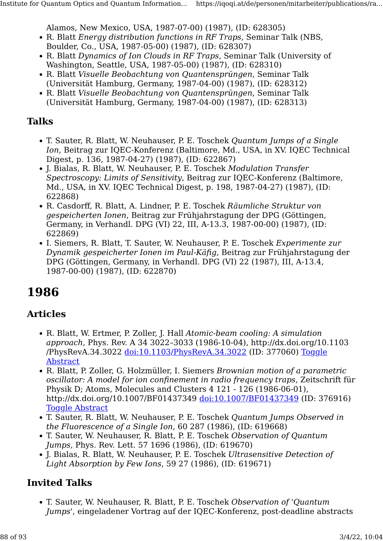Alamos, New Mexico, USA, 1987-07-00) (1987), (ID: 628305)

- R. Blatt *Energy distribution functions in RF Traps*, Seminar Talk (NBS,
- Boulder, Co., USA, 1987-05-00) (1987), (ID: 628307)
- R. Blatt Dynamics of Ion Clouds in RF Traps, Seminar Talk (University of Washington, Seattle, USA, 1987-05-00) (1987), (ID: 628310)
- R. Blatt Visuelle Beobachtung von Quantensprüngen, Seminar Talk (Universität Hamburg, Germany, 1987-04-00) (1987), (ID: 628312)
- R. Blatt Visuelle Beobachtung von Quantensprüngen, Seminar Talk (Universität Hamburg, Germany, 1987-04-00) (1987), (ID: 628313)

### Talks

- T. Sauter, R. Blatt, W. Neuhauser, P. E. Toschek Quantum Jumps of a Single Ion, Beitrag zur IQEC-Konferenz (Baltimore, Md., USA, in XV. IQEC Technical Digest, p. 136, 1987-04-27) (1987), (ID: 622867)
- J. Bialas, R. Blatt, W. Neuhauser, P. E. Toschek Modulation Transfer Spectroscopy: Limits of Sensitivity, Beitrag zur IQEC-Konferenz (Baltimore, Md., USA, in XV. IQEC Technical Digest, p. 198, 1987-04-27) (1987), (ID: 622868)
- R. Casdorff, R. Blatt, A. Lindner, P. E. Toschek Räumliche Struktur von gespeicherten Ionen, Beitrag zur Frühjahrstagung der DPG (Göttingen, Germany, in Verhandl. DPG (VI) 22, III, A-13.3, 1987-00-00) (1987), (ID: 622869)
- I. Siemers, R. Blatt, T. Sauter, W. Neuhauser, P. E. Toschek Experimente zur Dynamik gespeicherter Ionen im Paul-Käfig, Beitrag zur Frühjahrstagung der DPG (Göttingen, Germany, in Verhandl. DPG (VI) 22 (1987), III, A-13.4, 1987-00-00) (1987), (ID: 622870)

# 1986

## Articles

- R. Blatt, W. Ertmer, P. Zoller, J. Hall Atomic-beam cooling: A simulation approach, Phys. Rev. A 34 3022–3033 (1986-10-04), http://dx.doi.org/10.1103 /PhysRevA.34.3022 [doi:10.1103/PhysRevA.34.3022](http://dx.doi.org/10.1103/PhysRevA.34.3022) (ID: 377060) [Toggle](https://iqoqi.at/de/personen/mitarbeiter/publications/rainer-blatt?format=raw#) [Abstract](https://iqoqi.at/de/personen/mitarbeiter/publications/rainer-blatt?format=raw#)
- R. Blatt, P. Zoller, G. Holzmüller, I. Siemers Brownian motion of a parametric oscillator: A model for ion confinement in radio frequency traps, Zeitschrift für Physik D; Atoms, Molecules and Clusters 4 121 - 126 (1986-06-01), http://dx.doi.org/10.1007/BF01437349 [doi:10.1007/BF01437349](http://dx.doi.org/10.1007/BF01437349) (ID: 376916) [Toggle Abstract](https://iqoqi.at/de/personen/mitarbeiter/publications/rainer-blatt?format=raw#)
- T. Sauter, R. Blatt, W. Neuhauser, P. E. Toschek Quantum Jumps Observed in the Fluorescence of a Single Ion, 60 287 (1986), (ID: 619668)
- T. Sauter, W. Neuhauser, R. Blatt, P. E. Toschek Observation of Quantum Jumps, Phys. Rev. Lett. 57 1696 (1986), (ID: 619670)
- J. Bialas, R. Blatt, W. Neuhauser, P. E. Toschek Ultrasensitive Detection of Light Absorption by Few Ions, 59 27 (1986), (ID: 619671)

# Invited Talks

• T. Sauter, W. Neuhauser, R. Blatt, P. E. Toschek Observation of 'Quantum Jumps', eingeladener Vortrag auf der IQEC-Konferenz, post-deadline abstracts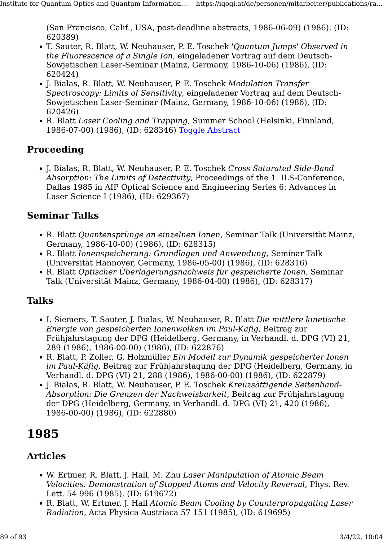(San Francisco, Calif., USA, post-deadline abstracts, 1986-06-09) (1986), (ID: 620389)

- T. Sauter, R. Blatt, W. Neuhauser, P. E. Toschek 'Quantum Jumps' Observed in the Fluorescence of a Single Ion, eingeladener Vortrag auf dem Deutsch-Sowjetischen Laser-Seminar (Mainz, Germany, 1986-10-06) (1986), (ID: 620424)
- J. Bialas, R. Blatt, W. Neuhauser, P. E. Toschek Modulation Transfer Spectroscopy: Limits of Sensitivity, eingeladener Vortrag auf dem Deutsch-Sowjetischen Laser-Seminar (Mainz, Germany, 1986-10-06) (1986), (ID: 620426)
- R. Blatt Laser Cooling and Trapping, Summer School (Helsinki, Finnland, 1986-07-00) (1986), (ID: 628346) [Toggle Abstract](https://iqoqi.at/de/personen/mitarbeiter/publications/rainer-blatt?format=raw#)

## Proceeding

• J. Bialas, R. Blatt, W. Neuhauser, P. E. Toschek Cross Saturated Side-Band Absorption: The Limits of Detectivity, Proceedings of the 1. ILS-Conference, Dallas 1985 in AIP Optical Science and Engineering Series 6: Advances in Laser Science I (1986), (ID: 629367)

## Seminar Talks

- R. Blatt Quantensprünge an einzelnen Ionen, Seminar Talk (Universität Mainz, Germany, 1986-10-00) (1986), (ID: 628315)
- R. Blatt Ionenspeicherung: Grundlagen und Anwendung, Seminar Talk (Universität Hannover, Germany, 1986-05-00) (1986), (ID: 628316)
- R. Blatt Optischer Überlagerungsnachweis für gespeicherte Ionen, Seminar Talk (Universität Mainz, Germany, 1986-04-00) (1986), (ID: 628317)

## Talks

- I. Siemers, T. Sauter, J. Bialas, W. Neuhauser, R. Blatt Die mittlere kinetische Energie von gespeicherten Ionenwolken im Paul-Käfig, Beitrag zur Frühjahrstagung der DPG (Heidelberg, Germany, in Verhandl. d. DPG (VI) 21, 289 (1986), 1986-00-00) (1986), (ID: 622876)
- R. Blatt, P. Zoller, G. Holzmüller Ein Modell zur Dynamik gespeicherter Ionen im Paul-Käfig, Beitrag zur Frühjahrstagung der DPG (Heidelberg, Germany, in Verhandl. d. DPG (VI) 21, 288 (1986), 1986-00-00) (1986), (ID: 622879)
- J. Bialas, R. Blatt, W. Neuhauser, P. E. Toschek Kreuzsättigende Seitenband-Absorption: Die Grenzen der Nachweisbarkeit, Beitrag zur Frühjahrstagung der DPG (Heidelberg, Germany, in Verhandl. d. DPG (VI) 21, 420 (1986), 1986-00-00) (1986), (ID: 622880)

# 1985

- W. Ertmer, R. Blatt, J. Hall, M. Zhu Laser Manipulation of Atomic Beam Velocities: Demonstration of Stopped Atoms and Velocity Reversal, Phys. Rev. Lett. 54 996 (1985), (ID: 619672)
- R. Blatt, W. Ertmer, J. Hall Atomic Beam Cooling by Counterpropagating Laser Radiation, Acta Physica Austriaca 57 151 (1985), (ID: 619695)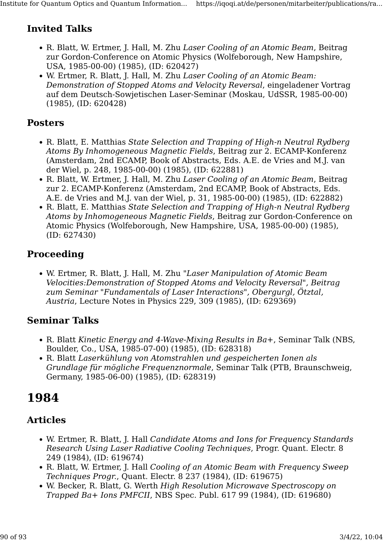# Invited Talks

- R. Blatt, W. Ertmer, J. Hall, M. Zhu Laser Cooling of an Atomic Beam, Beitrag zur Gordon-Conference on Atomic Physics (Wolfeborough, New Hampshire, USA, 1985-00-00) (1985), (ID: 620427)
- W. Ertmer, R. Blatt, J. Hall, M. Zhu Laser Cooling of an Atomic Beam: Demonstration of Stopped Atoms and Velocity Reversal, eingeladener Vortrag auf dem Deutsch-Sowjetischen Laser-Seminar (Moskau, UdSSR, 1985-00-00) (1985), (ID: 620428)

#### Posters

- R. Blatt, E. Matthias State Selection and Trapping of High-n Neutral Rydberg Atoms By Inhomogeneous Magnetic Fields, Beitrag zur 2. ECAMP-Konferenz (Amsterdam, 2nd ECAMP, Book of Abstracts, Eds. A.E. de Vries and M.J. van der Wiel, p. 248, 1985-00-00) (1985), (ID: 622881)
- R. Blatt, W. Ertmer, J. Hall, M. Zhu Laser Cooling of an Atomic Beam, Beitrag zur 2. ECAMP-Konferenz (Amsterdam, 2nd ECAMP, Book of Abstracts, Eds. A.E. de Vries and M.J. van der Wiel, p. 31, 1985-00-00) (1985), (ID: 622882)
- R. Blatt, E. Matthias State Selection and Trapping of High-n Neutral Rydberg Atoms by Inhomogeneous Magnetic Fields, Beitrag zur Gordon-Conference on Atomic Physics (Wolfeborough, New Hampshire, USA, 1985-00-00) (1985), (ID: 627430)

# Proceeding

• W. Ertmer, R. Blatt, J. Hall, M. Zhu "Laser Manipulation of Atomic Beam Velocities:Demonstration of Stopped Atoms and Velocity Reversal", Beitrag zum Seminar "Fundamentals of Laser Interactions", Obergurgl, Ötztal, Austria, Lecture Notes in Physics 229, 309 (1985), (ID: 629369)

## Seminar Talks

- R. Blatt Kinetic Energy and 4-Wave-Mixing Results in Ba+, Seminar Talk (NBS, Boulder, Co., USA, 1985-07-00) (1985), (ID: 628318)
- R. Blatt Laserkühlung von Atomstrahlen und gespeicherten Ionen als Grundlage für mögliche Frequenznormale, Seminar Talk (PTB, Braunschweig, Germany, 1985-06-00) (1985), (ID: 628319)

# 1984

- W. Ertmer, R. Blatt, J. Hall Candidate Atoms and Ions for Frequency Standards Research Using Laser Radiative Cooling Techniques, Progr. Quant. Electr. 8 249 (1984), (ID: 619674)
- R. Blatt, W. Ertmer, J. Hall Cooling of an Atomic Beam with Frequency Sweep Techniques Progr., Quant. Electr. 8 237 (1984), (ID: 619675)
- W. Becker, R. Blatt, G. Werth High Resolution Microwave Spectroscopy on Trapped Ba+ Ions PMFCII, NBS Spec. Publ. 617 99 (1984), (ID: 619680)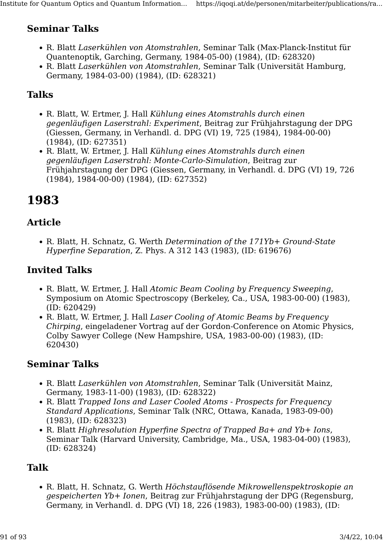# Seminar Talks

- R. Blatt Laserkühlen von Atomstrahlen, Seminar Talk (Max-Planck-Institut für Quantenoptik, Garching, Germany, 1984-05-00) (1984), (ID: 628320)
- R. Blatt Laserkühlen von Atomstrahlen, Seminar Talk (Universität Hamburg, Germany, 1984-03-00) (1984), (ID: 628321)

# Talks

- R. Blatt, W. Ertmer, J. Hall Kühlung eines Atomstrahls durch einen gegenläufigen Laserstrahl: Experiment, Beitrag zur Frühjahrstagung der DPG (Giessen, Germany, in Verhandl. d. DPG (VI) 19, 725 (1984), 1984-00-00) (1984), (ID: 627351)
- R. Blatt, W. Ertmer, J. Hall Kühlung eines Atomstrahls durch einen gegenläufigen Laserstrahl: Monte-Carlo-Simulation, Beitrag zur Frühjahrstagung der DPG (Giessen, Germany, in Verhandl. d. DPG (VI) 19, 726 (1984), 1984-00-00) (1984), (ID: 627352)

# 1983

### Article

• R. Blatt, H. Schnatz, G. Werth Determination of the 171Yb+ Ground-State Hyperfine Separation, Z. Phys. A 312 143 (1983), (ID: 619676)

# Invited Talks

- R. Blatt, W. Ertmer, J. Hall Atomic Beam Cooling by Frequency Sweeping, Symposium on Atomic Spectroscopy (Berkeley, Ca., USA, 1983-00-00) (1983), (ID: 620429)
- R. Blatt, W. Ertmer, J. Hall Laser Cooling of Atomic Beams by Frequency Chirping, eingeladener Vortrag auf der Gordon-Conference on Atomic Physics, Colby Sawyer College (New Hampshire, USA, 1983-00-00) (1983), (ID: 620430)

## Seminar Talks

- R. Blatt Laserkühlen von Atomstrahlen, Seminar Talk (Universität Mainz, Germany, 1983-11-00) (1983), (ID: 628322)
- R. Blatt Trapped Ions and Laser Cooled Atoms Prospects for Frequency Standard Applications, Seminar Talk (NRC, Ottawa, Kanada, 1983-09-00) (1983), (ID: 628323)
- R. Blatt Highresolution Hyperfine Spectra of Trapped Ba+ and Yb+ Ions, Seminar Talk (Harvard University, Cambridge, Ma., USA, 1983-04-00) (1983), (ID: 628324)

## Talk

• R. Blatt, H. Schnatz, G. Werth Höchstauflösende Mikrowellenspektroskopie an gespeicherten Yb+ Ionen, Beitrag zur Frühjahrstagung der DPG (Regensburg, Germany, in Verhandl. d. DPG (VI) 18, 226 (1983), 1983-00-00) (1983), (ID: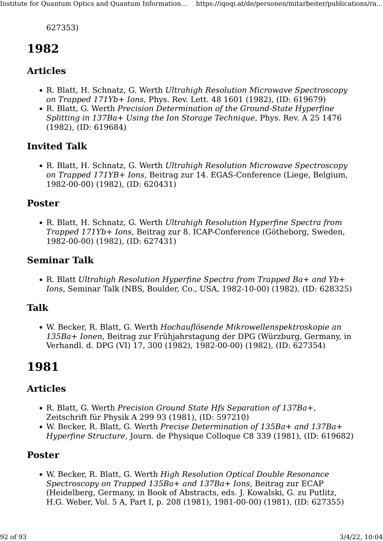627353)

# 1982

#### Articles

- R. Blatt, H. Schnatz, G. Werth Ultrahigh Resolution Microwave Spectroscopy on Trapped 171Yb+ Ions, Phys. Rev. Lett. 48 1601 (1982), (ID: 619679)
- R. Blatt, G. Werth Precision Determination of the Ground-State Hyperfine Splitting in 137Ba+ Using the Ion Storage Technique, Phys. Rev. A 25 1476 (1982), (ID: 619684)

### Invited Talk

• R. Blatt, H. Schnatz, G. Werth Ultrahigh Resolution Microwave Spectroscopy on Trapped 171YB+ Ions, Beitrag zur 14. EGAS-Conference (Liege, Belgium, 1982-00-00) (1982), (ID: 620431)

#### Poster

• R. Blatt, H. Schnatz, G. Werth Ultrahigh Resolution Hyperfine Spectra from Trapped 171Yb+ Ions, Beitrag zur 8. ICAP-Conference (Götheborg, Sweden, 1982-00-00) (1982), (ID: 627431)

#### Seminar Talk

• R. Blatt Ultrahigh Resolution Hyperfine Spectra from Trapped Ba+ and Yb+ Ions, Seminar Talk (NBS, Boulder, Co., USA, 1982-10-00) (1982), (ID: 628325)

#### Talk

• W. Becker, R. Blatt, G. Werth Hochauflösende Mikrowellenspektroskopie an 135Ba+ Ionen, Beitrag zur Frühjahrstagung der DPG (Würzburg, Germany, in Verhandl. d. DPG (VI) 17, 300 (1982), 1982-00-00) (1982), (ID: 627354)

# 1981

#### Articles

- R. Blatt, G. Werth Precision Ground State Hfs Separation of 137Ba+, Zeitschrift für Physik A 299 93 (1981), (ID: 597210)
- W. Becker, R. Blatt, G. Werth Precise Determination of 135Ba+ and 137Ba+ Hyperfine Structure, Journ. de Physique Colloque C8 339 (1981), (ID: 619682)

#### Poster

• W. Becker, R. Blatt, G. Werth High Resolution Optical Double Resonance Spectroscopy on Trapped 135Ba+ and 137Ba+ Ions, Beitrag zur ECAP (Heidelberg, Germany, in Book of Abstracts, eds. J. Kowalski, G. zu Putlitz, H.G. Weber, Vol. 5 A, Part I, p. 208 (1981), 1981-00-00) (1981), (ID: 627355)